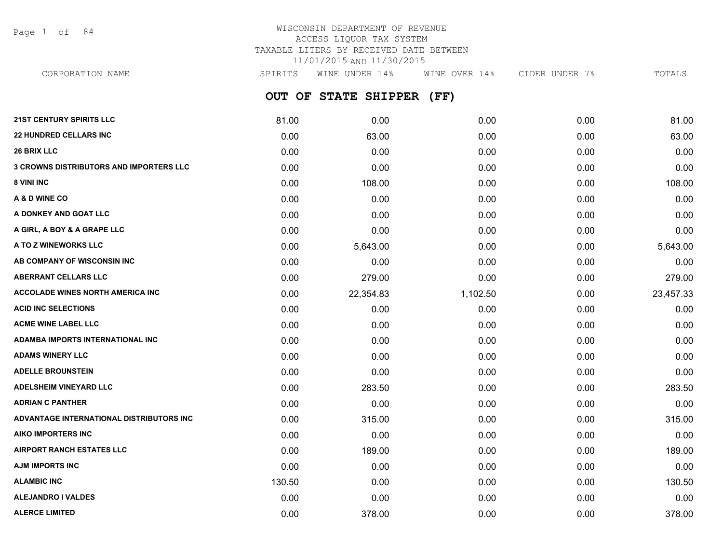Page 1 of 84

# WISCONSIN DEPARTMENT OF REVENUE ACCESS LIQUOR TAX SYSTEM TAXABLE LITERS BY RECEIVED DATE BETWEEN 11/01/2015 AND 11/30/2015

**OUT OF STATE SHIPPER (FF) 21ST CENTURY SPIRITS LLC** 81.00 0.00 0.00 0.00 81.00 **22 HUNDRED CELLARS INC** 0.00 63.00 0.00 0.00 63.00 **26 BRIX LLC** 0.00 0.00 0.00 0.00 0.00 **3 CROWNS DISTRIBUTORS AND IMPORTERS LLC** 0.00 0.00 0.00 0.00 0.00 **8 VINI INC** 0.00 108.00 0.00 0.00 108.00 **A & D WINE CO** 0.00 0.00 0.00 0.00 0.00 **A DONKEY AND GOAT LLC** 0.00 0.00 0.00 0.00 0.00 **A GIRL, A BOY & A GRAPE LLC** 0.00 0.00 0.00 0.00 0.00 **A TO Z WINEWORKS LLC** 6.643.00 5,643.00 5,643.00 0.00 5,643.00 0.00 0.00 0.00 5,643.00 **AB COMPANY OF WISCONSIN INC** 0.00 0.00 0.00 0.00 0.00 **ABERRANT CELLARS LLC** 0.00 279.00 0.00 0.00 279.00 **ACCOLADE WINES NORTH AMERICA INC 1.102.50 1.102.50 0.00 0.00 23.457.33 ACID INC SELECTIONS** 0.00 0.00 0.00 0.00 0.00 **ACME WINE LABEL LLC** 0.00 0.00 0.00 0.00 0.00 **ADAMBA IMPORTS INTERNATIONAL INC** 0.00 0.00 0.00 0.00 0.00 **ADAMS WINERY LLC** 0.00 0.00 0.00 0.00 0.00 **ADELLE BROUNSTEIN** 0.00 0.00 0.00 0.00 0.00 **ADELSHEIM VINEYARD LLC** 0.00 283.50 0.00 0.00 283.50 **ADRIAN C PANTHER** 0.00 0.00 0.00 0.00 0.00 **ADVANTAGE INTERNATIONAL DISTRIBUTORS INC** 0.00 315.00 0.00 0.00 315.00 **AIKO IMPORTERS INC** 0.00 0.00 0.00 0.00 0.00 **AIRPORT RANCH ESTATES LLC** 0.00 189.00 0.00 0.00 189.00 **AJM IMPORTS INC** 0.00 0.00 0.00 0.00 0.00 **ALAMBIC INC** 130.50 0.00 0.00 0.00 130.50 **ALEJANDRO I VALDES** 0.00 0.00 0.00 0.00 0.00 CORPORATION NAME SPIRITS WINE UNDER 14% WINE OVER 14% CIDER UNDER 7% TOTALS

**ALERCE LIMITED** 0.00 378.00 0.00 0.00 378.00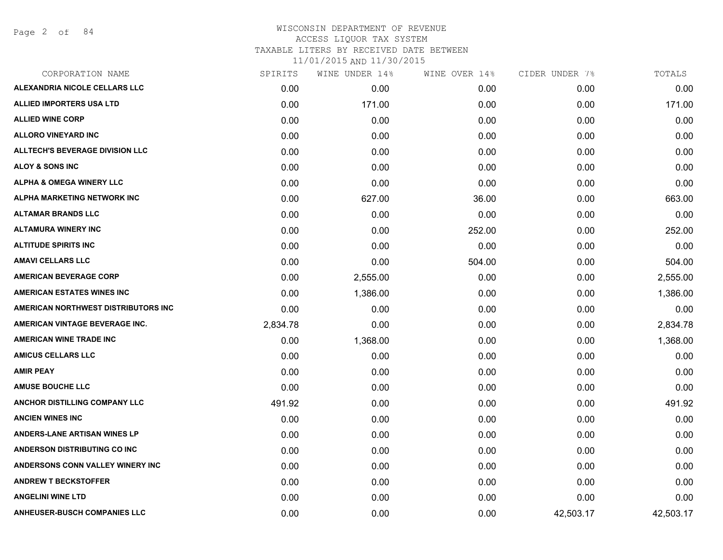Page 2 of 84

### WISCONSIN DEPARTMENT OF REVENUE ACCESS LIQUOR TAX SYSTEM TAXABLE LITERS BY RECEIVED DATE BETWEEN

| CORPORATION NAME                       | SPIRITS  | WINE UNDER 14% | WINE OVER 14% | CIDER UNDER 7% | TOTALS    |
|----------------------------------------|----------|----------------|---------------|----------------|-----------|
| ALEXANDRIA NICOLE CELLARS LLC          | 0.00     | 0.00           | 0.00          | 0.00           | 0.00      |
| <b>ALLIED IMPORTERS USA LTD</b>        | 0.00     | 171.00         | 0.00          | 0.00           | 171.00    |
| <b>ALLIED WINE CORP</b>                | 0.00     | 0.00           | 0.00          | 0.00           | 0.00      |
| <b>ALLORO VINEYARD INC</b>             | 0.00     | 0.00           | 0.00          | 0.00           | 0.00      |
| <b>ALLTECH'S BEVERAGE DIVISION LLC</b> | 0.00     | 0.00           | 0.00          | 0.00           | 0.00      |
| <b>ALOY &amp; SONS INC</b>             | 0.00     | 0.00           | 0.00          | 0.00           | 0.00      |
| <b>ALPHA &amp; OMEGA WINERY LLC</b>    | 0.00     | 0.00           | 0.00          | 0.00           | 0.00      |
| <b>ALPHA MARKETING NETWORK INC</b>     | 0.00     | 627.00         | 36.00         | 0.00           | 663.00    |
| <b>ALTAMAR BRANDS LLC</b>              | 0.00     | 0.00           | 0.00          | 0.00           | 0.00      |
| <b>ALTAMURA WINERY INC</b>             | 0.00     | 0.00           | 252.00        | 0.00           | 252.00    |
| <b>ALTITUDE SPIRITS INC</b>            | 0.00     | 0.00           | 0.00          | 0.00           | 0.00      |
| <b>AMAVI CELLARS LLC</b>               | 0.00     | 0.00           | 504.00        | 0.00           | 504.00    |
| <b>AMERICAN BEVERAGE CORP</b>          | 0.00     | 2,555.00       | 0.00          | 0.00           | 2,555.00  |
| <b>AMERICAN ESTATES WINES INC</b>      | 0.00     | 1,386.00       | 0.00          | 0.00           | 1,386.00  |
| AMERICAN NORTHWEST DISTRIBUTORS INC    | 0.00     | 0.00           | 0.00          | 0.00           | 0.00      |
| AMERICAN VINTAGE BEVERAGE INC.         | 2,834.78 | 0.00           | 0.00          | 0.00           | 2,834.78  |
| <b>AMERICAN WINE TRADE INC</b>         | 0.00     | 1,368.00       | 0.00          | 0.00           | 1,368.00  |
| <b>AMICUS CELLARS LLC</b>              | 0.00     | 0.00           | 0.00          | 0.00           | 0.00      |
| <b>AMIR PEAY</b>                       | 0.00     | 0.00           | 0.00          | 0.00           | 0.00      |
| <b>AMUSE BOUCHE LLC</b>                | 0.00     | 0.00           | 0.00          | 0.00           | 0.00      |
| <b>ANCHOR DISTILLING COMPANY LLC</b>   | 491.92   | 0.00           | 0.00          | 0.00           | 491.92    |
| <b>ANCIEN WINES INC</b>                | 0.00     | 0.00           | 0.00          | 0.00           | 0.00      |
| <b>ANDERS-LANE ARTISAN WINES LP</b>    | 0.00     | 0.00           | 0.00          | 0.00           | 0.00      |
| <b>ANDERSON DISTRIBUTING CO INC</b>    | 0.00     | 0.00           | 0.00          | 0.00           | 0.00      |
| ANDERSONS CONN VALLEY WINERY INC       | 0.00     | 0.00           | 0.00          | 0.00           | 0.00      |
| <b>ANDREW T BECKSTOFFER</b>            | 0.00     | 0.00           | 0.00          | 0.00           | 0.00      |
| <b>ANGELINI WINE LTD</b>               | 0.00     | 0.00           | 0.00          | 0.00           | 0.00      |
| <b>ANHEUSER-BUSCH COMPANIES LLC</b>    | 0.00     | 0.00           | 0.00          | 42,503.17      | 42,503.17 |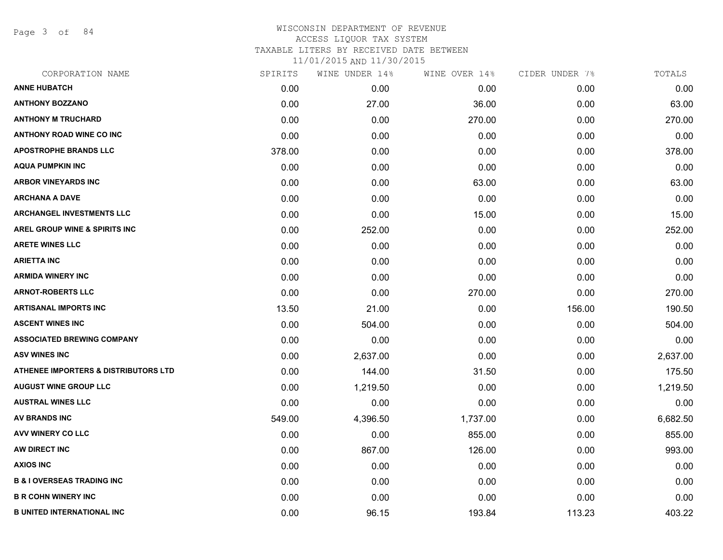Page 3 of 84

# WISCONSIN DEPARTMENT OF REVENUE ACCESS LIQUOR TAX SYSTEM TAXABLE LITERS BY RECEIVED DATE BETWEEN 11/01/2015 AND 11/30/2015

| CORPORATION NAME                                | SPIRITS | WINE UNDER 14% | WINE OVER 14% | CIDER UNDER 7% | TOTALS   |
|-------------------------------------------------|---------|----------------|---------------|----------------|----------|
| <b>ANNE HUBATCH</b>                             | 0.00    | 0.00           | 0.00          | 0.00           | 0.00     |
| <b>ANTHONY BOZZANO</b>                          | 0.00    | 27.00          | 36.00         | 0.00           | 63.00    |
| <b>ANTHONY M TRUCHARD</b>                       | 0.00    | 0.00           | 270.00        | 0.00           | 270.00   |
| ANTHONY ROAD WINE CO INC                        | 0.00    | 0.00           | 0.00          | 0.00           | 0.00     |
| <b>APOSTROPHE BRANDS LLC</b>                    | 378.00  | 0.00           | 0.00          | 0.00           | 378.00   |
| <b>AQUA PUMPKIN INC</b>                         | 0.00    | 0.00           | 0.00          | 0.00           | 0.00     |
| <b>ARBOR VINEYARDS INC</b>                      | 0.00    | 0.00           | 63.00         | 0.00           | 63.00    |
| <b>ARCHANA A DAVE</b>                           | 0.00    | 0.00           | 0.00          | 0.00           | 0.00     |
| <b>ARCHANGEL INVESTMENTS LLC</b>                | 0.00    | 0.00           | 15.00         | 0.00           | 15.00    |
| <b>AREL GROUP WINE &amp; SPIRITS INC</b>        | 0.00    | 252.00         | 0.00          | 0.00           | 252.00   |
| <b>ARETE WINES LLC</b>                          | 0.00    | 0.00           | 0.00          | 0.00           | 0.00     |
| <b>ARIETTA INC</b>                              | 0.00    | 0.00           | 0.00          | 0.00           | 0.00     |
| <b>ARMIDA WINERY INC</b>                        | 0.00    | 0.00           | 0.00          | 0.00           | 0.00     |
| <b>ARNOT-ROBERTS LLC</b>                        | 0.00    | 0.00           | 270.00        | 0.00           | 270.00   |
| <b>ARTISANAL IMPORTS INC</b>                    | 13.50   | 21.00          | 0.00          | 156.00         | 190.50   |
| <b>ASCENT WINES INC</b>                         | 0.00    | 504.00         | 0.00          | 0.00           | 504.00   |
| <b>ASSOCIATED BREWING COMPANY</b>               | 0.00    | 0.00           | 0.00          | 0.00           | 0.00     |
| <b>ASV WINES INC</b>                            | 0.00    | 2,637.00       | 0.00          | 0.00           | 2,637.00 |
| <b>ATHENEE IMPORTERS &amp; DISTRIBUTORS LTD</b> | 0.00    | 144.00         | 31.50         | 0.00           | 175.50   |
| <b>AUGUST WINE GROUP LLC</b>                    | 0.00    | 1,219.50       | 0.00          | 0.00           | 1,219.50 |
| <b>AUSTRAL WINES LLC</b>                        | 0.00    | 0.00           | 0.00          | 0.00           | 0.00     |
| <b>AV BRANDS INC</b>                            | 549.00  | 4,396.50       | 1,737.00      | 0.00           | 6,682.50 |
| <b>AVV WINERY CO LLC</b>                        | 0.00    | 0.00           | 855.00        | 0.00           | 855.00   |
| AW DIRECT INC                                   | 0.00    | 867.00         | 126.00        | 0.00           | 993.00   |
| <b>AXIOS INC</b>                                | 0.00    | 0.00           | 0.00          | 0.00           | 0.00     |
| <b>B &amp; I OVERSEAS TRADING INC</b>           | 0.00    | 0.00           | 0.00          | 0.00           | 0.00     |
| <b>B R COHN WINERY INC</b>                      | 0.00    | 0.00           | 0.00          | 0.00           | 0.00     |
| <b>B UNITED INTERNATIONAL INC</b>               | 0.00    | 96.15          | 193.84        | 113.23         | 403.22   |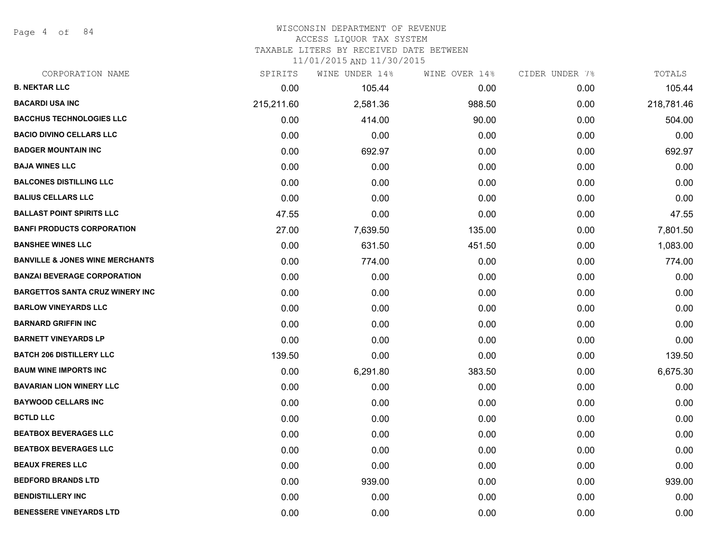Page 4 of 84

# WISCONSIN DEPARTMENT OF REVENUE

ACCESS LIQUOR TAX SYSTEM

TAXABLE LITERS BY RECEIVED DATE BETWEEN

| CORPORATION NAME                           | SPIRITS    | WINE UNDER 14% | WINE OVER 14% | CIDER UNDER 7% | TOTALS     |
|--------------------------------------------|------------|----------------|---------------|----------------|------------|
| <b>B. NEKTAR LLC</b>                       | 0.00       | 105.44         | 0.00          | 0.00           | 105.44     |
| <b>BACARDI USA INC</b>                     | 215,211.60 | 2,581.36       | 988.50        | 0.00           | 218,781.46 |
| <b>BACCHUS TECHNOLOGIES LLC</b>            | 0.00       | 414.00         | 90.00         | 0.00           | 504.00     |
| <b>BACIO DIVINO CELLARS LLC</b>            | 0.00       | 0.00           | 0.00          | 0.00           | 0.00       |
| <b>BADGER MOUNTAIN INC</b>                 | 0.00       | 692.97         | 0.00          | 0.00           | 692.97     |
| <b>BAJA WINES LLC</b>                      | 0.00       | 0.00           | 0.00          | 0.00           | 0.00       |
| <b>BALCONES DISTILLING LLC</b>             | 0.00       | 0.00           | 0.00          | 0.00           | 0.00       |
| <b>BALIUS CELLARS LLC</b>                  | 0.00       | 0.00           | 0.00          | 0.00           | 0.00       |
| <b>BALLAST POINT SPIRITS LLC</b>           | 47.55      | 0.00           | 0.00          | 0.00           | 47.55      |
| <b>BANFI PRODUCTS CORPORATION</b>          | 27.00      | 7,639.50       | 135.00        | 0.00           | 7,801.50   |
| <b>BANSHEE WINES LLC</b>                   | 0.00       | 631.50         | 451.50        | 0.00           | 1,083.00   |
| <b>BANVILLE &amp; JONES WINE MERCHANTS</b> | 0.00       | 774.00         | 0.00          | 0.00           | 774.00     |
| <b>BANZAI BEVERAGE CORPORATION</b>         | 0.00       | 0.00           | 0.00          | 0.00           | 0.00       |
| <b>BARGETTOS SANTA CRUZ WINERY INC</b>     | 0.00       | 0.00           | 0.00          | 0.00           | 0.00       |
| <b>BARLOW VINEYARDS LLC</b>                | 0.00       | 0.00           | 0.00          | 0.00           | 0.00       |
| <b>BARNARD GRIFFIN INC</b>                 | 0.00       | 0.00           | 0.00          | 0.00           | 0.00       |
| <b>BARNETT VINEYARDS LP</b>                | 0.00       | 0.00           | 0.00          | 0.00           | 0.00       |
| <b>BATCH 206 DISTILLERY LLC</b>            | 139.50     | 0.00           | 0.00          | 0.00           | 139.50     |
| <b>BAUM WINE IMPORTS INC</b>               | 0.00       | 6,291.80       | 383.50        | 0.00           | 6,675.30   |
| <b>BAVARIAN LION WINERY LLC</b>            | 0.00       | 0.00           | 0.00          | 0.00           | 0.00       |
| <b>BAYWOOD CELLARS INC</b>                 | 0.00       | 0.00           | 0.00          | 0.00           | 0.00       |
| <b>BCTLD LLC</b>                           | 0.00       | 0.00           | 0.00          | 0.00           | 0.00       |
| <b>BEATBOX BEVERAGES LLC</b>               | 0.00       | 0.00           | 0.00          | 0.00           | 0.00       |
| <b>BEATBOX BEVERAGES LLC</b>               | 0.00       | 0.00           | 0.00          | 0.00           | 0.00       |
| <b>BEAUX FRERES LLC</b>                    | 0.00       | 0.00           | 0.00          | 0.00           | 0.00       |
| <b>BEDFORD BRANDS LTD</b>                  | 0.00       | 939.00         | 0.00          | 0.00           | 939.00     |
| <b>BENDISTILLERY INC</b>                   | 0.00       | 0.00           | 0.00          | 0.00           | 0.00       |
| <b>BENESSERE VINEYARDS LTD</b>             | 0.00       | 0.00           | 0.00          | 0.00           | 0.00       |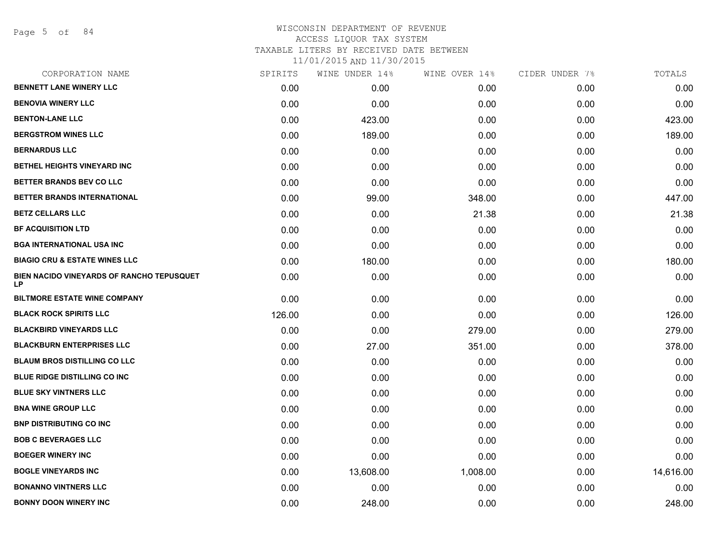Page 5 of 84

# WISCONSIN DEPARTMENT OF REVENUE ACCESS LIQUOR TAX SYSTEM TAXABLE LITERS BY RECEIVED DATE BETWEEN

| CORPORATION NAME                                | SPIRITS | WINE UNDER 14% | WINE OVER 14% | CIDER UNDER 7% | TOTALS    |
|-------------------------------------------------|---------|----------------|---------------|----------------|-----------|
| <b>BENNETT LANE WINERY LLC</b>                  | 0.00    | 0.00           | 0.00          | 0.00           | 0.00      |
| <b>BENOVIA WINERY LLC</b>                       | 0.00    | 0.00           | 0.00          | 0.00           | 0.00      |
| <b>BENTON-LANE LLC</b>                          | 0.00    | 423.00         | 0.00          | 0.00           | 423.00    |
| <b>BERGSTROM WINES LLC</b>                      | 0.00    | 189.00         | 0.00          | 0.00           | 189.00    |
| <b>BERNARDUS LLC</b>                            | 0.00    | 0.00           | 0.00          | 0.00           | 0.00      |
| BETHEL HEIGHTS VINEYARD INC                     | 0.00    | 0.00           | 0.00          | 0.00           | 0.00      |
| BETTER BRANDS BEV CO LLC                        | 0.00    | 0.00           | 0.00          | 0.00           | 0.00      |
| BETTER BRANDS INTERNATIONAL                     | 0.00    | 99.00          | 348.00        | 0.00           | 447.00    |
| <b>BETZ CELLARS LLC</b>                         | 0.00    | 0.00           | 21.38         | 0.00           | 21.38     |
| <b>BF ACQUISITION LTD</b>                       | 0.00    | 0.00           | 0.00          | 0.00           | 0.00      |
| <b>BGA INTERNATIONAL USA INC</b>                | 0.00    | 0.00           | 0.00          | 0.00           | 0.00      |
| <b>BIAGIO CRU &amp; ESTATE WINES LLC</b>        | 0.00    | 180.00         | 0.00          | 0.00           | 180.00    |
| BIEN NACIDO VINEYARDS OF RANCHO TEPUSQUET<br>LP | 0.00    | 0.00           | 0.00          | 0.00           | 0.00      |
| <b>BILTMORE ESTATE WINE COMPANY</b>             | 0.00    | 0.00           | 0.00          | 0.00           | 0.00      |
| <b>BLACK ROCK SPIRITS LLC</b>                   | 126.00  | 0.00           | 0.00          | 0.00           | 126.00    |
| <b>BLACKBIRD VINEYARDS LLC</b>                  | 0.00    | 0.00           | 279.00        | 0.00           | 279.00    |
| <b>BLACKBURN ENTERPRISES LLC</b>                | 0.00    | 27.00          | 351.00        | 0.00           | 378.00    |
| <b>BLAUM BROS DISTILLING CO LLC</b>             | 0.00    | 0.00           | 0.00          | 0.00           | 0.00      |
| BLUE RIDGE DISTILLING CO INC                    | 0.00    | 0.00           | 0.00          | 0.00           | 0.00      |
| <b>BLUE SKY VINTNERS LLC</b>                    | 0.00    | 0.00           | 0.00          | 0.00           | 0.00      |
| <b>BNA WINE GROUP LLC</b>                       | 0.00    | 0.00           | 0.00          | 0.00           | 0.00      |
| <b>BNP DISTRIBUTING CO INC</b>                  | 0.00    | 0.00           | 0.00          | 0.00           | 0.00      |
| <b>BOB C BEVERAGES LLC</b>                      | 0.00    | 0.00           | 0.00          | 0.00           | 0.00      |
| <b>BOEGER WINERY INC</b>                        | 0.00    | 0.00           | 0.00          | 0.00           | 0.00      |
| <b>BOGLE VINEYARDS INC</b>                      | 0.00    | 13,608.00      | 1,008.00      | 0.00           | 14,616.00 |
| <b>BONANNO VINTNERS LLC</b>                     | 0.00    | 0.00           | 0.00          | 0.00           | 0.00      |
| <b>BONNY DOON WINERY INC</b>                    | 0.00    | 248.00         | 0.00          | 0.00           | 248.00    |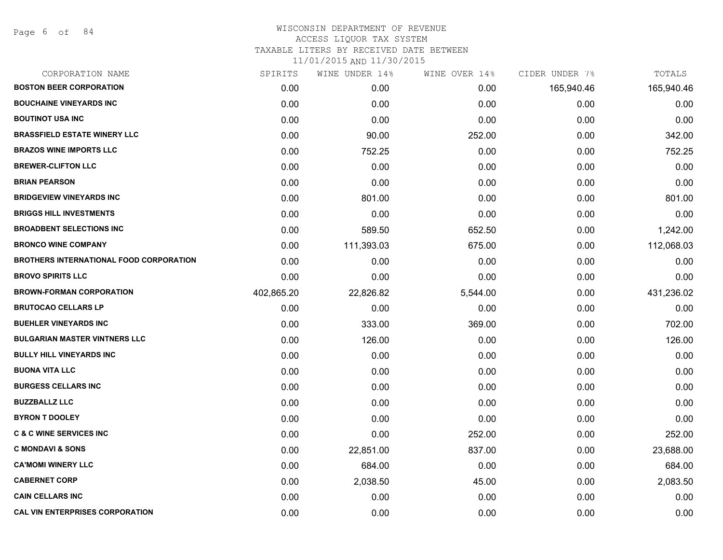## WISCONSIN DEPARTMENT OF REVENUE ACCESS LIQUOR TAX SYSTEM TAXABLE LITERS BY RECEIVED DATE BETWEEN 11/01/2015 AND 11/30/2015

| CORPORATION NAME                               | SPIRITS    | WINE UNDER 14% | WINE OVER 14% | CIDER UNDER 7% | TOTALS     |
|------------------------------------------------|------------|----------------|---------------|----------------|------------|
| <b>BOSTON BEER CORPORATION</b>                 | 0.00       | 0.00           | 0.00          | 165,940.46     | 165,940.46 |
| <b>BOUCHAINE VINEYARDS INC</b>                 | 0.00       | 0.00           | 0.00          | 0.00           | 0.00       |
| <b>BOUTINOT USA INC</b>                        | 0.00       | 0.00           | 0.00          | 0.00           | 0.00       |
| <b>BRASSFIELD ESTATE WINERY LLC</b>            | 0.00       | 90.00          | 252.00        | 0.00           | 342.00     |
| <b>BRAZOS WINE IMPORTS LLC</b>                 | 0.00       | 752.25         | 0.00          | 0.00           | 752.25     |
| <b>BREWER-CLIFTON LLC</b>                      | 0.00       | 0.00           | 0.00          | 0.00           | 0.00       |
| <b>BRIAN PEARSON</b>                           | 0.00       | 0.00           | 0.00          | 0.00           | 0.00       |
| <b>BRIDGEVIEW VINEYARDS INC</b>                | 0.00       | 801.00         | 0.00          | 0.00           | 801.00     |
| <b>BRIGGS HILL INVESTMENTS</b>                 | 0.00       | 0.00           | 0.00          | 0.00           | 0.00       |
| <b>BROADBENT SELECTIONS INC</b>                | 0.00       | 589.50         | 652.50        | 0.00           | 1,242.00   |
| <b>BRONCO WINE COMPANY</b>                     | 0.00       | 111,393.03     | 675.00        | 0.00           | 112,068.03 |
| <b>BROTHERS INTERNATIONAL FOOD CORPORATION</b> | 0.00       | 0.00           | 0.00          | 0.00           | 0.00       |
| <b>BROVO SPIRITS LLC</b>                       | 0.00       | 0.00           | 0.00          | 0.00           | 0.00       |
| <b>BROWN-FORMAN CORPORATION</b>                | 402,865.20 | 22,826.82      | 5,544.00      | 0.00           | 431,236.02 |
| <b>BRUTOCAO CELLARS LP</b>                     | 0.00       | 0.00           | 0.00          | 0.00           | 0.00       |
| <b>BUEHLER VINEYARDS INC</b>                   | 0.00       | 333.00         | 369.00        | 0.00           | 702.00     |
| <b>BULGARIAN MASTER VINTNERS LLC</b>           | 0.00       | 126.00         | 0.00          | 0.00           | 126.00     |
| <b>BULLY HILL VINEYARDS INC</b>                | 0.00       | 0.00           | 0.00          | 0.00           | 0.00       |
| <b>BUONA VITA LLC</b>                          | 0.00       | 0.00           | 0.00          | 0.00           | 0.00       |
| <b>BURGESS CELLARS INC</b>                     | 0.00       | 0.00           | 0.00          | 0.00           | 0.00       |
| <b>BUZZBALLZ LLC</b>                           | 0.00       | 0.00           | 0.00          | 0.00           | 0.00       |
| <b>BYRON T DOOLEY</b>                          | 0.00       | 0.00           | 0.00          | 0.00           | 0.00       |
| <b>C &amp; C WINE SERVICES INC</b>             | 0.00       | 0.00           | 252.00        | 0.00           | 252.00     |
| <b>C MONDAVI &amp; SONS</b>                    | 0.00       | 22,851.00      | 837.00        | 0.00           | 23,688.00  |
| <b>CA'MOMI WINERY LLC</b>                      | 0.00       | 684.00         | 0.00          | 0.00           | 684.00     |
| <b>CABERNET CORP</b>                           | 0.00       | 2,038.50       | 45.00         | 0.00           | 2,083.50   |
| <b>CAIN CELLARS INC</b>                        | 0.00       | 0.00           | 0.00          | 0.00           | 0.00       |
| <b>CAL VIN ENTERPRISES CORPORATION</b>         | 0.00       | 0.00           | 0.00          | 0.00           | 0.00       |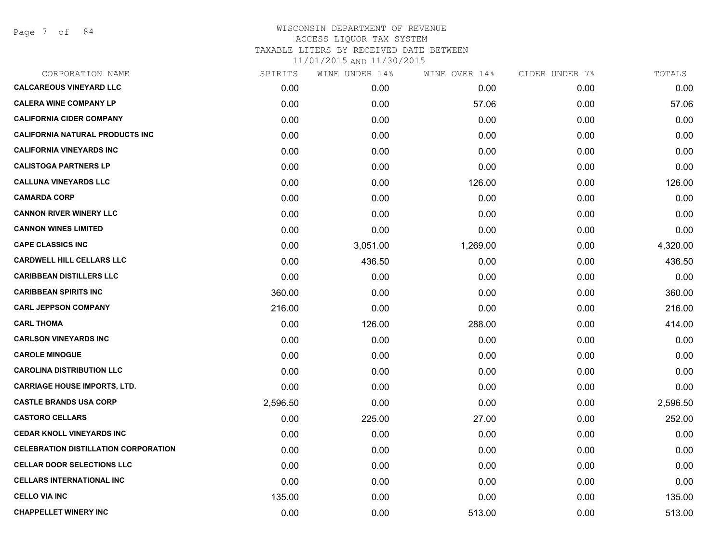Page 7 of 84

# WISCONSIN DEPARTMENT OF REVENUE ACCESS LIQUOR TAX SYSTEM TAXABLE LITERS BY RECEIVED DATE BETWEEN 11/01/2015 AND 11/30/2015

| CORPORATION NAME                            | SPIRITS  | WINE UNDER 14% | WINE OVER 14% | CIDER UNDER 7% | TOTALS   |
|---------------------------------------------|----------|----------------|---------------|----------------|----------|
| <b>CALCAREOUS VINEYARD LLC</b>              | 0.00     | 0.00           | 0.00          | 0.00           | 0.00     |
| <b>CALERA WINE COMPANY LP</b>               | 0.00     | 0.00           | 57.06         | 0.00           | 57.06    |
| <b>CALIFORNIA CIDER COMPANY</b>             | 0.00     | 0.00           | 0.00          | 0.00           | 0.00     |
| <b>CALIFORNIA NATURAL PRODUCTS INC</b>      | 0.00     | 0.00           | 0.00          | 0.00           | 0.00     |
| <b>CALIFORNIA VINEYARDS INC</b>             | 0.00     | 0.00           | 0.00          | 0.00           | 0.00     |
| <b>CALISTOGA PARTNERS LP</b>                | 0.00     | 0.00           | 0.00          | 0.00           | 0.00     |
| <b>CALLUNA VINEYARDS LLC</b>                | 0.00     | 0.00           | 126.00        | 0.00           | 126.00   |
| <b>CAMARDA CORP</b>                         | 0.00     | 0.00           | 0.00          | 0.00           | 0.00     |
| <b>CANNON RIVER WINERY LLC</b>              | 0.00     | 0.00           | 0.00          | 0.00           | 0.00     |
| <b>CANNON WINES LIMITED</b>                 | 0.00     | 0.00           | 0.00          | 0.00           | 0.00     |
| <b>CAPE CLASSICS INC</b>                    | 0.00     | 3,051.00       | 1,269.00      | 0.00           | 4,320.00 |
| <b>CARDWELL HILL CELLARS LLC</b>            | 0.00     | 436.50         | 0.00          | 0.00           | 436.50   |
| <b>CARIBBEAN DISTILLERS LLC</b>             | 0.00     | 0.00           | 0.00          | 0.00           | 0.00     |
| <b>CARIBBEAN SPIRITS INC</b>                | 360.00   | 0.00           | 0.00          | 0.00           | 360.00   |
| <b>CARL JEPPSON COMPANY</b>                 | 216.00   | 0.00           | 0.00          | 0.00           | 216.00   |
| <b>CARL THOMA</b>                           | 0.00     | 126.00         | 288.00        | 0.00           | 414.00   |
| <b>CARLSON VINEYARDS INC</b>                | 0.00     | 0.00           | 0.00          | 0.00           | 0.00     |
| <b>CAROLE MINOGUE</b>                       | 0.00     | 0.00           | 0.00          | 0.00           | 0.00     |
| <b>CAROLINA DISTRIBUTION LLC</b>            | 0.00     | 0.00           | 0.00          | 0.00           | 0.00     |
| <b>CARRIAGE HOUSE IMPORTS, LTD.</b>         | 0.00     | 0.00           | 0.00          | 0.00           | 0.00     |
| <b>CASTLE BRANDS USA CORP</b>               | 2,596.50 | 0.00           | 0.00          | 0.00           | 2,596.50 |
| <b>CASTORO CELLARS</b>                      | 0.00     | 225.00         | 27.00         | 0.00           | 252.00   |
| <b>CEDAR KNOLL VINEYARDS INC</b>            | 0.00     | 0.00           | 0.00          | 0.00           | 0.00     |
| <b>CELEBRATION DISTILLATION CORPORATION</b> | 0.00     | 0.00           | 0.00          | 0.00           | 0.00     |
| <b>CELLAR DOOR SELECTIONS LLC</b>           | 0.00     | 0.00           | 0.00          | 0.00           | 0.00     |
| <b>CELLARS INTERNATIONAL INC</b>            | 0.00     | 0.00           | 0.00          | 0.00           | 0.00     |
| <b>CELLO VIA INC</b>                        | 135.00   | 0.00           | 0.00          | 0.00           | 135.00   |
| <b>CHAPPELLET WINERY INC</b>                | 0.00     | 0.00           | 513.00        | 0.00           | 513.00   |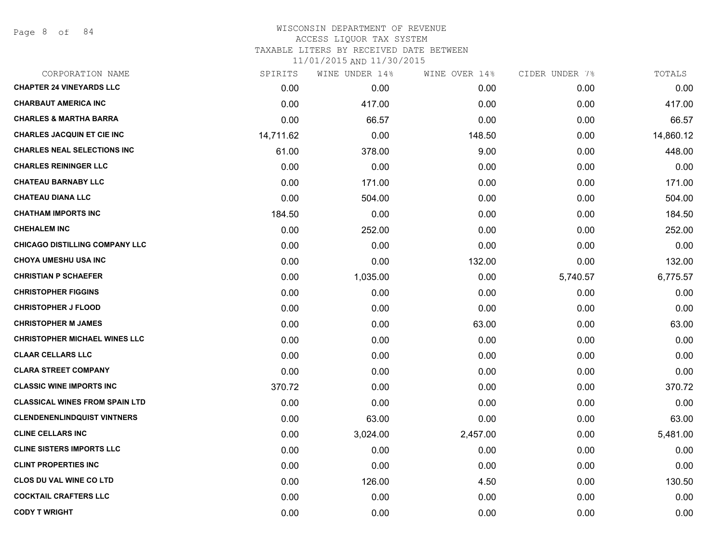Page 8 of 84

# WISCONSIN DEPARTMENT OF REVENUE ACCESS LIQUOR TAX SYSTEM TAXABLE LITERS BY RECEIVED DATE BETWEEN

| CORPORATION NAME                      | SPIRITS   | WINE UNDER 14% | WINE OVER 14% | CIDER UNDER 7% | TOTALS    |
|---------------------------------------|-----------|----------------|---------------|----------------|-----------|
| <b>CHAPTER 24 VINEYARDS LLC</b>       | 0.00      | 0.00           | 0.00          | 0.00           | 0.00      |
| <b>CHARBAUT AMERICA INC</b>           | 0.00      | 417.00         | 0.00          | 0.00           | 417.00    |
| <b>CHARLES &amp; MARTHA BARRA</b>     | 0.00      | 66.57          | 0.00          | 0.00           | 66.57     |
| <b>CHARLES JACQUIN ET CIE INC</b>     | 14,711.62 | 0.00           | 148.50        | 0.00           | 14,860.12 |
| <b>CHARLES NEAL SELECTIONS INC</b>    | 61.00     | 378.00         | 9.00          | 0.00           | 448.00    |
| <b>CHARLES REININGER LLC</b>          | 0.00      | 0.00           | 0.00          | 0.00           | 0.00      |
| <b>CHATEAU BARNABY LLC</b>            | 0.00      | 171.00         | 0.00          | 0.00           | 171.00    |
| <b>CHATEAU DIANA LLC</b>              | 0.00      | 504.00         | 0.00          | 0.00           | 504.00    |
| <b>CHATHAM IMPORTS INC</b>            | 184.50    | 0.00           | 0.00          | 0.00           | 184.50    |
| <b>CHEHALEM INC</b>                   | 0.00      | 252.00         | 0.00          | 0.00           | 252.00    |
| <b>CHICAGO DISTILLING COMPANY LLC</b> | 0.00      | 0.00           | 0.00          | 0.00           | 0.00      |
| <b>CHOYA UMESHU USA INC</b>           | 0.00      | 0.00           | 132.00        | 0.00           | 132.00    |
| <b>CHRISTIAN P SCHAEFER</b>           | 0.00      | 1,035.00       | 0.00          | 5,740.57       | 6,775.57  |
| <b>CHRISTOPHER FIGGINS</b>            | 0.00      | 0.00           | 0.00          | 0.00           | 0.00      |
| <b>CHRISTOPHER J FLOOD</b>            | 0.00      | 0.00           | 0.00          | 0.00           | 0.00      |
| <b>CHRISTOPHER M JAMES</b>            | 0.00      | 0.00           | 63.00         | 0.00           | 63.00     |
| <b>CHRISTOPHER MICHAEL WINES LLC</b>  | 0.00      | 0.00           | 0.00          | 0.00           | 0.00      |
| <b>CLAAR CELLARS LLC</b>              | 0.00      | 0.00           | 0.00          | 0.00           | 0.00      |
| <b>CLARA STREET COMPANY</b>           | 0.00      | 0.00           | 0.00          | 0.00           | 0.00      |
| <b>CLASSIC WINE IMPORTS INC</b>       | 370.72    | 0.00           | 0.00          | 0.00           | 370.72    |
| <b>CLASSICAL WINES FROM SPAIN LTD</b> | 0.00      | 0.00           | 0.00          | 0.00           | 0.00      |
| <b>CLENDENENLINDQUIST VINTNERS</b>    | 0.00      | 63.00          | 0.00          | 0.00           | 63.00     |
| <b>CLINE CELLARS INC</b>              | 0.00      | 3,024.00       | 2,457.00      | 0.00           | 5,481.00  |
| <b>CLINE SISTERS IMPORTS LLC</b>      | 0.00      | 0.00           | 0.00          | 0.00           | 0.00      |
| <b>CLINT PROPERTIES INC</b>           | 0.00      | 0.00           | 0.00          | 0.00           | 0.00      |
| <b>CLOS DU VAL WINE CO LTD</b>        | 0.00      | 126.00         | 4.50          | 0.00           | 130.50    |
| <b>COCKTAIL CRAFTERS LLC</b>          | 0.00      | 0.00           | 0.00          | 0.00           | 0.00      |
| <b>CODY T WRIGHT</b>                  | 0.00      | 0.00           | 0.00          | 0.00           | 0.00      |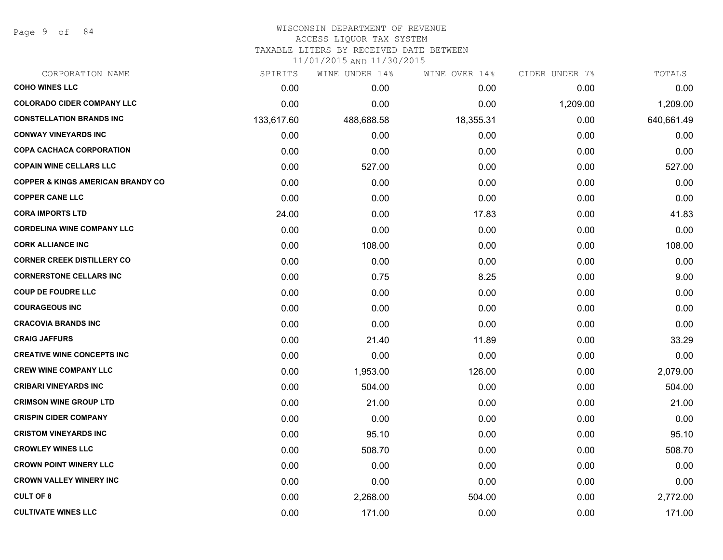Page 9 of 84

# WISCONSIN DEPARTMENT OF REVENUE

# ACCESS LIQUOR TAX SYSTEM

TAXABLE LITERS BY RECEIVED DATE BETWEEN

| CORPORATION NAME                             | SPIRITS    | WINE UNDER 14% | WINE OVER 14% | CIDER UNDER 7% | TOTALS     |
|----------------------------------------------|------------|----------------|---------------|----------------|------------|
| <b>COHO WINES LLC</b>                        | 0.00       | 0.00           | 0.00          | 0.00           | 0.00       |
| <b>COLORADO CIDER COMPANY LLC</b>            | 0.00       | 0.00           | 0.00          | 1,209.00       | 1,209.00   |
| <b>CONSTELLATION BRANDS INC</b>              | 133,617.60 | 488,688.58     | 18,355.31     | 0.00           | 640,661.49 |
| <b>CONWAY VINEYARDS INC</b>                  | 0.00       | 0.00           | 0.00          | 0.00           | 0.00       |
| <b>COPA CACHACA CORPORATION</b>              | 0.00       | 0.00           | 0.00          | 0.00           | 0.00       |
| <b>COPAIN WINE CELLARS LLC</b>               | 0.00       | 527.00         | 0.00          | 0.00           | 527.00     |
| <b>COPPER &amp; KINGS AMERICAN BRANDY CO</b> | 0.00       | 0.00           | 0.00          | 0.00           | 0.00       |
| <b>COPPER CANE LLC</b>                       | 0.00       | 0.00           | 0.00          | 0.00           | 0.00       |
| <b>CORA IMPORTS LTD</b>                      | 24.00      | 0.00           | 17.83         | 0.00           | 41.83      |
| <b>CORDELINA WINE COMPANY LLC</b>            | 0.00       | 0.00           | 0.00          | 0.00           | 0.00       |
| <b>CORK ALLIANCE INC</b>                     | 0.00       | 108.00         | 0.00          | 0.00           | 108.00     |
| <b>CORNER CREEK DISTILLERY CO</b>            | 0.00       | 0.00           | 0.00          | 0.00           | 0.00       |
| <b>CORNERSTONE CELLARS INC</b>               | 0.00       | 0.75           | 8.25          | 0.00           | 9.00       |
| <b>COUP DE FOUDRE LLC</b>                    | 0.00       | 0.00           | 0.00          | 0.00           | 0.00       |
| <b>COURAGEOUS INC</b>                        | 0.00       | 0.00           | 0.00          | 0.00           | 0.00       |
| <b>CRACOVIA BRANDS INC</b>                   | 0.00       | 0.00           | 0.00          | 0.00           | 0.00       |
| <b>CRAIG JAFFURS</b>                         | 0.00       | 21.40          | 11.89         | 0.00           | 33.29      |
| <b>CREATIVE WINE CONCEPTS INC</b>            | 0.00       | 0.00           | 0.00          | 0.00           | 0.00       |
| <b>CREW WINE COMPANY LLC</b>                 | 0.00       | 1,953.00       | 126.00        | 0.00           | 2,079.00   |
| <b>CRIBARI VINEYARDS INC</b>                 | 0.00       | 504.00         | 0.00          | 0.00           | 504.00     |
| <b>CRIMSON WINE GROUP LTD</b>                | 0.00       | 21.00          | 0.00          | 0.00           | 21.00      |
| <b>CRISPIN CIDER COMPANY</b>                 | 0.00       | 0.00           | 0.00          | 0.00           | 0.00       |
| <b>CRISTOM VINEYARDS INC</b>                 | 0.00       | 95.10          | 0.00          | 0.00           | 95.10      |
| <b>CROWLEY WINES LLC</b>                     | 0.00       | 508.70         | 0.00          | 0.00           | 508.70     |
| <b>CROWN POINT WINERY LLC</b>                | 0.00       | 0.00           | 0.00          | 0.00           | 0.00       |
| <b>CROWN VALLEY WINERY INC</b>               | 0.00       | 0.00           | 0.00          | 0.00           | 0.00       |
| <b>CULT OF 8</b>                             | 0.00       | 2,268.00       | 504.00        | 0.00           | 2,772.00   |
| <b>CULTIVATE WINES LLC</b>                   | 0.00       | 171.00         | 0.00          | 0.00           | 171.00     |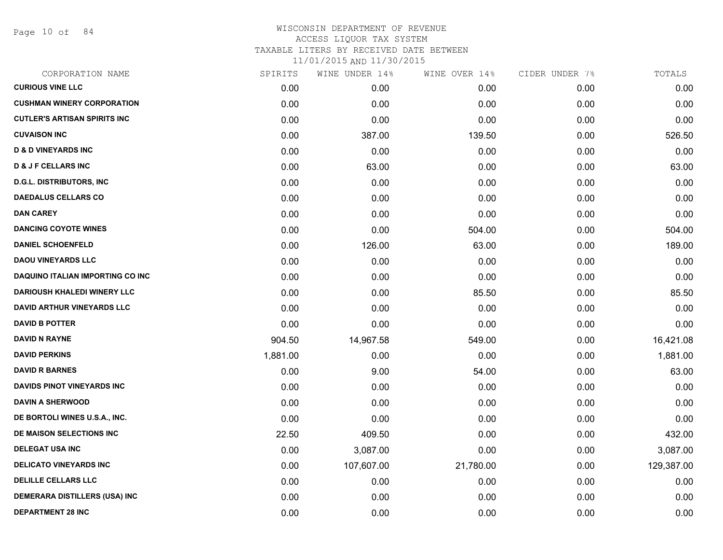Page 10 of 84

# WISCONSIN DEPARTMENT OF REVENUE ACCESS LIQUOR TAX SYSTEM TAXABLE LITERS BY RECEIVED DATE BETWEEN 11/01/2015 AND 11/30/2015

| CORPORATION NAME                     | SPIRITS  | WINE UNDER 14% | WINE OVER 14% | CIDER UNDER 7% | TOTALS     |
|--------------------------------------|----------|----------------|---------------|----------------|------------|
| <b>CURIOUS VINE LLC</b>              | 0.00     | 0.00           | 0.00          | 0.00           | 0.00       |
| <b>CUSHMAN WINERY CORPORATION</b>    | 0.00     | 0.00           | 0.00          | 0.00           | 0.00       |
| <b>CUTLER'S ARTISAN SPIRITS INC</b>  | 0.00     | 0.00           | 0.00          | 0.00           | 0.00       |
| <b>CUVAISON INC</b>                  | 0.00     | 387.00         | 139.50        | 0.00           | 526.50     |
| <b>D &amp; D VINEYARDS INC</b>       | 0.00     | 0.00           | 0.00          | 0.00           | 0.00       |
| <b>D &amp; J F CELLARS INC</b>       | 0.00     | 63.00          | 0.00          | 0.00           | 63.00      |
| <b>D.G.L. DISTRIBUTORS, INC</b>      | 0.00     | 0.00           | 0.00          | 0.00           | 0.00       |
| <b>DAEDALUS CELLARS CO</b>           | 0.00     | 0.00           | 0.00          | 0.00           | 0.00       |
| <b>DAN CAREY</b>                     | 0.00     | 0.00           | 0.00          | 0.00           | 0.00       |
| <b>DANCING COYOTE WINES</b>          | 0.00     | 0.00           | 504.00        | 0.00           | 504.00     |
| <b>DANIEL SCHOENFELD</b>             | 0.00     | 126.00         | 63.00         | 0.00           | 189.00     |
| <b>DAOU VINEYARDS LLC</b>            | 0.00     | 0.00           | 0.00          | 0.00           | 0.00       |
| DAQUINO ITALIAN IMPORTING CO INC     | 0.00     | 0.00           | 0.00          | 0.00           | 0.00       |
| <b>DARIOUSH KHALEDI WINERY LLC</b>   | 0.00     | 0.00           | 85.50         | 0.00           | 85.50      |
| <b>DAVID ARTHUR VINEYARDS LLC</b>    | 0.00     | 0.00           | 0.00          | 0.00           | 0.00       |
| <b>DAVID B POTTER</b>                | 0.00     | 0.00           | 0.00          | 0.00           | 0.00       |
| <b>DAVID N RAYNE</b>                 | 904.50   | 14,967.58      | 549.00        | 0.00           | 16,421.08  |
| <b>DAVID PERKINS</b>                 | 1,881.00 | 0.00           | 0.00          | 0.00           | 1,881.00   |
| <b>DAVID R BARNES</b>                | 0.00     | 9.00           | 54.00         | 0.00           | 63.00      |
| DAVIDS PINOT VINEYARDS INC           | 0.00     | 0.00           | 0.00          | 0.00           | 0.00       |
| <b>DAVIN A SHERWOOD</b>              | 0.00     | 0.00           | 0.00          | 0.00           | 0.00       |
| DE BORTOLI WINES U.S.A., INC.        | 0.00     | 0.00           | 0.00          | 0.00           | 0.00       |
| DE MAISON SELECTIONS INC             | 22.50    | 409.50         | 0.00          | 0.00           | 432.00     |
| <b>DELEGAT USA INC</b>               | 0.00     | 3,087.00       | 0.00          | 0.00           | 3,087.00   |
| <b>DELICATO VINEYARDS INC</b>        | 0.00     | 107,607.00     | 21,780.00     | 0.00           | 129,387.00 |
| <b>DELILLE CELLARS LLC</b>           | 0.00     | 0.00           | 0.00          | 0.00           | 0.00       |
| <b>DEMERARA DISTILLERS (USA) INC</b> | 0.00     | 0.00           | 0.00          | 0.00           | 0.00       |
| <b>DEPARTMENT 28 INC</b>             | 0.00     | 0.00           | 0.00          | 0.00           | 0.00       |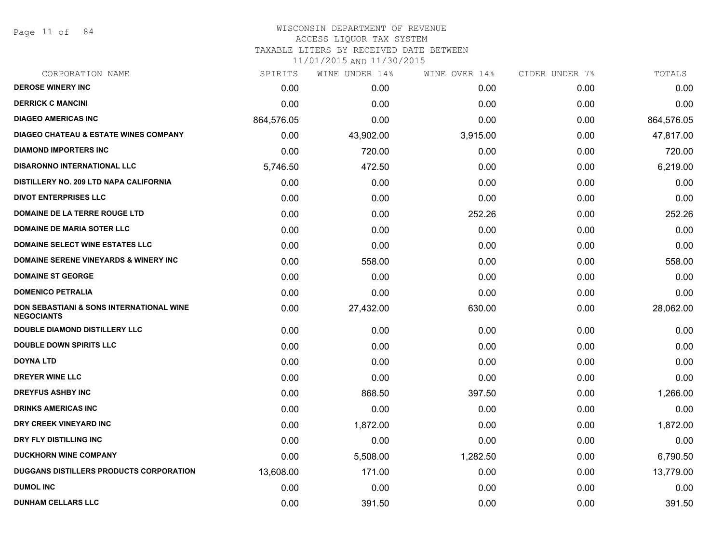# WISCONSIN DEPARTMENT OF REVENUE ACCESS LIQUOR TAX SYSTEM TAXABLE LITERS BY RECEIVED DATE BETWEEN

| CORPORATION NAME                                                         | SPIRITS    | WINE UNDER 14% | WINE OVER 14% | CIDER UNDER 7% | TOTALS     |
|--------------------------------------------------------------------------|------------|----------------|---------------|----------------|------------|
| <b>DEROSE WINERY INC</b>                                                 | 0.00       | 0.00           | 0.00          | 0.00           | 0.00       |
| <b>DERRICK C MANCINI</b>                                                 | 0.00       | 0.00           | 0.00          | 0.00           | 0.00       |
| <b>DIAGEO AMERICAS INC</b>                                               | 864,576.05 | 0.00           | 0.00          | 0.00           | 864,576.05 |
| <b>DIAGEO CHATEAU &amp; ESTATE WINES COMPANY</b>                         | 0.00       | 43,902.00      | 3,915.00      | 0.00           | 47,817.00  |
| <b>DIAMOND IMPORTERS INC</b>                                             | 0.00       | 720.00         | 0.00          | 0.00           | 720.00     |
| <b>DISARONNO INTERNATIONAL LLC</b>                                       | 5,746.50   | 472.50         | 0.00          | 0.00           | 6,219.00   |
| DISTILLERY NO. 209 LTD NAPA CALIFORNIA                                   | 0.00       | 0.00           | 0.00          | 0.00           | 0.00       |
| <b>DIVOT ENTERPRISES LLC</b>                                             | 0.00       | 0.00           | 0.00          | 0.00           | 0.00       |
| DOMAINE DE LA TERRE ROUGE LTD                                            | 0.00       | 0.00           | 252.26        | 0.00           | 252.26     |
| <b>DOMAINE DE MARIA SOTER LLC</b>                                        | 0.00       | 0.00           | 0.00          | 0.00           | 0.00       |
| <b>DOMAINE SELECT WINE ESTATES LLC</b>                                   | 0.00       | 0.00           | 0.00          | 0.00           | 0.00       |
| DOMAINE SERENE VINEYARDS & WINERY INC                                    | 0.00       | 558.00         | 0.00          | 0.00           | 558.00     |
| <b>DOMAINE ST GEORGE</b>                                                 | 0.00       | 0.00           | 0.00          | 0.00           | 0.00       |
| <b>DOMENICO PETRALIA</b>                                                 | 0.00       | 0.00           | 0.00          | 0.00           | 0.00       |
| <b>DON SEBASTIANI &amp; SONS INTERNATIONAL WINE</b><br><b>NEGOCIANTS</b> | 0.00       | 27,432.00      | 630.00        | 0.00           | 28,062.00  |
| <b>DOUBLE DIAMOND DISTILLERY LLC</b>                                     | 0.00       | 0.00           | 0.00          | 0.00           | 0.00       |
| <b>DOUBLE DOWN SPIRITS LLC</b>                                           | 0.00       | 0.00           | 0.00          | 0.00           | 0.00       |
| <b>DOYNA LTD</b>                                                         | 0.00       | 0.00           | 0.00          | 0.00           | 0.00       |
| <b>DREYER WINE LLC</b>                                                   | 0.00       | 0.00           | 0.00          | 0.00           | 0.00       |
| <b>DREYFUS ASHBY INC</b>                                                 | 0.00       | 868.50         | 397.50        | 0.00           | 1,266.00   |
| <b>DRINKS AMERICAS INC</b>                                               | 0.00       | 0.00           | 0.00          | 0.00           | 0.00       |
| DRY CREEK VINEYARD INC                                                   | 0.00       | 1,872.00       | 0.00          | 0.00           | 1,872.00   |
| DRY FLY DISTILLING INC                                                   | 0.00       | 0.00           | 0.00          | 0.00           | 0.00       |
| <b>DUCKHORN WINE COMPANY</b>                                             | 0.00       | 5,508.00       | 1,282.50      | 0.00           | 6,790.50   |
| DUGGANS DISTILLERS PRODUCTS CORPORATION                                  | 13,608.00  | 171.00         | 0.00          | 0.00           | 13,779.00  |
| <b>DUMOL INC</b>                                                         | 0.00       | 0.00           | 0.00          | 0.00           | 0.00       |
| <b>DUNHAM CELLARS LLC</b>                                                | 0.00       | 391.50         | 0.00          | 0.00           | 391.50     |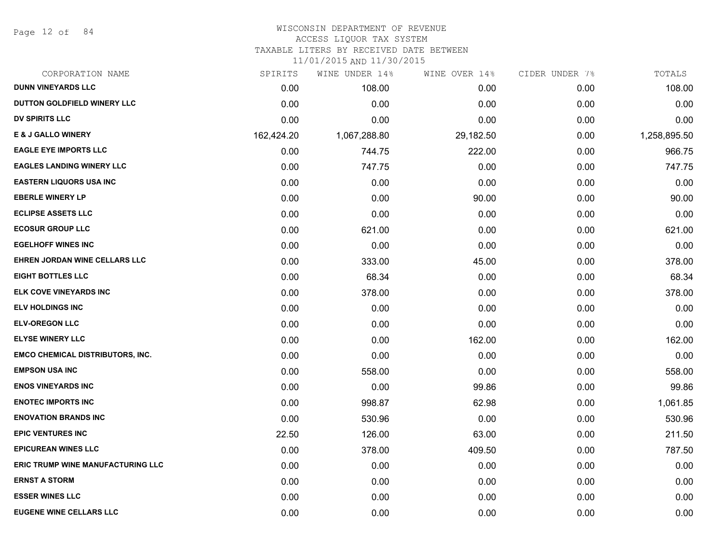Page 12 of 84

## WISCONSIN DEPARTMENT OF REVENUE

#### ACCESS LIQUOR TAX SYSTEM

TAXABLE LITERS BY RECEIVED DATE BETWEEN

| CORPORATION NAME                         | SPIRITS    | WINE UNDER 14% | WINE OVER 14% | CIDER UNDER 7% | TOTALS       |
|------------------------------------------|------------|----------------|---------------|----------------|--------------|
| <b>DUNN VINEYARDS LLC</b>                | 0.00       | 108.00         | 0.00          | 0.00           | 108.00       |
| <b>DUTTON GOLDFIELD WINERY LLC</b>       | 0.00       | 0.00           | 0.00          | 0.00           | 0.00         |
| DV SPIRITS LLC                           | 0.00       | 0.00           | 0.00          | 0.00           | 0.00         |
| <b>E &amp; J GALLO WINERY</b>            | 162,424.20 | 1,067,288.80   | 29,182.50     | 0.00           | 1,258,895.50 |
| <b>EAGLE EYE IMPORTS LLC</b>             | 0.00       | 744.75         | 222.00        | 0.00           | 966.75       |
| <b>EAGLES LANDING WINERY LLC</b>         | 0.00       | 747.75         | 0.00          | 0.00           | 747.75       |
| <b>EASTERN LIQUORS USA INC</b>           | 0.00       | 0.00           | 0.00          | 0.00           | 0.00         |
| <b>EBERLE WINERY LP</b>                  | 0.00       | 0.00           | 90.00         | 0.00           | 90.00        |
| <b>ECLIPSE ASSETS LLC</b>                | 0.00       | 0.00           | 0.00          | 0.00           | 0.00         |
| <b>ECOSUR GROUP LLC</b>                  | 0.00       | 621.00         | 0.00          | 0.00           | 621.00       |
| <b>EGELHOFF WINES INC</b>                | 0.00       | 0.00           | 0.00          | 0.00           | 0.00         |
| EHREN JORDAN WINE CELLARS LLC            | 0.00       | 333.00         | 45.00         | 0.00           | 378.00       |
| <b>EIGHT BOTTLES LLC</b>                 | 0.00       | 68.34          | 0.00          | 0.00           | 68.34        |
| ELK COVE VINEYARDS INC                   | 0.00       | 378.00         | 0.00          | 0.00           | 378.00       |
| <b>ELV HOLDINGS INC</b>                  | 0.00       | 0.00           | 0.00          | 0.00           | 0.00         |
| <b>ELV-OREGON LLC</b>                    | 0.00       | 0.00           | 0.00          | 0.00           | 0.00         |
| <b>ELYSE WINERY LLC</b>                  | 0.00       | 0.00           | 162.00        | 0.00           | 162.00       |
| <b>EMCO CHEMICAL DISTRIBUTORS, INC.</b>  | 0.00       | 0.00           | 0.00          | 0.00           | 0.00         |
| <b>EMPSON USA INC</b>                    | 0.00       | 558.00         | 0.00          | 0.00           | 558.00       |
| <b>ENOS VINEYARDS INC</b>                | 0.00       | 0.00           | 99.86         | 0.00           | 99.86        |
| <b>ENOTEC IMPORTS INC</b>                | 0.00       | 998.87         | 62.98         | 0.00           | 1,061.85     |
| <b>ENOVATION BRANDS INC</b>              | 0.00       | 530.96         | 0.00          | 0.00           | 530.96       |
| <b>EPIC VENTURES INC</b>                 | 22.50      | 126.00         | 63.00         | 0.00           | 211.50       |
| <b>EPICUREAN WINES LLC</b>               | 0.00       | 378.00         | 409.50        | 0.00           | 787.50       |
| <b>ERIC TRUMP WINE MANUFACTURING LLC</b> | 0.00       | 0.00           | 0.00          | 0.00           | 0.00         |
| <b>ERNST A STORM</b>                     | 0.00       | 0.00           | 0.00          | 0.00           | 0.00         |
| <b>ESSER WINES LLC</b>                   | 0.00       | 0.00           | 0.00          | 0.00           | 0.00         |
| <b>EUGENE WINE CELLARS LLC</b>           | 0.00       | 0.00           | 0.00          | 0.00           | 0.00         |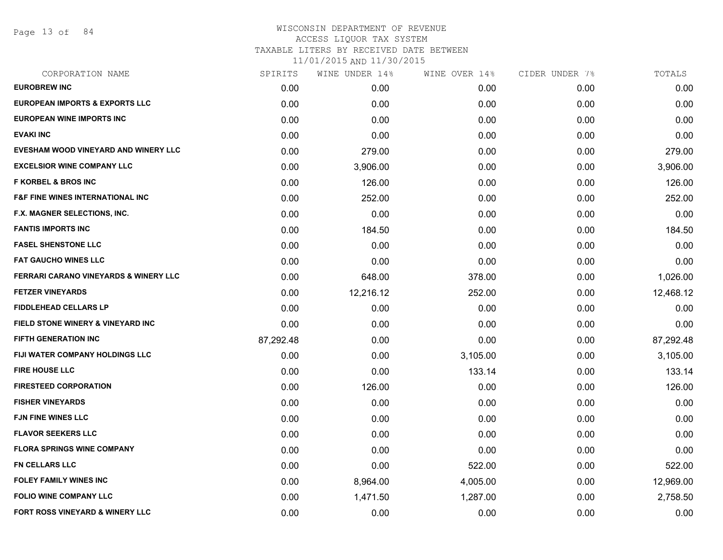Page 13 of 84

## WISCONSIN DEPARTMENT OF REVENUE ACCESS LIQUOR TAX SYSTEM TAXABLE LITERS BY RECEIVED DATE BETWEEN

| CORPORATION NAME                                 | SPIRITS   | WINE UNDER 14% | WINE OVER 14% | CIDER UNDER 7% | TOTALS    |
|--------------------------------------------------|-----------|----------------|---------------|----------------|-----------|
| <b>EUROBREW INC</b>                              | 0.00      | 0.00           | 0.00          | 0.00           | 0.00      |
| <b>EUROPEAN IMPORTS &amp; EXPORTS LLC</b>        | 0.00      | 0.00           | 0.00          | 0.00           | 0.00      |
| EUROPEAN WINE IMPORTS INC                        | 0.00      | 0.00           | 0.00          | 0.00           | 0.00      |
| <b>EVAKI INC</b>                                 | 0.00      | 0.00           | 0.00          | 0.00           | 0.00      |
| EVESHAM WOOD VINEYARD AND WINERY LLC             | 0.00      | 279.00         | 0.00          | 0.00           | 279.00    |
| <b>EXCELSIOR WINE COMPANY LLC</b>                | 0.00      | 3,906.00       | 0.00          | 0.00           | 3,906.00  |
| <b>F KORBEL &amp; BROS INC</b>                   | 0.00      | 126.00         | 0.00          | 0.00           | 126.00    |
| <b>F&amp;F FINE WINES INTERNATIONAL INC</b>      | 0.00      | 252.00         | 0.00          | 0.00           | 252.00    |
| F.X. MAGNER SELECTIONS, INC.                     | 0.00      | 0.00           | 0.00          | 0.00           | 0.00      |
| <b>FANTIS IMPORTS INC</b>                        | 0.00      | 184.50         | 0.00          | 0.00           | 184.50    |
| <b>FASEL SHENSTONE LLC</b>                       | 0.00      | 0.00           | 0.00          | 0.00           | 0.00      |
| <b>FAT GAUCHO WINES LLC</b>                      | 0.00      | 0.00           | 0.00          | 0.00           | 0.00      |
| <b>FERRARI CARANO VINEYARDS &amp; WINERY LLC</b> | 0.00      | 648.00         | 378.00        | 0.00           | 1,026.00  |
| <b>FETZER VINEYARDS</b>                          | 0.00      | 12,216.12      | 252.00        | 0.00           | 12,468.12 |
| <b>FIDDLEHEAD CELLARS LP</b>                     | 0.00      | 0.00           | 0.00          | 0.00           | 0.00      |
| FIELD STONE WINERY & VINEYARD INC                | 0.00      | 0.00           | 0.00          | 0.00           | 0.00      |
| <b>FIFTH GENERATION INC</b>                      | 87,292.48 | 0.00           | 0.00          | 0.00           | 87,292.48 |
| <b>FIJI WATER COMPANY HOLDINGS LLC</b>           | 0.00      | 0.00           | 3,105.00      | 0.00           | 3,105.00  |
| <b>FIRE HOUSE LLC</b>                            | 0.00      | 0.00           | 133.14        | 0.00           | 133.14    |
| <b>FIRESTEED CORPORATION</b>                     | 0.00      | 126.00         | 0.00          | 0.00           | 126.00    |
| <b>FISHER VINEYARDS</b>                          | 0.00      | 0.00           | 0.00          | 0.00           | 0.00      |
| <b>FJN FINE WINES LLC</b>                        | 0.00      | 0.00           | 0.00          | 0.00           | 0.00      |
| <b>FLAVOR SEEKERS LLC</b>                        | 0.00      | 0.00           | 0.00          | 0.00           | 0.00      |
| <b>FLORA SPRINGS WINE COMPANY</b>                | 0.00      | 0.00           | 0.00          | 0.00           | 0.00      |
| <b>FN CELLARS LLC</b>                            | 0.00      | 0.00           | 522.00        | 0.00           | 522.00    |
| <b>FOLEY FAMILY WINES INC</b>                    | 0.00      | 8,964.00       | 4,005.00      | 0.00           | 12,969.00 |
| <b>FOLIO WINE COMPANY LLC</b>                    | 0.00      | 1,471.50       | 1,287.00      | 0.00           | 2,758.50  |
| FORT ROSS VINEYARD & WINERY LLC                  | 0.00      | 0.00           | 0.00          | 0.00           | 0.00      |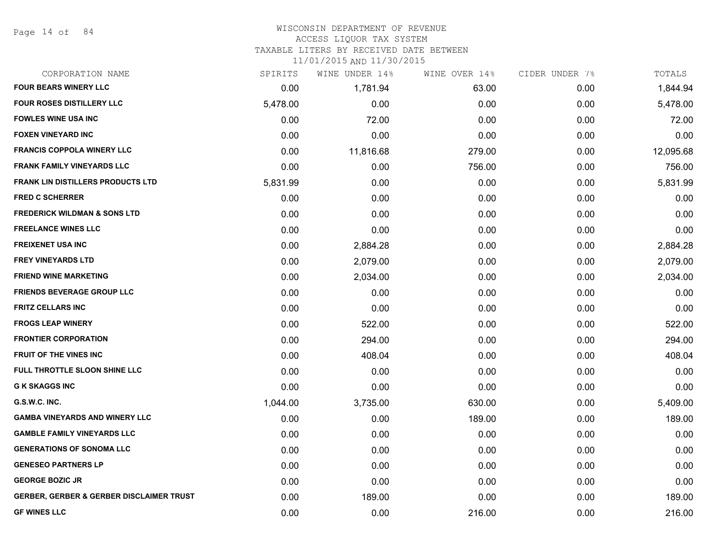Page 14 of 84

### WISCONSIN DEPARTMENT OF REVENUE

#### ACCESS LIQUOR TAX SYSTEM

TAXABLE LITERS BY RECEIVED DATE BETWEEN

| CORPORATION NAME                                    | SPIRITS  | WINE UNDER 14% | WINE OVER 14% | CIDER UNDER 7% | TOTALS    |
|-----------------------------------------------------|----------|----------------|---------------|----------------|-----------|
| <b>FOUR BEARS WINERY LLC</b>                        | 0.00     | 1,781.94       | 63.00         | 0.00           | 1,844.94  |
| <b>FOUR ROSES DISTILLERY LLC</b>                    | 5,478.00 | 0.00           | 0.00          | 0.00           | 5,478.00  |
| <b>FOWLES WINE USA INC</b>                          | 0.00     | 72.00          | 0.00          | 0.00           | 72.00     |
| <b>FOXEN VINEYARD INC</b>                           | 0.00     | 0.00           | 0.00          | 0.00           | 0.00      |
| <b>FRANCIS COPPOLA WINERY LLC</b>                   | 0.00     | 11,816.68      | 279.00        | 0.00           | 12,095.68 |
| <b>FRANK FAMILY VINEYARDS LLC</b>                   | 0.00     | 0.00           | 756.00        | 0.00           | 756.00    |
| <b>FRANK LIN DISTILLERS PRODUCTS LTD</b>            | 5,831.99 | 0.00           | 0.00          | 0.00           | 5,831.99  |
| <b>FRED C SCHERRER</b>                              | 0.00     | 0.00           | 0.00          | 0.00           | 0.00      |
| <b>FREDERICK WILDMAN &amp; SONS LTD</b>             | 0.00     | 0.00           | 0.00          | 0.00           | 0.00      |
| <b>FREELANCE WINES LLC</b>                          | 0.00     | 0.00           | 0.00          | 0.00           | 0.00      |
| <b>FREIXENET USA INC</b>                            | 0.00     | 2,884.28       | 0.00          | 0.00           | 2,884.28  |
| <b>FREY VINEYARDS LTD</b>                           | 0.00     | 2,079.00       | 0.00          | 0.00           | 2,079.00  |
| <b>FRIEND WINE MARKETING</b>                        | 0.00     | 2,034.00       | 0.00          | 0.00           | 2,034.00  |
| <b>FRIENDS BEVERAGE GROUP LLC</b>                   | 0.00     | 0.00           | 0.00          | 0.00           | 0.00      |
| <b>FRITZ CELLARS INC</b>                            | 0.00     | 0.00           | 0.00          | 0.00           | 0.00      |
| <b>FROGS LEAP WINERY</b>                            | 0.00     | 522.00         | 0.00          | 0.00           | 522.00    |
| <b>FRONTIER CORPORATION</b>                         | 0.00     | 294.00         | 0.00          | 0.00           | 294.00    |
| FRUIT OF THE VINES INC                              | 0.00     | 408.04         | 0.00          | 0.00           | 408.04    |
| FULL THROTTLE SLOON SHINE LLC                       | 0.00     | 0.00           | 0.00          | 0.00           | 0.00      |
| <b>G K SKAGGS INC</b>                               | 0.00     | 0.00           | 0.00          | 0.00           | 0.00      |
| G.S.W.C. INC.                                       | 1,044.00 | 3,735.00       | 630.00        | 0.00           | 5,409.00  |
| <b>GAMBA VINEYARDS AND WINERY LLC</b>               | 0.00     | 0.00           | 189.00        | 0.00           | 189.00    |
| <b>GAMBLE FAMILY VINEYARDS LLC</b>                  | 0.00     | 0.00           | 0.00          | 0.00           | 0.00      |
| <b>GENERATIONS OF SONOMA LLC</b>                    | 0.00     | 0.00           | 0.00          | 0.00           | 0.00      |
| <b>GENESEO PARTNERS LP</b>                          | 0.00     | 0.00           | 0.00          | 0.00           | 0.00      |
| <b>GEORGE BOZIC JR</b>                              | 0.00     | 0.00           | 0.00          | 0.00           | 0.00      |
| <b>GERBER, GERBER &amp; GERBER DISCLAIMER TRUST</b> | 0.00     | 189.00         | 0.00          | 0.00           | 189.00    |
| <b>GF WINES LLC</b>                                 | 0.00     | 0.00           | 216.00        | 0.00           | 216.00    |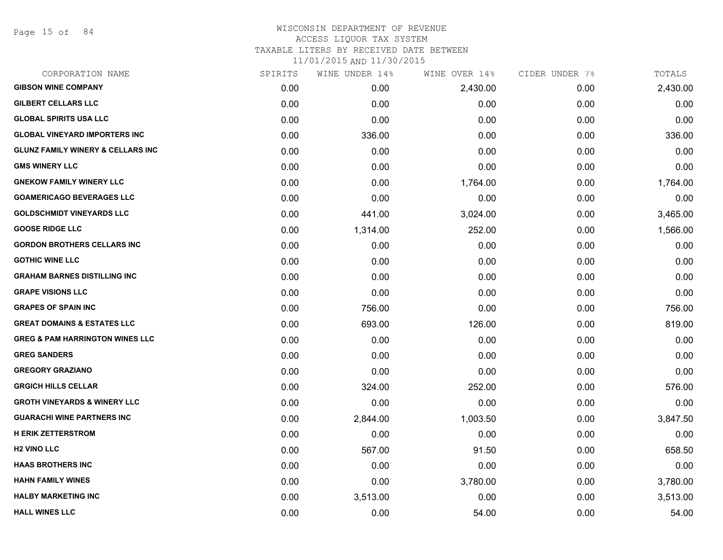Page 15 of 84

## WISCONSIN DEPARTMENT OF REVENUE ACCESS LIQUOR TAX SYSTEM TAXABLE LITERS BY RECEIVED DATE BETWEEN

| CORPORATION NAME                             | SPIRITS | WINE UNDER 14% | WINE OVER 14% | CIDER UNDER 7% | TOTALS   |
|----------------------------------------------|---------|----------------|---------------|----------------|----------|
| <b>GIBSON WINE COMPANY</b>                   | 0.00    | 0.00           | 2,430.00      | 0.00           | 2,430.00 |
| <b>GILBERT CELLARS LLC</b>                   | 0.00    | 0.00           | 0.00          | 0.00           | 0.00     |
| <b>GLOBAL SPIRITS USA LLC</b>                | 0.00    | 0.00           | 0.00          | 0.00           | 0.00     |
| <b>GLOBAL VINEYARD IMPORTERS INC</b>         | 0.00    | 336.00         | 0.00          | 0.00           | 336.00   |
| <b>GLUNZ FAMILY WINERY &amp; CELLARS INC</b> | 0.00    | 0.00           | 0.00          | 0.00           | 0.00     |
| <b>GMS WINERY LLC</b>                        | 0.00    | 0.00           | 0.00          | 0.00           | 0.00     |
| <b>GNEKOW FAMILY WINERY LLC</b>              | 0.00    | 0.00           | 1,764.00      | 0.00           | 1,764.00 |
| <b>GOAMERICAGO BEVERAGES LLC</b>             | 0.00    | 0.00           | 0.00          | 0.00           | 0.00     |
| <b>GOLDSCHMIDT VINEYARDS LLC</b>             | 0.00    | 441.00         | 3,024.00      | 0.00           | 3,465.00 |
| <b>GOOSE RIDGE LLC</b>                       | 0.00    | 1,314.00       | 252.00        | 0.00           | 1,566.00 |
| <b>GORDON BROTHERS CELLARS INC</b>           | 0.00    | 0.00           | 0.00          | 0.00           | 0.00     |
| <b>GOTHIC WINE LLC</b>                       | 0.00    | 0.00           | 0.00          | 0.00           | 0.00     |
| <b>GRAHAM BARNES DISTILLING INC</b>          | 0.00    | 0.00           | 0.00          | 0.00           | 0.00     |
| <b>GRAPE VISIONS LLC</b>                     | 0.00    | 0.00           | 0.00          | 0.00           | 0.00     |
| <b>GRAPES OF SPAIN INC</b>                   | 0.00    | 756.00         | 0.00          | 0.00           | 756.00   |
| <b>GREAT DOMAINS &amp; ESTATES LLC</b>       | 0.00    | 693.00         | 126.00        | 0.00           | 819.00   |
| <b>GREG &amp; PAM HARRINGTON WINES LLC</b>   | 0.00    | 0.00           | 0.00          | 0.00           | 0.00     |
| <b>GREG SANDERS</b>                          | 0.00    | 0.00           | 0.00          | 0.00           | 0.00     |
| <b>GREGORY GRAZIANO</b>                      | 0.00    | 0.00           | 0.00          | 0.00           | 0.00     |
| <b>GRGICH HILLS CELLAR</b>                   | 0.00    | 324.00         | 252.00        | 0.00           | 576.00   |
| <b>GROTH VINEYARDS &amp; WINERY LLC</b>      | 0.00    | 0.00           | 0.00          | 0.00           | 0.00     |
| <b>GUARACHI WINE PARTNERS INC</b>            | 0.00    | 2,844.00       | 1,003.50      | 0.00           | 3,847.50 |
| <b>H ERIK ZETTERSTROM</b>                    | 0.00    | 0.00           | 0.00          | 0.00           | 0.00     |
| <b>H2 VINO LLC</b>                           | 0.00    | 567.00         | 91.50         | 0.00           | 658.50   |
| <b>HAAS BROTHERS INC</b>                     | 0.00    | 0.00           | 0.00          | 0.00           | 0.00     |
| <b>HAHN FAMILY WINES</b>                     | 0.00    | 0.00           | 3,780.00      | 0.00           | 3,780.00 |
| <b>HALBY MARKETING INC</b>                   | 0.00    | 3,513.00       | 0.00          | 0.00           | 3,513.00 |
| <b>HALL WINES LLC</b>                        | 0.00    | 0.00           | 54.00         | 0.00           | 54.00    |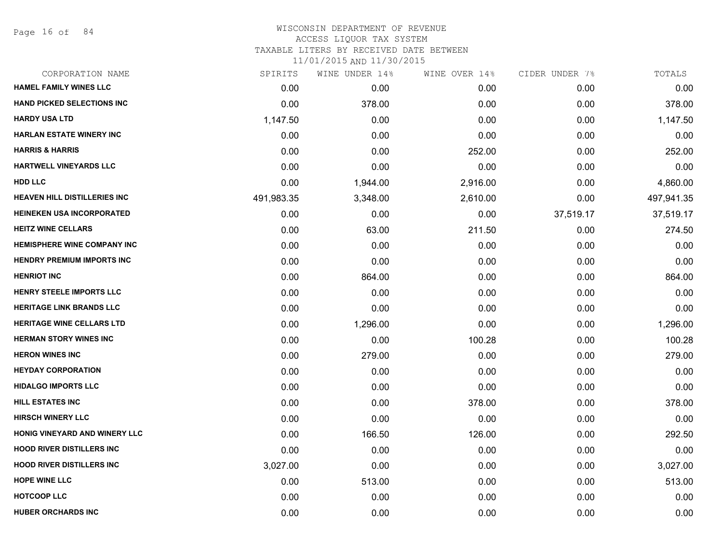Page 16 of 84

#### WISCONSIN DEPARTMENT OF REVENUE ACCESS LIQUOR TAX SYSTEM

TAXABLE LITERS BY RECEIVED DATE BETWEEN

| CORPORATION NAME                    | SPIRITS    | WINE UNDER 14% | WINE OVER 14% | CIDER UNDER 7% | TOTALS     |
|-------------------------------------|------------|----------------|---------------|----------------|------------|
| <b>HAMEL FAMILY WINES LLC</b>       | 0.00       | 0.00           | 0.00          | 0.00           | 0.00       |
| <b>HAND PICKED SELECTIONS INC</b>   | 0.00       | 378.00         | 0.00          | 0.00           | 378.00     |
| <b>HARDY USA LTD</b>                | 1,147.50   | 0.00           | 0.00          | 0.00           | 1,147.50   |
| <b>HARLAN ESTATE WINERY INC</b>     | 0.00       | 0.00           | 0.00          | 0.00           | 0.00       |
| <b>HARRIS &amp; HARRIS</b>          | 0.00       | 0.00           | 252.00        | 0.00           | 252.00     |
| <b>HARTWELL VINEYARDS LLC</b>       | 0.00       | 0.00           | 0.00          | 0.00           | 0.00       |
| <b>HDD LLC</b>                      | 0.00       | 1,944.00       | 2,916.00      | 0.00           | 4,860.00   |
| <b>HEAVEN HILL DISTILLERIES INC</b> | 491,983.35 | 3,348.00       | 2,610.00      | 0.00           | 497,941.35 |
| <b>HEINEKEN USA INCORPORATED</b>    | 0.00       | 0.00           | 0.00          | 37,519.17      | 37,519.17  |
| <b>HEITZ WINE CELLARS</b>           | 0.00       | 63.00          | 211.50        | 0.00           | 274.50     |
| <b>HEMISPHERE WINE COMPANY INC</b>  | 0.00       | 0.00           | 0.00          | 0.00           | 0.00       |
| <b>HENDRY PREMIUM IMPORTS INC</b>   | 0.00       | 0.00           | 0.00          | 0.00           | 0.00       |
| <b>HENRIOT INC</b>                  | 0.00       | 864.00         | 0.00          | 0.00           | 864.00     |
| HENRY STEELE IMPORTS LLC            | 0.00       | 0.00           | 0.00          | 0.00           | 0.00       |
| <b>HERITAGE LINK BRANDS LLC</b>     | 0.00       | 0.00           | 0.00          | 0.00           | 0.00       |
| <b>HERITAGE WINE CELLARS LTD</b>    | 0.00       | 1,296.00       | 0.00          | 0.00           | 1,296.00   |
| <b>HERMAN STORY WINES INC</b>       | 0.00       | 0.00           | 100.28        | 0.00           | 100.28     |
| <b>HERON WINES INC</b>              | 0.00       | 279.00         | 0.00          | 0.00           | 279.00     |
| <b>HEYDAY CORPORATION</b>           | 0.00       | 0.00           | 0.00          | 0.00           | 0.00       |
| <b>HIDALGO IMPORTS LLC</b>          | 0.00       | 0.00           | 0.00          | 0.00           | 0.00       |
| HILL ESTATES INC                    | 0.00       | 0.00           | 378.00        | 0.00           | 378.00     |
| <b>HIRSCH WINERY LLC</b>            | 0.00       | 0.00           | 0.00          | 0.00           | 0.00       |
| HONIG VINEYARD AND WINERY LLC       | 0.00       | 166.50         | 126.00        | 0.00           | 292.50     |
| <b>HOOD RIVER DISTILLERS INC.</b>   | 0.00       | 0.00           | 0.00          | 0.00           | 0.00       |
| <b>HOOD RIVER DISTILLERS INC</b>    | 3,027.00   | 0.00           | 0.00          | 0.00           | 3,027.00   |
| <b>HOPE WINE LLC</b>                | 0.00       | 513.00         | 0.00          | 0.00           | 513.00     |
| <b>HOTCOOP LLC</b>                  | 0.00       | 0.00           | 0.00          | 0.00           | 0.00       |
| <b>HUBER ORCHARDS INC</b>           | 0.00       | 0.00           | 0.00          | 0.00           | 0.00       |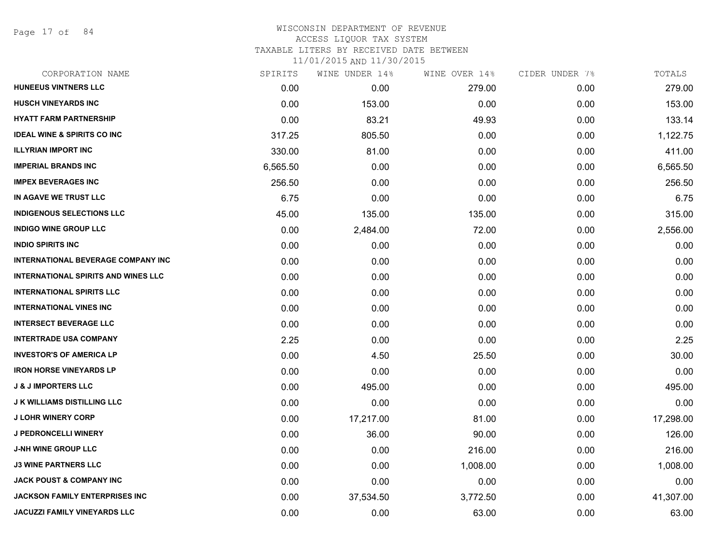Page 17 of 84

# WISCONSIN DEPARTMENT OF REVENUE ACCESS LIQUOR TAX SYSTEM TAXABLE LITERS BY RECEIVED DATE BETWEEN

| CORPORATION NAME                           | SPIRITS  | WINE UNDER 14% | WINE OVER 14% | CIDER UNDER 7% | TOTALS    |
|--------------------------------------------|----------|----------------|---------------|----------------|-----------|
| <b>HUNEEUS VINTNERS LLC</b>                | 0.00     | 0.00           | 279.00        | 0.00           | 279.00    |
| <b>HUSCH VINEYARDS INC</b>                 | 0.00     | 153.00         | 0.00          | 0.00           | 153.00    |
| <b>HYATT FARM PARTNERSHIP</b>              | 0.00     | 83.21          | 49.93         | 0.00           | 133.14    |
| <b>IDEAL WINE &amp; SPIRITS CO INC</b>     | 317.25   | 805.50         | 0.00          | 0.00           | 1,122.75  |
| <b>ILLYRIAN IMPORT INC</b>                 | 330.00   | 81.00          | 0.00          | 0.00           | 411.00    |
| <b>IMPERIAL BRANDS INC</b>                 | 6,565.50 | 0.00           | 0.00          | 0.00           | 6,565.50  |
| <b>IMPEX BEVERAGES INC</b>                 | 256.50   | 0.00           | 0.00          | 0.00           | 256.50    |
| IN AGAVE WE TRUST LLC                      | 6.75     | 0.00           | 0.00          | 0.00           | 6.75      |
| <b>INDIGENOUS SELECTIONS LLC</b>           | 45.00    | 135.00         | 135.00        | 0.00           | 315.00    |
| <b>INDIGO WINE GROUP LLC</b>               | 0.00     | 2,484.00       | 72.00         | 0.00           | 2,556.00  |
| <b>INDIO SPIRITS INC</b>                   | 0.00     | 0.00           | 0.00          | 0.00           | 0.00      |
| INTERNATIONAL BEVERAGE COMPANY INC         | 0.00     | 0.00           | 0.00          | 0.00           | 0.00      |
| <b>INTERNATIONAL SPIRITS AND WINES LLC</b> | 0.00     | 0.00           | 0.00          | 0.00           | 0.00      |
| <b>INTERNATIONAL SPIRITS LLC</b>           | 0.00     | 0.00           | 0.00          | 0.00           | 0.00      |
| <b>INTERNATIONAL VINES INC</b>             | 0.00     | 0.00           | 0.00          | 0.00           | 0.00      |
| <b>INTERSECT BEVERAGE LLC</b>              | 0.00     | 0.00           | 0.00          | 0.00           | 0.00      |
| <b>INTERTRADE USA COMPANY</b>              | 2.25     | 0.00           | 0.00          | 0.00           | 2.25      |
| <b>INVESTOR'S OF AMERICA LP</b>            | 0.00     | 4.50           | 25.50         | 0.00           | 30.00     |
| <b>IRON HORSE VINEYARDS LP</b>             | 0.00     | 0.00           | 0.00          | 0.00           | 0.00      |
| <b>J &amp; J IMPORTERS LLC</b>             | 0.00     | 495.00         | 0.00          | 0.00           | 495.00    |
| <b>J K WILLIAMS DISTILLING LLC</b>         | 0.00     | 0.00           | 0.00          | 0.00           | 0.00      |
| <b>J LOHR WINERY CORP</b>                  | 0.00     | 17,217.00      | 81.00         | 0.00           | 17,298.00 |
| J PEDRONCELLI WINERY                       | 0.00     | 36.00          | 90.00         | 0.00           | 126.00    |
| <b>J-NH WINE GROUP LLC</b>                 | 0.00     | 0.00           | 216.00        | 0.00           | 216.00    |
| <b>J3 WINE PARTNERS LLC</b>                | 0.00     | 0.00           | 1,008.00      | 0.00           | 1,008.00  |
| <b>JACK POUST &amp; COMPANY INC</b>        | 0.00     | 0.00           | 0.00          | 0.00           | 0.00      |
| <b>JACKSON FAMILY ENTERPRISES INC</b>      | 0.00     | 37,534.50      | 3,772.50      | 0.00           | 41,307.00 |
| JACUZZI FAMILY VINEYARDS LLC               | 0.00     | 0.00           | 63.00         | 0.00           | 63.00     |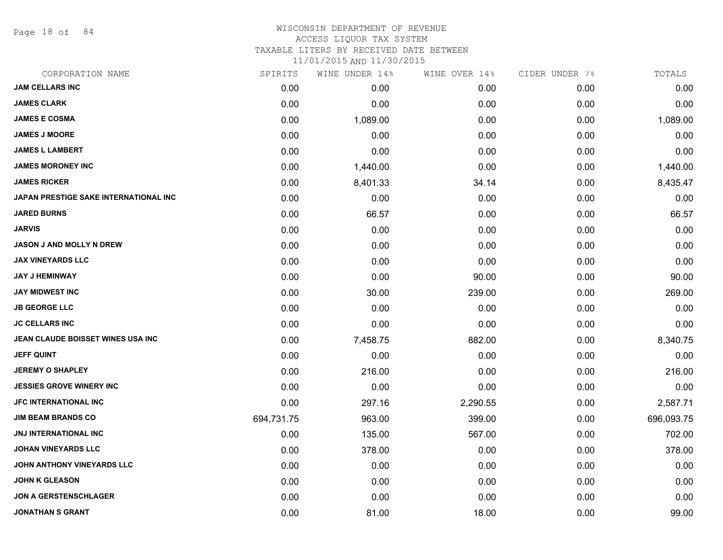Page 18 of 84

#### WISCONSIN DEPARTMENT OF REVENUE ACCESS LIQUOR TAX SYSTEM

TAXABLE LITERS BY RECEIVED DATE BETWEEN

| CORPORATION NAME                      | SPIRITS    | WINE UNDER 14% | WINE OVER 14% | CIDER UNDER 7% | TOTALS     |
|---------------------------------------|------------|----------------|---------------|----------------|------------|
| <b>JAM CELLARS INC</b>                | 0.00       | 0.00           | 0.00          | 0.00           | 0.00       |
| <b>JAMES CLARK</b>                    | 0.00       | 0.00           | 0.00          | 0.00           | 0.00       |
| <b>JAMES E COSMA</b>                  | 0.00       | 1,089.00       | 0.00          | 0.00           | 1,089.00   |
| <b>JAMES J MOORE</b>                  | 0.00       | 0.00           | 0.00          | 0.00           | 0.00       |
| <b>JAMES L LAMBERT</b>                | 0.00       | 0.00           | 0.00          | 0.00           | 0.00       |
| <b>JAMES MORONEY INC</b>              | 0.00       | 1,440.00       | 0.00          | 0.00           | 1,440.00   |
| <b>JAMES RICKER</b>                   | 0.00       | 8,401.33       | 34.14         | 0.00           | 8,435.47   |
| JAPAN PRESTIGE SAKE INTERNATIONAL INC | 0.00       | 0.00           | 0.00          | 0.00           | 0.00       |
| <b>JARED BURNS</b>                    | 0.00       | 66.57          | 0.00          | 0.00           | 66.57      |
| <b>JARVIS</b>                         | 0.00       | 0.00           | 0.00          | 0.00           | 0.00       |
| JASON J AND MOLLY N DREW              | 0.00       | 0.00           | 0.00          | 0.00           | 0.00       |
| <b>JAX VINEYARDS LLC</b>              | 0.00       | 0.00           | 0.00          | 0.00           | 0.00       |
| <b>JAY J HEMINWAY</b>                 | 0.00       | 0.00           | 90.00         | 0.00           | 90.00      |
| <b>JAY MIDWEST INC</b>                | 0.00       | 30.00          | 239.00        | 0.00           | 269.00     |
| <b>JB GEORGE LLC</b>                  | 0.00       | 0.00           | 0.00          | 0.00           | 0.00       |
| <b>JC CELLARS INC</b>                 | 0.00       | 0.00           | 0.00          | 0.00           | 0.00       |
| JEAN CLAUDE BOISSET WINES USA INC     | 0.00       | 7,458.75       | 882.00        | 0.00           | 8,340.75   |
| <b>JEFF QUINT</b>                     | 0.00       | 0.00           | 0.00          | 0.00           | 0.00       |
| <b>JEREMY O SHAPLEY</b>               | 0.00       | 216.00         | 0.00          | 0.00           | 216.00     |
| <b>JESSIES GROVE WINERY INC</b>       | 0.00       | 0.00           | 0.00          | 0.00           | 0.00       |
| JFC INTERNATIONAL INC                 | 0.00       | 297.16         | 2,290.55      | 0.00           | 2,587.71   |
| <b>JIM BEAM BRANDS CO</b>             | 694,731.75 | 963.00         | 399.00        | 0.00           | 696,093.75 |
| JNJ INTERNATIONAL INC                 | 0.00       | 135.00         | 567.00        | 0.00           | 702.00     |
| <b>JOHAN VINEYARDS LLC</b>            | 0.00       | 378.00         | 0.00          | 0.00           | 378.00     |
| JOHN ANTHONY VINEYARDS LLC            | 0.00       | 0.00           | 0.00          | 0.00           | 0.00       |
| <b>JOHN K GLEASON</b>                 | 0.00       | 0.00           | 0.00          | 0.00           | 0.00       |
| <b>JON A GERSTENSCHLAGER</b>          | 0.00       | 0.00           | 0.00          | 0.00           | 0.00       |
| <b>JONATHAN S GRANT</b>               | 0.00       | 81.00          | 18.00         | 0.00           | 99.00      |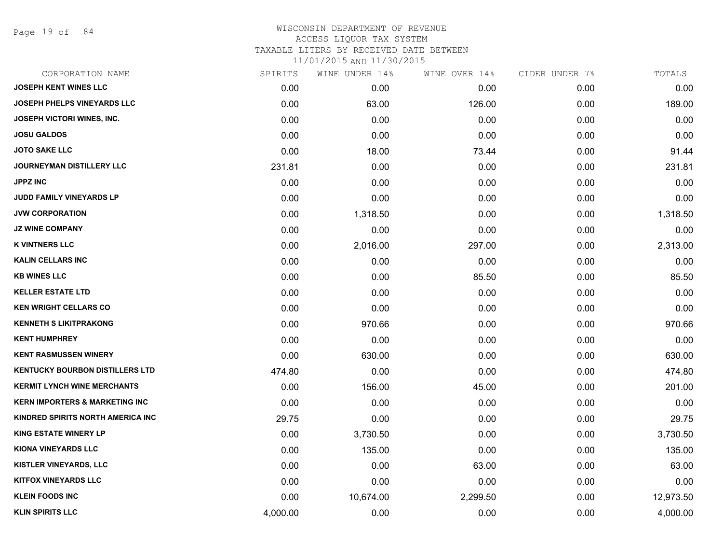Page 19 of 84

# WISCONSIN DEPARTMENT OF REVENUE ACCESS LIQUOR TAX SYSTEM TAXABLE LITERS BY RECEIVED DATE BETWEEN

| CORPORATION NAME                          | SPIRITS  | WINE UNDER 14% | WINE OVER 14% | CIDER UNDER 7% | TOTALS    |
|-------------------------------------------|----------|----------------|---------------|----------------|-----------|
| <b>JOSEPH KENT WINES LLC</b>              | 0.00     | 0.00           | 0.00          | 0.00           | 0.00      |
| <b>JOSEPH PHELPS VINEYARDS LLC</b>        | 0.00     | 63.00          | 126.00        | 0.00           | 189.00    |
| JOSEPH VICTORI WINES, INC.                | 0.00     | 0.00           | 0.00          | 0.00           | 0.00      |
| <b>JOSU GALDOS</b>                        | 0.00     | 0.00           | 0.00          | 0.00           | 0.00      |
| <b>JOTO SAKE LLC</b>                      | 0.00     | 18.00          | 73.44         | 0.00           | 91.44     |
| JOURNEYMAN DISTILLERY LLC                 | 231.81   | 0.00           | 0.00          | 0.00           | 231.81    |
| <b>JPPZ INC</b>                           | 0.00     | 0.00           | 0.00          | 0.00           | 0.00      |
| <b>JUDD FAMILY VINEYARDS LP</b>           | 0.00     | 0.00           | 0.00          | 0.00           | 0.00      |
| <b>JVW CORPORATION</b>                    | 0.00     | 1,318.50       | 0.00          | 0.00           | 1,318.50  |
| <b>JZ WINE COMPANY</b>                    | 0.00     | 0.00           | 0.00          | 0.00           | 0.00      |
| <b>K VINTNERS LLC</b>                     | 0.00     | 2,016.00       | 297.00        | 0.00           | 2,313.00  |
| <b>KALIN CELLARS INC</b>                  | 0.00     | 0.00           | 0.00          | 0.00           | 0.00      |
| <b>KB WINES LLC</b>                       | 0.00     | 0.00           | 85.50         | 0.00           | 85.50     |
| <b>KELLER ESTATE LTD</b>                  | 0.00     | 0.00           | 0.00          | 0.00           | 0.00      |
| <b>KEN WRIGHT CELLARS CO</b>              | 0.00     | 0.00           | 0.00          | 0.00           | 0.00      |
| <b>KENNETH S LIKITPRAKONG</b>             | 0.00     | 970.66         | 0.00          | 0.00           | 970.66    |
| <b>KENT HUMPHREY</b>                      | 0.00     | 0.00           | 0.00          | 0.00           | 0.00      |
| <b>KENT RASMUSSEN WINERY</b>              | 0.00     | 630.00         | 0.00          | 0.00           | 630.00    |
| <b>KENTUCKY BOURBON DISTILLERS LTD</b>    | 474.80   | 0.00           | 0.00          | 0.00           | 474.80    |
| <b>KERMIT LYNCH WINE MERCHANTS</b>        | 0.00     | 156.00         | 45.00         | 0.00           | 201.00    |
| <b>KERN IMPORTERS &amp; MARKETING INC</b> | 0.00     | 0.00           | 0.00          | 0.00           | 0.00      |
| KINDRED SPIRITS NORTH AMERICA INC         | 29.75    | 0.00           | 0.00          | 0.00           | 29.75     |
| <b>KING ESTATE WINERY LP</b>              | 0.00     | 3,730.50       | 0.00          | 0.00           | 3,730.50  |
| KIONA VINEYARDS LLC                       | 0.00     | 135.00         | 0.00          | 0.00           | 135.00    |
| <b>KISTLER VINEYARDS, LLC</b>             | 0.00     | 0.00           | 63.00         | 0.00           | 63.00     |
| <b>KITFOX VINEYARDS LLC</b>               | 0.00     | 0.00           | 0.00          | 0.00           | 0.00      |
| <b>KLEIN FOODS INC</b>                    | 0.00     | 10,674.00      | 2,299.50      | 0.00           | 12,973.50 |
| <b>KLIN SPIRITS LLC</b>                   | 4,000.00 | 0.00           | 0.00          | 0.00           | 4,000.00  |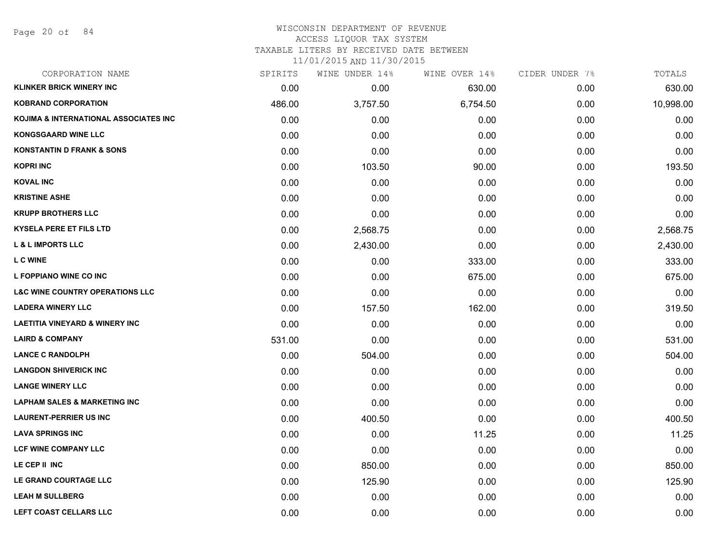Page 20 of 84

#### WISCONSIN DEPARTMENT OF REVENUE ACCESS LIQUOR TAX SYSTEM

TAXABLE LITERS BY RECEIVED DATE BETWEEN

| CORPORATION NAME                           | SPIRITS | WINE UNDER 14% | WINE OVER 14% | CIDER UNDER 7% | TOTALS    |
|--------------------------------------------|---------|----------------|---------------|----------------|-----------|
| <b>KLINKER BRICK WINERY INC</b>            | 0.00    | 0.00           | 630.00        | 0.00           | 630.00    |
| <b>KOBRAND CORPORATION</b>                 | 486.00  | 3,757.50       | 6,754.50      | 0.00           | 10,998.00 |
| KOJIMA & INTERNATIONAL ASSOCIATES INC      | 0.00    | 0.00           | 0.00          | 0.00           | 0.00      |
| <b>KONGSGAARD WINE LLC</b>                 | 0.00    | 0.00           | 0.00          | 0.00           | 0.00      |
| <b>KONSTANTIN D FRANK &amp; SONS</b>       | 0.00    | 0.00           | 0.00          | 0.00           | 0.00      |
| <b>KOPRI INC</b>                           | 0.00    | 103.50         | 90.00         | 0.00           | 193.50    |
| <b>KOVAL INC</b>                           | 0.00    | 0.00           | 0.00          | 0.00           | 0.00      |
| <b>KRISTINE ASHE</b>                       | 0.00    | 0.00           | 0.00          | 0.00           | 0.00      |
| <b>KRUPP BROTHERS LLC</b>                  | 0.00    | 0.00           | 0.00          | 0.00           | 0.00      |
| <b>KYSELA PERE ET FILS LTD</b>             | 0.00    | 2,568.75       | 0.00          | 0.00           | 2,568.75  |
| <b>L &amp; L IMPORTS LLC</b>               | 0.00    | 2,430.00       | 0.00          | 0.00           | 2,430.00  |
| <b>LC WINE</b>                             | 0.00    | 0.00           | 333.00        | 0.00           | 333.00    |
| L FOPPIANO WINE CO INC                     | 0.00    | 0.00           | 675.00        | 0.00           | 675.00    |
| <b>L&amp;C WINE COUNTRY OPERATIONS LLC</b> | 0.00    | 0.00           | 0.00          | 0.00           | 0.00      |
| <b>LADERA WINERY LLC</b>                   | 0.00    | 157.50         | 162.00        | 0.00           | 319.50    |
| <b>LAETITIA VINEYARD &amp; WINERY INC</b>  | 0.00    | 0.00           | 0.00          | 0.00           | 0.00      |
| <b>LAIRD &amp; COMPANY</b>                 | 531.00  | 0.00           | 0.00          | 0.00           | 531.00    |
| <b>LANCE C RANDOLPH</b>                    | 0.00    | 504.00         | 0.00          | 0.00           | 504.00    |
| <b>LANGDON SHIVERICK INC</b>               | 0.00    | 0.00           | 0.00          | 0.00           | 0.00      |
| <b>LANGE WINERY LLC</b>                    | 0.00    | 0.00           | 0.00          | 0.00           | 0.00      |
| <b>LAPHAM SALES &amp; MARKETING INC</b>    | 0.00    | 0.00           | 0.00          | 0.00           | 0.00      |
| <b>LAURENT-PERRIER US INC</b>              | 0.00    | 400.50         | 0.00          | 0.00           | 400.50    |
| <b>LAVA SPRINGS INC</b>                    | 0.00    | 0.00           | 11.25         | 0.00           | 11.25     |
| <b>LCF WINE COMPANY LLC</b>                | 0.00    | 0.00           | 0.00          | 0.00           | 0.00      |
| LE CEP II INC                              | 0.00    | 850.00         | 0.00          | 0.00           | 850.00    |
| LE GRAND COURTAGE LLC                      | 0.00    | 125.90         | 0.00          | 0.00           | 125.90    |
| <b>LEAH M SULLBERG</b>                     | 0.00    | 0.00           | 0.00          | 0.00           | 0.00      |
| LEFT COAST CELLARS LLC                     | 0.00    | 0.00           | 0.00          | 0.00           | 0.00      |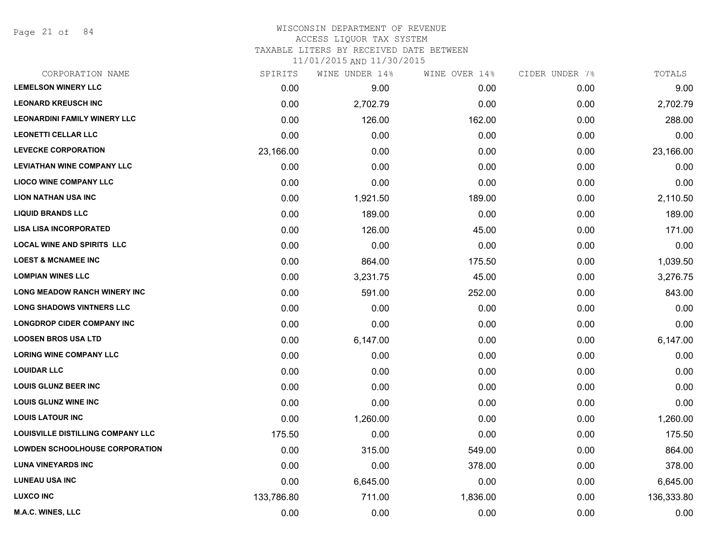Page 21 of 84

#### WISCONSIN DEPARTMENT OF REVENUE ACCESS LIQUOR TAX SYSTEM

TAXABLE LITERS BY RECEIVED DATE BETWEEN

| CORPORATION NAME                         | SPIRITS    | WINE UNDER 14% | WINE OVER 14% | CIDER UNDER 7% | TOTALS     |
|------------------------------------------|------------|----------------|---------------|----------------|------------|
| <b>LEMELSON WINERY LLC</b>               | 0.00       | 9.00           | 0.00          | 0.00           | 9.00       |
| <b>LEONARD KREUSCH INC</b>               | 0.00       | 2,702.79       | 0.00          | 0.00           | 2,702.79   |
| <b>LEONARDINI FAMILY WINERY LLC</b>      | 0.00       | 126.00         | 162.00        | 0.00           | 288.00     |
| <b>LEONETTI CELLAR LLC</b>               | 0.00       | 0.00           | 0.00          | 0.00           | 0.00       |
| <b>LEVECKE CORPORATION</b>               | 23,166.00  | 0.00           | 0.00          | 0.00           | 23,166.00  |
| <b>LEVIATHAN WINE COMPANY LLC</b>        | 0.00       | 0.00           | 0.00          | 0.00           | 0.00       |
| <b>LIOCO WINE COMPANY LLC</b>            | 0.00       | 0.00           | 0.00          | 0.00           | 0.00       |
| <b>LION NATHAN USA INC</b>               | 0.00       | 1,921.50       | 189.00        | 0.00           | 2,110.50   |
| <b>LIQUID BRANDS LLC</b>                 | 0.00       | 189.00         | 0.00          | 0.00           | 189.00     |
| <b>LISA LISA INCORPORATED</b>            | 0.00       | 126.00         | 45.00         | 0.00           | 171.00     |
| <b>LOCAL WINE AND SPIRITS LLC</b>        | 0.00       | 0.00           | 0.00          | 0.00           | 0.00       |
| <b>LOEST &amp; MCNAMEE INC</b>           | 0.00       | 864.00         | 175.50        | 0.00           | 1,039.50   |
| <b>LOMPIAN WINES LLC</b>                 | 0.00       | 3,231.75       | 45.00         | 0.00           | 3,276.75   |
| <b>LONG MEADOW RANCH WINERY INC</b>      | 0.00       | 591.00         | 252.00        | 0.00           | 843.00     |
| <b>LONG SHADOWS VINTNERS LLC</b>         | 0.00       | 0.00           | 0.00          | 0.00           | 0.00       |
| <b>LONGDROP CIDER COMPANY INC</b>        | 0.00       | 0.00           | 0.00          | 0.00           | 0.00       |
| <b>LOOSEN BROS USA LTD</b>               | 0.00       | 6,147.00       | 0.00          | 0.00           | 6,147.00   |
| <b>LORING WINE COMPANY LLC</b>           | 0.00       | 0.00           | 0.00          | 0.00           | 0.00       |
| <b>LOUIDAR LLC</b>                       | 0.00       | 0.00           | 0.00          | 0.00           | 0.00       |
| <b>LOUIS GLUNZ BEER INC</b>              | 0.00       | 0.00           | 0.00          | 0.00           | 0.00       |
| <b>LOUIS GLUNZ WINE INC</b>              | 0.00       | 0.00           | 0.00          | 0.00           | 0.00       |
| <b>LOUIS LATOUR INC</b>                  | 0.00       | 1,260.00       | 0.00          | 0.00           | 1,260.00   |
| <b>LOUISVILLE DISTILLING COMPANY LLC</b> | 175.50     | 0.00           | 0.00          | 0.00           | 175.50     |
| <b>LOWDEN SCHOOLHOUSE CORPORATION</b>    | 0.00       | 315.00         | 549.00        | 0.00           | 864.00     |
| <b>LUNA VINEYARDS INC</b>                | 0.00       | 0.00           | 378.00        | 0.00           | 378.00     |
| <b>LUNEAU USA INC</b>                    | 0.00       | 6,645.00       | 0.00          | 0.00           | 6,645.00   |
| <b>LUXCO INC</b>                         | 133,786.80 | 711.00         | 1,836.00      | 0.00           | 136,333.80 |
| M.A.C. WINES, LLC                        | 0.00       | 0.00           | 0.00          | 0.00           | 0.00       |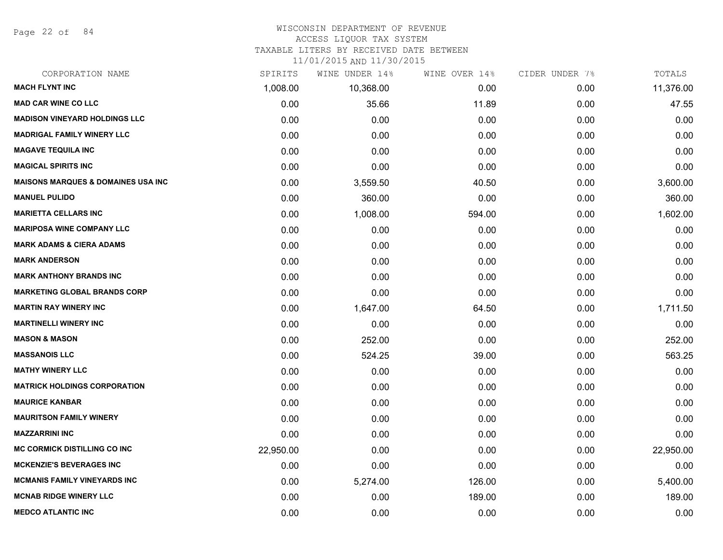Page 22 of 84

#### WISCONSIN DEPARTMENT OF REVENUE

#### ACCESS LIQUOR TAX SYSTEM

TAXABLE LITERS BY RECEIVED DATE BETWEEN

| CORPORATION NAME                               | SPIRITS   | WINE UNDER 14% | WINE OVER 14% | CIDER UNDER 7% | TOTALS    |
|------------------------------------------------|-----------|----------------|---------------|----------------|-----------|
| <b>MACH FLYNT INC</b>                          | 1,008.00  | 10,368.00      | 0.00          | 0.00           | 11,376.00 |
| <b>MAD CAR WINE CO LLC</b>                     | 0.00      | 35.66          | 11.89         | 0.00           | 47.55     |
| <b>MADISON VINEYARD HOLDINGS LLC</b>           | 0.00      | 0.00           | 0.00          | 0.00           | 0.00      |
| <b>MADRIGAL FAMILY WINERY LLC</b>              | 0.00      | 0.00           | 0.00          | 0.00           | 0.00      |
| <b>MAGAVE TEQUILA INC</b>                      | 0.00      | 0.00           | 0.00          | 0.00           | 0.00      |
| <b>MAGICAL SPIRITS INC</b>                     | 0.00      | 0.00           | 0.00          | 0.00           | 0.00      |
| <b>MAISONS MARQUES &amp; DOMAINES USA INC.</b> | 0.00      | 3,559.50       | 40.50         | 0.00           | 3,600.00  |
| <b>MANUEL PULIDO</b>                           | 0.00      | 360.00         | 0.00          | 0.00           | 360.00    |
| <b>MARIETTA CELLARS INC</b>                    | 0.00      | 1,008.00       | 594.00        | 0.00           | 1,602.00  |
| <b>MARIPOSA WINE COMPANY LLC</b>               | 0.00      | 0.00           | 0.00          | 0.00           | 0.00      |
| <b>MARK ADAMS &amp; CIERA ADAMS</b>            | 0.00      | 0.00           | 0.00          | 0.00           | 0.00      |
| <b>MARK ANDERSON</b>                           | 0.00      | 0.00           | 0.00          | 0.00           | 0.00      |
| <b>MARK ANTHONY BRANDS INC</b>                 | 0.00      | 0.00           | 0.00          | 0.00           | 0.00      |
| <b>MARKETING GLOBAL BRANDS CORP</b>            | 0.00      | 0.00           | 0.00          | 0.00           | 0.00      |
| <b>MARTIN RAY WINERY INC</b>                   | 0.00      | 1,647.00       | 64.50         | 0.00           | 1,711.50  |
| <b>MARTINELLI WINERY INC</b>                   | 0.00      | 0.00           | 0.00          | 0.00           | 0.00      |
| <b>MASON &amp; MASON</b>                       | 0.00      | 252.00         | 0.00          | 0.00           | 252.00    |
| <b>MASSANOIS LLC</b>                           | 0.00      | 524.25         | 39.00         | 0.00           | 563.25    |
| <b>MATHY WINERY LLC</b>                        | 0.00      | 0.00           | 0.00          | 0.00           | 0.00      |
| <b>MATRICK HOLDINGS CORPORATION</b>            | 0.00      | 0.00           | 0.00          | 0.00           | 0.00      |
| <b>MAURICE KANBAR</b>                          | 0.00      | 0.00           | 0.00          | 0.00           | 0.00      |
| <b>MAURITSON FAMILY WINERY</b>                 | 0.00      | 0.00           | 0.00          | 0.00           | 0.00      |
| <b>MAZZARRINI INC</b>                          | 0.00      | 0.00           | 0.00          | 0.00           | 0.00      |
| <b>MC CORMICK DISTILLING CO INC</b>            | 22,950.00 | 0.00           | 0.00          | 0.00           | 22,950.00 |
| <b>MCKENZIE'S BEVERAGES INC</b>                | 0.00      | 0.00           | 0.00          | 0.00           | 0.00      |
| <b>MCMANIS FAMILY VINEYARDS INC</b>            | 0.00      | 5,274.00       | 126.00        | 0.00           | 5,400.00  |
| <b>MCNAB RIDGE WINERY LLC</b>                  | 0.00      | 0.00           | 189.00        | 0.00           | 189.00    |
| <b>MEDCO ATLANTIC INC</b>                      | 0.00      | 0.00           | 0.00          | 0.00           | 0.00      |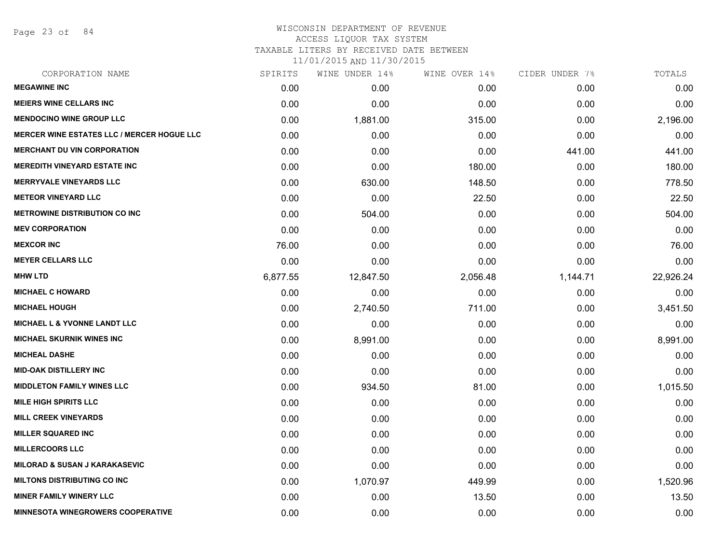Page 23 of 84

#### WISCONSIN DEPARTMENT OF REVENUE ACCESS LIQUOR TAX SYSTEM

TAXABLE LITERS BY RECEIVED DATE BETWEEN

| CORPORATION NAME                                  | SPIRITS  | WINE UNDER 14% | WINE OVER 14% | CIDER UNDER 7% | TOTALS    |
|---------------------------------------------------|----------|----------------|---------------|----------------|-----------|
| <b>MEGAWINE INC</b>                               | 0.00     | 0.00           | 0.00          | 0.00           | 0.00      |
| <b>MEIERS WINE CELLARS INC</b>                    | 0.00     | 0.00           | 0.00          | 0.00           | 0.00      |
| <b>MENDOCINO WINE GROUP LLC</b>                   | 0.00     | 1,881.00       | 315.00        | 0.00           | 2,196.00  |
| <b>MERCER WINE ESTATES LLC / MERCER HOGUE LLC</b> | 0.00     | 0.00           | 0.00          | 0.00           | 0.00      |
| <b>MERCHANT DU VIN CORPORATION</b>                | 0.00     | 0.00           | 0.00          | 441.00         | 441.00    |
| <b>MEREDITH VINEYARD ESTATE INC</b>               | 0.00     | 0.00           | 180.00        | 0.00           | 180.00    |
| <b>MERRYVALE VINEYARDS LLC</b>                    | 0.00     | 630.00         | 148.50        | 0.00           | 778.50    |
| <b>METEOR VINEYARD LLC</b>                        | 0.00     | 0.00           | 22.50         | 0.00           | 22.50     |
| <b>METROWINE DISTRIBUTION CO INC</b>              | 0.00     | 504.00         | 0.00          | 0.00           | 504.00    |
| <b>MEV CORPORATION</b>                            | 0.00     | 0.00           | 0.00          | 0.00           | 0.00      |
| <b>MEXCOR INC</b>                                 | 76.00    | 0.00           | 0.00          | 0.00           | 76.00     |
| <b>MEYER CELLARS LLC</b>                          | 0.00     | 0.00           | 0.00          | 0.00           | 0.00      |
| <b>MHW LTD</b>                                    | 6,877.55 | 12,847.50      | 2,056.48      | 1,144.71       | 22,926.24 |
| <b>MICHAEL C HOWARD</b>                           | 0.00     | 0.00           | 0.00          | 0.00           | 0.00      |
| <b>MICHAEL HOUGH</b>                              | 0.00     | 2,740.50       | 711.00        | 0.00           | 3,451.50  |
| MICHAEL L & YVONNE LANDT LLC                      | 0.00     | 0.00           | 0.00          | 0.00           | 0.00      |
| <b>MICHAEL SKURNIK WINES INC</b>                  | 0.00     | 8,991.00       | 0.00          | 0.00           | 8,991.00  |
| <b>MICHEAL DASHE</b>                              | 0.00     | 0.00           | 0.00          | 0.00           | 0.00      |
| <b>MID-OAK DISTILLERY INC</b>                     | 0.00     | 0.00           | 0.00          | 0.00           | 0.00      |
| <b>MIDDLETON FAMILY WINES LLC</b>                 | 0.00     | 934.50         | 81.00         | 0.00           | 1,015.50  |
| <b>MILE HIGH SPIRITS LLC</b>                      | 0.00     | 0.00           | 0.00          | 0.00           | 0.00      |
| <b>MILL CREEK VINEYARDS</b>                       | 0.00     | 0.00           | 0.00          | 0.00           | 0.00      |
| <b>MILLER SQUARED INC</b>                         | 0.00     | 0.00           | 0.00          | 0.00           | 0.00      |
| <b>MILLERCOORS LLC</b>                            | 0.00     | 0.00           | 0.00          | 0.00           | 0.00      |
| <b>MILORAD &amp; SUSAN J KARAKASEVIC</b>          | 0.00     | 0.00           | 0.00          | 0.00           | 0.00      |
| <b>MILTONS DISTRIBUTING CO INC</b>                | 0.00     | 1,070.97       | 449.99        | 0.00           | 1,520.96  |
| <b>MINER FAMILY WINERY LLC</b>                    | 0.00     | 0.00           | 13.50         | 0.00           | 13.50     |
| MINNESOTA WINEGROWERS COOPERATIVE                 | 0.00     | 0.00           | 0.00          | 0.00           | 0.00      |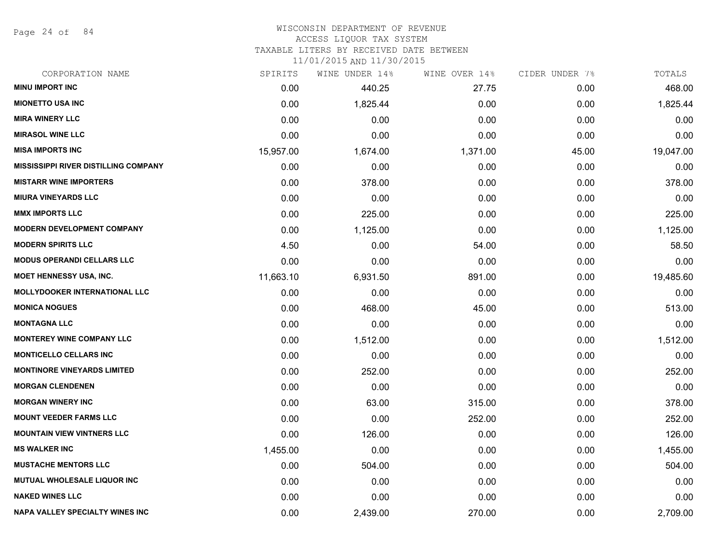Page 24 of 84

## WISCONSIN DEPARTMENT OF REVENUE

#### ACCESS LIQUOR TAX SYSTEM

TAXABLE LITERS BY RECEIVED DATE BETWEEN

| CORPORATION NAME                            | SPIRITS   | WINE UNDER 14% | WINE OVER 14% | CIDER UNDER 7% | TOTALS    |
|---------------------------------------------|-----------|----------------|---------------|----------------|-----------|
| <b>MINU IMPORT INC</b>                      | 0.00      | 440.25         | 27.75         | 0.00           | 468.00    |
| <b>MIONETTO USA INC</b>                     | 0.00      | 1,825.44       | 0.00          | 0.00           | 1,825.44  |
| <b>MIRA WINERY LLC</b>                      | 0.00      | 0.00           | 0.00          | 0.00           | 0.00      |
| <b>MIRASOL WINE LLC</b>                     | 0.00      | 0.00           | 0.00          | 0.00           | 0.00      |
| <b>MISA IMPORTS INC</b>                     | 15,957.00 | 1,674.00       | 1,371.00      | 45.00          | 19,047.00 |
| <b>MISSISSIPPI RIVER DISTILLING COMPANY</b> | 0.00      | 0.00           | 0.00          | 0.00           | 0.00      |
| <b>MISTARR WINE IMPORTERS</b>               | 0.00      | 378.00         | 0.00          | 0.00           | 378.00    |
| <b>MIURA VINEYARDS LLC</b>                  | 0.00      | 0.00           | 0.00          | 0.00           | 0.00      |
| <b>MMX IMPORTS LLC</b>                      | 0.00      | 225.00         | 0.00          | 0.00           | 225.00    |
| <b>MODERN DEVELOPMENT COMPANY</b>           | 0.00      | 1,125.00       | 0.00          | 0.00           | 1,125.00  |
| <b>MODERN SPIRITS LLC</b>                   | 4.50      | 0.00           | 54.00         | 0.00           | 58.50     |
| <b>MODUS OPERANDI CELLARS LLC</b>           | 0.00      | 0.00           | 0.00          | 0.00           | 0.00      |
| MOET HENNESSY USA, INC.                     | 11,663.10 | 6,931.50       | 891.00        | 0.00           | 19,485.60 |
| <b>MOLLYDOOKER INTERNATIONAL LLC</b>        | 0.00      | 0.00           | 0.00          | 0.00           | 0.00      |
| <b>MONICA NOGUES</b>                        | 0.00      | 468.00         | 45.00         | 0.00           | 513.00    |
| <b>MONTAGNA LLC</b>                         | 0.00      | 0.00           | 0.00          | 0.00           | 0.00      |
| <b>MONTEREY WINE COMPANY LLC</b>            | 0.00      | 1,512.00       | 0.00          | 0.00           | 1,512.00  |
| <b>MONTICELLO CELLARS INC</b>               | 0.00      | 0.00           | 0.00          | 0.00           | 0.00      |
| <b>MONTINORE VINEYARDS LIMITED</b>          | 0.00      | 252.00         | 0.00          | 0.00           | 252.00    |
| <b>MORGAN CLENDENEN</b>                     | 0.00      | 0.00           | 0.00          | 0.00           | 0.00      |
| <b>MORGAN WINERY INC</b>                    | 0.00      | 63.00          | 315.00        | 0.00           | 378.00    |
| <b>MOUNT VEEDER FARMS LLC</b>               | 0.00      | 0.00           | 252.00        | 0.00           | 252.00    |
| <b>MOUNTAIN VIEW VINTNERS LLC</b>           | 0.00      | 126.00         | 0.00          | 0.00           | 126.00    |
| <b>MS WALKER INC</b>                        | 1,455.00  | 0.00           | 0.00          | 0.00           | 1,455.00  |
| <b>MUSTACHE MENTORS LLC</b>                 | 0.00      | 504.00         | 0.00          | 0.00           | 504.00    |
| <b>MUTUAL WHOLESALE LIQUOR INC</b>          | 0.00      | 0.00           | 0.00          | 0.00           | 0.00      |
| <b>NAKED WINES LLC</b>                      | 0.00      | 0.00           | 0.00          | 0.00           | 0.00      |
| <b>NAPA VALLEY SPECIALTY WINES INC</b>      | 0.00      | 2,439.00       | 270.00        | 0.00           | 2,709.00  |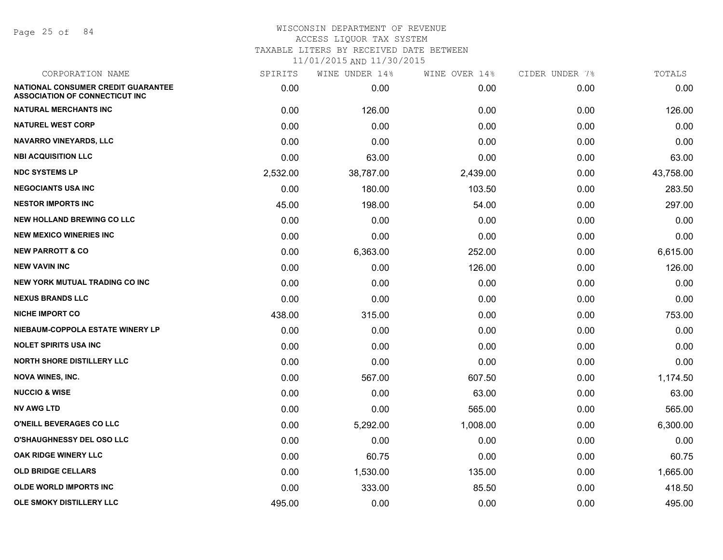Page 25 of 84

## WISCONSIN DEPARTMENT OF REVENUE ACCESS LIQUOR TAX SYSTEM TAXABLE LITERS BY RECEIVED DATE BETWEEN 11/01/2015 AND 11/30/2015

| CORPORATION NAME                                                                   | SPIRITS  | WINE UNDER 14% | WINE OVER 14% | CIDER UNDER 7% | TOTALS    |
|------------------------------------------------------------------------------------|----------|----------------|---------------|----------------|-----------|
| <b>NATIONAL CONSUMER CREDIT GUARANTEE</b><br><b>ASSOCIATION OF CONNECTICUT INC</b> | 0.00     | 0.00           | 0.00          | 0.00           | 0.00      |
| <b>NATURAL MERCHANTS INC</b>                                                       | 0.00     | 126.00         | 0.00          | 0.00           | 126.00    |
| <b>NATUREL WEST CORP</b>                                                           | 0.00     | 0.00           | 0.00          | 0.00           | 0.00      |
| <b>NAVARRO VINEYARDS, LLC</b>                                                      | 0.00     | 0.00           | 0.00          | 0.00           | 0.00      |
| <b>NBI ACQUISITION LLC</b>                                                         | 0.00     | 63.00          | 0.00          | 0.00           | 63.00     |
| <b>NDC SYSTEMS LP</b>                                                              | 2,532.00 | 38,787.00      | 2,439.00      | 0.00           | 43,758.00 |
| <b>NEGOCIANTS USA INC</b>                                                          | 0.00     | 180.00         | 103.50        | 0.00           | 283.50    |
| <b>NESTOR IMPORTS INC</b>                                                          | 45.00    | 198.00         | 54.00         | 0.00           | 297.00    |
| <b>NEW HOLLAND BREWING CO LLC</b>                                                  | 0.00     | 0.00           | 0.00          | 0.00           | 0.00      |
| <b>NEW MEXICO WINERIES INC</b>                                                     | 0.00     | 0.00           | 0.00          | 0.00           | 0.00      |
| <b>NEW PARROTT &amp; CO</b>                                                        | 0.00     | 6,363.00       | 252.00        | 0.00           | 6,615.00  |
| <b>NEW VAVIN INC</b>                                                               | 0.00     | 0.00           | 126.00        | 0.00           | 126.00    |
| <b>NEW YORK MUTUAL TRADING CO INC</b>                                              | 0.00     | 0.00           | 0.00          | 0.00           | 0.00      |
| <b>NEXUS BRANDS LLC</b>                                                            | 0.00     | 0.00           | 0.00          | 0.00           | 0.00      |
| <b>NICHE IMPORT CO</b>                                                             | 438.00   | 315.00         | 0.00          | 0.00           | 753.00    |
| NIEBAUM-COPPOLA ESTATE WINERY LP                                                   | 0.00     | 0.00           | 0.00          | 0.00           | 0.00      |
| <b>NOLET SPIRITS USA INC</b>                                                       | 0.00     | 0.00           | 0.00          | 0.00           | 0.00      |
| <b>NORTH SHORE DISTILLERY LLC</b>                                                  | 0.00     | 0.00           | 0.00          | 0.00           | 0.00      |
| <b>NOVA WINES, INC.</b>                                                            | 0.00     | 567.00         | 607.50        | 0.00           | 1,174.50  |
| <b>NUCCIO &amp; WISE</b>                                                           | 0.00     | 0.00           | 63.00         | 0.00           | 63.00     |
| <b>NV AWG LTD</b>                                                                  | 0.00     | 0.00           | 565.00        | 0.00           | 565.00    |
| O'NEILL BEVERAGES CO LLC                                                           | 0.00     | 5,292.00       | 1,008.00      | 0.00           | 6,300.00  |
| <b>O'SHAUGHNESSY DEL OSO LLC</b>                                                   | 0.00     | 0.00           | 0.00          | 0.00           | 0.00      |
| OAK RIDGE WINERY LLC                                                               | 0.00     | 60.75          | 0.00          | 0.00           | 60.75     |
| <b>OLD BRIDGE CELLARS</b>                                                          | 0.00     | 1,530.00       | 135.00        | 0.00           | 1,665.00  |
| <b>OLDE WORLD IMPORTS INC</b>                                                      | 0.00     | 333.00         | 85.50         | 0.00           | 418.50    |
| <b>OLE SMOKY DISTILLERY LLC</b>                                                    | 495.00   | 0.00           | 0.00          | 0.00           | 495.00    |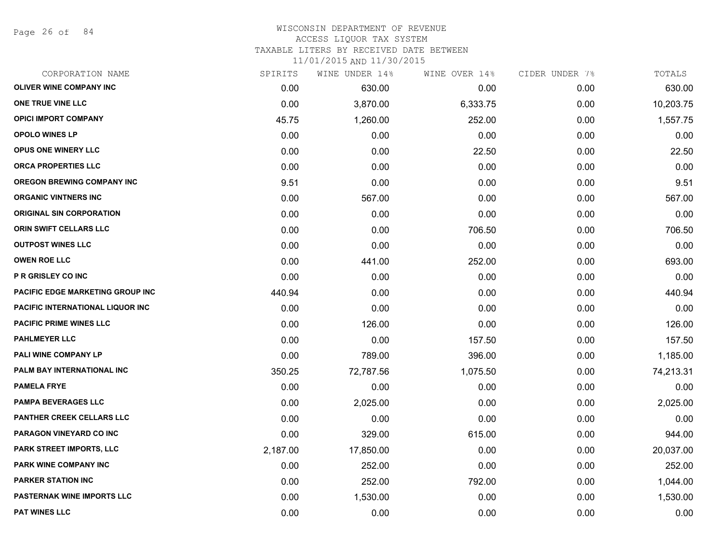Page 26 of 84

#### WISCONSIN DEPARTMENT OF REVENUE ACCESS LIQUOR TAX SYSTEM

TAXABLE LITERS BY RECEIVED DATE BETWEEN

| CORPORATION NAME                  | SPIRITS  | WINE UNDER 14% | WINE OVER 14% | CIDER UNDER 7% | TOTALS    |
|-----------------------------------|----------|----------------|---------------|----------------|-----------|
| <b>OLIVER WINE COMPANY INC</b>    | 0.00     | 630.00         | 0.00          | 0.00           | 630.00    |
| ONE TRUE VINE LLC                 | 0.00     | 3,870.00       | 6,333.75      | 0.00           | 10,203.75 |
| <b>OPICI IMPORT COMPANY</b>       | 45.75    | 1,260.00       | 252.00        | 0.00           | 1,557.75  |
| <b>OPOLO WINES LP</b>             | 0.00     | 0.00           | 0.00          | 0.00           | 0.00      |
| <b>OPUS ONE WINERY LLC</b>        | 0.00     | 0.00           | 22.50         | 0.00           | 22.50     |
| ORCA PROPERTIES LLC               | 0.00     | 0.00           | 0.00          | 0.00           | 0.00      |
| OREGON BREWING COMPANY INC        | 9.51     | 0.00           | 0.00          | 0.00           | 9.51      |
| <b>ORGANIC VINTNERS INC</b>       | 0.00     | 567.00         | 0.00          | 0.00           | 567.00    |
| <b>ORIGINAL SIN CORPORATION</b>   | 0.00     | 0.00           | 0.00          | 0.00           | 0.00      |
| ORIN SWIFT CELLARS LLC            | 0.00     | 0.00           | 706.50        | 0.00           | 706.50    |
| <b>OUTPOST WINES LLC</b>          | 0.00     | 0.00           | 0.00          | 0.00           | 0.00      |
| <b>OWEN ROE LLC</b>               | 0.00     | 441.00         | 252.00        | 0.00           | 693.00    |
| <b>P R GRISLEY CO INC</b>         | 0.00     | 0.00           | 0.00          | 0.00           | 0.00      |
| PACIFIC EDGE MARKETING GROUP INC  | 440.94   | 0.00           | 0.00          | 0.00           | 440.94    |
| PACIFIC INTERNATIONAL LIQUOR INC  | 0.00     | 0.00           | 0.00          | 0.00           | 0.00      |
| <b>PACIFIC PRIME WINES LLC</b>    | 0.00     | 126.00         | 0.00          | 0.00           | 126.00    |
| <b>PAHLMEYER LLC</b>              | 0.00     | 0.00           | 157.50        | 0.00           | 157.50    |
| PALI WINE COMPANY LP              | 0.00     | 789.00         | 396.00        | 0.00           | 1,185.00  |
| PALM BAY INTERNATIONAL INC        | 350.25   | 72,787.56      | 1,075.50      | 0.00           | 74,213.31 |
| <b>PAMELA FRYE</b>                | 0.00     | 0.00           | 0.00          | 0.00           | 0.00      |
| <b>PAMPA BEVERAGES LLC</b>        | 0.00     | 2,025.00       | 0.00          | 0.00           | 2,025.00  |
| <b>PANTHER CREEK CELLARS LLC</b>  | 0.00     | 0.00           | 0.00          | 0.00           | 0.00      |
| PARAGON VINEYARD CO INC           | 0.00     | 329.00         | 615.00        | 0.00           | 944.00    |
| PARK STREET IMPORTS, LLC          | 2,187.00 | 17,850.00      | 0.00          | 0.00           | 20,037.00 |
| <b>PARK WINE COMPANY INC</b>      | 0.00     | 252.00         | 0.00          | 0.00           | 252.00    |
| <b>PARKER STATION INC</b>         | 0.00     | 252.00         | 792.00        | 0.00           | 1,044.00  |
| <b>PASTERNAK WINE IMPORTS LLC</b> | 0.00     | 1,530.00       | 0.00          | 0.00           | 1,530.00  |
| <b>PAT WINES LLC</b>              | 0.00     | 0.00           | 0.00          | 0.00           | 0.00      |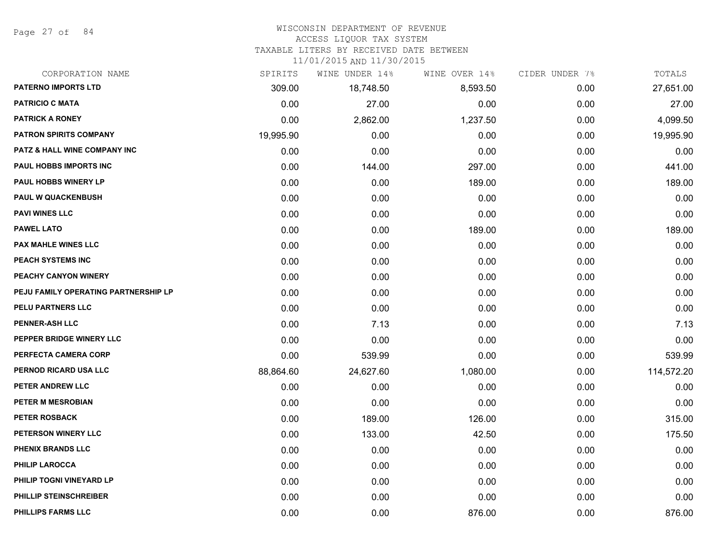Page 27 of 84

## WISCONSIN DEPARTMENT OF REVENUE

#### ACCESS LIQUOR TAX SYSTEM

TAXABLE LITERS BY RECEIVED DATE BETWEEN

| CORPORATION NAME                     | SPIRITS   | WINE UNDER 14% | WINE OVER 14% | CIDER UNDER 7% | TOTALS     |
|--------------------------------------|-----------|----------------|---------------|----------------|------------|
| <b>PATERNO IMPORTS LTD</b>           | 309.00    | 18,748.50      | 8,593.50      | 0.00           | 27,651.00  |
| <b>PATRICIO C MATA</b>               | 0.00      | 27.00          | 0.00          | 0.00           | 27.00      |
| <b>PATRICK A RONEY</b>               | 0.00      | 2,862.00       | 1,237.50      | 0.00           | 4,099.50   |
| <b>PATRON SPIRITS COMPANY</b>        | 19,995.90 | 0.00           | 0.00          | 0.00           | 19,995.90  |
| PATZ & HALL WINE COMPANY INC         | 0.00      | 0.00           | 0.00          | 0.00           | 0.00       |
| PAUL HOBBS IMPORTS INC               | 0.00      | 144.00         | 297.00        | 0.00           | 441.00     |
| <b>PAUL HOBBS WINERY LP</b>          | 0.00      | 0.00           | 189.00        | 0.00           | 189.00     |
| <b>PAUL W QUACKENBUSH</b>            | 0.00      | 0.00           | 0.00          | 0.00           | 0.00       |
| <b>PAVI WINES LLC</b>                | 0.00      | 0.00           | 0.00          | 0.00           | 0.00       |
| <b>PAWEL LATO</b>                    | 0.00      | 0.00           | 189.00        | 0.00           | 189.00     |
| <b>PAX MAHLE WINES LLC</b>           | 0.00      | 0.00           | 0.00          | 0.00           | 0.00       |
| PEACH SYSTEMS INC                    | 0.00      | 0.00           | 0.00          | 0.00           | 0.00       |
| PEACHY CANYON WINERY                 | 0.00      | 0.00           | 0.00          | 0.00           | 0.00       |
| PEJU FAMILY OPERATING PARTNERSHIP LP | 0.00      | 0.00           | 0.00          | 0.00           | 0.00       |
| PELU PARTNERS LLC                    | 0.00      | 0.00           | 0.00          | 0.00           | 0.00       |
| <b>PENNER-ASH LLC</b>                | 0.00      | 7.13           | 0.00          | 0.00           | 7.13       |
| PEPPER BRIDGE WINERY LLC             | 0.00      | 0.00           | 0.00          | 0.00           | 0.00       |
| PERFECTA CAMERA CORP                 | 0.00      | 539.99         | 0.00          | 0.00           | 539.99     |
| PERNOD RICARD USA LLC                | 88,864.60 | 24,627.60      | 1,080.00      | 0.00           | 114,572.20 |
| PETER ANDREW LLC                     | 0.00      | 0.00           | 0.00          | 0.00           | 0.00       |
| PETER M MESROBIAN                    | 0.00      | 0.00           | 0.00          | 0.00           | 0.00       |
| <b>PETER ROSBACK</b>                 | 0.00      | 189.00         | 126.00        | 0.00           | 315.00     |
| PETERSON WINERY LLC                  | 0.00      | 133.00         | 42.50         | 0.00           | 175.50     |
| PHENIX BRANDS LLC                    | 0.00      | 0.00           | 0.00          | 0.00           | 0.00       |
| <b>PHILIP LAROCCA</b>                | 0.00      | 0.00           | 0.00          | 0.00           | 0.00       |
| PHILIP TOGNI VINEYARD LP             | 0.00      | 0.00           | 0.00          | 0.00           | 0.00       |
| PHILLIP STEINSCHREIBER               | 0.00      | 0.00           | 0.00          | 0.00           | 0.00       |
| <b>PHILLIPS FARMS LLC</b>            | 0.00      | 0.00           | 876.00        | 0.00           | 876.00     |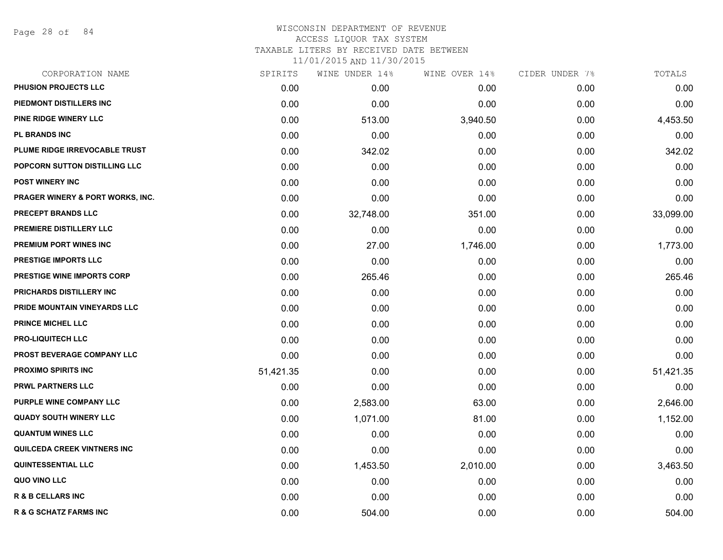Page 28 of 84

# WISCONSIN DEPARTMENT OF REVENUE ACCESS LIQUOR TAX SYSTEM TAXABLE LITERS BY RECEIVED DATE BETWEEN

| CORPORATION NAME                            | SPIRITS   | WINE UNDER 14% | WINE OVER 14% | CIDER UNDER 7% | TOTALS    |
|---------------------------------------------|-----------|----------------|---------------|----------------|-----------|
| PHUSION PROJECTS LLC                        | 0.00      | 0.00           | 0.00          | 0.00           | 0.00      |
| PIEDMONT DISTILLERS INC                     | 0.00      | 0.00           | 0.00          | 0.00           | 0.00      |
| PINE RIDGE WINERY LLC                       | 0.00      | 513.00         | 3,940.50      | 0.00           | 4,453.50  |
| <b>PL BRANDS INC</b>                        | 0.00      | 0.00           | 0.00          | 0.00           | 0.00      |
| PLUME RIDGE IRREVOCABLE TRUST               | 0.00      | 342.02         | 0.00          | 0.00           | 342.02    |
| POPCORN SUTTON DISTILLING LLC               | 0.00      | 0.00           | 0.00          | 0.00           | 0.00      |
| <b>POST WINERY INC</b>                      | 0.00      | 0.00           | 0.00          | 0.00           | 0.00      |
| <b>PRAGER WINERY &amp; PORT WORKS, INC.</b> | 0.00      | 0.00           | 0.00          | 0.00           | 0.00      |
| <b>PRECEPT BRANDS LLC</b>                   | 0.00      | 32,748.00      | 351.00        | 0.00           | 33,099.00 |
| PREMIERE DISTILLERY LLC                     | 0.00      | 0.00           | 0.00          | 0.00           | 0.00      |
| <b>PREMIUM PORT WINES INC</b>               | 0.00      | 27.00          | 1,746.00      | 0.00           | 1,773.00  |
| PRESTIGE IMPORTS LLC                        | 0.00      | 0.00           | 0.00          | 0.00           | 0.00      |
| <b>PRESTIGE WINE IMPORTS CORP</b>           | 0.00      | 265.46         | 0.00          | 0.00           | 265.46    |
| PRICHARDS DISTILLERY INC                    | 0.00      | 0.00           | 0.00          | 0.00           | 0.00      |
| PRIDE MOUNTAIN VINEYARDS LLC                | 0.00      | 0.00           | 0.00          | 0.00           | 0.00      |
| <b>PRINCE MICHEL LLC</b>                    | 0.00      | 0.00           | 0.00          | 0.00           | 0.00      |
| <b>PRO-LIQUITECH LLC</b>                    | 0.00      | 0.00           | 0.00          | 0.00           | 0.00      |
| PROST BEVERAGE COMPANY LLC                  | 0.00      | 0.00           | 0.00          | 0.00           | 0.00      |
| PROXIMO SPIRITS INC                         | 51,421.35 | 0.00           | 0.00          | 0.00           | 51,421.35 |
| <b>PRWL PARTNERS LLC</b>                    | 0.00      | 0.00           | 0.00          | 0.00           | 0.00      |
| PURPLE WINE COMPANY LLC                     | 0.00      | 2,583.00       | 63.00         | 0.00           | 2,646.00  |
| <b>QUADY SOUTH WINERY LLC</b>               | 0.00      | 1,071.00       | 81.00         | 0.00           | 1,152.00  |
| <b>QUANTUM WINES LLC</b>                    | 0.00      | 0.00           | 0.00          | 0.00           | 0.00      |
| QUILCEDA CREEK VINTNERS INC                 | 0.00      | 0.00           | 0.00          | 0.00           | 0.00      |
| <b>QUINTESSENTIAL LLC</b>                   | 0.00      | 1,453.50       | 2,010.00      | 0.00           | 3,463.50  |
| QUO VINO LLC                                | 0.00      | 0.00           | 0.00          | 0.00           | 0.00      |
| <b>R &amp; B CELLARS INC</b>                | 0.00      | 0.00           | 0.00          | 0.00           | 0.00      |
| <b>R &amp; G SCHATZ FARMS INC</b>           | 0.00      | 504.00         | 0.00          | 0.00           | 504.00    |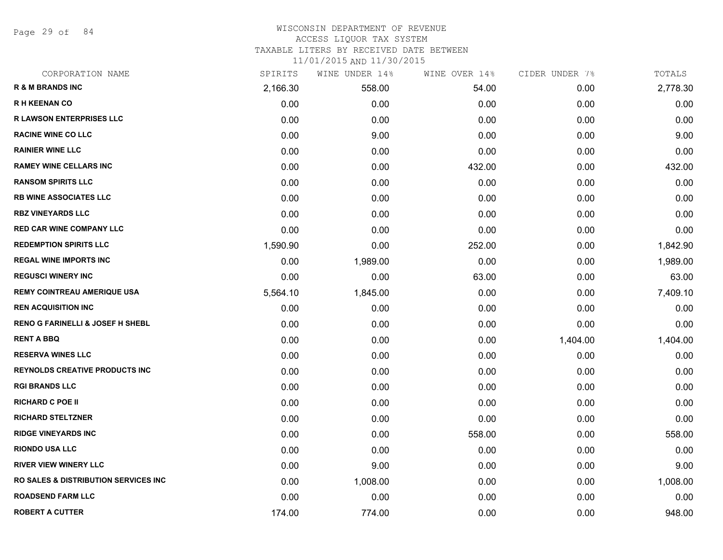Page 29 of 84

#### WISCONSIN DEPARTMENT OF REVENUE ACCESS LIQUOR TAX SYSTEM

TAXABLE LITERS BY RECEIVED DATE BETWEEN

| CORPORATION NAME                                 | SPIRITS  | WINE UNDER 14% | WINE OVER 14% | CIDER UNDER 7% | TOTALS   |
|--------------------------------------------------|----------|----------------|---------------|----------------|----------|
| <b>R &amp; M BRANDS INC</b>                      | 2,166.30 | 558.00         | 54.00         | 0.00           | 2,778.30 |
| <b>RH KEENAN CO</b>                              | 0.00     | 0.00           | 0.00          | 0.00           | 0.00     |
| <b>R LAWSON ENTERPRISES LLC</b>                  | 0.00     | 0.00           | 0.00          | 0.00           | 0.00     |
| <b>RACINE WINE CO LLC</b>                        | 0.00     | 9.00           | 0.00          | 0.00           | 9.00     |
| <b>RAINIER WINE LLC</b>                          | 0.00     | 0.00           | 0.00          | 0.00           | 0.00     |
| <b>RAMEY WINE CELLARS INC</b>                    | 0.00     | 0.00           | 432.00        | 0.00           | 432.00   |
| <b>RANSOM SPIRITS LLC</b>                        | 0.00     | 0.00           | 0.00          | 0.00           | 0.00     |
| <b>RB WINE ASSOCIATES LLC</b>                    | 0.00     | 0.00           | 0.00          | 0.00           | 0.00     |
| <b>RBZ VINEYARDS LLC</b>                         | 0.00     | 0.00           | 0.00          | 0.00           | 0.00     |
| <b>RED CAR WINE COMPANY LLC</b>                  | 0.00     | 0.00           | 0.00          | 0.00           | 0.00     |
| <b>REDEMPTION SPIRITS LLC</b>                    | 1,590.90 | 0.00           | 252.00        | 0.00           | 1,842.90 |
| <b>REGAL WINE IMPORTS INC</b>                    | 0.00     | 1,989.00       | 0.00          | 0.00           | 1,989.00 |
| <b>REGUSCI WINERY INC</b>                        | 0.00     | 0.00           | 63.00         | 0.00           | 63.00    |
| <b>REMY COINTREAU AMERIQUE USA</b>               | 5,564.10 | 1,845.00       | 0.00          | 0.00           | 7,409.10 |
| <b>REN ACQUISITION INC</b>                       | 0.00     | 0.00           | 0.00          | 0.00           | 0.00     |
| <b>RENO G FARINELLI &amp; JOSEF H SHEBL</b>      | 0.00     | 0.00           | 0.00          | 0.00           | 0.00     |
| <b>RENT A BBQ</b>                                | 0.00     | 0.00           | 0.00          | 1,404.00       | 1,404.00 |
| <b>RESERVA WINES LLC</b>                         | 0.00     | 0.00           | 0.00          | 0.00           | 0.00     |
| <b>REYNOLDS CREATIVE PRODUCTS INC</b>            | 0.00     | 0.00           | 0.00          | 0.00           | 0.00     |
| <b>RGI BRANDS LLC</b>                            | 0.00     | 0.00           | 0.00          | 0.00           | 0.00     |
| <b>RICHARD C POE II</b>                          | 0.00     | 0.00           | 0.00          | 0.00           | 0.00     |
| <b>RICHARD STELTZNER</b>                         | 0.00     | 0.00           | 0.00          | 0.00           | 0.00     |
| <b>RIDGE VINEYARDS INC</b>                       | 0.00     | 0.00           | 558.00        | 0.00           | 558.00   |
| <b>RIONDO USA LLC</b>                            | 0.00     | 0.00           | 0.00          | 0.00           | 0.00     |
| <b>RIVER VIEW WINERY LLC</b>                     | 0.00     | 9.00           | 0.00          | 0.00           | 9.00     |
| <b>RO SALES &amp; DISTRIBUTION SERVICES INC.</b> | 0.00     | 1,008.00       | 0.00          | 0.00           | 1,008.00 |
| <b>ROADSEND FARM LLC</b>                         | 0.00     | 0.00           | 0.00          | 0.00           | 0.00     |
| <b>ROBERT A CUTTER</b>                           | 174.00   | 774.00         | 0.00          | 0.00           | 948.00   |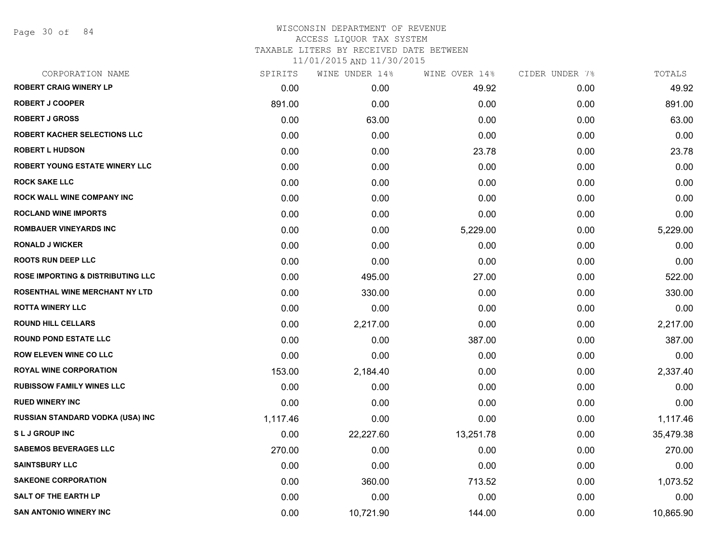Page 30 of 84

# WISCONSIN DEPARTMENT OF REVENUE ACCESS LIQUOR TAX SYSTEM

TAXABLE LITERS BY RECEIVED DATE BETWEEN

| CORPORATION NAME                             | SPIRITS  | WINE UNDER 14% | WINE OVER 14% | CIDER UNDER 7% | TOTALS    |
|----------------------------------------------|----------|----------------|---------------|----------------|-----------|
| <b>ROBERT CRAIG WINERY LP</b>                | 0.00     | 0.00           | 49.92         | 0.00           | 49.92     |
| <b>ROBERT J COOPER</b>                       | 891.00   | 0.00           | 0.00          | 0.00           | 891.00    |
| <b>ROBERT J GROSS</b>                        | 0.00     | 63.00          | 0.00          | 0.00           | 63.00     |
| <b>ROBERT KACHER SELECTIONS LLC</b>          | 0.00     | 0.00           | 0.00          | 0.00           | 0.00      |
| <b>ROBERT L HUDSON</b>                       | 0.00     | 0.00           | 23.78         | 0.00           | 23.78     |
| <b>ROBERT YOUNG ESTATE WINERY LLC</b>        | 0.00     | 0.00           | 0.00          | 0.00           | 0.00      |
| <b>ROCK SAKE LLC</b>                         | 0.00     | 0.00           | 0.00          | 0.00           | 0.00      |
| ROCK WALL WINE COMPANY INC                   | 0.00     | 0.00           | 0.00          | 0.00           | 0.00      |
| <b>ROCLAND WINE IMPORTS</b>                  | 0.00     | 0.00           | 0.00          | 0.00           | 0.00      |
| <b>ROMBAUER VINEYARDS INC</b>                | 0.00     | 0.00           | 5,229.00      | 0.00           | 5,229.00  |
| <b>RONALD J WICKER</b>                       | 0.00     | 0.00           | 0.00          | 0.00           | 0.00      |
| <b>ROOTS RUN DEEP LLC</b>                    | 0.00     | 0.00           | 0.00          | 0.00           | 0.00      |
| <b>ROSE IMPORTING &amp; DISTRIBUTING LLC</b> | 0.00     | 495.00         | 27.00         | 0.00           | 522.00    |
| <b>ROSENTHAL WINE MERCHANT NY LTD</b>        | 0.00     | 330.00         | 0.00          | 0.00           | 330.00    |
| <b>ROTTA WINERY LLC</b>                      | 0.00     | 0.00           | 0.00          | 0.00           | 0.00      |
| <b>ROUND HILL CELLARS</b>                    | 0.00     | 2,217.00       | 0.00          | 0.00           | 2,217.00  |
| <b>ROUND POND ESTATE LLC</b>                 | 0.00     | 0.00           | 387.00        | 0.00           | 387.00    |
| <b>ROW ELEVEN WINE CO LLC</b>                | 0.00     | 0.00           | 0.00          | 0.00           | 0.00      |
| <b>ROYAL WINE CORPORATION</b>                | 153.00   | 2,184.40       | 0.00          | 0.00           | 2,337.40  |
| <b>RUBISSOW FAMILY WINES LLC</b>             | 0.00     | 0.00           | 0.00          | 0.00           | 0.00      |
| <b>RUED WINERY INC</b>                       | 0.00     | 0.00           | 0.00          | 0.00           | 0.00      |
| RUSSIAN STANDARD VODKA (USA) INC             | 1,117.46 | 0.00           | 0.00          | 0.00           | 1,117.46  |
| <b>SLJ GROUP INC</b>                         | 0.00     | 22,227.60      | 13,251.78     | 0.00           | 35,479.38 |
| <b>SABEMOS BEVERAGES LLC</b>                 | 270.00   | 0.00           | 0.00          | 0.00           | 270.00    |
| <b>SAINTSBURY LLC</b>                        | 0.00     | 0.00           | 0.00          | 0.00           | 0.00      |
| <b>SAKEONE CORPORATION</b>                   | 0.00     | 360.00         | 713.52        | 0.00           | 1,073.52  |
| <b>SALT OF THE EARTH LP</b>                  | 0.00     | 0.00           | 0.00          | 0.00           | 0.00      |
| <b>SAN ANTONIO WINERY INC</b>                | 0.00     | 10,721.90      | 144.00        | 0.00           | 10,865.90 |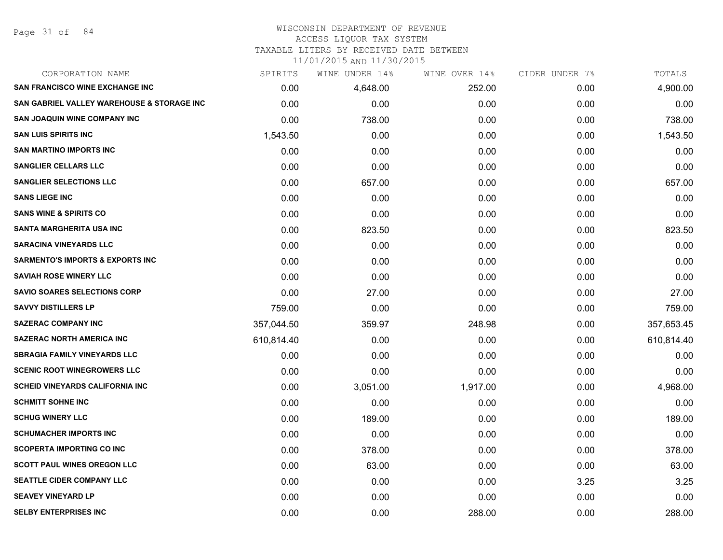# WISCONSIN DEPARTMENT OF REVENUE

# ACCESS LIQUOR TAX SYSTEM

TAXABLE LITERS BY RECEIVED DATE BETWEEN

| CORPORATION NAME                            | SPIRITS    | WINE UNDER 14% | WINE OVER 14% | CIDER UNDER 7% | TOTALS     |
|---------------------------------------------|------------|----------------|---------------|----------------|------------|
| <b>SAN FRANCISCO WINE EXCHANGE INC</b>      | 0.00       | 4,648.00       | 252.00        | 0.00           | 4,900.00   |
| SAN GABRIEL VALLEY WAREHOUSE & STORAGE INC  | 0.00       | 0.00           | 0.00          | 0.00           | 0.00       |
| <b>SAN JOAQUIN WINE COMPANY INC</b>         | 0.00       | 738.00         | 0.00          | 0.00           | 738.00     |
| <b>SAN LUIS SPIRITS INC</b>                 | 1,543.50   | 0.00           | 0.00          | 0.00           | 1,543.50   |
| <b>SAN MARTINO IMPORTS INC</b>              | 0.00       | 0.00           | 0.00          | 0.00           | 0.00       |
| <b>SANGLIER CELLARS LLC</b>                 | 0.00       | 0.00           | 0.00          | 0.00           | 0.00       |
| <b>SANGLIER SELECTIONS LLC</b>              | 0.00       | 657.00         | 0.00          | 0.00           | 657.00     |
| <b>SANS LIEGE INC</b>                       | 0.00       | 0.00           | 0.00          | 0.00           | 0.00       |
| <b>SANS WINE &amp; SPIRITS CO</b>           | 0.00       | 0.00           | 0.00          | 0.00           | 0.00       |
| SANTA MARGHERITA USA INC                    | 0.00       | 823.50         | 0.00          | 0.00           | 823.50     |
| <b>SARACINA VINEYARDS LLC</b>               | 0.00       | 0.00           | 0.00          | 0.00           | 0.00       |
| <b>SARMENTO'S IMPORTS &amp; EXPORTS INC</b> | 0.00       | 0.00           | 0.00          | 0.00           | 0.00       |
| <b>SAVIAH ROSE WINERY LLC</b>               | 0.00       | 0.00           | 0.00          | 0.00           | 0.00       |
| <b>SAVIO SOARES SELECTIONS CORP</b>         | 0.00       | 27.00          | 0.00          | 0.00           | 27.00      |
| <b>SAVVY DISTILLERS LP</b>                  | 759.00     | 0.00           | 0.00          | 0.00           | 759.00     |
| <b>SAZERAC COMPANY INC</b>                  | 357,044.50 | 359.97         | 248.98        | 0.00           | 357,653.45 |
| <b>SAZERAC NORTH AMERICA INC</b>            | 610,814.40 | 0.00           | 0.00          | 0.00           | 610,814.40 |
| <b>SBRAGIA FAMILY VINEYARDS LLC</b>         | 0.00       | 0.00           | 0.00          | 0.00           | 0.00       |
| <b>SCENIC ROOT WINEGROWERS LLC</b>          | 0.00       | 0.00           | 0.00          | 0.00           | 0.00       |
| <b>SCHEID VINEYARDS CALIFORNIA INC</b>      | 0.00       | 3,051.00       | 1,917.00      | 0.00           | 4,968.00   |
| <b>SCHMITT SOHNE INC</b>                    | 0.00       | 0.00           | 0.00          | 0.00           | 0.00       |
| <b>SCHUG WINERY LLC</b>                     | 0.00       | 189.00         | 0.00          | 0.00           | 189.00     |
| <b>SCHUMACHER IMPORTS INC</b>               | 0.00       | 0.00           | 0.00          | 0.00           | 0.00       |
| <b>SCOPERTA IMPORTING CO INC</b>            | 0.00       | 378.00         | 0.00          | 0.00           | 378.00     |
| <b>SCOTT PAUL WINES OREGON LLC</b>          | 0.00       | 63.00          | 0.00          | 0.00           | 63.00      |
| SEATTLE CIDER COMPANY LLC                   | 0.00       | 0.00           | 0.00          | 3.25           | 3.25       |
| <b>SEAVEY VINEYARD LP</b>                   | 0.00       | 0.00           | 0.00          | 0.00           | 0.00       |
| <b>SELBY ENTERPRISES INC</b>                | 0.00       | 0.00           | 288.00        | 0.00           | 288.00     |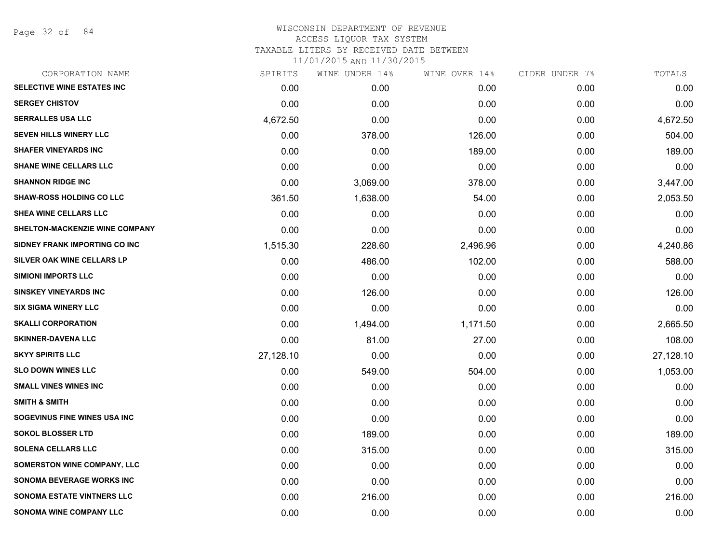Page 32 of 84

## WISCONSIN DEPARTMENT OF REVENUE ACCESS LIQUOR TAX SYSTEM TAXABLE LITERS BY RECEIVED DATE BETWEEN

| CORPORATION NAME                  | SPIRITS   | WINE UNDER 14% | WINE OVER 14% | CIDER UNDER 7% | TOTALS    |
|-----------------------------------|-----------|----------------|---------------|----------------|-----------|
| SELECTIVE WINE ESTATES INC        | 0.00      | 0.00           | 0.00          | 0.00           | 0.00      |
| <b>SERGEY CHISTOV</b>             | 0.00      | 0.00           | 0.00          | 0.00           | 0.00      |
| <b>SERRALLES USA LLC</b>          | 4,672.50  | 0.00           | 0.00          | 0.00           | 4,672.50  |
| SEVEN HILLS WINERY LLC            | 0.00      | 378.00         | 126.00        | 0.00           | 504.00    |
| <b>SHAFER VINEYARDS INC</b>       | 0.00      | 0.00           | 189.00        | 0.00           | 189.00    |
| <b>SHANE WINE CELLARS LLC</b>     | 0.00      | 0.00           | 0.00          | 0.00           | 0.00      |
| <b>SHANNON RIDGE INC</b>          | 0.00      | 3,069.00       | 378.00        | 0.00           | 3,447.00  |
| <b>SHAW-ROSS HOLDING CO LLC</b>   | 361.50    | 1,638.00       | 54.00         | 0.00           | 2,053.50  |
| <b>SHEA WINE CELLARS LLC</b>      | 0.00      | 0.00           | 0.00          | 0.00           | 0.00      |
| SHELTON-MACKENZIE WINE COMPANY    | 0.00      | 0.00           | 0.00          | 0.00           | 0.00      |
| SIDNEY FRANK IMPORTING CO INC     | 1,515.30  | 228.60         | 2,496.96      | 0.00           | 4,240.86  |
| SILVER OAK WINE CELLARS LP        | 0.00      | 486.00         | 102.00        | 0.00           | 588.00    |
| <b>SIMIONI IMPORTS LLC</b>        | 0.00      | 0.00           | 0.00          | 0.00           | 0.00      |
| <b>SINSKEY VINEYARDS INC</b>      | 0.00      | 126.00         | 0.00          | 0.00           | 126.00    |
| <b>SIX SIGMA WINERY LLC</b>       | 0.00      | 0.00           | 0.00          | 0.00           | 0.00      |
| <b>SKALLI CORPORATION</b>         | 0.00      | 1,494.00       | 1,171.50      | 0.00           | 2,665.50  |
| <b>SKINNER-DAVENA LLC</b>         | 0.00      | 81.00          | 27.00         | 0.00           | 108.00    |
| <b>SKYY SPIRITS LLC</b>           | 27,128.10 | 0.00           | 0.00          | 0.00           | 27,128.10 |
| <b>SLO DOWN WINES LLC</b>         | 0.00      | 549.00         | 504.00        | 0.00           | 1,053.00  |
| <b>SMALL VINES WINES INC</b>      | 0.00      | 0.00           | 0.00          | 0.00           | 0.00      |
| <b>SMITH &amp; SMITH</b>          | 0.00      | 0.00           | 0.00          | 0.00           | 0.00      |
| SOGEVINUS FINE WINES USA INC      | 0.00      | 0.00           | 0.00          | 0.00           | 0.00      |
| <b>SOKOL BLOSSER LTD</b>          | 0.00      | 189.00         | 0.00          | 0.00           | 189.00    |
| <b>SOLENA CELLARS LLC</b>         | 0.00      | 315.00         | 0.00          | 0.00           | 315.00    |
| SOMERSTON WINE COMPANY, LLC       | 0.00      | 0.00           | 0.00          | 0.00           | 0.00      |
| <b>SONOMA BEVERAGE WORKS INC</b>  | 0.00      | 0.00           | 0.00          | 0.00           | 0.00      |
| <b>SONOMA ESTATE VINTNERS LLC</b> | 0.00      | 216.00         | 0.00          | 0.00           | 216.00    |
| <b>SONOMA WINE COMPANY LLC</b>    | 0.00      | 0.00           | 0.00          | 0.00           | 0.00      |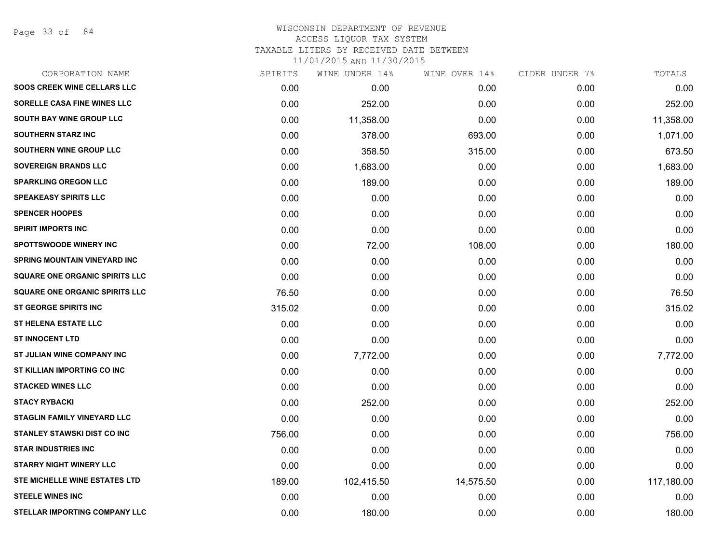Page 33 of 84

## WISCONSIN DEPARTMENT OF REVENUE ACCESS LIQUOR TAX SYSTEM TAXABLE LITERS BY RECEIVED DATE BETWEEN

| CORPORATION NAME                      | SPIRITS | WINE UNDER 14% | WINE OVER 14% | CIDER UNDER 7% | TOTALS     |
|---------------------------------------|---------|----------------|---------------|----------------|------------|
| <b>SOOS CREEK WINE CELLARS LLC</b>    | 0.00    | 0.00           | 0.00          | 0.00           | 0.00       |
| SORELLE CASA FINE WINES LLC           | 0.00    | 252.00         | 0.00          | 0.00           | 252.00     |
| <b>SOUTH BAY WINE GROUP LLC</b>       | 0.00    | 11,358.00      | 0.00          | 0.00           | 11,358.00  |
| <b>SOUTHERN STARZ INC</b>             | 0.00    | 378.00         | 693.00        | 0.00           | 1,071.00   |
| SOUTHERN WINE GROUP LLC               | 0.00    | 358.50         | 315.00        | 0.00           | 673.50     |
| <b>SOVEREIGN BRANDS LLC</b>           | 0.00    | 1,683.00       | 0.00          | 0.00           | 1,683.00   |
| <b>SPARKLING OREGON LLC</b>           | 0.00    | 189.00         | 0.00          | 0.00           | 189.00     |
| <b>SPEAKEASY SPIRITS LLC</b>          | 0.00    | 0.00           | 0.00          | 0.00           | 0.00       |
| <b>SPENCER HOOPES</b>                 | 0.00    | 0.00           | 0.00          | 0.00           | 0.00       |
| <b>SPIRIT IMPORTS INC</b>             | 0.00    | 0.00           | 0.00          | 0.00           | 0.00       |
| <b>SPOTTSWOODE WINERY INC</b>         | 0.00    | 72.00          | 108.00        | 0.00           | 180.00     |
| SPRING MOUNTAIN VINEYARD INC          | 0.00    | 0.00           | 0.00          | 0.00           | 0.00       |
| <b>SQUARE ONE ORGANIC SPIRITS LLC</b> | 0.00    | 0.00           | 0.00          | 0.00           | 0.00       |
| <b>SQUARE ONE ORGANIC SPIRITS LLC</b> | 76.50   | 0.00           | 0.00          | 0.00           | 76.50      |
| <b>ST GEORGE SPIRITS INC</b>          | 315.02  | 0.00           | 0.00          | 0.00           | 315.02     |
| <b>ST HELENA ESTATE LLC</b>           | 0.00    | 0.00           | 0.00          | 0.00           | 0.00       |
| <b>ST INNOCENT LTD</b>                | 0.00    | 0.00           | 0.00          | 0.00           | 0.00       |
| ST JULIAN WINE COMPANY INC            | 0.00    | 7,772.00       | 0.00          | 0.00           | 7,772.00   |
| ST KILLIAN IMPORTING CO INC           | 0.00    | 0.00           | 0.00          | 0.00           | 0.00       |
| <b>STACKED WINES LLC</b>              | 0.00    | 0.00           | 0.00          | 0.00           | 0.00       |
| <b>STACY RYBACKI</b>                  | 0.00    | 252.00         | 0.00          | 0.00           | 252.00     |
| <b>STAGLIN FAMILY VINEYARD LLC</b>    | 0.00    | 0.00           | 0.00          | 0.00           | 0.00       |
| STANLEY STAWSKI DIST CO INC           | 756.00  | 0.00           | 0.00          | 0.00           | 756.00     |
| <b>STAR INDUSTRIES INC</b>            | 0.00    | 0.00           | 0.00          | 0.00           | 0.00       |
| <b>STARRY NIGHT WINERY LLC</b>        | 0.00    | 0.00           | 0.00          | 0.00           | 0.00       |
| <b>STE MICHELLE WINE ESTATES LTD</b>  | 189.00  | 102,415.50     | 14,575.50     | 0.00           | 117,180.00 |
| <b>STEELE WINES INC</b>               | 0.00    | 0.00           | 0.00          | 0.00           | 0.00       |
| STELLAR IMPORTING COMPANY LLC         | 0.00    | 180.00         | 0.00          | 0.00           | 180.00     |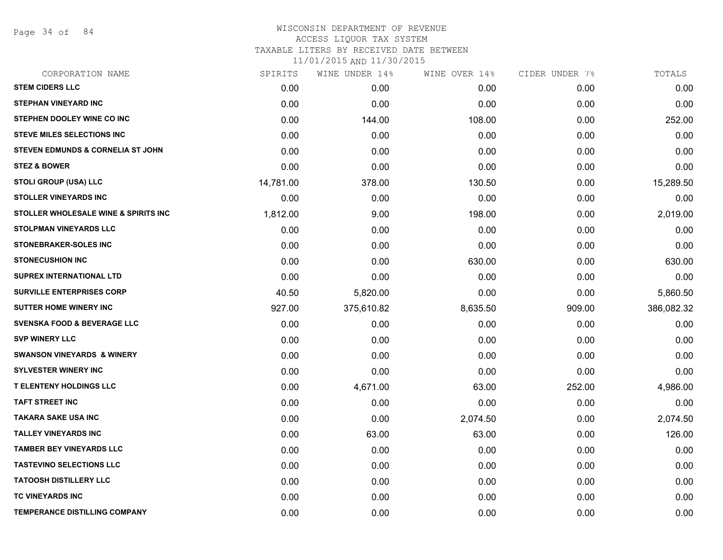Page 34 of 84

# WISCONSIN DEPARTMENT OF REVENUE ACCESS LIQUOR TAX SYSTEM TAXABLE LITERS BY RECEIVED DATE BETWEEN

| CORPORATION NAME                             | SPIRITS   | WINE UNDER 14% | WINE OVER 14% | CIDER UNDER 7% | TOTALS     |
|----------------------------------------------|-----------|----------------|---------------|----------------|------------|
| <b>STEM CIDERS LLC</b>                       | 0.00      | 0.00           | 0.00          | 0.00           | 0.00       |
| <b>STEPHAN VINEYARD INC</b>                  | 0.00      | 0.00           | 0.00          | 0.00           | 0.00       |
| STEPHEN DOOLEY WINE CO INC                   | 0.00      | 144.00         | 108.00        | 0.00           | 252.00     |
| <b>STEVE MILES SELECTIONS INC</b>            | 0.00      | 0.00           | 0.00          | 0.00           | 0.00       |
| <b>STEVEN EDMUNDS &amp; CORNELIA ST JOHN</b> | 0.00      | 0.00           | 0.00          | 0.00           | 0.00       |
| <b>STEZ &amp; BOWER</b>                      | 0.00      | 0.00           | 0.00          | 0.00           | 0.00       |
| STOLI GROUP (USA) LLC                        | 14,781.00 | 378.00         | 130.50        | 0.00           | 15,289.50  |
| <b>STOLLER VINEYARDS INC</b>                 | 0.00      | 0.00           | 0.00          | 0.00           | 0.00       |
| STOLLER WHOLESALE WINE & SPIRITS INC         | 1,812.00  | 9.00           | 198.00        | 0.00           | 2,019.00   |
| <b>STOLPMAN VINEYARDS LLC</b>                | 0.00      | 0.00           | 0.00          | 0.00           | 0.00       |
| STONEBRAKER-SOLES INC                        | 0.00      | 0.00           | 0.00          | 0.00           | 0.00       |
| <b>STONECUSHION INC</b>                      | 0.00      | 0.00           | 630.00        | 0.00           | 630.00     |
| <b>SUPREX INTERNATIONAL LTD</b>              | 0.00      | 0.00           | 0.00          | 0.00           | 0.00       |
| <b>SURVILLE ENTERPRISES CORP</b>             | 40.50     | 5,820.00       | 0.00          | 0.00           | 5,860.50   |
| <b>SUTTER HOME WINERY INC</b>                | 927.00    | 375,610.82     | 8,635.50      | 909.00         | 386,082.32 |
| <b>SVENSKA FOOD &amp; BEVERAGE LLC</b>       | 0.00      | 0.00           | 0.00          | 0.00           | 0.00       |
| <b>SVP WINERY LLC</b>                        | 0.00      | 0.00           | 0.00          | 0.00           | 0.00       |
| <b>SWANSON VINEYARDS &amp; WINERY</b>        | 0.00      | 0.00           | 0.00          | 0.00           | 0.00       |
| <b>SYLVESTER WINERY INC</b>                  | 0.00      | 0.00           | 0.00          | 0.00           | 0.00       |
| <b>T ELENTENY HOLDINGS LLC</b>               | 0.00      | 4,671.00       | 63.00         | 252.00         | 4,986.00   |
| <b>TAFT STREET INC</b>                       | 0.00      | 0.00           | 0.00          | 0.00           | 0.00       |
| <b>TAKARA SAKE USA INC</b>                   | 0.00      | 0.00           | 2,074.50      | 0.00           | 2,074.50   |
| <b>TALLEY VINEYARDS INC</b>                  | 0.00      | 63.00          | 63.00         | 0.00           | 126.00     |
| <b>TAMBER BEY VINEYARDS LLC</b>              | 0.00      | 0.00           | 0.00          | 0.00           | 0.00       |
| <b>TASTEVINO SELECTIONS LLC</b>              | 0.00      | 0.00           | 0.00          | 0.00           | 0.00       |
| <b>TATOOSH DISTILLERY LLC</b>                | 0.00      | 0.00           | 0.00          | 0.00           | 0.00       |
| TC VINEYARDS INC                             | 0.00      | 0.00           | 0.00          | 0.00           | 0.00       |
| <b>TEMPERANCE DISTILLING COMPANY</b>         | 0.00      | 0.00           | 0.00          | 0.00           | 0.00       |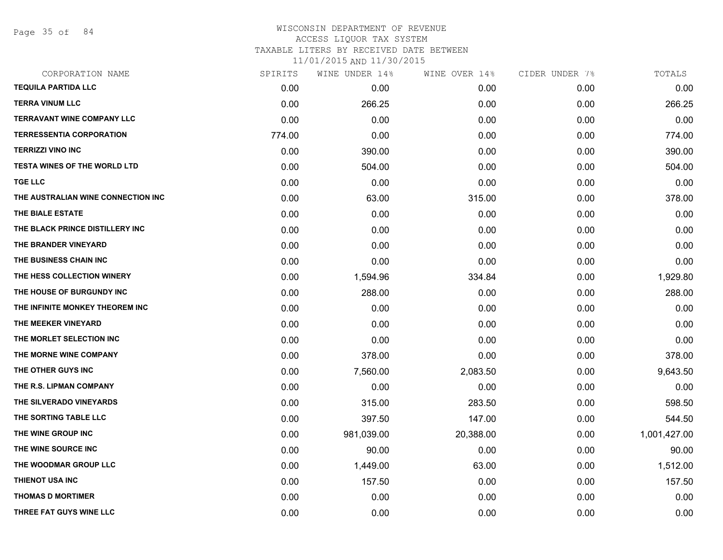Page 35 of 84

## WISCONSIN DEPARTMENT OF REVENUE ACCESS LIQUOR TAX SYSTEM

TAXABLE LITERS BY RECEIVED DATE BETWEEN

| CORPORATION NAME                    | SPIRITS | WINE UNDER 14% | WINE OVER 14% | CIDER UNDER 7% | TOTALS       |
|-------------------------------------|---------|----------------|---------------|----------------|--------------|
| <b>TEQUILA PARTIDA LLC</b>          | 0.00    | 0.00           | 0.00          | 0.00           | 0.00         |
| <b>TERRA VINUM LLC</b>              | 0.00    | 266.25         | 0.00          | 0.00           | 266.25       |
| <b>TERRAVANT WINE COMPANY LLC</b>   | 0.00    | 0.00           | 0.00          | 0.00           | 0.00         |
| <b>TERRESSENTIA CORPORATION</b>     | 774.00  | 0.00           | 0.00          | 0.00           | 774.00       |
| <b>TERRIZZI VINO INC</b>            | 0.00    | 390.00         | 0.00          | 0.00           | 390.00       |
| <b>TESTA WINES OF THE WORLD LTD</b> | 0.00    | 504.00         | 0.00          | 0.00           | 504.00       |
| <b>TGE LLC</b>                      | 0.00    | 0.00           | 0.00          | 0.00           | 0.00         |
| THE AUSTRALIAN WINE CONNECTION INC  | 0.00    | 63.00          | 315.00        | 0.00           | 378.00       |
| THE BIALE ESTATE                    | 0.00    | 0.00           | 0.00          | 0.00           | 0.00         |
| THE BLACK PRINCE DISTILLERY INC     | 0.00    | 0.00           | 0.00          | 0.00           | 0.00         |
| THE BRANDER VINEYARD                | 0.00    | 0.00           | 0.00          | 0.00           | 0.00         |
| THE BUSINESS CHAIN INC              | 0.00    | 0.00           | 0.00          | 0.00           | 0.00         |
| THE HESS COLLECTION WINERY          | 0.00    | 1,594.96       | 334.84        | 0.00           | 1,929.80     |
| THE HOUSE OF BURGUNDY INC           | 0.00    | 288.00         | 0.00          | 0.00           | 288.00       |
| THE INFINITE MONKEY THEOREM INC     | 0.00    | 0.00           | 0.00          | 0.00           | 0.00         |
| THE MEEKER VINEYARD                 | 0.00    | 0.00           | 0.00          | 0.00           | 0.00         |
| THE MORLET SELECTION INC            | 0.00    | 0.00           | 0.00          | 0.00           | 0.00         |
| THE MORNE WINE COMPANY              | 0.00    | 378.00         | 0.00          | 0.00           | 378.00       |
| THE OTHER GUYS INC                  | 0.00    | 7,560.00       | 2,083.50      | 0.00           | 9,643.50     |
| THE R.S. LIPMAN COMPANY             | 0.00    | 0.00           | 0.00          | 0.00           | 0.00         |
| THE SILVERADO VINEYARDS             | 0.00    | 315.00         | 283.50        | 0.00           | 598.50       |
| THE SORTING TABLE LLC               | 0.00    | 397.50         | 147.00        | 0.00           | 544.50       |
| THE WINE GROUP INC                  | 0.00    | 981,039.00     | 20,388.00     | 0.00           | 1,001,427.00 |
| THE WINE SOURCE INC                 | 0.00    | 90.00          | 0.00          | 0.00           | 90.00        |
| THE WOODMAR GROUP LLC               | 0.00    | 1,449.00       | 63.00         | 0.00           | 1,512.00     |
| <b>THIENOT USA INC</b>              | 0.00    | 157.50         | 0.00          | 0.00           | 157.50       |
| <b>THOMAS D MORTIMER</b>            | 0.00    | 0.00           | 0.00          | 0.00           | 0.00         |
| THREE FAT GUYS WINE LLC             | 0.00    | 0.00           | 0.00          | 0.00           | 0.00         |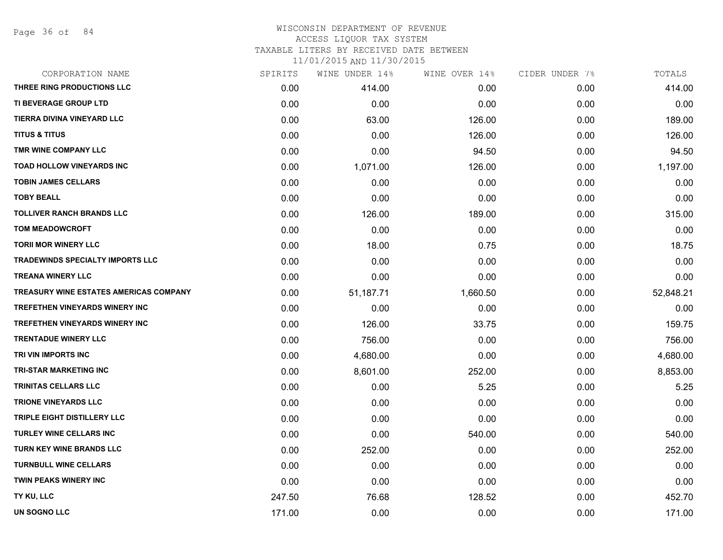Page 36 of 84

## WISCONSIN DEPARTMENT OF REVENUE ACCESS LIQUOR TAX SYSTEM TAXABLE LITERS BY RECEIVED DATE BETWEEN

| CORPORATION NAME                       | SPIRITS | WINE UNDER 14% | WINE OVER 14% | CIDER UNDER 7% | TOTALS    |
|----------------------------------------|---------|----------------|---------------|----------------|-----------|
| THREE RING PRODUCTIONS LLC             | 0.00    | 414.00         | 0.00          | 0.00           | 414.00    |
| TI BEVERAGE GROUP LTD                  | 0.00    | 0.00           | 0.00          | 0.00           | 0.00      |
| TIERRA DIVINA VINEYARD LLC             | 0.00    | 63.00          | 126.00        | 0.00           | 189.00    |
| <b>TITUS &amp; TITUS</b>               | 0.00    | 0.00           | 126.00        | 0.00           | 126.00    |
| TMR WINE COMPANY LLC                   | 0.00    | 0.00           | 94.50         | 0.00           | 94.50     |
| <b>TOAD HOLLOW VINEYARDS INC</b>       | 0.00    | 1,071.00       | 126.00        | 0.00           | 1,197.00  |
| <b>TOBIN JAMES CELLARS</b>             | 0.00    | 0.00           | 0.00          | 0.00           | 0.00      |
| <b>TOBY BEALL</b>                      | 0.00    | 0.00           | 0.00          | 0.00           | 0.00      |
| <b>TOLLIVER RANCH BRANDS LLC</b>       | 0.00    | 126.00         | 189.00        | 0.00           | 315.00    |
| <b>TOM MEADOWCROFT</b>                 | 0.00    | 0.00           | 0.00          | 0.00           | 0.00      |
| <b>TORII MOR WINERY LLC</b>            | 0.00    | 18.00          | 0.75          | 0.00           | 18.75     |
| TRADEWINDS SPECIALTY IMPORTS LLC       | 0.00    | 0.00           | 0.00          | 0.00           | 0.00      |
| <b>TREANA WINERY LLC</b>               | 0.00    | 0.00           | 0.00          | 0.00           | 0.00      |
| TREASURY WINE ESTATES AMERICAS COMPANY | 0.00    | 51,187.71      | 1,660.50      | 0.00           | 52,848.21 |
| TREFETHEN VINEYARDS WINERY INC         | 0.00    | 0.00           | 0.00          | 0.00           | 0.00      |
| TREFETHEN VINEYARDS WINERY INC         | 0.00    | 126.00         | 33.75         | 0.00           | 159.75    |
| <b>TRENTADUE WINERY LLC</b>            | 0.00    | 756.00         | 0.00          | 0.00           | 756.00    |
| TRI VIN IMPORTS INC                    | 0.00    | 4,680.00       | 0.00          | 0.00           | 4,680.00  |
| TRI-STAR MARKETING INC                 | 0.00    | 8,601.00       | 252.00        | 0.00           | 8,853.00  |
| <b>TRINITAS CELLARS LLC</b>            | 0.00    | 0.00           | 5.25          | 0.00           | 5.25      |
| <b>TRIONE VINEYARDS LLC</b>            | 0.00    | 0.00           | 0.00          | 0.00           | 0.00      |
| TRIPLE EIGHT DISTILLERY LLC            | 0.00    | 0.00           | 0.00          | 0.00           | 0.00      |
| <b>TURLEY WINE CELLARS INC</b>         | 0.00    | 0.00           | 540.00        | 0.00           | 540.00    |
| TURN KEY WINE BRANDS LLC               | 0.00    | 252.00         | 0.00          | 0.00           | 252.00    |
| <b>TURNBULL WINE CELLARS</b>           | 0.00    | 0.00           | 0.00          | 0.00           | 0.00      |
| <b>TWIN PEAKS WINERY INC</b>           | 0.00    | 0.00           | 0.00          | 0.00           | 0.00      |
| TY KU, LLC                             | 247.50  | 76.68          | 128.52        | 0.00           | 452.70    |
| UN SOGNO LLC                           | 171.00  | 0.00           | 0.00          | 0.00           | 171.00    |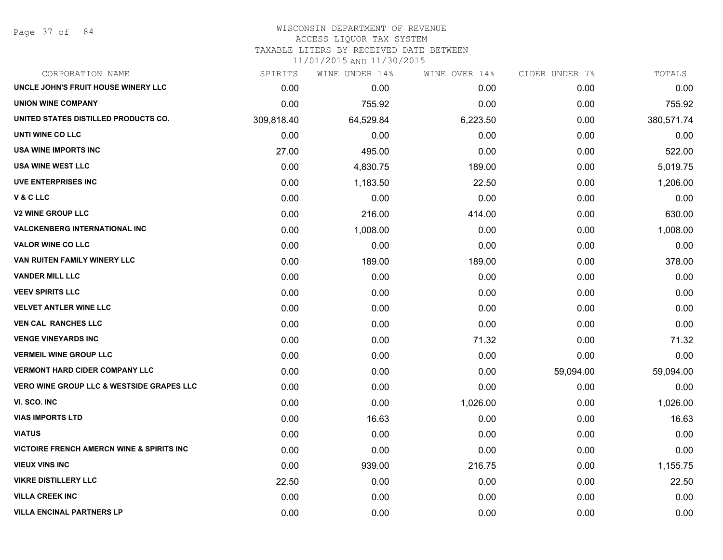Page 37 of 84

### WISCONSIN DEPARTMENT OF REVENUE ACCESS LIQUOR TAX SYSTEM TAXABLE LITERS BY RECEIVED DATE BETWEEN

| CORPORATION NAME                                     | SPIRITS    | WINE UNDER 14% | WINE OVER 14% | CIDER UNDER 7% | TOTALS     |
|------------------------------------------------------|------------|----------------|---------------|----------------|------------|
| UNCLE JOHN'S FRUIT HOUSE WINERY LLC                  | 0.00       | 0.00           | 0.00          | 0.00           | 0.00       |
| <b>UNION WINE COMPANY</b>                            | 0.00       | 755.92         | 0.00          | 0.00           | 755.92     |
| UNITED STATES DISTILLED PRODUCTS CO.                 | 309,818.40 | 64,529.84      | 6,223.50      | 0.00           | 380,571.74 |
| UNTI WINE CO LLC                                     | 0.00       | 0.00           | 0.00          | 0.00           | 0.00       |
| <b>USA WINE IMPORTS INC</b>                          | 27.00      | 495.00         | 0.00          | 0.00           | 522.00     |
| <b>USA WINE WEST LLC</b>                             | 0.00       | 4,830.75       | 189.00        | 0.00           | 5,019.75   |
| <b>UVE ENTERPRISES INC</b>                           | 0.00       | 1,183.50       | 22.50         | 0.00           | 1,206.00   |
| V & C LLC                                            | 0.00       | 0.00           | 0.00          | 0.00           | 0.00       |
| <b>V2 WINE GROUP LLC</b>                             | 0.00       | 216.00         | 414.00        | 0.00           | 630.00     |
| <b>VALCKENBERG INTERNATIONAL INC</b>                 | 0.00       | 1,008.00       | 0.00          | 0.00           | 1,008.00   |
| <b>VALOR WINE CO LLC</b>                             | 0.00       | 0.00           | 0.00          | 0.00           | 0.00       |
| VAN RUITEN FAMILY WINERY LLC                         | 0.00       | 189.00         | 189.00        | 0.00           | 378.00     |
| <b>VANDER MILL LLC</b>                               | 0.00       | 0.00           | 0.00          | 0.00           | 0.00       |
| <b>VEEV SPIRITS LLC</b>                              | 0.00       | 0.00           | 0.00          | 0.00           | 0.00       |
| <b>VELVET ANTLER WINE LLC</b>                        | 0.00       | 0.00           | 0.00          | 0.00           | 0.00       |
| <b>VEN CAL RANCHES LLC</b>                           | 0.00       | 0.00           | 0.00          | 0.00           | 0.00       |
| <b>VENGE VINEYARDS INC</b>                           | 0.00       | 0.00           | 71.32         | 0.00           | 71.32      |
| <b>VERMEIL WINE GROUP LLC</b>                        | 0.00       | 0.00           | 0.00          | 0.00           | 0.00       |
| <b>VERMONT HARD CIDER COMPANY LLC</b>                | 0.00       | 0.00           | 0.00          | 59,094.00      | 59,094.00  |
| <b>VERO WINE GROUP LLC &amp; WESTSIDE GRAPES LLC</b> | 0.00       | 0.00           | 0.00          | 0.00           | 0.00       |
| VI. SCO. INC                                         | 0.00       | 0.00           | 1,026.00      | 0.00           | 1,026.00   |
| <b>VIAS IMPORTS LTD</b>                              | 0.00       | 16.63          | 0.00          | 0.00           | 16.63      |
| <b>VIATUS</b>                                        | 0.00       | 0.00           | 0.00          | 0.00           | 0.00       |
| <b>VICTOIRE FRENCH AMERCN WINE &amp; SPIRITS INC</b> | 0.00       | 0.00           | 0.00          | 0.00           | 0.00       |
| <b>VIEUX VINS INC</b>                                | 0.00       | 939.00         | 216.75        | 0.00           | 1,155.75   |
| <b>VIKRE DISTILLERY LLC</b>                          | 22.50      | 0.00           | 0.00          | 0.00           | 22.50      |
| <b>VILLA CREEK INC</b>                               | 0.00       | 0.00           | 0.00          | 0.00           | 0.00       |
| <b>VILLA ENCINAL PARTNERS LP</b>                     | 0.00       | 0.00           | 0.00          | 0.00           | 0.00       |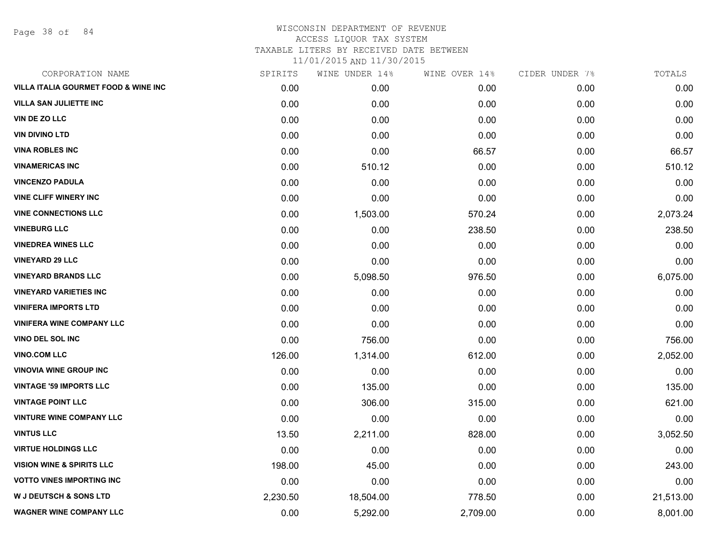Page 38 of 84

| CORPORATION NAME                                | SPIRITS  | WINE UNDER 14% | WINE OVER 14% | CIDER UNDER 7% | TOTALS    |
|-------------------------------------------------|----------|----------------|---------------|----------------|-----------|
| <b>VILLA ITALIA GOURMET FOOD &amp; WINE INC</b> | 0.00     | 0.00           | 0.00          | 0.00           | 0.00      |
| <b>VILLA SAN JULIETTE INC</b>                   | 0.00     | 0.00           | 0.00          | 0.00           | 0.00      |
| <b>VIN DE ZO LLC</b>                            | 0.00     | 0.00           | 0.00          | 0.00           | 0.00      |
| <b>VIN DIVINO LTD</b>                           | 0.00     | 0.00           | 0.00          | 0.00           | 0.00      |
| <b>VINA ROBLES INC</b>                          | 0.00     | 0.00           | 66.57         | 0.00           | 66.57     |
| <b>VINAMERICAS INC</b>                          | 0.00     | 510.12         | 0.00          | 0.00           | 510.12    |
| <b>VINCENZO PADULA</b>                          | 0.00     | 0.00           | 0.00          | 0.00           | 0.00      |
| <b>VINE CLIFF WINERY INC</b>                    | 0.00     | 0.00           | 0.00          | 0.00           | 0.00      |
| <b>VINE CONNECTIONS LLC</b>                     | 0.00     | 1,503.00       | 570.24        | 0.00           | 2,073.24  |
| <b>VINEBURG LLC</b>                             | 0.00     | 0.00           | 238.50        | 0.00           | 238.50    |
| <b>VINEDREA WINES LLC</b>                       | 0.00     | 0.00           | 0.00          | 0.00           | 0.00      |
| <b>VINEYARD 29 LLC</b>                          | 0.00     | 0.00           | 0.00          | 0.00           | 0.00      |
| <b>VINEYARD BRANDS LLC</b>                      | 0.00     | 5,098.50       | 976.50        | 0.00           | 6,075.00  |
| <b>VINEYARD VARIETIES INC</b>                   | 0.00     | 0.00           | 0.00          | 0.00           | 0.00      |
| <b>VINIFERA IMPORTS LTD</b>                     | 0.00     | 0.00           | 0.00          | 0.00           | 0.00      |
| <b>VINIFERA WINE COMPANY LLC</b>                | 0.00     | 0.00           | 0.00          | 0.00           | 0.00      |
| VINO DEL SOL INC                                | 0.00     | 756.00         | 0.00          | 0.00           | 756.00    |
| <b>VINO.COM LLC</b>                             | 126.00   | 1,314.00       | 612.00        | 0.00           | 2,052.00  |
| <b>VINOVIA WINE GROUP INC</b>                   | 0.00     | 0.00           | 0.00          | 0.00           | 0.00      |
| <b>VINTAGE '59 IMPORTS LLC</b>                  | 0.00     | 135.00         | 0.00          | 0.00           | 135.00    |
| <b>VINTAGE POINT LLC</b>                        | 0.00     | 306.00         | 315.00        | 0.00           | 621.00    |
| <b>VINTURE WINE COMPANY LLC</b>                 | 0.00     | 0.00           | 0.00          | 0.00           | 0.00      |
| <b>VINTUS LLC</b>                               | 13.50    | 2,211.00       | 828.00        | 0.00           | 3,052.50  |
| <b>VIRTUE HOLDINGS LLC</b>                      | 0.00     | 0.00           | 0.00          | 0.00           | 0.00      |
| <b>VISION WINE &amp; SPIRITS LLC</b>            | 198.00   | 45.00          | 0.00          | 0.00           | 243.00    |
| <b>VOTTO VINES IMPORTING INC</b>                | 0.00     | 0.00           | 0.00          | 0.00           | 0.00      |
| <b>W J DEUTSCH &amp; SONS LTD</b>               | 2,230.50 | 18,504.00      | 778.50        | 0.00           | 21,513.00 |
| <b>WAGNER WINE COMPANY LLC</b>                  | 0.00     | 5,292.00       | 2,709.00      | 0.00           | 8,001.00  |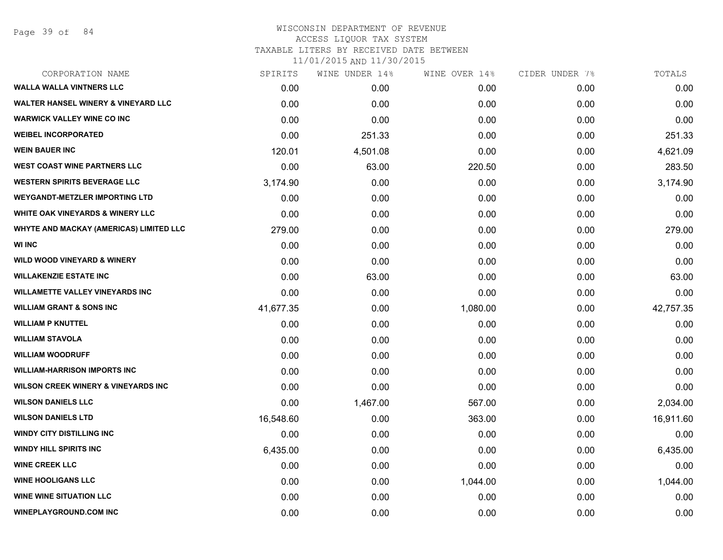Page 39 of 84

| CORPORATION NAME                               | SPIRITS   | WINE UNDER 14% | WINE OVER 14% | CIDER UNDER 7% | TOTALS    |
|------------------------------------------------|-----------|----------------|---------------|----------------|-----------|
| <b>WALLA WALLA VINTNERS LLC</b>                | 0.00      | 0.00           | 0.00          | 0.00           | 0.00      |
| <b>WALTER HANSEL WINERY &amp; VINEYARD LLC</b> | 0.00      | 0.00           | 0.00          | 0.00           | 0.00      |
| <b>WARWICK VALLEY WINE CO INC</b>              | 0.00      | 0.00           | 0.00          | 0.00           | 0.00      |
| <b>WEIBEL INCORPORATED</b>                     | 0.00      | 251.33         | 0.00          | 0.00           | 251.33    |
| <b>WEIN BAUER INC</b>                          | 120.01    | 4,501.08       | 0.00          | 0.00           | 4,621.09  |
| <b>WEST COAST WINE PARTNERS LLC</b>            | 0.00      | 63.00          | 220.50        | 0.00           | 283.50    |
| <b>WESTERN SPIRITS BEVERAGE LLC</b>            | 3,174.90  | 0.00           | 0.00          | 0.00           | 3,174.90  |
| WEYGANDT-METZLER IMPORTING LTD                 | 0.00      | 0.00           | 0.00          | 0.00           | 0.00      |
| <b>WHITE OAK VINEYARDS &amp; WINERY LLC</b>    | 0.00      | 0.00           | 0.00          | 0.00           | 0.00      |
| <b>WHYTE AND MACKAY (AMERICAS) LIMITED LLC</b> | 279.00    | 0.00           | 0.00          | 0.00           | 279.00    |
| <b>WI INC</b>                                  | 0.00      | 0.00           | 0.00          | 0.00           | 0.00      |
| <b>WILD WOOD VINEYARD &amp; WINERY</b>         | 0.00      | 0.00           | 0.00          | 0.00           | 0.00      |
| <b>WILLAKENZIE ESTATE INC</b>                  | 0.00      | 63.00          | 0.00          | 0.00           | 63.00     |
| <b>WILLAMETTE VALLEY VINEYARDS INC</b>         | 0.00      | 0.00           | 0.00          | 0.00           | 0.00      |
| <b>WILLIAM GRANT &amp; SONS INC</b>            | 41,677.35 | 0.00           | 1,080.00      | 0.00           | 42,757.35 |
| <b>WILLIAM P KNUTTEL</b>                       | 0.00      | 0.00           | 0.00          | 0.00           | 0.00      |
| <b>WILLIAM STAVOLA</b>                         | 0.00      | 0.00           | 0.00          | 0.00           | 0.00      |
| <b>WILLIAM WOODRUFF</b>                        | 0.00      | 0.00           | 0.00          | 0.00           | 0.00      |
| <b>WILLIAM-HARRISON IMPORTS INC</b>            | 0.00      | 0.00           | 0.00          | 0.00           | 0.00      |
| <b>WILSON CREEK WINERY &amp; VINEYARDS INC</b> | 0.00      | 0.00           | 0.00          | 0.00           | 0.00      |
| <b>WILSON DANIELS LLC</b>                      | 0.00      | 1,467.00       | 567.00        | 0.00           | 2,034.00  |
| <b>WILSON DANIELS LTD</b>                      | 16,548.60 | 0.00           | 363.00        | 0.00           | 16,911.60 |
| <b>WINDY CITY DISTILLING INC</b>               | 0.00      | 0.00           | 0.00          | 0.00           | 0.00      |
| <b>WINDY HILL SPIRITS INC</b>                  | 6,435.00  | 0.00           | 0.00          | 0.00           | 6,435.00  |
| <b>WINE CREEK LLC</b>                          | 0.00      | 0.00           | 0.00          | 0.00           | 0.00      |
| <b>WINE HOOLIGANS LLC</b>                      | 0.00      | 0.00           | 1,044.00      | 0.00           | 1,044.00  |
| <b>WINE WINE SITUATION LLC</b>                 | 0.00      | 0.00           | 0.00          | 0.00           | 0.00      |
| <b>WINEPLAYGROUND.COM INC</b>                  | 0.00      | 0.00           | 0.00          | 0.00           | 0.00      |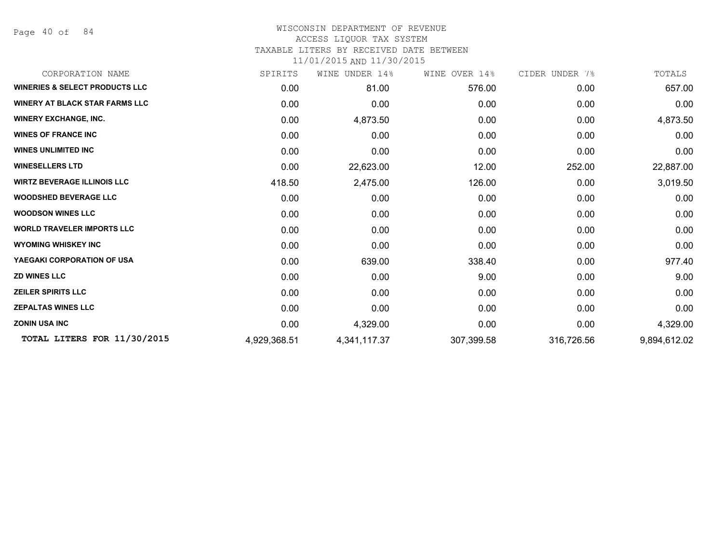Page 40 of 84

### WISCONSIN DEPARTMENT OF REVENUE ACCESS LIQUOR TAX SYSTEM TAXABLE LITERS BY RECEIVED DATE BETWEEN

| CORPORATION NAME                          | SPIRITS      | WINE UNDER 14% | WINE OVER 14% | CIDER UNDER 7% | TOTALS       |
|-------------------------------------------|--------------|----------------|---------------|----------------|--------------|
| <b>WINERIES &amp; SELECT PRODUCTS LLC</b> | 0.00         | 81.00          | 576.00        | 0.00           | 657.00       |
| <b>WINERY AT BLACK STAR FARMS LLC</b>     | 0.00         | 0.00           | 0.00          | 0.00           | 0.00         |
| <b>WINERY EXCHANGE, INC.</b>              | 0.00         | 4,873.50       | 0.00          | 0.00           | 4,873.50     |
| <b>WINES OF FRANCE INC</b>                | 0.00         | 0.00           | 0.00          | 0.00           | 0.00         |
| <b>WINES UNLIMITED INC</b>                | 0.00         | 0.00           | 0.00          | 0.00           | 0.00         |
| <b>WINESELLERS LTD</b>                    | 0.00         | 22,623.00      | 12.00         | 252.00         | 22,887.00    |
| <b>WIRTZ BEVERAGE ILLINOIS LLC</b>        | 418.50       | 2,475.00       | 126.00        | 0.00           | 3,019.50     |
| <b>WOODSHED BEVERAGE LLC</b>              | 0.00         | 0.00           | 0.00          | 0.00           | 0.00         |
| <b>WOODSON WINES LLC</b>                  | 0.00         | 0.00           | 0.00          | 0.00           | 0.00         |
| <b>WORLD TRAVELER IMPORTS LLC</b>         | 0.00         | 0.00           | 0.00          | 0.00           | 0.00         |
| <b>WYOMING WHISKEY INC</b>                | 0.00         | 0.00           | 0.00          | 0.00           | 0.00         |
| YAEGAKI CORPORATION OF USA                | 0.00         | 639.00         | 338.40        | 0.00           | 977.40       |
| <b>ZD WINES LLC</b>                       | 0.00         | 0.00           | 9.00          | 0.00           | 9.00         |
| <b>ZEILER SPIRITS LLC</b>                 | 0.00         | 0.00           | 0.00          | 0.00           | 0.00         |
| <b>ZEPALTAS WINES LLC</b>                 | 0.00         | 0.00           | 0.00          | 0.00           | 0.00         |
| <b>ZONIN USA INC</b>                      | 0.00         | 4,329.00       | 0.00          | 0.00           | 4,329.00     |
| TOTAL LITERS FOR 11/30/2015               | 4,929,368.51 | 4,341,117.37   | 307,399.58    | 316,726.56     | 9,894,612.02 |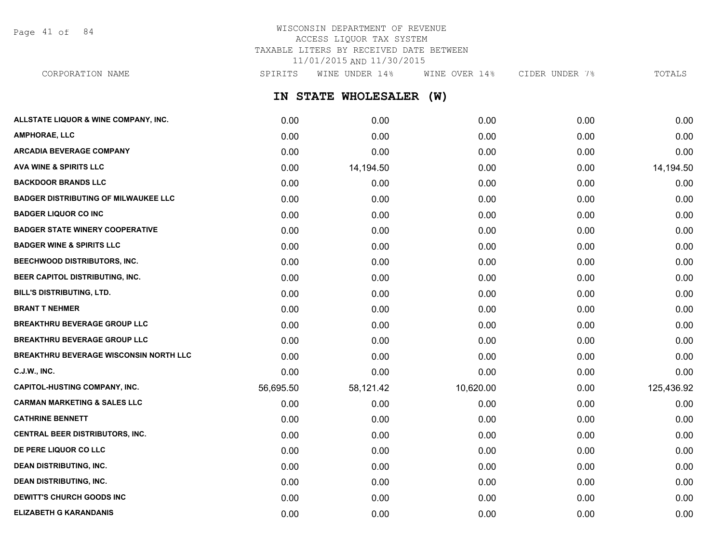Page 41 of 84

## WISCONSIN DEPARTMENT OF REVENUE ACCESS LIQUOR TAX SYSTEM TAXABLE LITERS BY RECEIVED DATE BETWEEN 11/01/2015 AND 11/30/2015

CORPORATION NAME SPIRITS WINE UNDER 14% WINE OVER 14% CIDER UNDER 7% TOTALS

**IN STATE WHOLESALER (W)**

| ALLSTATE LIQUOR & WINE COMPANY, INC.          | 0.00      | 0.00      | 0.00      | 0.00 | 0.00       |
|-----------------------------------------------|-----------|-----------|-----------|------|------------|
| <b>AMPHORAE, LLC</b>                          | 0.00      | 0.00      | 0.00      | 0.00 | 0.00       |
| <b>ARCADIA BEVERAGE COMPANY</b>               | 0.00      | 0.00      | 0.00      | 0.00 | 0.00       |
| <b>AVA WINE &amp; SPIRITS LLC</b>             | 0.00      | 14,194.50 | 0.00      | 0.00 | 14,194.50  |
| <b>BACKDOOR BRANDS LLC</b>                    | 0.00      | 0.00      | 0.00      | 0.00 | 0.00       |
| <b>BADGER DISTRIBUTING OF MILWAUKEE LLC</b>   | 0.00      | 0.00      | 0.00      | 0.00 | 0.00       |
| <b>BADGER LIQUOR CO INC</b>                   | 0.00      | 0.00      | 0.00      | 0.00 | 0.00       |
| <b>BADGER STATE WINERY COOPERATIVE</b>        | 0.00      | 0.00      | 0.00      | 0.00 | 0.00       |
| <b>BADGER WINE &amp; SPIRITS LLC</b>          | 0.00      | 0.00      | 0.00      | 0.00 | 0.00       |
| <b>BEECHWOOD DISTRIBUTORS, INC.</b>           | 0.00      | 0.00      | 0.00      | 0.00 | 0.00       |
| BEER CAPITOL DISTRIBUTING, INC.               | 0.00      | 0.00      | 0.00      | 0.00 | 0.00       |
| <b>BILL'S DISTRIBUTING, LTD.</b>              | 0.00      | 0.00      | 0.00      | 0.00 | 0.00       |
| <b>BRANT T NEHMER</b>                         | 0.00      | 0.00      | 0.00      | 0.00 | 0.00       |
| <b>BREAKTHRU BEVERAGE GROUP LLC</b>           | 0.00      | 0.00      | 0.00      | 0.00 | 0.00       |
| <b>BREAKTHRU BEVERAGE GROUP LLC</b>           | 0.00      | 0.00      | 0.00      | 0.00 | 0.00       |
| <b>BREAKTHRU BEVERAGE WISCONSIN NORTH LLC</b> | 0.00      | 0.00      | 0.00      | 0.00 | 0.00       |
| <b>C.J.W., INC.</b>                           | 0.00      | 0.00      | 0.00      | 0.00 | 0.00       |
| <b>CAPITOL-HUSTING COMPANY, INC.</b>          | 56,695.50 | 58,121.42 | 10,620.00 | 0.00 | 125,436.92 |
| <b>CARMAN MARKETING &amp; SALES LLC</b>       | 0.00      | 0.00      | 0.00      | 0.00 | 0.00       |
| <b>CATHRINE BENNETT</b>                       | 0.00      | 0.00      | 0.00      | 0.00 | 0.00       |
| <b>CENTRAL BEER DISTRIBUTORS, INC.</b>        | 0.00      | 0.00      | 0.00      | 0.00 | 0.00       |
| DE PERE LIQUOR CO LLC                         | 0.00      | 0.00      | 0.00      | 0.00 | 0.00       |
| <b>DEAN DISTRIBUTING, INC.</b>                | 0.00      | 0.00      | 0.00      | 0.00 | 0.00       |
| <b>DEAN DISTRIBUTING, INC.</b>                | 0.00      | 0.00      | 0.00      | 0.00 | 0.00       |
| DEWITT'S CHURCH GOODS INC                     | 0.00      | 0.00      | 0.00      | 0.00 | 0.00       |
| <b>ELIZABETH G KARANDANIS</b>                 | 0.00      | 0.00      | 0.00      | 0.00 | 0.00       |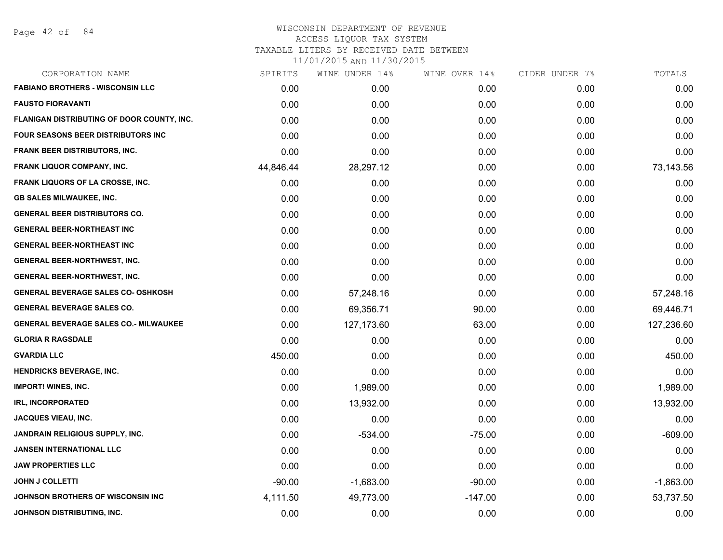## WISCONSIN DEPARTMENT OF REVENUE ACCESS LIQUOR TAX SYSTEM TAXABLE LITERS BY RECEIVED DATE BETWEEN

| CORPORATION NAME                             | SPIRITS   | WINE UNDER 14% | WINE OVER 14% | CIDER UNDER 7% | TOTALS      |
|----------------------------------------------|-----------|----------------|---------------|----------------|-------------|
| <b>FABIANO BROTHERS - WISCONSIN LLC</b>      | 0.00      | 0.00           | 0.00          | 0.00           | 0.00        |
| <b>FAUSTO FIORAVANTI</b>                     | 0.00      | 0.00           | 0.00          | 0.00           | 0.00        |
| FLANIGAN DISTRIBUTING OF DOOR COUNTY, INC.   | 0.00      | 0.00           | 0.00          | 0.00           | 0.00        |
| FOUR SEASONS BEER DISTRIBUTORS INC           | 0.00      | 0.00           | 0.00          | 0.00           | 0.00        |
| <b>FRANK BEER DISTRIBUTORS, INC.</b>         | 0.00      | 0.00           | 0.00          | 0.00           | 0.00        |
| FRANK LIQUOR COMPANY, INC.                   | 44,846.44 | 28,297.12      | 0.00          | 0.00           | 73,143.56   |
| FRANK LIQUORS OF LA CROSSE, INC.             | 0.00      | 0.00           | 0.00          | 0.00           | 0.00        |
| <b>GB SALES MILWAUKEE, INC.</b>              | 0.00      | 0.00           | 0.00          | 0.00           | 0.00        |
| <b>GENERAL BEER DISTRIBUTORS CO.</b>         | 0.00      | 0.00           | 0.00          | 0.00           | 0.00        |
| <b>GENERAL BEER-NORTHEAST INC</b>            | 0.00      | 0.00           | 0.00          | 0.00           | 0.00        |
| <b>GENERAL BEER-NORTHEAST INC</b>            | 0.00      | 0.00           | 0.00          | 0.00           | 0.00        |
| <b>GENERAL BEER-NORTHWEST, INC.</b>          | 0.00      | 0.00           | 0.00          | 0.00           | 0.00        |
| <b>GENERAL BEER-NORTHWEST, INC.</b>          | 0.00      | 0.00           | 0.00          | 0.00           | 0.00        |
| <b>GENERAL BEVERAGE SALES CO- OSHKOSH</b>    | 0.00      | 57,248.16      | 0.00          | 0.00           | 57,248.16   |
| <b>GENERAL BEVERAGE SALES CO.</b>            | 0.00      | 69,356.71      | 90.00         | 0.00           | 69,446.71   |
| <b>GENERAL BEVERAGE SALES CO.- MILWAUKEE</b> | 0.00      | 127,173.60     | 63.00         | 0.00           | 127,236.60  |
| <b>GLORIA R RAGSDALE</b>                     | 0.00      | 0.00           | 0.00          | 0.00           | 0.00        |
| <b>GVARDIA LLC</b>                           | 450.00    | 0.00           | 0.00          | 0.00           | 450.00      |
| <b>HENDRICKS BEVERAGE, INC.</b>              | 0.00      | 0.00           | 0.00          | 0.00           | 0.00        |
| <b>IMPORT! WINES, INC.</b>                   | 0.00      | 1,989.00       | 0.00          | 0.00           | 1,989.00    |
| <b>IRL, INCORPORATED</b>                     | 0.00      | 13,932.00      | 0.00          | 0.00           | 13,932.00   |
| <b>JACQUES VIEAU, INC.</b>                   | 0.00      | 0.00           | 0.00          | 0.00           | 0.00        |
| <b>JANDRAIN RELIGIOUS SUPPLY, INC.</b>       | 0.00      | $-534.00$      | $-75.00$      | 0.00           | $-609.00$   |
| <b>JANSEN INTERNATIONAL LLC</b>              | 0.00      | 0.00           | 0.00          | 0.00           | 0.00        |
| <b>JAW PROPERTIES LLC</b>                    | 0.00      | 0.00           | 0.00          | 0.00           | 0.00        |
| <b>JOHN J COLLETTI</b>                       | $-90.00$  | $-1,683.00$    | $-90.00$      | 0.00           | $-1,863.00$ |
| JOHNSON BROTHERS OF WISCONSIN INC            | 4,111.50  | 49,773.00      | $-147.00$     | 0.00           | 53,737.50   |
| JOHNSON DISTRIBUTING, INC.                   | 0.00      | 0.00           | 0.00          | 0.00           | 0.00        |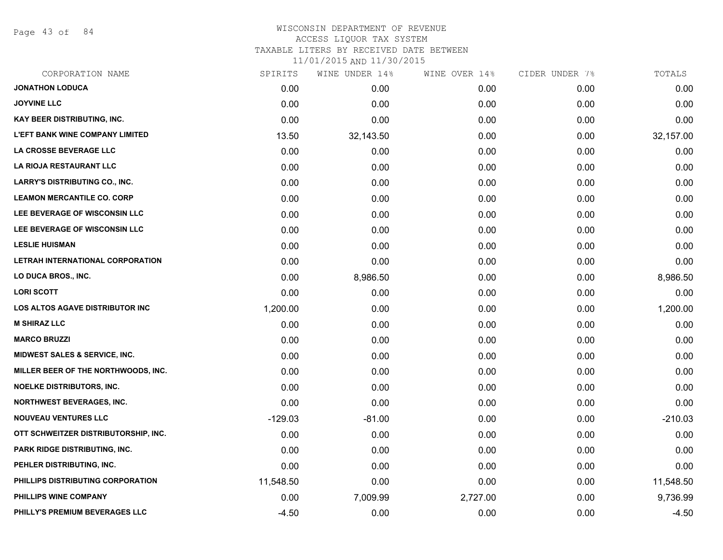Page 43 of 84

### WISCONSIN DEPARTMENT OF REVENUE ACCESS LIQUOR TAX SYSTEM TAXABLE LITERS BY RECEIVED DATE BETWEEN

| CORPORATION NAME                       | SPIRITS   | WINE UNDER 14% | WINE OVER 14% | CIDER UNDER 7% | TOTALS    |
|----------------------------------------|-----------|----------------|---------------|----------------|-----------|
| <b>JONATHON LODUCA</b>                 | 0.00      | 0.00           | 0.00          | 0.00           | 0.00      |
| <b>JOYVINE LLC</b>                     | 0.00      | 0.00           | 0.00          | 0.00           | 0.00      |
| KAY BEER DISTRIBUTING, INC.            | 0.00      | 0.00           | 0.00          | 0.00           | 0.00      |
| <b>L'EFT BANK WINE COMPANY LIMITED</b> | 13.50     | 32,143.50      | 0.00          | 0.00           | 32,157.00 |
| LA CROSSE BEVERAGE LLC                 | 0.00      | 0.00           | 0.00          | 0.00           | 0.00      |
| LA RIOJA RESTAURANT LLC                | 0.00      | 0.00           | 0.00          | 0.00           | 0.00      |
| <b>LARRY'S DISTRIBUTING CO., INC.</b>  | 0.00      | 0.00           | 0.00          | 0.00           | 0.00      |
| <b>LEAMON MERCANTILE CO. CORP</b>      | 0.00      | 0.00           | 0.00          | 0.00           | 0.00      |
| LEE BEVERAGE OF WISCONSIN LLC          | 0.00      | 0.00           | 0.00          | 0.00           | 0.00      |
| LEE BEVERAGE OF WISCONSIN LLC          | 0.00      | 0.00           | 0.00          | 0.00           | 0.00      |
| <b>LESLIE HUISMAN</b>                  | 0.00      | 0.00           | 0.00          | 0.00           | 0.00      |
| LETRAH INTERNATIONAL CORPORATION       | 0.00      | 0.00           | 0.00          | 0.00           | 0.00      |
| LO DUCA BROS., INC.                    | 0.00      | 8,986.50       | 0.00          | 0.00           | 8,986.50  |
| <b>LORI SCOTT</b>                      | 0.00      | 0.00           | 0.00          | 0.00           | 0.00      |
| <b>LOS ALTOS AGAVE DISTRIBUTOR INC</b> | 1,200.00  | 0.00           | 0.00          | 0.00           | 1,200.00  |
| <b>M SHIRAZ LLC</b>                    | 0.00      | 0.00           | 0.00          | 0.00           | 0.00      |
| <b>MARCO BRUZZI</b>                    | 0.00      | 0.00           | 0.00          | 0.00           | 0.00      |
| MIDWEST SALES & SERVICE, INC.          | 0.00      | 0.00           | 0.00          | 0.00           | 0.00      |
| MILLER BEER OF THE NORTHWOODS, INC.    | 0.00      | 0.00           | 0.00          | 0.00           | 0.00      |
| <b>NOELKE DISTRIBUTORS, INC.</b>       | 0.00      | 0.00           | 0.00          | 0.00           | 0.00      |
| <b>NORTHWEST BEVERAGES, INC.</b>       | 0.00      | 0.00           | 0.00          | 0.00           | 0.00      |
| <b>NOUVEAU VENTURES LLC</b>            | $-129.03$ | $-81.00$       | 0.00          | 0.00           | $-210.03$ |
| OTT SCHWEITZER DISTRIBUTORSHIP, INC.   | 0.00      | 0.00           | 0.00          | 0.00           | 0.00      |
| <b>PARK RIDGE DISTRIBUTING, INC.</b>   | 0.00      | 0.00           | 0.00          | 0.00           | 0.00      |
| PEHLER DISTRIBUTING, INC.              | 0.00      | 0.00           | 0.00          | 0.00           | 0.00      |
| PHILLIPS DISTRIBUTING CORPORATION      | 11,548.50 | 0.00           | 0.00          | 0.00           | 11,548.50 |
| PHILLIPS WINE COMPANY                  | 0.00      | 7,009.99       | 2,727.00      | 0.00           | 9,736.99  |
| PHILLY'S PREMIUM BEVERAGES LLC         | $-4.50$   | 0.00           | 0.00          | 0.00           | $-4.50$   |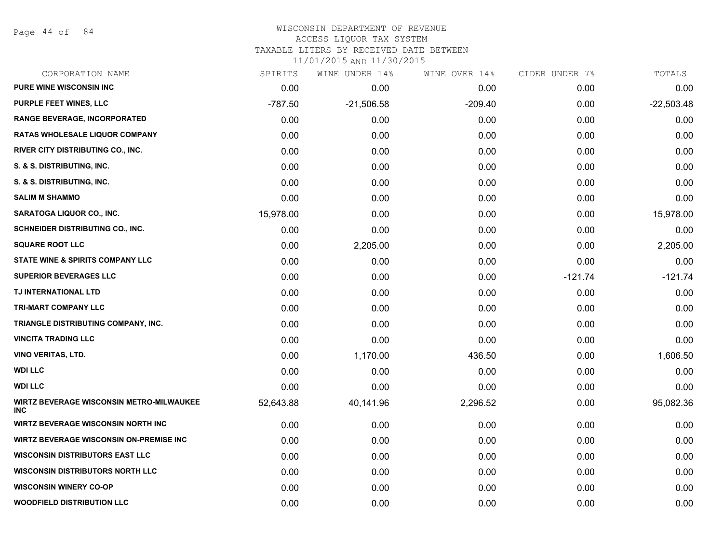Page 44 of 84

#### WISCONSIN DEPARTMENT OF REVENUE ACCESS LIQUOR TAX SYSTEM

TAXABLE LITERS BY RECEIVED DATE BETWEEN

| CORPORATION NAME                                              | SPIRITS   | WINE UNDER 14% | WINE OVER 14% | CIDER UNDER 7% | TOTALS       |
|---------------------------------------------------------------|-----------|----------------|---------------|----------------|--------------|
| <b>PURE WINE WISCONSIN INC</b>                                | 0.00      | 0.00           | 0.00          | 0.00           | 0.00         |
| PURPLE FEET WINES, LLC                                        | $-787.50$ | $-21,506.58$   | $-209.40$     | 0.00           | $-22,503.48$ |
| <b>RANGE BEVERAGE, INCORPORATED</b>                           | 0.00      | 0.00           | 0.00          | 0.00           | 0.00         |
| <b>RATAS WHOLESALE LIQUOR COMPANY</b>                         | 0.00      | 0.00           | 0.00          | 0.00           | 0.00         |
| RIVER CITY DISTRIBUTING CO., INC.                             | 0.00      | 0.00           | 0.00          | 0.00           | 0.00         |
| S. & S. DISTRIBUTING, INC.                                    | 0.00      | 0.00           | 0.00          | 0.00           | 0.00         |
| S. & S. DISTRIBUTING, INC.                                    | 0.00      | 0.00           | 0.00          | 0.00           | 0.00         |
| <b>SALIM M SHAMMO</b>                                         | 0.00      | 0.00           | 0.00          | 0.00           | 0.00         |
| SARATOGA LIQUOR CO., INC.                                     | 15,978.00 | 0.00           | 0.00          | 0.00           | 15,978.00    |
| SCHNEIDER DISTRIBUTING CO., INC.                              | 0.00      | 0.00           | 0.00          | 0.00           | 0.00         |
| <b>SQUARE ROOT LLC</b>                                        | 0.00      | 2,205.00       | 0.00          | 0.00           | 2,205.00     |
| <b>STATE WINE &amp; SPIRITS COMPANY LLC</b>                   | 0.00      | 0.00           | 0.00          | 0.00           | 0.00         |
| <b>SUPERIOR BEVERAGES LLC</b>                                 | 0.00      | 0.00           | 0.00          | $-121.74$      | $-121.74$    |
| TJ INTERNATIONAL LTD                                          | 0.00      | 0.00           | 0.00          | 0.00           | 0.00         |
| <b>TRI-MART COMPANY LLC</b>                                   | 0.00      | 0.00           | 0.00          | 0.00           | 0.00         |
| TRIANGLE DISTRIBUTING COMPANY, INC.                           | 0.00      | 0.00           | 0.00          | 0.00           | 0.00         |
| <b>VINCITA TRADING LLC</b>                                    | 0.00      | 0.00           | 0.00          | 0.00           | 0.00         |
| <b>VINO VERITAS, LTD.</b>                                     | 0.00      | 1,170.00       | 436.50        | 0.00           | 1,606.50     |
| <b>WDI LLC</b>                                                | 0.00      | 0.00           | 0.00          | 0.00           | 0.00         |
| <b>WDI LLC</b>                                                | 0.00      | 0.00           | 0.00          | 0.00           | 0.00         |
| <b>WIRTZ BEVERAGE WISCONSIN METRO-MILWAUKEE</b><br><b>INC</b> | 52,643.88 | 40,141.96      | 2,296.52      | 0.00           | 95,082.36    |
| WIRTZ BEVERAGE WISCONSIN NORTH INC                            | 0.00      | 0.00           | 0.00          | 0.00           | 0.00         |
| <b>WIRTZ BEVERAGE WISCONSIN ON-PREMISE INC</b>                | 0.00      | 0.00           | 0.00          | 0.00           | 0.00         |
| <b>WISCONSIN DISTRIBUTORS EAST LLC</b>                        | 0.00      | 0.00           | 0.00          | 0.00           | 0.00         |
| <b>WISCONSIN DISTRIBUTORS NORTH LLC</b>                       | 0.00      | 0.00           | 0.00          | 0.00           | 0.00         |
| <b>WISCONSIN WINERY CO-OP</b>                                 | 0.00      | 0.00           | 0.00          | 0.00           | 0.00         |
| <b>WOODFIELD DISTRIBUTION LLC</b>                             | 0.00      | 0.00           | 0.00          | 0.00           | 0.00         |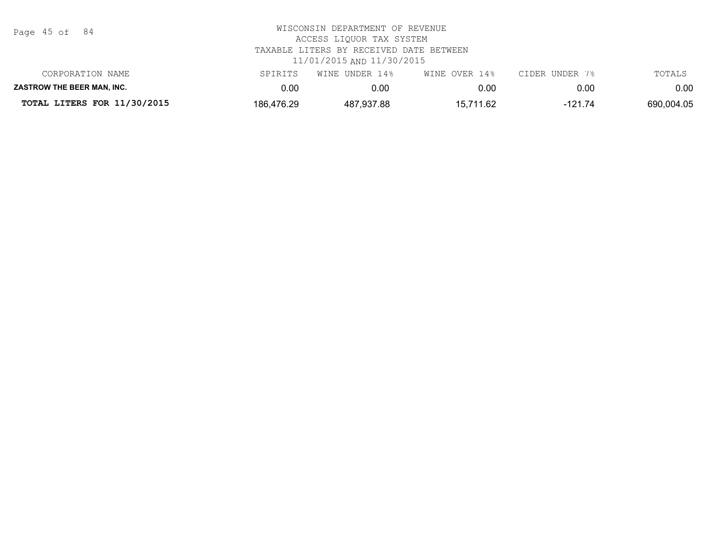| Page | 45 of |  | 84 |
|------|-------|--|----|
|------|-------|--|----|

| CORPORATION NAME                   | SPIRITS    | WINE UNDER 14% | WINE OVER 14% | CIDER UNDER 7% | TOTALS     |
|------------------------------------|------------|----------------|---------------|----------------|------------|
| <b>ZASTROW THE BEER MAN. INC.</b>  | 0.OC       | 0.00           | 0.00          | 0.00           | $0.00\,$   |
| <b>TOTAL LITERS FOR 11/30/2015</b> | 186,476.29 | 487,937.88     | 15.711.62     | -121.74        | 690.004.05 |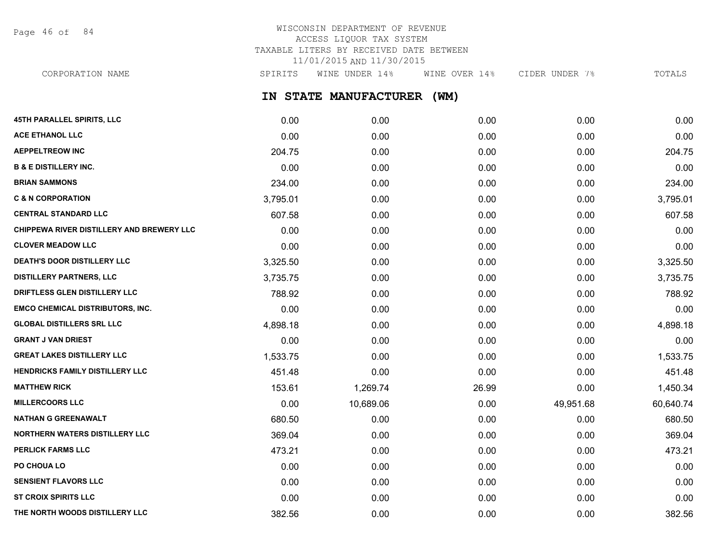Page 46 of 84

## WISCONSIN DEPARTMENT OF REVENUE ACCESS LIQUOR TAX SYSTEM TAXABLE LITERS BY RECEIVED DATE BETWEEN 11/01/2015 AND 11/30/2015

CORPORATION NAME SPIRITS WINE UNDER 14% WINE OVER 14% CIDER UNDER 7% TOTALS

**IN STATE MANUFACTURER (WM)**

| <b>45TH PARALLEL SPIRITS, LLC</b>         | 0.00     | 0.00      | 0.00  | 0.00      | 0.00      |
|-------------------------------------------|----------|-----------|-------|-----------|-----------|
| <b>ACE ETHANOL LLC</b>                    | 0.00     | 0.00      | 0.00  | 0.00      | 0.00      |
| <b>AEPPELTREOW INC</b>                    | 204.75   | 0.00      | 0.00  | 0.00      | 204.75    |
| <b>B &amp; E DISTILLERY INC.</b>          | 0.00     | 0.00      | 0.00  | 0.00      | 0.00      |
| <b>BRIAN SAMMONS</b>                      | 234.00   | 0.00      | 0.00  | 0.00      | 234.00    |
| <b>C &amp; N CORPORATION</b>              | 3,795.01 | 0.00      | 0.00  | 0.00      | 3,795.01  |
| <b>CENTRAL STANDARD LLC</b>               | 607.58   | 0.00      | 0.00  | 0.00      | 607.58    |
| CHIPPEWA RIVER DISTILLERY AND BREWERY LLC | 0.00     | 0.00      | 0.00  | 0.00      | 0.00      |
| <b>CLOVER MEADOW LLC</b>                  | 0.00     | 0.00      | 0.00  | 0.00      | 0.00      |
| <b>DEATH'S DOOR DISTILLERY LLC</b>        | 3,325.50 | 0.00      | 0.00  | 0.00      | 3,325.50  |
| <b>DISTILLERY PARTNERS, LLC</b>           | 3,735.75 | 0.00      | 0.00  | 0.00      | 3,735.75  |
| DRIFTLESS GLEN DISTILLERY LLC             | 788.92   | 0.00      | 0.00  | 0.00      | 788.92    |
| EMCO CHEMICAL DISTRIBUTORS, INC.          | 0.00     | 0.00      | 0.00  | 0.00      | 0.00      |
| <b>GLOBAL DISTILLERS SRL LLC</b>          | 4,898.18 | 0.00      | 0.00  | 0.00      | 4,898.18  |
| <b>GRANT J VAN DRIEST</b>                 | 0.00     | 0.00      | 0.00  | 0.00      | 0.00      |
| <b>GREAT LAKES DISTILLERY LLC</b>         | 1,533.75 | 0.00      | 0.00  | 0.00      | 1,533.75  |
| <b>HENDRICKS FAMILY DISTILLERY LLC</b>    | 451.48   | 0.00      | 0.00  | 0.00      | 451.48    |
| <b>MATTHEW RICK</b>                       | 153.61   | 1,269.74  | 26.99 | 0.00      | 1,450.34  |
| <b>MILLERCOORS LLC</b>                    | 0.00     | 10,689.06 | 0.00  | 49,951.68 | 60,640.74 |
| NATHAN G GREENAWALT                       | 680.50   | 0.00      | 0.00  | 0.00      | 680.50    |
| <b>NORTHERN WATERS DISTILLERY LLC</b>     | 369.04   | 0.00      | 0.00  | 0.00      | 369.04    |
| <b>PERLICK FARMS LLC</b>                  | 473.21   | 0.00      | 0.00  | 0.00      | 473.21    |
| PO CHOUA LO                               | 0.00     | 0.00      | 0.00  | 0.00      | 0.00      |
| <b>SENSIENT FLAVORS LLC</b>               | 0.00     | 0.00      | 0.00  | 0.00      | 0.00      |
| <b>ST CROIX SPIRITS LLC</b>               | 0.00     | 0.00      | 0.00  | 0.00      | 0.00      |
| THE NORTH WOODS DISTILLERY LLC            | 382.56   | 0.00      | 0.00  | 0.00      | 382.56    |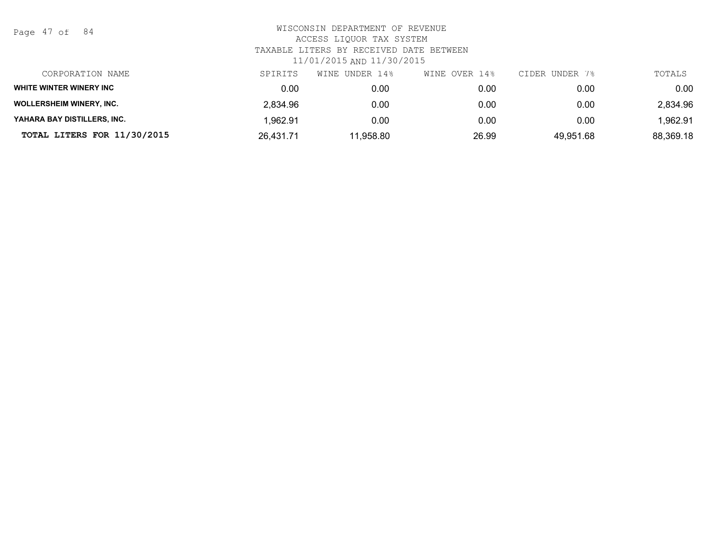Page 47 of 84

| CORPORATION NAME                | SPIRITS   | UNDER 14%<br>WINE | WINE OVER 14% | CIDER UNDER 7% | TOTALS    |
|---------------------------------|-----------|-------------------|---------------|----------------|-----------|
| WHITE WINTER WINERY INC         | 0.00      | 0.00              | 0.00          | 0.00           | 0.00      |
| <b>WOLLERSHEIM WINERY, INC.</b> | 2.834.96  | 0.00              | 0.00          | 0.00           | 2,834.96  |
| YAHARA BAY DISTILLERS, INC.     | 1,962.91  | 0.00              | 0.00          | 0.00           | 1,962.91  |
| TOTAL LITERS FOR 11/30/2015     | 26.431.71 | 11,958.80         | 26.99         | 49,951.68      | 88,369.18 |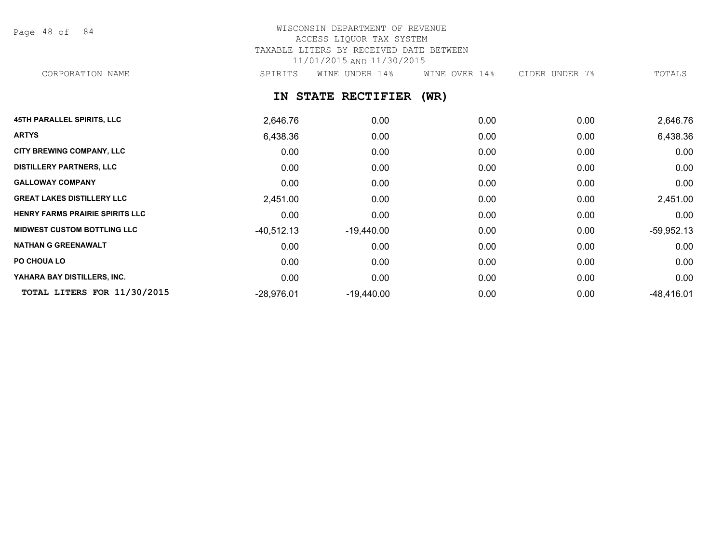Page 48 of 84

## WISCONSIN DEPARTMENT OF REVENUE ACCESS LIQUOR TAX SYSTEM TAXABLE LITERS BY RECEIVED DATE BETWEEN 11/01/2015 AND 11/30/2015 CORPORATION NAME SPIRITS WINE UNDER 14% WINE OVER 14% CIDER UNDER 7% TOTALS

## **IN STATE RECTIFIER (WR)**

| <b>45TH PARALLEL SPIRITS, LLC</b>      | 2,646.76     | 0.00              | 0.00 | 0.00 | 2,646.76     |
|----------------------------------------|--------------|-------------------|------|------|--------------|
| <b>ARTYS</b>                           | 6,438.36     | 0.00              | 0.00 | 0.00 | 6,438.36     |
| <b>CITY BREWING COMPANY, LLC</b>       | 0.00         | 0.00              | 0.00 | 0.00 | 0.00         |
| <b>DISTILLERY PARTNERS, LLC</b>        | 0.00         | 0.00              | 0.00 | 0.00 | 0.00         |
| <b>GALLOWAY COMPANY</b>                | 0.00         | 0.00              | 0.00 | 0.00 | 0.00         |
| <b>GREAT LAKES DISTILLERY LLC</b>      | 2,451.00     | 0.00              | 0.00 | 0.00 | 2,451.00     |
| <b>HENRY FARMS PRAIRIE SPIRITS LLC</b> | 0.00         | 0.00              | 0.00 | 0.00 | 0.00         |
| <b>MIDWEST CUSTOM BOTTLING LLC</b>     | $-40,512.13$ | $-19,440.00$      | 0.00 | 0.00 | $-59,952.13$ |
| <b>NATHAN G GREENAWALT</b>             | 0.00         | 0.00              | 0.00 | 0.00 | 0.00         |
| PO CHOUA LO                            | 0.00         | 0.00              | 0.00 | 0.00 | 0.00         |
| YAHARA BAY DISTILLERS, INC.            | 0.00         | 0.00 <sub>1</sub> | 0.00 | 0.00 | 0.00         |
| TOTAL LITERS FOR 11/30/2015            | $-28,976.01$ | $-19,440.00$      | 0.00 | 0.00 | $-48,416.01$ |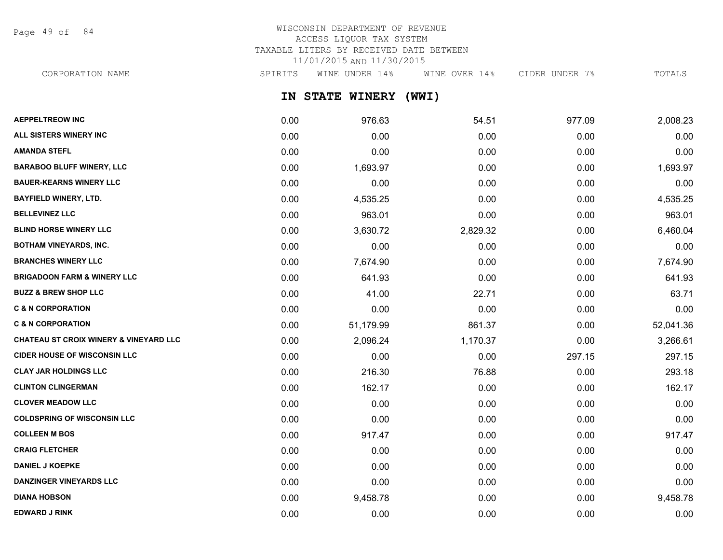Page 49 of 84

## WISCONSIN DEPARTMENT OF REVENUE ACCESS LIQUOR TAX SYSTEM TAXABLE LITERS BY RECEIVED DATE BETWEEN 11/01/2015 AND 11/30/2015

CORPORATION NAME SPIRITS WINE UNDER 14% WINE OVER 14% CIDER UNDER 7% TOTALS

**IN STATE WINERY (WWI)**

| <b>AEPPELTREOW INC</b>                            | 0.00 | 976.63    | 54.51    | 977.09 | 2,008.23  |
|---------------------------------------------------|------|-----------|----------|--------|-----------|
| ALL SISTERS WINERY INC                            | 0.00 | 0.00      | 0.00     | 0.00   | 0.00      |
| <b>AMANDA STEFL</b>                               | 0.00 | 0.00      | 0.00     | 0.00   | 0.00      |
| <b>BARABOO BLUFF WINERY, LLC</b>                  | 0.00 | 1,693.97  | 0.00     | 0.00   | 1,693.97  |
| <b>BAUER-KEARNS WINERY LLC</b>                    | 0.00 | 0.00      | 0.00     | 0.00   | 0.00      |
| <b>BAYFIELD WINERY, LTD.</b>                      | 0.00 | 4,535.25  | 0.00     | 0.00   | 4,535.25  |
| <b>BELLEVINEZ LLC</b>                             | 0.00 | 963.01    | 0.00     | 0.00   | 963.01    |
| <b>BLIND HORSE WINERY LLC</b>                     | 0.00 | 3,630.72  | 2,829.32 | 0.00   | 6,460.04  |
| <b>BOTHAM VINEYARDS, INC.</b>                     | 0.00 | 0.00      | 0.00     | 0.00   | 0.00      |
| <b>BRANCHES WINERY LLC</b>                        | 0.00 | 7,674.90  | 0.00     | 0.00   | 7,674.90  |
| <b>BRIGADOON FARM &amp; WINERY LLC</b>            | 0.00 | 641.93    | 0.00     | 0.00   | 641.93    |
| <b>BUZZ &amp; BREW SHOP LLC</b>                   | 0.00 | 41.00     | 22.71    | 0.00   | 63.71     |
| <b>C &amp; N CORPORATION</b>                      | 0.00 | 0.00      | 0.00     | 0.00   | 0.00      |
| <b>C &amp; N CORPORATION</b>                      | 0.00 | 51,179.99 | 861.37   | 0.00   | 52,041.36 |
| <b>CHATEAU ST CROIX WINERY &amp; VINEYARD LLC</b> | 0.00 | 2,096.24  | 1,170.37 | 0.00   | 3,266.61  |
| <b>CIDER HOUSE OF WISCONSIN LLC</b>               | 0.00 | 0.00      | 0.00     | 297.15 | 297.15    |
| <b>CLAY JAR HOLDINGS LLC</b>                      | 0.00 | 216.30    | 76.88    | 0.00   | 293.18    |
| <b>CLINTON CLINGERMAN</b>                         | 0.00 | 162.17    | 0.00     | 0.00   | 162.17    |
| <b>CLOVER MEADOW LLC</b>                          | 0.00 | 0.00      | 0.00     | 0.00   | 0.00      |
| <b>COLDSPRING OF WISCONSIN LLC</b>                | 0.00 | 0.00      | 0.00     | 0.00   | 0.00      |
| <b>COLLEEN M BOS</b>                              | 0.00 | 917.47    | 0.00     | 0.00   | 917.47    |
| <b>CRAIG FLETCHER</b>                             | 0.00 | 0.00      | 0.00     | 0.00   | 0.00      |
| <b>DANIEL J KOEPKE</b>                            | 0.00 | 0.00      | 0.00     | 0.00   | 0.00      |
| <b>DANZINGER VINEYARDS LLC</b>                    | 0.00 | 0.00      | 0.00     | 0.00   | 0.00      |
| <b>DIANA HOBSON</b>                               | 0.00 | 9,458.78  | 0.00     | 0.00   | 9,458.78  |
| <b>EDWARD J RINK</b>                              | 0.00 | 0.00      | 0.00     | 0.00   | 0.00      |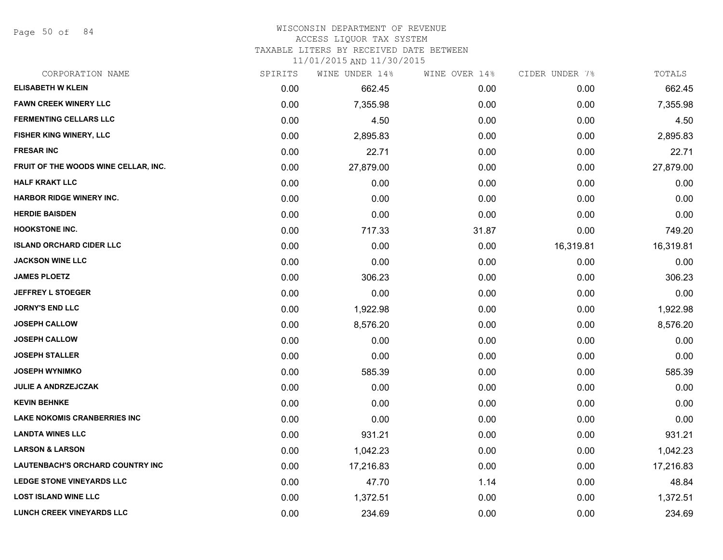Page 50 of 84

### WISCONSIN DEPARTMENT OF REVENUE

#### ACCESS LIQUOR TAX SYSTEM

TAXABLE LITERS BY RECEIVED DATE BETWEEN

| CORPORATION NAME                     | SPIRITS | WINE UNDER 14% | WINE OVER 14% | CIDER UNDER 7% | TOTALS    |
|--------------------------------------|---------|----------------|---------------|----------------|-----------|
| <b>ELISABETH W KLEIN</b>             | 0.00    | 662.45         | 0.00          | 0.00           | 662.45    |
| <b>FAWN CREEK WINERY LLC</b>         | 0.00    | 7,355.98       | 0.00          | 0.00           | 7,355.98  |
| <b>FERMENTING CELLARS LLC</b>        | 0.00    | 4.50           | 0.00          | 0.00           | 4.50      |
| FISHER KING WINERY, LLC              | 0.00    | 2,895.83       | 0.00          | 0.00           | 2,895.83  |
| <b>FRESAR INC</b>                    | 0.00    | 22.71          | 0.00          | 0.00           | 22.71     |
| FRUIT OF THE WOODS WINE CELLAR, INC. | 0.00    | 27,879.00      | 0.00          | 0.00           | 27,879.00 |
| <b>HALF KRAKT LLC</b>                | 0.00    | 0.00           | 0.00          | 0.00           | 0.00      |
| <b>HARBOR RIDGE WINERY INC.</b>      | 0.00    | 0.00           | 0.00          | 0.00           | 0.00      |
| <b>HERDIE BAISDEN</b>                | 0.00    | 0.00           | 0.00          | 0.00           | 0.00      |
| <b>HOOKSTONE INC.</b>                | 0.00    | 717.33         | 31.87         | 0.00           | 749.20    |
| <b>ISLAND ORCHARD CIDER LLC</b>      | 0.00    | 0.00           | 0.00          | 16,319.81      | 16,319.81 |
| <b>JACKSON WINE LLC</b>              | 0.00    | 0.00           | 0.00          | 0.00           | 0.00      |
| <b>JAMES PLOETZ</b>                  | 0.00    | 306.23         | 0.00          | 0.00           | 306.23    |
| <b>JEFFREY L STOEGER</b>             | 0.00    | 0.00           | 0.00          | 0.00           | 0.00      |
| <b>JORNY'S END LLC</b>               | 0.00    | 1,922.98       | 0.00          | 0.00           | 1,922.98  |
| <b>JOSEPH CALLOW</b>                 | 0.00    | 8,576.20       | 0.00          | 0.00           | 8,576.20  |
| <b>JOSEPH CALLOW</b>                 | 0.00    | 0.00           | 0.00          | 0.00           | 0.00      |
| <b>JOSEPH STALLER</b>                | 0.00    | 0.00           | 0.00          | 0.00           | 0.00      |
| <b>JOSEPH WYNIMKO</b>                | 0.00    | 585.39         | 0.00          | 0.00           | 585.39    |
| <b>JULIE A ANDRZEJCZAK</b>           | 0.00    | 0.00           | 0.00          | 0.00           | 0.00      |
| <b>KEVIN BEHNKE</b>                  | 0.00    | 0.00           | 0.00          | 0.00           | 0.00      |
| <b>LAKE NOKOMIS CRANBERRIES INC</b>  | 0.00    | 0.00           | 0.00          | 0.00           | 0.00      |
| <b>LANDTA WINES LLC</b>              | 0.00    | 931.21         | 0.00          | 0.00           | 931.21    |
| <b>LARSON &amp; LARSON</b>           | 0.00    | 1,042.23       | 0.00          | 0.00           | 1,042.23  |
| LAUTENBACH'S ORCHARD COUNTRY INC     | 0.00    | 17,216.83      | 0.00          | 0.00           | 17,216.83 |
| LEDGE STONE VINEYARDS LLC            | 0.00    | 47.70          | 1.14          | 0.00           | 48.84     |
| <b>LOST ISLAND WINE LLC</b>          | 0.00    | 1,372.51       | 0.00          | 0.00           | 1,372.51  |
| <b>LUNCH CREEK VINEYARDS LLC</b>     | 0.00    | 234.69         | 0.00          | 0.00           | 234.69    |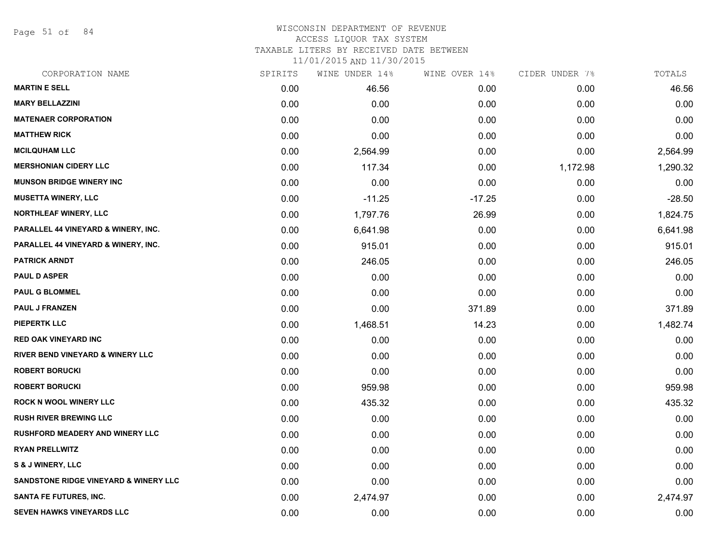Page 51 of 84

#### WISCONSIN DEPARTMENT OF REVENUE ACCESS LIQUOR TAX SYSTEM

TAXABLE LITERS BY RECEIVED DATE BETWEEN

| CORPORATION NAME                            | SPIRITS | WINE UNDER 14% | WINE OVER 14% | CIDER UNDER 7% | TOTALS   |
|---------------------------------------------|---------|----------------|---------------|----------------|----------|
| <b>MARTIN E SELL</b>                        | 0.00    | 46.56          | 0.00          | 0.00           | 46.56    |
| <b>MARY BELLAZZINI</b>                      | 0.00    | 0.00           | 0.00          | 0.00           | 0.00     |
| <b>MATENAER CORPORATION</b>                 | 0.00    | 0.00           | 0.00          | 0.00           | 0.00     |
| <b>MATTHEW RICK</b>                         | 0.00    | 0.00           | 0.00          | 0.00           | 0.00     |
| <b>MCILQUHAM LLC</b>                        | 0.00    | 2,564.99       | 0.00          | 0.00           | 2,564.99 |
| <b>MERSHONIAN CIDERY LLC</b>                | 0.00    | 117.34         | 0.00          | 1,172.98       | 1,290.32 |
| <b>MUNSON BRIDGE WINERY INC</b>             | 0.00    | 0.00           | 0.00          | 0.00           | 0.00     |
| <b>MUSETTA WINERY, LLC</b>                  | 0.00    | $-11.25$       | $-17.25$      | 0.00           | $-28.50$ |
| <b>NORTHLEAF WINERY, LLC</b>                | 0.00    | 1,797.76       | 26.99         | 0.00           | 1,824.75 |
| PARALLEL 44 VINEYARD & WINERY, INC.         | 0.00    | 6,641.98       | 0.00          | 0.00           | 6,641.98 |
| PARALLEL 44 VINEYARD & WINERY, INC.         | 0.00    | 915.01         | 0.00          | 0.00           | 915.01   |
| <b>PATRICK ARNDT</b>                        | 0.00    | 246.05         | 0.00          | 0.00           | 246.05   |
| <b>PAUL D ASPER</b>                         | 0.00    | 0.00           | 0.00          | 0.00           | 0.00     |
| <b>PAUL G BLOMMEL</b>                       | 0.00    | 0.00           | 0.00          | 0.00           | 0.00     |
| <b>PAUL J FRANZEN</b>                       | 0.00    | 0.00           | 371.89        | 0.00           | 371.89   |
| <b>PIEPERTK LLC</b>                         | 0.00    | 1,468.51       | 14.23         | 0.00           | 1,482.74 |
| <b>RED OAK VINEYARD INC</b>                 | 0.00    | 0.00           | 0.00          | 0.00           | 0.00     |
| <b>RIVER BEND VINEYARD &amp; WINERY LLC</b> | 0.00    | 0.00           | 0.00          | 0.00           | 0.00     |
| <b>ROBERT BORUCKI</b>                       | 0.00    | 0.00           | 0.00          | 0.00           | 0.00     |
| <b>ROBERT BORUCKI</b>                       | 0.00    | 959.98         | 0.00          | 0.00           | 959.98   |
| <b>ROCK N WOOL WINERY LLC</b>               | 0.00    | 435.32         | 0.00          | 0.00           | 435.32   |
| <b>RUSH RIVER BREWING LLC</b>               | 0.00    | 0.00           | 0.00          | 0.00           | 0.00     |
| <b>RUSHFORD MEADERY AND WINERY LLC</b>      | 0.00    | 0.00           | 0.00          | 0.00           | 0.00     |
| <b>RYAN PRELLWITZ</b>                       | 0.00    | 0.00           | 0.00          | 0.00           | 0.00     |
| S & J WINERY, LLC                           | 0.00    | 0.00           | 0.00          | 0.00           | 0.00     |
| SANDSTONE RIDGE VINEYARD & WINERY LLC       | 0.00    | 0.00           | 0.00          | 0.00           | 0.00     |
| <b>SANTA FE FUTURES, INC.</b>               | 0.00    | 2,474.97       | 0.00          | 0.00           | 2,474.97 |
| <b>SEVEN HAWKS VINEYARDS LLC</b>            | 0.00    | 0.00           | 0.00          | 0.00           | 0.00     |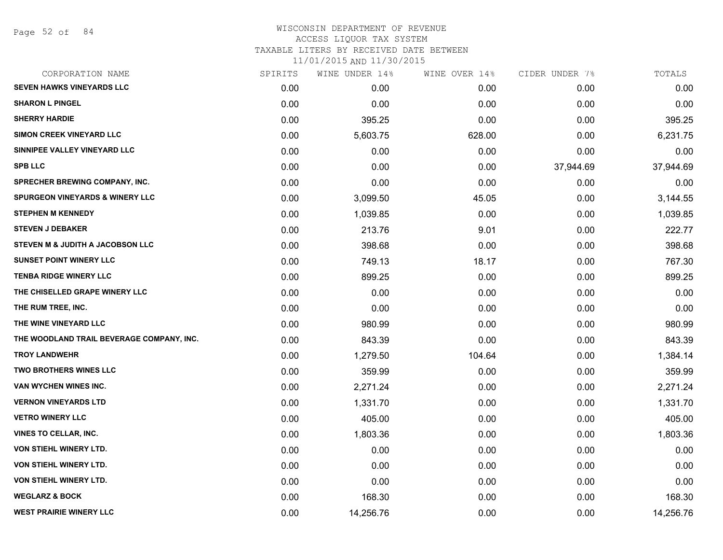#### WISCONSIN DEPARTMENT OF REVENUE ACCESS LIQUOR TAX SYSTEM TAXABLE LITERS BY RECEIVED DATE BETWEEN

| CORPORATION NAME                           | SPIRITS | WINE UNDER 14% | WINE OVER 14% | CIDER UNDER 7% | TOTALS    |
|--------------------------------------------|---------|----------------|---------------|----------------|-----------|
| <b>SEVEN HAWKS VINEYARDS LLC</b>           | 0.00    | 0.00           | 0.00          | 0.00           | 0.00      |
| <b>SHARON L PINGEL</b>                     | 0.00    | 0.00           | 0.00          | 0.00           | 0.00      |
| <b>SHERRY HARDIE</b>                       | 0.00    | 395.25         | 0.00          | 0.00           | 395.25    |
| <b>SIMON CREEK VINEYARD LLC</b>            | 0.00    | 5,603.75       | 628.00        | 0.00           | 6,231.75  |
| SINNIPEE VALLEY VINEYARD LLC               | 0.00    | 0.00           | 0.00          | 0.00           | 0.00      |
| <b>SPB LLC</b>                             | 0.00    | 0.00           | 0.00          | 37,944.69      | 37,944.69 |
| <b>SPRECHER BREWING COMPANY, INC.</b>      | 0.00    | 0.00           | 0.00          | 0.00           | 0.00      |
| <b>SPURGEON VINEYARDS &amp; WINERY LLC</b> | 0.00    | 3,099.50       | 45.05         | 0.00           | 3,144.55  |
| <b>STEPHEN M KENNEDY</b>                   | 0.00    | 1,039.85       | 0.00          | 0.00           | 1,039.85  |
| <b>STEVEN J DEBAKER</b>                    | 0.00    | 213.76         | 9.01          | 0.00           | 222.77    |
| STEVEN M & JUDITH A JACOBSON LLC           | 0.00    | 398.68         | 0.00          | 0.00           | 398.68    |
| <b>SUNSET POINT WINERY LLC</b>             | 0.00    | 749.13         | 18.17         | 0.00           | 767.30    |
| <b>TENBA RIDGE WINERY LLC</b>              | 0.00    | 899.25         | 0.00          | 0.00           | 899.25    |
| THE CHISELLED GRAPE WINERY LLC             | 0.00    | 0.00           | 0.00          | 0.00           | 0.00      |
| THE RUM TREE, INC.                         | 0.00    | 0.00           | 0.00          | 0.00           | 0.00      |
| THE WINE VINEYARD LLC                      | 0.00    | 980.99         | 0.00          | 0.00           | 980.99    |
| THE WOODLAND TRAIL BEVERAGE COMPANY, INC.  | 0.00    | 843.39         | 0.00          | 0.00           | 843.39    |
| <b>TROY LANDWEHR</b>                       | 0.00    | 1,279.50       | 104.64        | 0.00           | 1,384.14  |
| <b>TWO BROTHERS WINES LLC</b>              | 0.00    | 359.99         | 0.00          | 0.00           | 359.99    |
| VAN WYCHEN WINES INC.                      | 0.00    | 2,271.24       | 0.00          | 0.00           | 2,271.24  |
| <b>VERNON VINEYARDS LTD</b>                | 0.00    | 1,331.70       | 0.00          | 0.00           | 1,331.70  |
| <b>VETRO WINERY LLC</b>                    | 0.00    | 405.00         | 0.00          | 0.00           | 405.00    |
| <b>VINES TO CELLAR, INC.</b>               | 0.00    | 1,803.36       | 0.00          | 0.00           | 1,803.36  |
| <b>VON STIEHL WINERY LTD.</b>              | 0.00    | 0.00           | 0.00          | 0.00           | 0.00      |
| <b>VON STIEHL WINERY LTD.</b>              | 0.00    | 0.00           | 0.00          | 0.00           | 0.00      |
| <b>VON STIEHL WINERY LTD.</b>              | 0.00    | 0.00           | 0.00          | 0.00           | 0.00      |
| <b>WEGLARZ &amp; BOCK</b>                  | 0.00    | 168.30         | 0.00          | 0.00           | 168.30    |
| <b>WEST PRAIRIE WINERY LLC</b>             | 0.00    | 14,256.76      | 0.00          | 0.00           | 14,256.76 |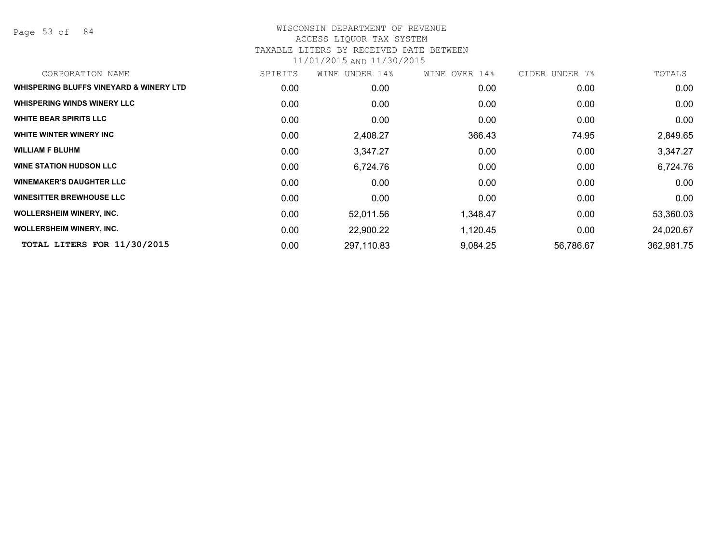Page 53 of 84

| CORPORATION NAME                        | SPIRITS | WINE UNDER 14% | WINE OVER 14% | CIDER UNDER 7% | TOTALS     |
|-----------------------------------------|---------|----------------|---------------|----------------|------------|
| WHISPERING BLUFFS VINEYARD & WINERY LTD | 0.00    | 0.00           | 0.00          | 0.00           | 0.00       |
| <b>WHISPERING WINDS WINERY LLC</b>      | 0.00    | 0.00           | 0.00          | 0.00           | 0.00       |
| <b>WHITE BEAR SPIRITS LLC</b>           | 0.00    | 0.00           | 0.00          | 0.00           | 0.00       |
| WHITE WINTER WINERY INC                 | 0.00    | 2,408.27       | 366.43        | 74.95          | 2,849.65   |
| <b>WILLIAM F BLUHM</b>                  | 0.00    | 3,347.27       | 0.00          | 0.00           | 3,347.27   |
| <b>WINE STATION HUDSON LLC</b>          | 0.00    | 6,724.76       | 0.00          | 0.00           | 6,724.76   |
| <b>WINEMAKER'S DAUGHTER LLC</b>         | 0.00    | 0.00           | 0.00          | 0.00           | 0.00       |
| <b>WINESITTER BREWHOUSE LLC</b>         | 0.00    | 0.00           | 0.00          | 0.00           | 0.00       |
| <b>WOLLERSHEIM WINERY, INC.</b>         | 0.00    | 52,011.56      | 1,348.47      | 0.00           | 53,360.03  |
| <b>WOLLERSHEIM WINERY, INC.</b>         | 0.00    | 22,900.22      | 1,120.45      | 0.00           | 24,020.67  |
| TOTAL LITERS FOR 11/30/2015             | 0.00    | 297,110.83     | 9,084.25      | 56,786.67      | 362,981.75 |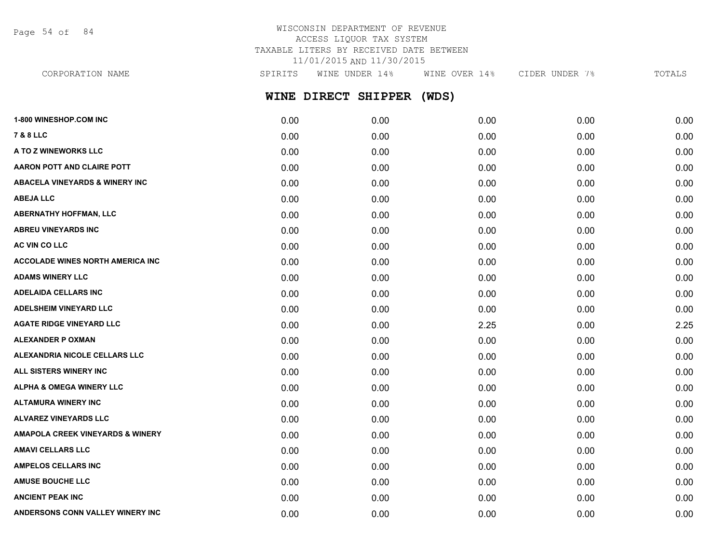Page 54 of 84

## WISCONSIN DEPARTMENT OF REVENUE ACCESS LIQUOR TAX SYSTEM TAXABLE LITERS BY RECEIVED DATE BETWEEN 11/01/2015 AND 11/30/2015

**WINE DIRECT SHIPPER (WDS) 1-800 WINESHOP.COM INC** 0.00 0.00 0.00 0.00 0.00 **7 & 8 LLC** 0.00 0.00 0.00 0.00 0.00 CORPORATION NAME SPIRITS WINE UNDER 14% WINE OVER 14% CIDER UNDER 7% TOTALS

**A TO Z WINEWORKS LLC** 0.00 0.00 0.00 0.00 0.00 **AARON POTT AND CLAIRE POTT**  $0.00$   $0.00$   $0.00$   $0.00$   $0.00$   $0.00$   $0.00$   $0.00$   $0.00$   $0.00$   $0.00$   $0.00$   $0.00$ **ABACELA VINEYARDS & WINERY INC** 0.00 0.00 0.00 0.00 0.00 **ABEJA LLC** 0.00 0.00 0.00 0.00 0.00 **ABERNATHY HOFFMAN, LLC** 0.00 0.00 0.00 0.00 0.00 **ABREU VINEYARDS INC** 0.00 0.00 0.00 0.00 0.00 **AC VIN CO LLC** 0.00 0.00 0.00 0.00 0.00 **ACCOLADE WINES NORTH AMERICA INC**  $0.00$   $0.00$   $0.00$   $0.00$   $0.00$   $0.00$   $0.00$   $0.00$   $0.00$   $0.00$   $0.00$   $0.00$ **ADAMS WINERY LLC** 0.00 0.00 0.00 0.00 0.00 **ADELAIDA CELLARS INC** 0.00 0.00 0.00 0.00 0.00 **ADELSHEIM VINEYARD LLC** 0.00 0.00 0.00 0.00 0.00 **AGATE RIDGE VINEYARD LLC** 0.00 0.00 2.25 0.00 2.25 **ALEXANDER P OXMAN** 0.00 0.00 0.00 0.00 0.00 **ALEXANDRIA NICOLE CELLARS LLC** 0.00 0.00 0.00 0.00 0.00 **ALL SISTERS WINERY INC** 0.00 0.00 0.00 0.00 0.00 **ALPHA & OMEGA WINERY LLC**  $\begin{array}{cccc} 0.00 & 0.00 & 0.00 & 0.00 & 0.00 & 0.00 & 0.00 & 0.00 & 0.00 & 0.00 & 0.00 & 0.00 & 0.00 & 0.00 & 0.00 & 0.00 & 0.00 & 0.00 & 0.00 & 0.00 & 0.00 & 0.00 & 0.00 & 0.00 & 0.00 & 0.00 & 0.00 & 0.00 & 0.00 & 0.00 & 0.00 &$ **ALTAMURA WINERY INC** 0.00 0.00 0.00 0.00 0.00 **ALVAREZ VINEYARDS LLC** 0.00 0.00 0.00 0.00 0.00 **AMAPOLA CREEK VINEYARDS & WINERY** 0.00 0.00 0.00 0.00 0.00 **AMAVI CELLARS LLC** 0.00 0.00 0.00 0.00 0.00 **AMPELOS CELLARS INC** 0.00 0.00 0.00 0.00 0.00 **AMUSE BOUCHE LLC** 0.00 0.00 0.00 0.00 0.00

**ANCIENT PEAK INC** 0.00 0.00 0.00 0.00 0.00 **ANDERSONS CONN VALLEY WINERY INC** 0.00 0.00 0.00 0.00 0.00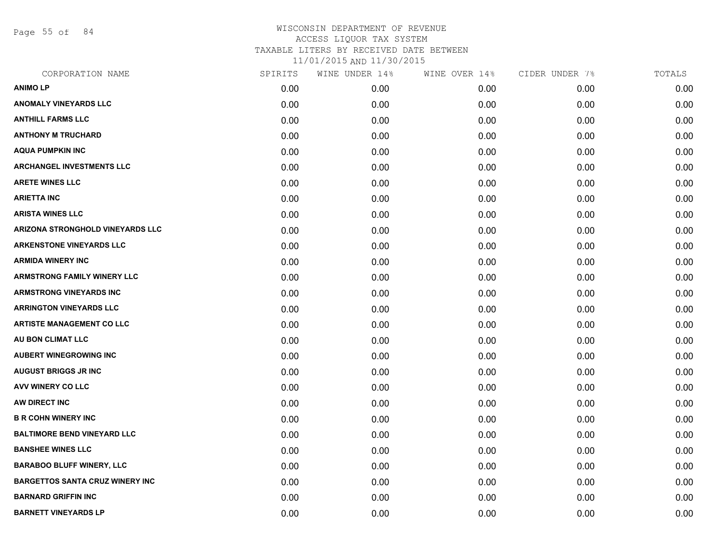Page 55 of 84

## WISCONSIN DEPARTMENT OF REVENUE ACCESS LIQUOR TAX SYSTEM TAXABLE LITERS BY RECEIVED DATE BETWEEN

| CORPORATION NAME                       | SPIRITS | WINE UNDER 14% | WINE OVER 14% | CIDER UNDER 7% | TOTALS |
|----------------------------------------|---------|----------------|---------------|----------------|--------|
| <b>ANIMOLP</b>                         | 0.00    | 0.00           | 0.00          | 0.00           | 0.00   |
| <b>ANOMALY VINEYARDS LLC</b>           | 0.00    | 0.00           | 0.00          | 0.00           | 0.00   |
| <b>ANTHILL FARMS LLC</b>               | 0.00    | 0.00           | 0.00          | 0.00           | 0.00   |
| <b>ANTHONY M TRUCHARD</b>              | 0.00    | 0.00           | 0.00          | 0.00           | 0.00   |
| <b>AQUA PUMPKIN INC</b>                | 0.00    | 0.00           | 0.00          | 0.00           | 0.00   |
| <b>ARCHANGEL INVESTMENTS LLC</b>       | 0.00    | 0.00           | 0.00          | 0.00           | 0.00   |
| <b>ARETE WINES LLC</b>                 | 0.00    | 0.00           | 0.00          | 0.00           | 0.00   |
| <b>ARIETTA INC</b>                     | 0.00    | 0.00           | 0.00          | 0.00           | 0.00   |
| <b>ARISTA WINES LLC</b>                | 0.00    | 0.00           | 0.00          | 0.00           | 0.00   |
| ARIZONA STRONGHOLD VINEYARDS LLC       | 0.00    | 0.00           | 0.00          | 0.00           | 0.00   |
| <b>ARKENSTONE VINEYARDS LLC</b>        | 0.00    | 0.00           | 0.00          | 0.00           | 0.00   |
| <b>ARMIDA WINERY INC</b>               | 0.00    | 0.00           | 0.00          | 0.00           | 0.00   |
| <b>ARMSTRONG FAMILY WINERY LLC</b>     | 0.00    | 0.00           | 0.00          | 0.00           | 0.00   |
| <b>ARMSTRONG VINEYARDS INC</b>         | 0.00    | 0.00           | 0.00          | 0.00           | 0.00   |
| <b>ARRINGTON VINEYARDS LLC</b>         | 0.00    | 0.00           | 0.00          | 0.00           | 0.00   |
| <b>ARTISTE MANAGEMENT CO LLC</b>       | 0.00    | 0.00           | 0.00          | 0.00           | 0.00   |
| AU BON CLIMAT LLC                      | 0.00    | 0.00           | 0.00          | 0.00           | 0.00   |
| <b>AUBERT WINEGROWING INC</b>          | 0.00    | 0.00           | 0.00          | 0.00           | 0.00   |
| <b>AUGUST BRIGGS JR INC</b>            | 0.00    | 0.00           | 0.00          | 0.00           | 0.00   |
| <b>AVV WINERY CO LLC</b>               | 0.00    | 0.00           | 0.00          | 0.00           | 0.00   |
| AW DIRECT INC                          | 0.00    | 0.00           | 0.00          | 0.00           | 0.00   |
| <b>B R COHN WINERY INC</b>             | 0.00    | 0.00           | 0.00          | 0.00           | 0.00   |
| <b>BALTIMORE BEND VINEYARD LLC</b>     | 0.00    | 0.00           | 0.00          | 0.00           | 0.00   |
| <b>BANSHEE WINES LLC</b>               | 0.00    | 0.00           | 0.00          | 0.00           | 0.00   |
| <b>BARABOO BLUFF WINERY, LLC</b>       | 0.00    | 0.00           | 0.00          | 0.00           | 0.00   |
| <b>BARGETTOS SANTA CRUZ WINERY INC</b> | 0.00    | 0.00           | 0.00          | 0.00           | 0.00   |
| <b>BARNARD GRIFFIN INC</b>             | 0.00    | 0.00           | 0.00          | 0.00           | 0.00   |
| <b>BARNETT VINEYARDS LP</b>            | 0.00    | 0.00           | 0.00          | 0.00           | 0.00   |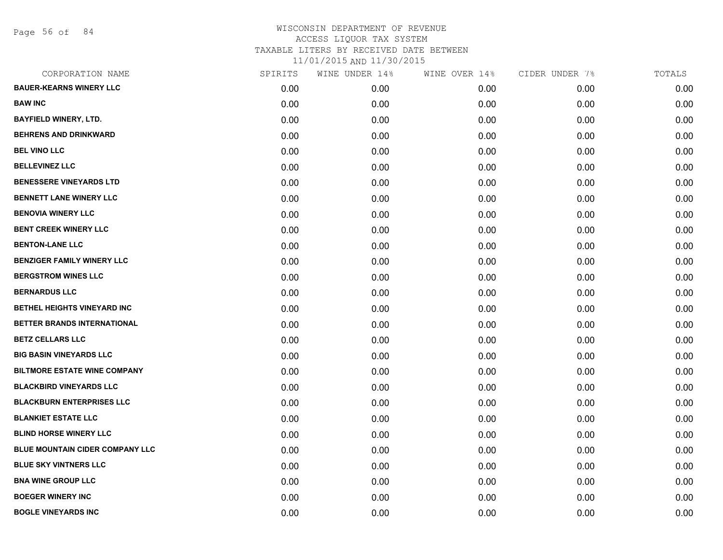Page 56 of 84

| CORPORATION NAME                       | SPIRITS | WINE UNDER 14% | WINE OVER 14% | CIDER UNDER 7% | TOTALS |
|----------------------------------------|---------|----------------|---------------|----------------|--------|
| <b>BAUER-KEARNS WINERY LLC</b>         | 0.00    | 0.00           | 0.00          | 0.00           | 0.00   |
| <b>BAW INC</b>                         | 0.00    | 0.00           | 0.00          | 0.00           | 0.00   |
| <b>BAYFIELD WINERY, LTD.</b>           | 0.00    | 0.00           | 0.00          | 0.00           | 0.00   |
| <b>BEHRENS AND DRINKWARD</b>           | 0.00    | 0.00           | 0.00          | 0.00           | 0.00   |
| <b>BEL VINO LLC</b>                    | 0.00    | 0.00           | 0.00          | 0.00           | 0.00   |
| <b>BELLEVINEZ LLC</b>                  | 0.00    | 0.00           | 0.00          | 0.00           | 0.00   |
| <b>BENESSERE VINEYARDS LTD</b>         | 0.00    | 0.00           | 0.00          | 0.00           | 0.00   |
| <b>BENNETT LANE WINERY LLC</b>         | 0.00    | 0.00           | 0.00          | 0.00           | 0.00   |
| <b>BENOVIA WINERY LLC</b>              | 0.00    | 0.00           | 0.00          | 0.00           | 0.00   |
| <b>BENT CREEK WINERY LLC</b>           | 0.00    | 0.00           | 0.00          | 0.00           | 0.00   |
| <b>BENTON-LANE LLC</b>                 | 0.00    | 0.00           | 0.00          | 0.00           | 0.00   |
| <b>BENZIGER FAMILY WINERY LLC</b>      | 0.00    | 0.00           | 0.00          | 0.00           | 0.00   |
| <b>BERGSTROM WINES LLC</b>             | 0.00    | 0.00           | 0.00          | 0.00           | 0.00   |
| <b>BERNARDUS LLC</b>                   | 0.00    | 0.00           | 0.00          | 0.00           | 0.00   |
| BETHEL HEIGHTS VINEYARD INC            | 0.00    | 0.00           | 0.00          | 0.00           | 0.00   |
| BETTER BRANDS INTERNATIONAL            | 0.00    | 0.00           | 0.00          | 0.00           | 0.00   |
| <b>BETZ CELLARS LLC</b>                | 0.00    | 0.00           | 0.00          | 0.00           | 0.00   |
| <b>BIG BASIN VINEYARDS LLC</b>         | 0.00    | 0.00           | 0.00          | 0.00           | 0.00   |
| <b>BILTMORE ESTATE WINE COMPANY</b>    | 0.00    | 0.00           | 0.00          | 0.00           | 0.00   |
| <b>BLACKBIRD VINEYARDS LLC</b>         | 0.00    | 0.00           | 0.00          | 0.00           | 0.00   |
| <b>BLACKBURN ENTERPRISES LLC</b>       | 0.00    | 0.00           | 0.00          | 0.00           | 0.00   |
| <b>BLANKIET ESTATE LLC</b>             | 0.00    | 0.00           | 0.00          | 0.00           | 0.00   |
| <b>BLIND HORSE WINERY LLC</b>          | 0.00    | 0.00           | 0.00          | 0.00           | 0.00   |
| <b>BLUE MOUNTAIN CIDER COMPANY LLC</b> | 0.00    | 0.00           | 0.00          | 0.00           | 0.00   |
| <b>BLUE SKY VINTNERS LLC</b>           | 0.00    | 0.00           | 0.00          | 0.00           | 0.00   |
| <b>BNA WINE GROUP LLC</b>              | 0.00    | 0.00           | 0.00          | 0.00           | 0.00   |
| <b>BOEGER WINERY INC</b>               | 0.00    | 0.00           | 0.00          | 0.00           | 0.00   |
| <b>BOGLE VINEYARDS INC</b>             | 0.00    | 0.00           | 0.00          | 0.00           | 0.00   |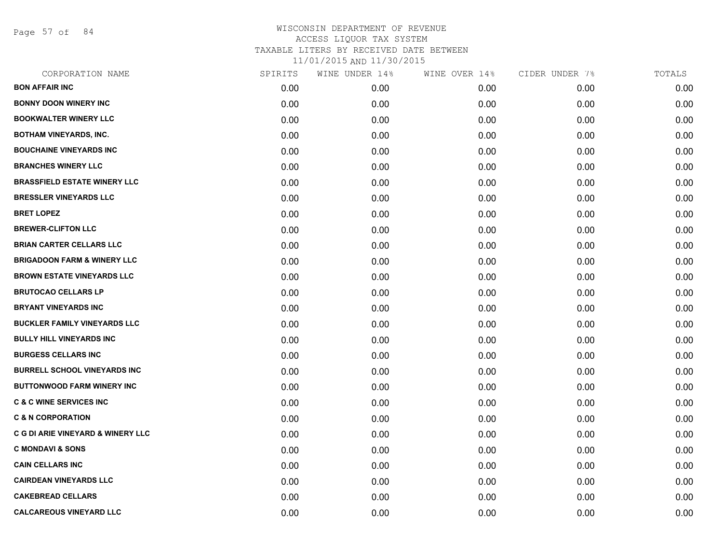Page 57 of 84

| CORPORATION NAME                             | SPIRITS | WINE UNDER 14% | WINE OVER 14% | CIDER UNDER 7% | TOTALS |
|----------------------------------------------|---------|----------------|---------------|----------------|--------|
| <b>BON AFFAIR INC</b>                        | 0.00    | 0.00           | 0.00          | 0.00           | 0.00   |
| <b>BONNY DOON WINERY INC</b>                 | 0.00    | 0.00           | 0.00          | 0.00           | 0.00   |
| <b>BOOKWALTER WINERY LLC</b>                 | 0.00    | 0.00           | 0.00          | 0.00           | 0.00   |
| <b>BOTHAM VINEYARDS, INC.</b>                | 0.00    | 0.00           | 0.00          | 0.00           | 0.00   |
| <b>BOUCHAINE VINEYARDS INC</b>               | 0.00    | 0.00           | 0.00          | 0.00           | 0.00   |
| <b>BRANCHES WINERY LLC</b>                   | 0.00    | 0.00           | 0.00          | 0.00           | 0.00   |
| <b>BRASSFIELD ESTATE WINERY LLC</b>          | 0.00    | 0.00           | 0.00          | 0.00           | 0.00   |
| <b>BRESSLER VINEYARDS LLC</b>                | 0.00    | 0.00           | 0.00          | 0.00           | 0.00   |
| <b>BRET LOPEZ</b>                            | 0.00    | 0.00           | 0.00          | 0.00           | 0.00   |
| <b>BREWER-CLIFTON LLC</b>                    | 0.00    | 0.00           | 0.00          | 0.00           | 0.00   |
| <b>BRIAN CARTER CELLARS LLC</b>              | 0.00    | 0.00           | 0.00          | 0.00           | 0.00   |
| <b>BRIGADOON FARM &amp; WINERY LLC</b>       | 0.00    | 0.00           | 0.00          | 0.00           | 0.00   |
| <b>BROWN ESTATE VINEYARDS LLC</b>            | 0.00    | 0.00           | 0.00          | 0.00           | 0.00   |
| <b>BRUTOCAO CELLARS LP</b>                   | 0.00    | 0.00           | 0.00          | 0.00           | 0.00   |
| <b>BRYANT VINEYARDS INC</b>                  | 0.00    | 0.00           | 0.00          | 0.00           | 0.00   |
| <b>BUCKLER FAMILY VINEYARDS LLC</b>          | 0.00    | 0.00           | 0.00          | 0.00           | 0.00   |
| <b>BULLY HILL VINEYARDS INC</b>              | 0.00    | 0.00           | 0.00          | 0.00           | 0.00   |
| <b>BURGESS CELLARS INC</b>                   | 0.00    | 0.00           | 0.00          | 0.00           | 0.00   |
| <b>BURRELL SCHOOL VINEYARDS INC</b>          | 0.00    | 0.00           | 0.00          | 0.00           | 0.00   |
| <b>BUTTONWOOD FARM WINERY INC</b>            | 0.00    | 0.00           | 0.00          | 0.00           | 0.00   |
| <b>C &amp; C WINE SERVICES INC</b>           | 0.00    | 0.00           | 0.00          | 0.00           | 0.00   |
| <b>C &amp; N CORPORATION</b>                 | 0.00    | 0.00           | 0.00          | 0.00           | 0.00   |
| <b>C G DI ARIE VINEYARD &amp; WINERY LLC</b> | 0.00    | 0.00           | 0.00          | 0.00           | 0.00   |
| <b>C MONDAVI &amp; SONS</b>                  | 0.00    | 0.00           | 0.00          | 0.00           | 0.00   |
| <b>CAIN CELLARS INC</b>                      | 0.00    | 0.00           | 0.00          | 0.00           | 0.00   |
| <b>CAIRDEAN VINEYARDS LLC</b>                | 0.00    | 0.00           | 0.00          | 0.00           | 0.00   |
| <b>CAKEBREAD CELLARS</b>                     | 0.00    | 0.00           | 0.00          | 0.00           | 0.00   |
| <b>CALCAREOUS VINEYARD LLC</b>               | 0.00    | 0.00           | 0.00          | 0.00           | 0.00   |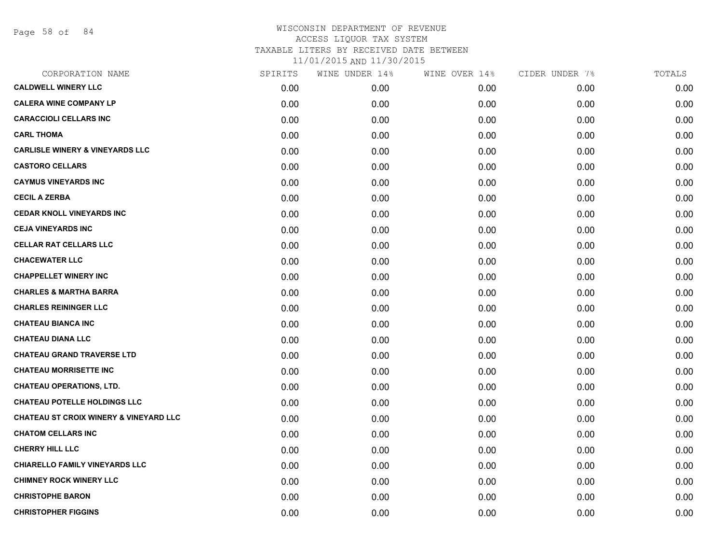Page 58 of 84

| CORPORATION NAME                                  | SPIRITS | WINE UNDER 14% | WINE OVER 14% | CIDER UNDER 7% | TOTALS |
|---------------------------------------------------|---------|----------------|---------------|----------------|--------|
| <b>CALDWELL WINERY LLC</b>                        | 0.00    | 0.00           | 0.00          | 0.00           | 0.00   |
| <b>CALERA WINE COMPANY LP</b>                     | 0.00    | 0.00           | 0.00          | 0.00           | 0.00   |
| <b>CARACCIOLI CELLARS INC</b>                     | 0.00    | 0.00           | 0.00          | 0.00           | 0.00   |
| <b>CARL THOMA</b>                                 | 0.00    | 0.00           | 0.00          | 0.00           | 0.00   |
| <b>CARLISLE WINERY &amp; VINEYARDS LLC</b>        | 0.00    | 0.00           | 0.00          | 0.00           | 0.00   |
| <b>CASTORO CELLARS</b>                            | 0.00    | 0.00           | 0.00          | 0.00           | 0.00   |
| <b>CAYMUS VINEYARDS INC</b>                       | 0.00    | 0.00           | 0.00          | 0.00           | 0.00   |
| <b>CECIL A ZERBA</b>                              | 0.00    | 0.00           | 0.00          | 0.00           | 0.00   |
| <b>CEDAR KNOLL VINEYARDS INC</b>                  | 0.00    | 0.00           | 0.00          | 0.00           | 0.00   |
| <b>CEJA VINEYARDS INC</b>                         | 0.00    | 0.00           | 0.00          | 0.00           | 0.00   |
| <b>CELLAR RAT CELLARS LLC</b>                     | 0.00    | 0.00           | 0.00          | 0.00           | 0.00   |
| <b>CHACEWATER LLC</b>                             | 0.00    | 0.00           | 0.00          | 0.00           | 0.00   |
| <b>CHAPPELLET WINERY INC</b>                      | 0.00    | 0.00           | 0.00          | 0.00           | 0.00   |
| <b>CHARLES &amp; MARTHA BARRA</b>                 | 0.00    | 0.00           | 0.00          | 0.00           | 0.00   |
| <b>CHARLES REININGER LLC</b>                      | 0.00    | 0.00           | 0.00          | 0.00           | 0.00   |
| <b>CHATEAU BIANCA INC</b>                         | 0.00    | 0.00           | 0.00          | 0.00           | 0.00   |
| <b>CHATEAU DIANA LLC</b>                          | 0.00    | 0.00           | 0.00          | 0.00           | 0.00   |
| <b>CHATEAU GRAND TRAVERSE LTD</b>                 | 0.00    | 0.00           | 0.00          | 0.00           | 0.00   |
| <b>CHATEAU MORRISETTE INC</b>                     | 0.00    | 0.00           | 0.00          | 0.00           | 0.00   |
| <b>CHATEAU OPERATIONS, LTD.</b>                   | 0.00    | 0.00           | 0.00          | 0.00           | 0.00   |
| <b>CHATEAU POTELLE HOLDINGS LLC</b>               | 0.00    | 0.00           | 0.00          | 0.00           | 0.00   |
| <b>CHATEAU ST CROIX WINERY &amp; VINEYARD LLC</b> | 0.00    | 0.00           | 0.00          | 0.00           | 0.00   |
| <b>CHATOM CELLARS INC</b>                         | 0.00    | 0.00           | 0.00          | 0.00           | 0.00   |
| <b>CHERRY HILL LLC</b>                            | 0.00    | 0.00           | 0.00          | 0.00           | 0.00   |
| CHIARELLO FAMILY VINEYARDS LLC                    | 0.00    | 0.00           | 0.00          | 0.00           | 0.00   |
| <b>CHIMNEY ROCK WINERY LLC</b>                    | 0.00    | 0.00           | 0.00          | 0.00           | 0.00   |
| <b>CHRISTOPHE BARON</b>                           | 0.00    | 0.00           | 0.00          | 0.00           | 0.00   |
| <b>CHRISTOPHER FIGGINS</b>                        | 0.00    | 0.00           | 0.00          | 0.00           | 0.00   |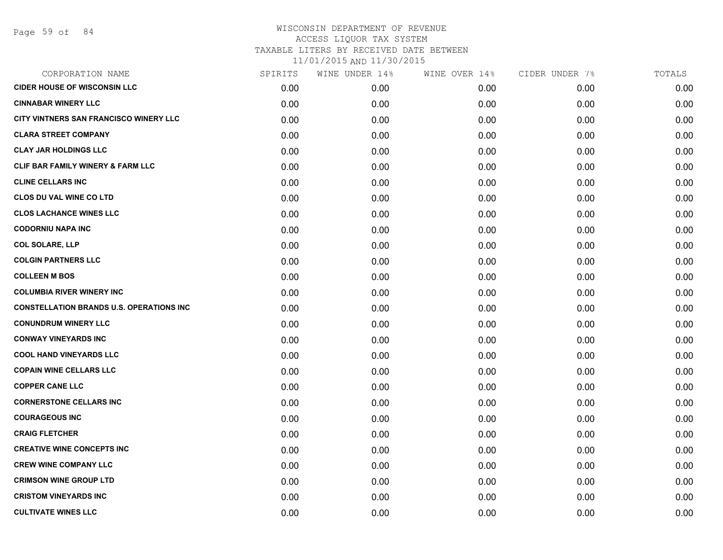| CORPORATION NAME                                | SPIRITS | WINE UNDER 14% | WINE OVER 14% | CIDER UNDER 7% | TOTALS |
|-------------------------------------------------|---------|----------------|---------------|----------------|--------|
| <b>CIDER HOUSE OF WISCONSIN LLC</b>             | 0.00    | 0.00           | 0.00          | 0.00           | 0.00   |
| <b>CINNABAR WINERY LLC</b>                      | 0.00    | 0.00           | 0.00          | 0.00           | 0.00   |
| CITY VINTNERS SAN FRANCISCO WINERY LLC          | 0.00    | 0.00           | 0.00          | 0.00           | 0.00   |
| <b>CLARA STREET COMPANY</b>                     | 0.00    | 0.00           | 0.00          | 0.00           | 0.00   |
| <b>CLAY JAR HOLDINGS LLC</b>                    | 0.00    | 0.00           | 0.00          | 0.00           | 0.00   |
| CLIF BAR FAMILY WINERY & FARM LLC               | 0.00    | 0.00           | 0.00          | 0.00           | 0.00   |
| <b>CLINE CELLARS INC</b>                        | 0.00    | 0.00           | 0.00          | 0.00           | 0.00   |
| <b>CLOS DU VAL WINE CO LTD</b>                  | 0.00    | 0.00           | 0.00          | 0.00           | 0.00   |
| <b>CLOS LACHANCE WINES LLC</b>                  | 0.00    | 0.00           | 0.00          | 0.00           | 0.00   |
| <b>CODORNIU NAPA INC</b>                        | 0.00    | 0.00           | 0.00          | 0.00           | 0.00   |
| <b>COL SOLARE, LLP</b>                          | 0.00    | 0.00           | 0.00          | 0.00           | 0.00   |
| <b>COLGIN PARTNERS LLC</b>                      | 0.00    | 0.00           | 0.00          | 0.00           | 0.00   |
| <b>COLLEEN M BOS</b>                            | 0.00    | 0.00           | 0.00          | 0.00           | 0.00   |
| <b>COLUMBIA RIVER WINERY INC</b>                | 0.00    | 0.00           | 0.00          | 0.00           | 0.00   |
| <b>CONSTELLATION BRANDS U.S. OPERATIONS INC</b> | 0.00    | 0.00           | 0.00          | 0.00           | 0.00   |
| <b>CONUNDRUM WINERY LLC</b>                     | 0.00    | 0.00           | 0.00          | 0.00           | 0.00   |
| <b>CONWAY VINEYARDS INC</b>                     | 0.00    | 0.00           | 0.00          | 0.00           | 0.00   |
| <b>COOL HAND VINEYARDS LLC</b>                  | 0.00    | 0.00           | 0.00          | 0.00           | 0.00   |
| <b>COPAIN WINE CELLARS LLC</b>                  | 0.00    | 0.00           | 0.00          | 0.00           | 0.00   |
| <b>COPPER CANE LLC</b>                          | 0.00    | 0.00           | 0.00          | 0.00           | 0.00   |
| <b>CORNERSTONE CELLARS INC</b>                  | 0.00    | 0.00           | 0.00          | 0.00           | 0.00   |
| <b>COURAGEOUS INC</b>                           | 0.00    | 0.00           | 0.00          | 0.00           | 0.00   |
| <b>CRAIG FLETCHER</b>                           | 0.00    | 0.00           | 0.00          | 0.00           | 0.00   |
| <b>CREATIVE WINE CONCEPTS INC</b>               | 0.00    | 0.00           | 0.00          | 0.00           | 0.00   |
| <b>CREW WINE COMPANY LLC</b>                    | 0.00    | 0.00           | 0.00          | 0.00           | 0.00   |
| <b>CRIMSON WINE GROUP LTD</b>                   | 0.00    | 0.00           | 0.00          | 0.00           | 0.00   |
| <b>CRISTOM VINEYARDS INC</b>                    | 0.00    | 0.00           | 0.00          | 0.00           | 0.00   |
| <b>CULTIVATE WINES LLC</b>                      | 0.00    | 0.00           | 0.00          | 0.00           | 0.00   |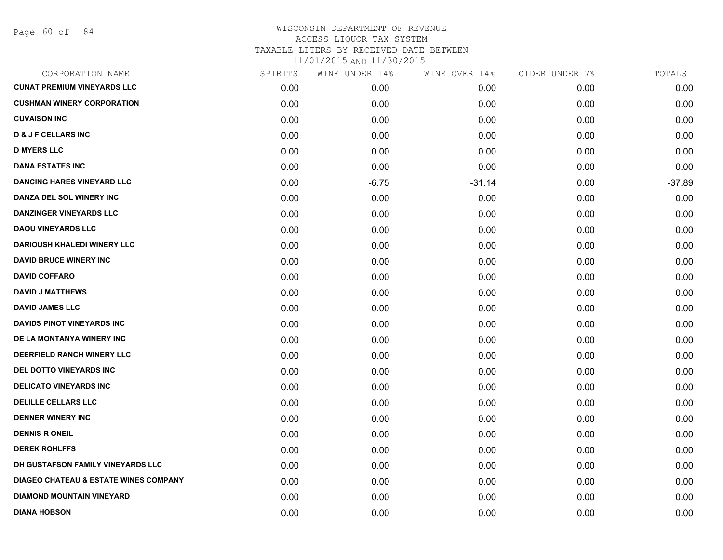| CORPORATION NAME                                 | SPIRITS | WINE UNDER 14% | WINE OVER 14% | CIDER UNDER 7% | TOTALS   |
|--------------------------------------------------|---------|----------------|---------------|----------------|----------|
| <b>CUNAT PREMIUM VINEYARDS LLC</b>               | 0.00    | 0.00           | 0.00          | 0.00           | 0.00     |
| <b>CUSHMAN WINERY CORPORATION</b>                | 0.00    | 0.00           | 0.00          | 0.00           | 0.00     |
| <b>CUVAISON INC</b>                              | 0.00    | 0.00           | 0.00          | 0.00           | 0.00     |
| <b>D &amp; J F CELLARS INC</b>                   | 0.00    | 0.00           | 0.00          | 0.00           | 0.00     |
| <b>D MYERS LLC</b>                               | 0.00    | 0.00           | 0.00          | 0.00           | 0.00     |
| <b>DANA ESTATES INC</b>                          | 0.00    | 0.00           | 0.00          | 0.00           | 0.00     |
| <b>DANCING HARES VINEYARD LLC</b>                | 0.00    | $-6.75$        | $-31.14$      | 0.00           | $-37.89$ |
| DANZA DEL SOL WINERY INC                         | 0.00    | 0.00           | 0.00          | 0.00           | 0.00     |
| <b>DANZINGER VINEYARDS LLC</b>                   | 0.00    | 0.00           | 0.00          | 0.00           | 0.00     |
| <b>DAOU VINEYARDS LLC</b>                        | 0.00    | 0.00           | 0.00          | 0.00           | 0.00     |
| <b>DARIOUSH KHALEDI WINERY LLC</b>               | 0.00    | 0.00           | 0.00          | 0.00           | 0.00     |
| <b>DAVID BRUCE WINERY INC</b>                    | 0.00    | 0.00           | 0.00          | 0.00           | 0.00     |
| <b>DAVID COFFARO</b>                             | 0.00    | 0.00           | 0.00          | 0.00           | 0.00     |
| <b>DAVID J MATTHEWS</b>                          | 0.00    | 0.00           | 0.00          | 0.00           | 0.00     |
| <b>DAVID JAMES LLC</b>                           | 0.00    | 0.00           | 0.00          | 0.00           | 0.00     |
| <b>DAVIDS PINOT VINEYARDS INC</b>                | 0.00    | 0.00           | 0.00          | 0.00           | 0.00     |
| DE LA MONTANYA WINERY INC                        | 0.00    | 0.00           | 0.00          | 0.00           | 0.00     |
| DEERFIELD RANCH WINERY LLC                       | 0.00    | 0.00           | 0.00          | 0.00           | 0.00     |
| DEL DOTTO VINEYARDS INC                          | 0.00    | 0.00           | 0.00          | 0.00           | 0.00     |
| <b>DELICATO VINEYARDS INC</b>                    | 0.00    | 0.00           | 0.00          | 0.00           | 0.00     |
| <b>DELILLE CELLARS LLC</b>                       | 0.00    | 0.00           | 0.00          | 0.00           | 0.00     |
| <b>DENNER WINERY INC</b>                         | 0.00    | 0.00           | 0.00          | 0.00           | 0.00     |
| <b>DENNIS R ONEIL</b>                            | 0.00    | 0.00           | 0.00          | 0.00           | 0.00     |
| <b>DEREK ROHLFFS</b>                             | 0.00    | 0.00           | 0.00          | 0.00           | 0.00     |
| DH GUSTAFSON FAMILY VINEYARDS LLC                | 0.00    | 0.00           | 0.00          | 0.00           | 0.00     |
| <b>DIAGEO CHATEAU &amp; ESTATE WINES COMPANY</b> | 0.00    | 0.00           | 0.00          | 0.00           | 0.00     |
| <b>DIAMOND MOUNTAIN VINEYARD</b>                 | 0.00    | 0.00           | 0.00          | 0.00           | 0.00     |
| <b>DIANA HOBSON</b>                              | 0.00    | 0.00           | 0.00          | 0.00           | 0.00     |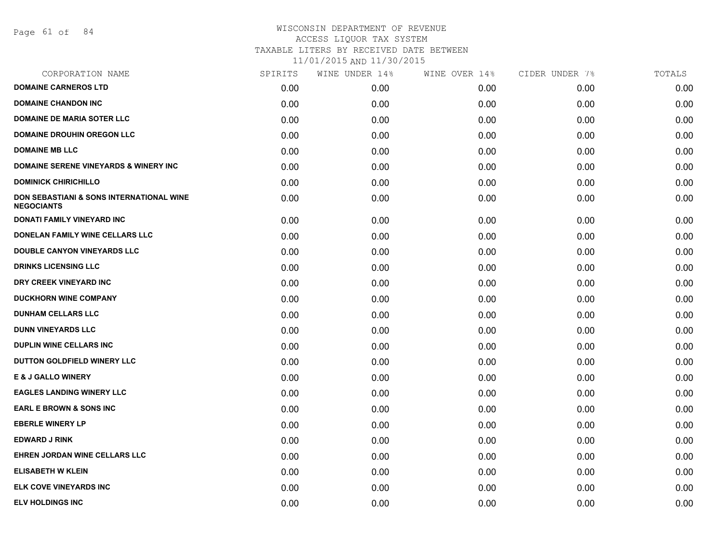Page 61 of 84

### WISCONSIN DEPARTMENT OF REVENUE ACCESS LIQUOR TAX SYSTEM TAXABLE LITERS BY RECEIVED DATE BETWEEN

| CORPORATION NAME                                                         | SPIRITS | WINE UNDER 14% | WINE OVER 14% | CIDER UNDER 7% | TOTALS |
|--------------------------------------------------------------------------|---------|----------------|---------------|----------------|--------|
| <b>DOMAINE CARNEROS LTD</b>                                              | 0.00    | 0.00           | 0.00          | 0.00           | 0.00   |
| <b>DOMAINE CHANDON INC</b>                                               | 0.00    | 0.00           | 0.00          | 0.00           | 0.00   |
| <b>DOMAINE DE MARIA SOTER LLC</b>                                        | 0.00    | 0.00           | 0.00          | 0.00           | 0.00   |
| <b>DOMAINE DROUHIN OREGON LLC</b>                                        | 0.00    | 0.00           | 0.00          | 0.00           | 0.00   |
| <b>DOMAINE MB LLC</b>                                                    | 0.00    | 0.00           | 0.00          | 0.00           | 0.00   |
| <b>DOMAINE SERENE VINEYARDS &amp; WINERY INC</b>                         | 0.00    | 0.00           | 0.00          | 0.00           | 0.00   |
| <b>DOMINICK CHIRICHILLO</b>                                              | 0.00    | 0.00           | 0.00          | 0.00           | 0.00   |
| <b>DON SEBASTIANI &amp; SONS INTERNATIONAL WINE</b><br><b>NEGOCIANTS</b> | 0.00    | 0.00           | 0.00          | 0.00           | 0.00   |
| DONATI FAMILY VINEYARD INC                                               | 0.00    | 0.00           | 0.00          | 0.00           | 0.00   |
| DONELAN FAMILY WINE CELLARS LLC                                          | 0.00    | 0.00           | 0.00          | 0.00           | 0.00   |
| DOUBLE CANYON VINEYARDS LLC                                              | 0.00    | 0.00           | 0.00          | 0.00           | 0.00   |
| <b>DRINKS LICENSING LLC</b>                                              | 0.00    | 0.00           | 0.00          | 0.00           | 0.00   |
| DRY CREEK VINEYARD INC                                                   | 0.00    | 0.00           | 0.00          | 0.00           | 0.00   |
| <b>DUCKHORN WINE COMPANY</b>                                             | 0.00    | 0.00           | 0.00          | 0.00           | 0.00   |
| <b>DUNHAM CELLARS LLC</b>                                                | 0.00    | 0.00           | 0.00          | 0.00           | 0.00   |
| <b>DUNN VINEYARDS LLC</b>                                                | 0.00    | 0.00           | 0.00          | 0.00           | 0.00   |
| <b>DUPLIN WINE CELLARS INC</b>                                           | 0.00    | 0.00           | 0.00          | 0.00           | 0.00   |
| DUTTON GOLDFIELD WINERY LLC                                              | 0.00    | 0.00           | 0.00          | 0.00           | 0.00   |
| <b>E &amp; J GALLO WINERY</b>                                            | 0.00    | 0.00           | 0.00          | 0.00           | 0.00   |
| <b>EAGLES LANDING WINERY LLC</b>                                         | 0.00    | 0.00           | 0.00          | 0.00           | 0.00   |
| <b>EARL E BROWN &amp; SONS INC</b>                                       | 0.00    | 0.00           | 0.00          | 0.00           | 0.00   |
| <b>EBERLE WINERY LP</b>                                                  | 0.00    | 0.00           | 0.00          | 0.00           | 0.00   |
| <b>EDWARD J RINK</b>                                                     | 0.00    | 0.00           | 0.00          | 0.00           | 0.00   |
| EHREN JORDAN WINE CELLARS LLC                                            | 0.00    | 0.00           | 0.00          | 0.00           | 0.00   |
| <b>ELISABETH W KLEIN</b>                                                 | 0.00    | 0.00           | 0.00          | 0.00           | 0.00   |
| <b>ELK COVE VINEYARDS INC</b>                                            | 0.00    | 0.00           | 0.00          | 0.00           | 0.00   |
| <b>ELV HOLDINGS INC</b>                                                  | 0.00    | 0.00           | 0.00          | 0.00           | 0.00   |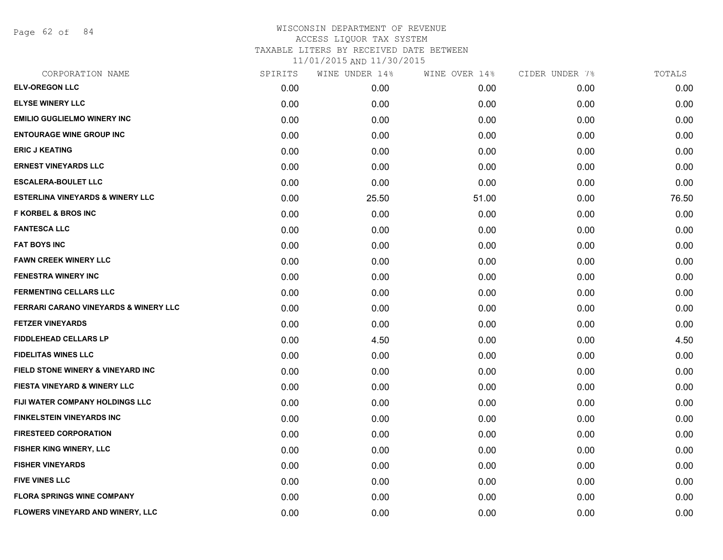Page 62 of 84

| CORPORATION NAME                            | SPIRITS | WINE UNDER 14% | WINE OVER 14% | CIDER UNDER 7% | TOTALS |
|---------------------------------------------|---------|----------------|---------------|----------------|--------|
| <b>ELV-OREGON LLC</b>                       | 0.00    | 0.00           | 0.00          | 0.00           | 0.00   |
| <b>ELYSE WINERY LLC</b>                     | 0.00    | 0.00           | 0.00          | 0.00           | 0.00   |
| <b>EMILIO GUGLIELMO WINERY INC</b>          | 0.00    | 0.00           | 0.00          | 0.00           | 0.00   |
| <b>ENTOURAGE WINE GROUP INC</b>             | 0.00    | 0.00           | 0.00          | 0.00           | 0.00   |
| <b>ERIC J KEATING</b>                       | 0.00    | 0.00           | 0.00          | 0.00           | 0.00   |
| <b>ERNEST VINEYARDS LLC</b>                 | 0.00    | 0.00           | 0.00          | 0.00           | 0.00   |
| <b>ESCALERA-BOULET LLC</b>                  | 0.00    | 0.00           | 0.00          | 0.00           | 0.00   |
| <b>ESTERLINA VINEYARDS &amp; WINERY LLC</b> | 0.00    | 25.50          | 51.00         | 0.00           | 76.50  |
| <b>F KORBEL &amp; BROS INC</b>              | 0.00    | 0.00           | 0.00          | 0.00           | 0.00   |
| <b>FANTESCA LLC</b>                         | 0.00    | 0.00           | 0.00          | 0.00           | 0.00   |
| <b>FAT BOYS INC</b>                         | 0.00    | 0.00           | 0.00          | 0.00           | 0.00   |
| <b>FAWN CREEK WINERY LLC</b>                | 0.00    | 0.00           | 0.00          | 0.00           | 0.00   |
| <b>FENESTRA WINERY INC</b>                  | 0.00    | 0.00           | 0.00          | 0.00           | 0.00   |
| <b>FERMENTING CELLARS LLC</b>               | 0.00    | 0.00           | 0.00          | 0.00           | 0.00   |
| FERRARI CARANO VINEYARDS & WINERY LLC       | 0.00    | 0.00           | 0.00          | 0.00           | 0.00   |
| <b>FETZER VINEYARDS</b>                     | 0.00    | 0.00           | 0.00          | 0.00           | 0.00   |
| <b>FIDDLEHEAD CELLARS LP</b>                | 0.00    | 4.50           | 0.00          | 0.00           | 4.50   |
| <b>FIDELITAS WINES LLC</b>                  | 0.00    | 0.00           | 0.00          | 0.00           | 0.00   |
| FIELD STONE WINERY & VINEYARD INC           | 0.00    | 0.00           | 0.00          | 0.00           | 0.00   |
| FIESTA VINEYARD & WINERY LLC                | 0.00    | 0.00           | 0.00          | 0.00           | 0.00   |
| FIJI WATER COMPANY HOLDINGS LLC             | 0.00    | 0.00           | 0.00          | 0.00           | 0.00   |
| <b>FINKELSTEIN VINEYARDS INC</b>            | 0.00    | 0.00           | 0.00          | 0.00           | 0.00   |
| <b>FIRESTEED CORPORATION</b>                | 0.00    | 0.00           | 0.00          | 0.00           | 0.00   |
| <b>FISHER KING WINERY, LLC</b>              | 0.00    | 0.00           | 0.00          | 0.00           | 0.00   |
| <b>FISHER VINEYARDS</b>                     | 0.00    | 0.00           | 0.00          | 0.00           | 0.00   |
| <b>FIVE VINES LLC</b>                       | 0.00    | 0.00           | 0.00          | 0.00           | 0.00   |
| <b>FLORA SPRINGS WINE COMPANY</b>           | 0.00    | 0.00           | 0.00          | 0.00           | 0.00   |
| FLOWERS VINEYARD AND WINERY, LLC            | 0.00    | 0.00           | 0.00          | 0.00           | 0.00   |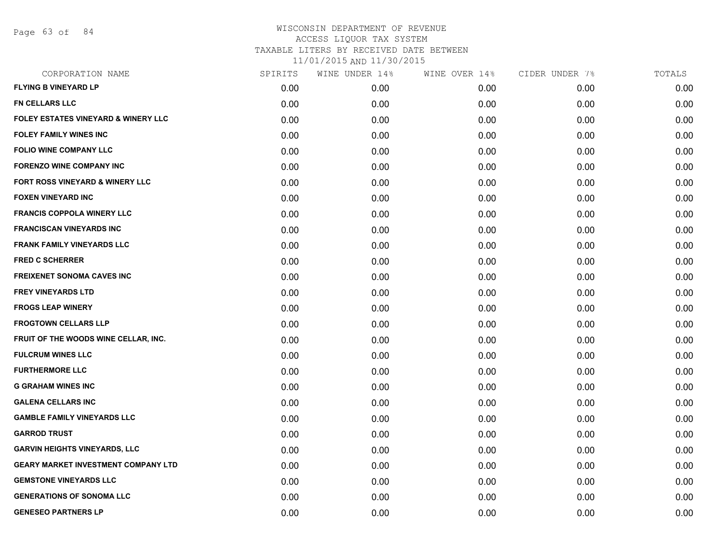Page 63 of 84

| CORPORATION NAME                               | SPIRITS | WINE UNDER 14% | WINE OVER 14% | CIDER UNDER 7% | TOTALS |
|------------------------------------------------|---------|----------------|---------------|----------------|--------|
| <b>FLYING B VINEYARD LP</b>                    | 0.00    | 0.00           | 0.00          | 0.00           | 0.00   |
| <b>FN CELLARS LLC</b>                          | 0.00    | 0.00           | 0.00          | 0.00           | 0.00   |
| <b>FOLEY ESTATES VINEYARD &amp; WINERY LLC</b> | 0.00    | 0.00           | 0.00          | 0.00           | 0.00   |
| <b>FOLEY FAMILY WINES INC</b>                  | 0.00    | 0.00           | 0.00          | 0.00           | 0.00   |
| <b>FOLIO WINE COMPANY LLC</b>                  | 0.00    | 0.00           | 0.00          | 0.00           | 0.00   |
| <b>FORENZO WINE COMPANY INC</b>                | 0.00    | 0.00           | 0.00          | 0.00           | 0.00   |
| FORT ROSS VINEYARD & WINERY LLC                | 0.00    | 0.00           | 0.00          | 0.00           | 0.00   |
| <b>FOXEN VINEYARD INC</b>                      | 0.00    | 0.00           | 0.00          | 0.00           | 0.00   |
| <b>FRANCIS COPPOLA WINERY LLC</b>              | 0.00    | 0.00           | 0.00          | 0.00           | 0.00   |
| <b>FRANCISCAN VINEYARDS INC</b>                | 0.00    | 0.00           | 0.00          | 0.00           | 0.00   |
| <b>FRANK FAMILY VINEYARDS LLC</b>              | 0.00    | 0.00           | 0.00          | 0.00           | 0.00   |
| <b>FRED C SCHERRER</b>                         | 0.00    | 0.00           | 0.00          | 0.00           | 0.00   |
| <b>FREIXENET SONOMA CAVES INC</b>              | 0.00    | 0.00           | 0.00          | 0.00           | 0.00   |
| <b>FREY VINEYARDS LTD</b>                      | 0.00    | 0.00           | 0.00          | 0.00           | 0.00   |
| <b>FROGS LEAP WINERY</b>                       | 0.00    | 0.00           | 0.00          | 0.00           | 0.00   |
| <b>FROGTOWN CELLARS LLP</b>                    | 0.00    | 0.00           | 0.00          | 0.00           | 0.00   |
| FRUIT OF THE WOODS WINE CELLAR, INC.           | 0.00    | 0.00           | 0.00          | 0.00           | 0.00   |
| <b>FULCRUM WINES LLC</b>                       | 0.00    | 0.00           | 0.00          | 0.00           | 0.00   |
| <b>FURTHERMORE LLC</b>                         | 0.00    | 0.00           | 0.00          | 0.00           | 0.00   |
| <b>G GRAHAM WINES INC</b>                      | 0.00    | 0.00           | 0.00          | 0.00           | 0.00   |
| <b>GALENA CELLARS INC</b>                      | 0.00    | 0.00           | 0.00          | 0.00           | 0.00   |
| <b>GAMBLE FAMILY VINEYARDS LLC</b>             | 0.00    | 0.00           | 0.00          | 0.00           | 0.00   |
| <b>GARROD TRUST</b>                            | 0.00    | 0.00           | 0.00          | 0.00           | 0.00   |
| <b>GARVIN HEIGHTS VINEYARDS, LLC</b>           | 0.00    | 0.00           | 0.00          | 0.00           | 0.00   |
| <b>GEARY MARKET INVESTMENT COMPANY LTD</b>     | 0.00    | 0.00           | 0.00          | 0.00           | 0.00   |
| <b>GEMSTONE VINEYARDS LLC</b>                  | 0.00    | 0.00           | 0.00          | 0.00           | 0.00   |
| <b>GENERATIONS OF SONOMA LLC</b>               | 0.00    | 0.00           | 0.00          | 0.00           | 0.00   |
| <b>GENESEO PARTNERS LP</b>                     | 0.00    | 0.00           | 0.00          | 0.00           | 0.00   |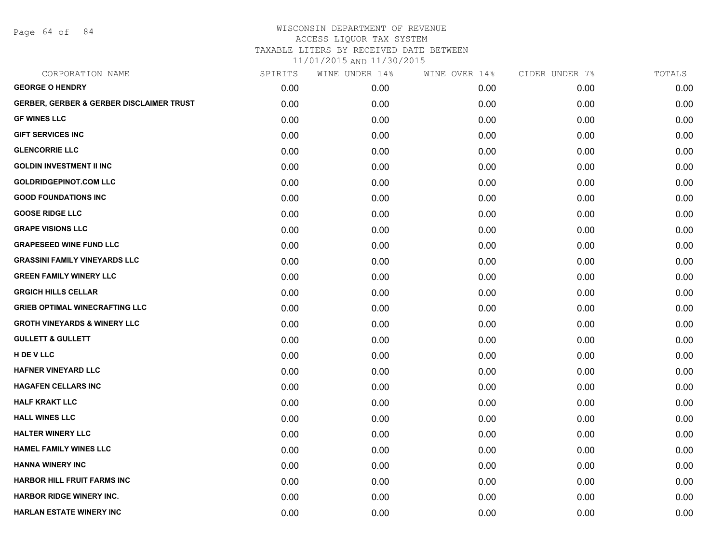Page 64 of 84

#### WISCONSIN DEPARTMENT OF REVENUE ACCESS LIQUOR TAX SYSTEM TAXABLE LITERS BY RECEIVED DATE BETWEEN

| CORPORATION NAME                                    | SPIRITS | WINE UNDER 14% | WINE OVER 14% | CIDER UNDER 7% | TOTALS |
|-----------------------------------------------------|---------|----------------|---------------|----------------|--------|
| <b>GEORGE O HENDRY</b>                              | 0.00    | 0.00           | 0.00          | 0.00           | 0.00   |
| <b>GERBER, GERBER &amp; GERBER DISCLAIMER TRUST</b> | 0.00    | 0.00           | 0.00          | 0.00           | 0.00   |
| <b>GF WINES LLC</b>                                 | 0.00    | 0.00           | 0.00          | 0.00           | 0.00   |
| <b>GIFT SERVICES INC</b>                            | 0.00    | 0.00           | 0.00          | 0.00           | 0.00   |
| <b>GLENCORRIE LLC</b>                               | 0.00    | 0.00           | 0.00          | 0.00           | 0.00   |
| <b>GOLDIN INVESTMENT II INC</b>                     | 0.00    | 0.00           | 0.00          | 0.00           | 0.00   |
| <b>GOLDRIDGEPINOT.COM LLC</b>                       | 0.00    | 0.00           | 0.00          | 0.00           | 0.00   |
| <b>GOOD FOUNDATIONS INC</b>                         | 0.00    | 0.00           | 0.00          | 0.00           | 0.00   |
| <b>GOOSE RIDGE LLC</b>                              | 0.00    | 0.00           | 0.00          | 0.00           | 0.00   |
| <b>GRAPE VISIONS LLC</b>                            | 0.00    | 0.00           | 0.00          | 0.00           | 0.00   |
| <b>GRAPESEED WINE FUND LLC</b>                      | 0.00    | 0.00           | 0.00          | 0.00           | 0.00   |
| <b>GRASSINI FAMILY VINEYARDS LLC</b>                | 0.00    | 0.00           | 0.00          | 0.00           | 0.00   |
| <b>GREEN FAMILY WINERY LLC</b>                      | 0.00    | 0.00           | 0.00          | 0.00           | 0.00   |
| <b>GRGICH HILLS CELLAR</b>                          | 0.00    | 0.00           | 0.00          | 0.00           | 0.00   |
| <b>GRIEB OPTIMAL WINECRAFTING LLC</b>               | 0.00    | 0.00           | 0.00          | 0.00           | 0.00   |
| <b>GROTH VINEYARDS &amp; WINERY LLC</b>             | 0.00    | 0.00           | 0.00          | 0.00           | 0.00   |
| <b>GULLETT &amp; GULLETT</b>                        | 0.00    | 0.00           | 0.00          | 0.00           | 0.00   |
| H DE V LLC                                          | 0.00    | 0.00           | 0.00          | 0.00           | 0.00   |
| <b>HAFNER VINEYARD LLC</b>                          | 0.00    | 0.00           | 0.00          | 0.00           | 0.00   |
| <b>HAGAFEN CELLARS INC</b>                          | 0.00    | 0.00           | 0.00          | 0.00           | 0.00   |
| <b>HALF KRAKT LLC</b>                               | 0.00    | 0.00           | 0.00          | 0.00           | 0.00   |
| <b>HALL WINES LLC</b>                               | 0.00    | 0.00           | 0.00          | 0.00           | 0.00   |
| <b>HALTER WINERY LLC</b>                            | 0.00    | 0.00           | 0.00          | 0.00           | 0.00   |
| <b>HAMEL FAMILY WINES LLC</b>                       | 0.00    | 0.00           | 0.00          | 0.00           | 0.00   |
| <b>HANNA WINERY INC</b>                             | 0.00    | 0.00           | 0.00          | 0.00           | 0.00   |
| <b>HARBOR HILL FRUIT FARMS INC</b>                  | 0.00    | 0.00           | 0.00          | 0.00           | 0.00   |
| <b>HARBOR RIDGE WINERY INC.</b>                     | 0.00    | 0.00           | 0.00          | 0.00           | 0.00   |
| <b>HARLAN ESTATE WINERY INC</b>                     | 0.00    | 0.00           | 0.00          | 0.00           | 0.00   |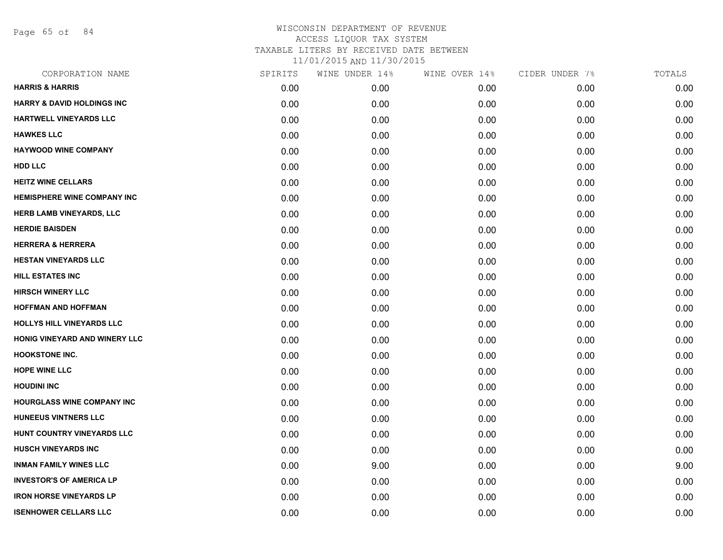Page 65 of 84

| CORPORATION NAME                      | SPIRITS | WINE UNDER 14% | WINE OVER 14% | CIDER UNDER 7% | TOTALS |
|---------------------------------------|---------|----------------|---------------|----------------|--------|
| <b>HARRIS &amp; HARRIS</b>            | 0.00    | 0.00           | 0.00          | 0.00           | 0.00   |
| <b>HARRY &amp; DAVID HOLDINGS INC</b> | 0.00    | 0.00           | 0.00          | 0.00           | 0.00   |
| HARTWELL VINEYARDS LLC                | 0.00    | 0.00           | 0.00          | 0.00           | 0.00   |
| <b>HAWKES LLC</b>                     | 0.00    | 0.00           | 0.00          | 0.00           | 0.00   |
| <b>HAYWOOD WINE COMPANY</b>           | 0.00    | 0.00           | 0.00          | 0.00           | 0.00   |
| <b>HDD LLC</b>                        | 0.00    | 0.00           | 0.00          | 0.00           | 0.00   |
| <b>HEITZ WINE CELLARS</b>             | 0.00    | 0.00           | 0.00          | 0.00           | 0.00   |
| HEMISPHERE WINE COMPANY INC           | 0.00    | 0.00           | 0.00          | 0.00           | 0.00   |
| <b>HERB LAMB VINEYARDS, LLC</b>       | 0.00    | 0.00           | 0.00          | 0.00           | 0.00   |
| <b>HERDIE BAISDEN</b>                 | 0.00    | 0.00           | 0.00          | 0.00           | 0.00   |
| <b>HERRERA &amp; HERRERA</b>          | 0.00    | 0.00           | 0.00          | 0.00           | 0.00   |
| <b>HESTAN VINEYARDS LLC</b>           | 0.00    | 0.00           | 0.00          | 0.00           | 0.00   |
| <b>HILL ESTATES INC</b>               | 0.00    | 0.00           | 0.00          | 0.00           | 0.00   |
| <b>HIRSCH WINERY LLC</b>              | 0.00    | 0.00           | 0.00          | 0.00           | 0.00   |
| <b>HOFFMAN AND HOFFMAN</b>            | 0.00    | 0.00           | 0.00          | 0.00           | 0.00   |
| HOLLYS HILL VINEYARDS LLC             | 0.00    | 0.00           | 0.00          | 0.00           | 0.00   |
| HONIG VINEYARD AND WINERY LLC         | 0.00    | 0.00           | 0.00          | 0.00           | 0.00   |
| <b>HOOKSTONE INC.</b>                 | 0.00    | 0.00           | 0.00          | 0.00           | 0.00   |
| <b>HOPE WINE LLC</b>                  | 0.00    | 0.00           | 0.00          | 0.00           | 0.00   |
| <b>HOUDINI INC</b>                    | 0.00    | 0.00           | 0.00          | 0.00           | 0.00   |
| <b>HOURGLASS WINE COMPANY INC</b>     | 0.00    | 0.00           | 0.00          | 0.00           | 0.00   |
| <b>HUNEEUS VINTNERS LLC</b>           | 0.00    | 0.00           | 0.00          | 0.00           | 0.00   |
| HUNT COUNTRY VINEYARDS LLC            | 0.00    | 0.00           | 0.00          | 0.00           | 0.00   |
| <b>HUSCH VINEYARDS INC</b>            | 0.00    | 0.00           | 0.00          | 0.00           | 0.00   |
| <b>INMAN FAMILY WINES LLC</b>         | 0.00    | 9.00           | 0.00          | 0.00           | 9.00   |
| <b>INVESTOR'S OF AMERICA LP</b>       | 0.00    | 0.00           | 0.00          | 0.00           | 0.00   |
| <b>IRON HORSE VINEYARDS LP</b>        | 0.00    | 0.00           | 0.00          | 0.00           | 0.00   |
| <b>ISENHOWER CELLARS LLC</b>          | 0.00    | 0.00           | 0.00          | 0.00           | 0.00   |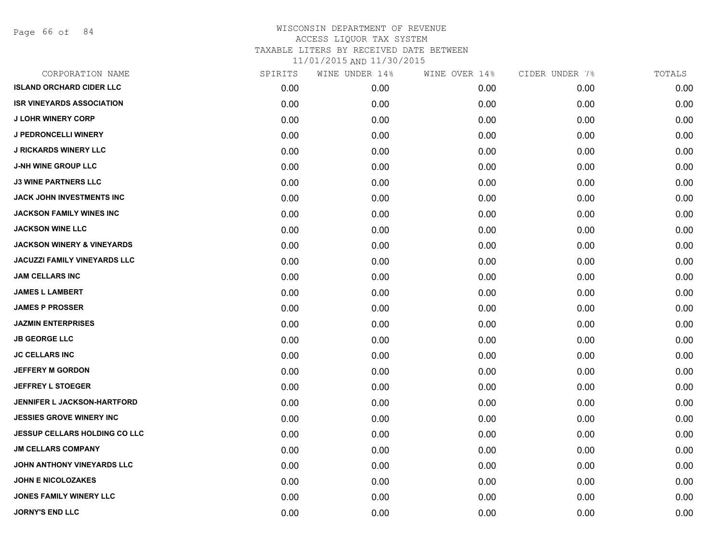Page 66 of 84

| CORPORATION NAME                      | SPIRITS | WINE UNDER 14% | WINE OVER 14% | CIDER UNDER 7% | TOTALS |
|---------------------------------------|---------|----------------|---------------|----------------|--------|
| <b>ISLAND ORCHARD CIDER LLC</b>       | 0.00    | 0.00           | 0.00          | 0.00           | 0.00   |
| <b>ISR VINEYARDS ASSOCIATION</b>      | 0.00    | 0.00           | 0.00          | 0.00           | 0.00   |
| <b>J LOHR WINERY CORP</b>             | 0.00    | 0.00           | 0.00          | 0.00           | 0.00   |
| <b>J PEDRONCELLI WINERY</b>           | 0.00    | 0.00           | 0.00          | 0.00           | 0.00   |
| <b>J RICKARDS WINERY LLC</b>          | 0.00    | 0.00           | 0.00          | 0.00           | 0.00   |
| <b>J-NH WINE GROUP LLC</b>            | 0.00    | 0.00           | 0.00          | 0.00           | 0.00   |
| <b>J3 WINE PARTNERS LLC</b>           | 0.00    | 0.00           | 0.00          | 0.00           | 0.00   |
| <b>JACK JOHN INVESTMENTS INC</b>      | 0.00    | 0.00           | 0.00          | 0.00           | 0.00   |
| <b>JACKSON FAMILY WINES INC</b>       | 0.00    | 0.00           | 0.00          | 0.00           | 0.00   |
| <b>JACKSON WINE LLC</b>               | 0.00    | 0.00           | 0.00          | 0.00           | 0.00   |
| <b>JACKSON WINERY &amp; VINEYARDS</b> | 0.00    | 0.00           | 0.00          | 0.00           | 0.00   |
| <b>JACUZZI FAMILY VINEYARDS LLC</b>   | 0.00    | 0.00           | 0.00          | 0.00           | 0.00   |
| <b>JAM CELLARS INC</b>                | 0.00    | 0.00           | 0.00          | 0.00           | 0.00   |
| <b>JAMES L LAMBERT</b>                | 0.00    | 0.00           | 0.00          | 0.00           | 0.00   |
| <b>JAMES P PROSSER</b>                | 0.00    | 0.00           | 0.00          | 0.00           | 0.00   |
| <b>JAZMIN ENTERPRISES</b>             | 0.00    | 0.00           | 0.00          | 0.00           | 0.00   |
| <b>JB GEORGE LLC</b>                  | 0.00    | 0.00           | 0.00          | 0.00           | 0.00   |
| <b>JC CELLARS INC</b>                 | 0.00    | 0.00           | 0.00          | 0.00           | 0.00   |
| <b>JEFFERY M GORDON</b>               | 0.00    | 0.00           | 0.00          | 0.00           | 0.00   |
| <b>JEFFREY L STOEGER</b>              | 0.00    | 0.00           | 0.00          | 0.00           | 0.00   |
| <b>JENNIFER L JACKSON-HARTFORD</b>    | 0.00    | 0.00           | 0.00          | 0.00           | 0.00   |
| <b>JESSIES GROVE WINERY INC</b>       | 0.00    | 0.00           | 0.00          | 0.00           | 0.00   |
| <b>JESSUP CELLARS HOLDING CO LLC</b>  | 0.00    | 0.00           | 0.00          | 0.00           | 0.00   |
| <b>JM CELLARS COMPANY</b>             | 0.00    | 0.00           | 0.00          | 0.00           | 0.00   |
| JOHN ANTHONY VINEYARDS LLC            | 0.00    | 0.00           | 0.00          | 0.00           | 0.00   |
| <b>JOHN E NICOLOZAKES</b>             | 0.00    | 0.00           | 0.00          | 0.00           | 0.00   |
| <b>JONES FAMILY WINERY LLC</b>        | 0.00    | 0.00           | 0.00          | 0.00           | 0.00   |
| <b>JORNY'S END LLC</b>                | 0.00    | 0.00           | 0.00          | 0.00           | 0.00   |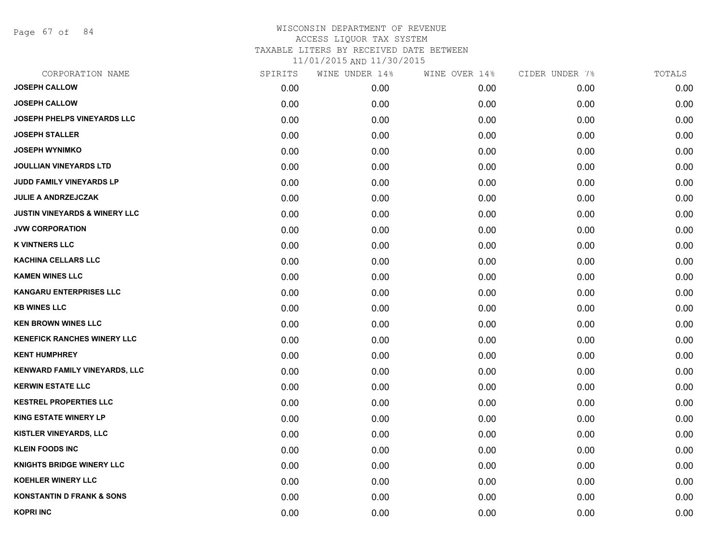Page 67 of 84

| <b>JOSEPH CALLOW</b><br>0.00<br><b>JOSEPH CALLOW</b><br>0.00<br>JOSEPH PHELPS VINEYARDS LLC<br>0.00<br><b>JOSEPH STALLER</b><br>0.00<br><b>JOSEPH WYNIMKO</b><br>0.00<br><b>JOULLIAN VINEYARDS LTD</b><br>0.00<br>JUDD FAMILY VINEYARDS LP<br>0.00<br><b>JULIE A ANDRZEJCZAK</b><br>0.00<br><b>JUSTIN VINEYARDS &amp; WINERY LLC</b><br>0.00<br><b>JVW CORPORATION</b><br>0.00<br><b>K VINTNERS LLC</b><br>0.00<br><b>KACHINA CELLARS LLC</b><br>0.00<br><b>KAMEN WINES LLC</b><br>0.00 | 0.00<br>0.00<br>0.00<br>0.00<br>0.00 | 0.00<br>0.00<br>0.00<br>0.00 | 0.00<br>0.00<br>0.00<br>0.00 | 0.00<br>0.00<br>0.00 |
|-----------------------------------------------------------------------------------------------------------------------------------------------------------------------------------------------------------------------------------------------------------------------------------------------------------------------------------------------------------------------------------------------------------------------------------------------------------------------------------------|--------------------------------------|------------------------------|------------------------------|----------------------|
|                                                                                                                                                                                                                                                                                                                                                                                                                                                                                         |                                      |                              |                              |                      |
|                                                                                                                                                                                                                                                                                                                                                                                                                                                                                         |                                      |                              |                              |                      |
|                                                                                                                                                                                                                                                                                                                                                                                                                                                                                         |                                      |                              |                              |                      |
|                                                                                                                                                                                                                                                                                                                                                                                                                                                                                         |                                      |                              |                              | 0.00                 |
|                                                                                                                                                                                                                                                                                                                                                                                                                                                                                         |                                      | 0.00                         | 0.00                         | 0.00                 |
|                                                                                                                                                                                                                                                                                                                                                                                                                                                                                         | 0.00                                 | 0.00                         | 0.00                         | 0.00                 |
|                                                                                                                                                                                                                                                                                                                                                                                                                                                                                         | 0.00                                 | 0.00                         | 0.00                         | 0.00                 |
|                                                                                                                                                                                                                                                                                                                                                                                                                                                                                         | 0.00                                 | 0.00                         | 0.00                         | 0.00                 |
|                                                                                                                                                                                                                                                                                                                                                                                                                                                                                         | 0.00                                 | 0.00                         | 0.00                         | 0.00                 |
|                                                                                                                                                                                                                                                                                                                                                                                                                                                                                         | 0.00                                 | 0.00                         | 0.00                         | 0.00                 |
|                                                                                                                                                                                                                                                                                                                                                                                                                                                                                         | 0.00                                 | 0.00                         | 0.00                         | 0.00                 |
|                                                                                                                                                                                                                                                                                                                                                                                                                                                                                         | 0.00                                 | 0.00                         | 0.00                         | 0.00                 |
|                                                                                                                                                                                                                                                                                                                                                                                                                                                                                         | 0.00                                 | 0.00                         | 0.00                         | 0.00                 |
| <b>KANGARU ENTERPRISES LLC</b><br>0.00                                                                                                                                                                                                                                                                                                                                                                                                                                                  | 0.00                                 | 0.00                         | 0.00                         | 0.00                 |
| <b>KB WINES LLC</b><br>0.00                                                                                                                                                                                                                                                                                                                                                                                                                                                             | 0.00                                 | 0.00                         | 0.00                         | 0.00                 |
| <b>KEN BROWN WINES LLC</b><br>0.00                                                                                                                                                                                                                                                                                                                                                                                                                                                      | 0.00                                 | 0.00                         | 0.00                         | 0.00                 |
| <b>KENEFICK RANCHES WINERY LLC</b><br>0.00                                                                                                                                                                                                                                                                                                                                                                                                                                              | 0.00                                 | 0.00                         | 0.00                         | 0.00                 |
| <b>KENT HUMPHREY</b><br>0.00                                                                                                                                                                                                                                                                                                                                                                                                                                                            | 0.00                                 | 0.00                         | 0.00                         | 0.00                 |
| KENWARD FAMILY VINEYARDS, LLC<br>0.00                                                                                                                                                                                                                                                                                                                                                                                                                                                   | 0.00                                 | 0.00                         | 0.00                         | 0.00                 |
| <b>KERWIN ESTATE LLC</b><br>0.00                                                                                                                                                                                                                                                                                                                                                                                                                                                        | 0.00                                 | 0.00                         | 0.00                         | 0.00                 |
| <b>KESTREL PROPERTIES LLC</b><br>0.00                                                                                                                                                                                                                                                                                                                                                                                                                                                   | 0.00                                 | 0.00                         | 0.00                         | 0.00                 |
| <b>KING ESTATE WINERY LP</b><br>0.00                                                                                                                                                                                                                                                                                                                                                                                                                                                    | 0.00                                 | 0.00                         | 0.00                         | 0.00                 |
| <b>KISTLER VINEYARDS, LLC</b><br>0.00                                                                                                                                                                                                                                                                                                                                                                                                                                                   | 0.00                                 | 0.00                         | 0.00                         | 0.00                 |
| <b>KLEIN FOODS INC</b><br>0.00                                                                                                                                                                                                                                                                                                                                                                                                                                                          | 0.00                                 | 0.00                         | 0.00                         | 0.00                 |
| KNIGHTS BRIDGE WINERY LLC<br>0.00                                                                                                                                                                                                                                                                                                                                                                                                                                                       | 0.00                                 | 0.00                         | 0.00                         | 0.00                 |
| <b>KOEHLER WINERY LLC</b><br>0.00                                                                                                                                                                                                                                                                                                                                                                                                                                                       | 0.00                                 | 0.00                         | 0.00                         | 0.00                 |
| <b>KONSTANTIN D FRANK &amp; SONS</b><br>0.00                                                                                                                                                                                                                                                                                                                                                                                                                                            |                                      | 0.00                         | 0.00                         | 0.00                 |
| <b>KOPRI INC</b><br>0.00                                                                                                                                                                                                                                                                                                                                                                                                                                                                | 0.00                                 |                              |                              |                      |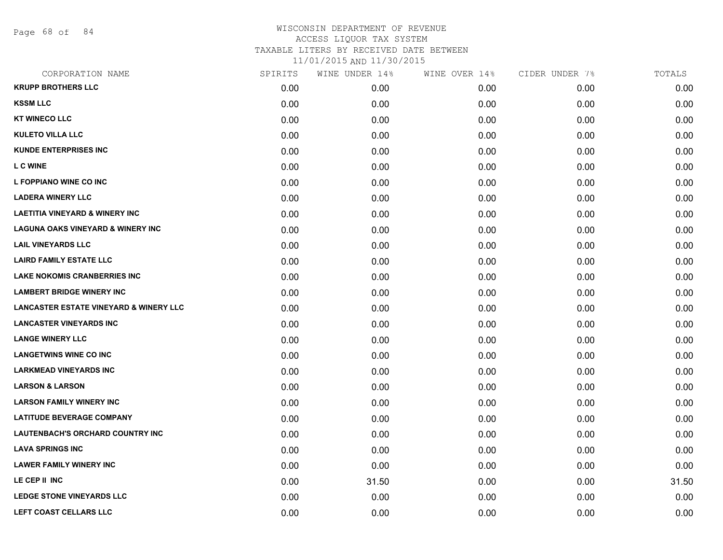Page 68 of 84

## WISCONSIN DEPARTMENT OF REVENUE ACCESS LIQUOR TAX SYSTEM TAXABLE LITERS BY RECEIVED DATE BETWEEN

| CORPORATION NAME                                  | SPIRITS | WINE UNDER 14% | WINE OVER 14% | CIDER UNDER 7% | TOTALS |
|---------------------------------------------------|---------|----------------|---------------|----------------|--------|
| <b>KRUPP BROTHERS LLC</b>                         | 0.00    | 0.00           | 0.00          | 0.00           | 0.00   |
| <b>KSSM LLC</b>                                   | 0.00    | 0.00           | 0.00          | 0.00           | 0.00   |
| <b>KT WINECO LLC</b>                              | 0.00    | 0.00           | 0.00          | 0.00           | 0.00   |
| <b>KULETO VILLA LLC</b>                           | 0.00    | 0.00           | 0.00          | 0.00           | 0.00   |
| <b>KUNDE ENTERPRISES INC</b>                      | 0.00    | 0.00           | 0.00          | 0.00           | 0.00   |
| <b>LCWINE</b>                                     | 0.00    | 0.00           | 0.00          | 0.00           | 0.00   |
| L FOPPIANO WINE CO INC                            | 0.00    | 0.00           | 0.00          | 0.00           | 0.00   |
| <b>LADERA WINERY LLC</b>                          | 0.00    | 0.00           | 0.00          | 0.00           | 0.00   |
| <b>LAETITIA VINEYARD &amp; WINERY INC</b>         | 0.00    | 0.00           | 0.00          | 0.00           | 0.00   |
| <b>LAGUNA OAKS VINEYARD &amp; WINERY INC</b>      | 0.00    | 0.00           | 0.00          | 0.00           | 0.00   |
| <b>LAIL VINEYARDS LLC</b>                         | 0.00    | 0.00           | 0.00          | 0.00           | 0.00   |
| <b>LAIRD FAMILY ESTATE LLC</b>                    | 0.00    | 0.00           | 0.00          | 0.00           | 0.00   |
| <b>LAKE NOKOMIS CRANBERRIES INC</b>               | 0.00    | 0.00           | 0.00          | 0.00           | 0.00   |
| <b>LAMBERT BRIDGE WINERY INC</b>                  | 0.00    | 0.00           | 0.00          | 0.00           | 0.00   |
| <b>LANCASTER ESTATE VINEYARD &amp; WINERY LLC</b> | 0.00    | 0.00           | 0.00          | 0.00           | 0.00   |
| <b>LANCASTER VINEYARDS INC</b>                    | 0.00    | 0.00           | 0.00          | 0.00           | 0.00   |
| <b>LANGE WINERY LLC</b>                           | 0.00    | 0.00           | 0.00          | 0.00           | 0.00   |
| <b>LANGETWINS WINE CO INC</b>                     | 0.00    | 0.00           | 0.00          | 0.00           | 0.00   |
| <b>LARKMEAD VINEYARDS INC</b>                     | 0.00    | 0.00           | 0.00          | 0.00           | 0.00   |
| <b>LARSON &amp; LARSON</b>                        | 0.00    | 0.00           | 0.00          | 0.00           | 0.00   |
| <b>LARSON FAMILY WINERY INC</b>                   | 0.00    | 0.00           | 0.00          | 0.00           | 0.00   |
| <b>LATITUDE BEVERAGE COMPANY</b>                  | 0.00    | 0.00           | 0.00          | 0.00           | 0.00   |
| <b>LAUTENBACH'S ORCHARD COUNTRY INC</b>           | 0.00    | 0.00           | 0.00          | 0.00           | 0.00   |
| <b>LAVA SPRINGS INC</b>                           | 0.00    | 0.00           | 0.00          | 0.00           | 0.00   |
| <b>LAWER FAMILY WINERY INC</b>                    | 0.00    | 0.00           | 0.00          | 0.00           | 0.00   |
| LE CEP II INC                                     | 0.00    | 31.50          | 0.00          | 0.00           | 31.50  |
| <b>LEDGE STONE VINEYARDS LLC</b>                  | 0.00    | 0.00           | 0.00          | 0.00           | 0.00   |
| <b>LEFT COAST CELLARS LLC</b>                     | 0.00    | 0.00           | 0.00          | 0.00           | 0.00   |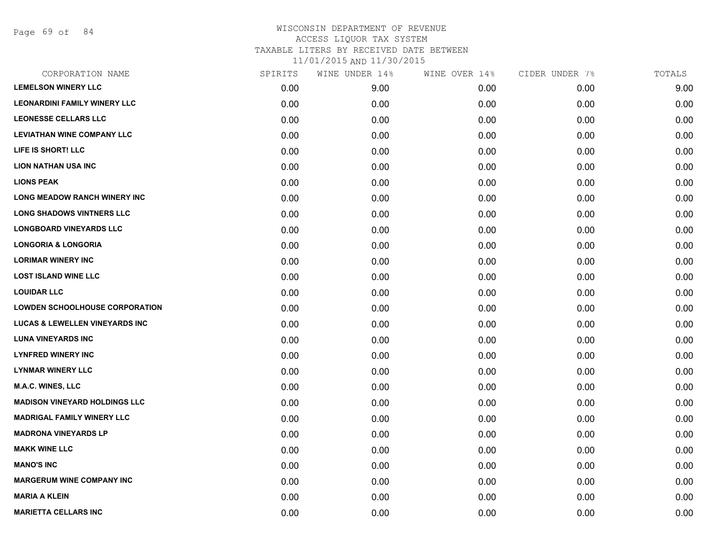Page 69 of 84

| CORPORATION NAME                          | SPIRITS | WINE UNDER 14% | WINE OVER 14% | CIDER UNDER 7% | TOTALS |
|-------------------------------------------|---------|----------------|---------------|----------------|--------|
| <b>LEMELSON WINERY LLC</b>                | 0.00    | 9.00           | 0.00          | 0.00           | 9.00   |
| <b>LEONARDINI FAMILY WINERY LLC</b>       | 0.00    | 0.00           | 0.00          | 0.00           | 0.00   |
| <b>LEONESSE CELLARS LLC</b>               | 0.00    | 0.00           | 0.00          | 0.00           | 0.00   |
| <b>LEVIATHAN WINE COMPANY LLC</b>         | 0.00    | 0.00           | 0.00          | 0.00           | 0.00   |
| LIFE IS SHORT! LLC                        | 0.00    | 0.00           | 0.00          | 0.00           | 0.00   |
| <b>LION NATHAN USA INC</b>                | 0.00    | 0.00           | 0.00          | 0.00           | 0.00   |
| <b>LIONS PEAK</b>                         | 0.00    | 0.00           | 0.00          | 0.00           | 0.00   |
| <b>LONG MEADOW RANCH WINERY INC</b>       | 0.00    | 0.00           | 0.00          | 0.00           | 0.00   |
| <b>LONG SHADOWS VINTNERS LLC</b>          | 0.00    | 0.00           | 0.00          | 0.00           | 0.00   |
| <b>LONGBOARD VINEYARDS LLC</b>            | 0.00    | 0.00           | 0.00          | 0.00           | 0.00   |
| <b>LONGORIA &amp; LONGORIA</b>            | 0.00    | 0.00           | 0.00          | 0.00           | 0.00   |
| <b>LORIMAR WINERY INC</b>                 | 0.00    | 0.00           | 0.00          | 0.00           | 0.00   |
| <b>LOST ISLAND WINE LLC</b>               | 0.00    | 0.00           | 0.00          | 0.00           | 0.00   |
| <b>LOUIDAR LLC</b>                        | 0.00    | 0.00           | 0.00          | 0.00           | 0.00   |
| <b>LOWDEN SCHOOLHOUSE CORPORATION</b>     | 0.00    | 0.00           | 0.00          | 0.00           | 0.00   |
| <b>LUCAS &amp; LEWELLEN VINEYARDS INC</b> | 0.00    | 0.00           | 0.00          | 0.00           | 0.00   |
| <b>LUNA VINEYARDS INC</b>                 | 0.00    | 0.00           | 0.00          | 0.00           | 0.00   |
| <b>LYNFRED WINERY INC</b>                 | 0.00    | 0.00           | 0.00          | 0.00           | 0.00   |
| <b>LYNMAR WINERY LLC</b>                  | 0.00    | 0.00           | 0.00          | 0.00           | 0.00   |
| <b>M.A.C. WINES, LLC</b>                  | 0.00    | 0.00           | 0.00          | 0.00           | 0.00   |
| <b>MADISON VINEYARD HOLDINGS LLC</b>      | 0.00    | 0.00           | 0.00          | 0.00           | 0.00   |
| <b>MADRIGAL FAMILY WINERY LLC</b>         | 0.00    | 0.00           | 0.00          | 0.00           | 0.00   |
| <b>MADRONA VINEYARDS LP</b>               | 0.00    | 0.00           | 0.00          | 0.00           | 0.00   |
| <b>MAKK WINE LLC</b>                      | 0.00    | 0.00           | 0.00          | 0.00           | 0.00   |
| <b>MANO'S INC</b>                         | 0.00    | 0.00           | 0.00          | 0.00           | 0.00   |
| <b>MARGERUM WINE COMPANY INC</b>          | 0.00    | 0.00           | 0.00          | 0.00           | 0.00   |
| <b>MARIA A KLEIN</b>                      | 0.00    | 0.00           | 0.00          | 0.00           | 0.00   |
| <b>MARIETTA CELLARS INC</b>               | 0.00    | 0.00           | 0.00          | 0.00           | 0.00   |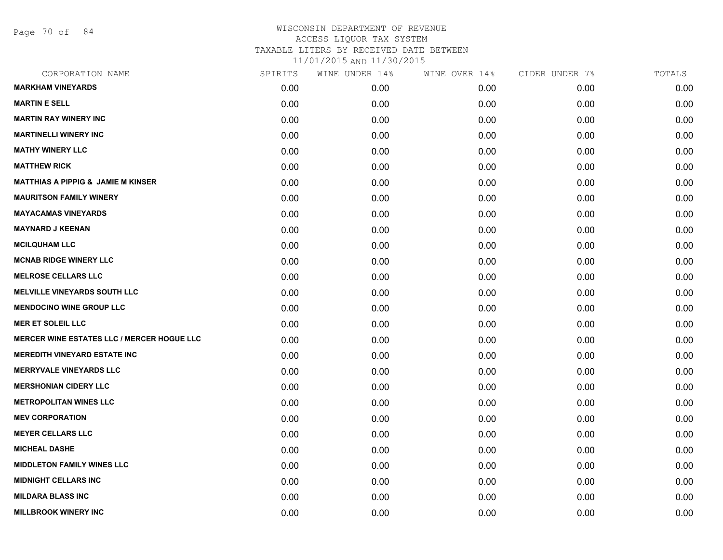Page 70 of 84

| CORPORATION NAME                                  | SPIRITS | WINE UNDER 14% | WINE OVER 14% | CIDER UNDER 7% | TOTALS |
|---------------------------------------------------|---------|----------------|---------------|----------------|--------|
| <b>MARKHAM VINEYARDS</b>                          | 0.00    | 0.00           | 0.00          | 0.00           | 0.00   |
| <b>MARTIN E SELL</b>                              | 0.00    | 0.00           | 0.00          | 0.00           | 0.00   |
| <b>MARTIN RAY WINERY INC</b>                      | 0.00    | 0.00           | 0.00          | 0.00           | 0.00   |
| <b>MARTINELLI WINERY INC</b>                      | 0.00    | 0.00           | 0.00          | 0.00           | 0.00   |
| <b>MATHY WINERY LLC</b>                           | 0.00    | 0.00           | 0.00          | 0.00           | 0.00   |
| <b>MATTHEW RICK</b>                               | 0.00    | 0.00           | 0.00          | 0.00           | 0.00   |
| <b>MATTHIAS A PIPPIG &amp; JAMIE M KINSER</b>     | 0.00    | 0.00           | 0.00          | 0.00           | 0.00   |
| <b>MAURITSON FAMILY WINERY</b>                    | 0.00    | 0.00           | 0.00          | 0.00           | 0.00   |
| <b>MAYACAMAS VINEYARDS</b>                        | 0.00    | 0.00           | 0.00          | 0.00           | 0.00   |
| <b>MAYNARD J KEENAN</b>                           | 0.00    | 0.00           | 0.00          | 0.00           | 0.00   |
| <b>MCILQUHAM LLC</b>                              | 0.00    | 0.00           | 0.00          | 0.00           | 0.00   |
| <b>MCNAB RIDGE WINERY LLC</b>                     | 0.00    | 0.00           | 0.00          | 0.00           | 0.00   |
| <b>MELROSE CELLARS LLC</b>                        | 0.00    | 0.00           | 0.00          | 0.00           | 0.00   |
| <b>MELVILLE VINEYARDS SOUTH LLC</b>               | 0.00    | 0.00           | 0.00          | 0.00           | 0.00   |
| <b>MENDOCINO WINE GROUP LLC</b>                   | 0.00    | 0.00           | 0.00          | 0.00           | 0.00   |
| <b>MER ET SOLEIL LLC</b>                          | 0.00    | 0.00           | 0.00          | 0.00           | 0.00   |
| <b>MERCER WINE ESTATES LLC / MERCER HOGUE LLC</b> | 0.00    | 0.00           | 0.00          | 0.00           | 0.00   |
| <b>MEREDITH VINEYARD ESTATE INC</b>               | 0.00    | 0.00           | 0.00          | 0.00           | 0.00   |
| <b>MERRYVALE VINEYARDS LLC</b>                    | 0.00    | 0.00           | 0.00          | 0.00           | 0.00   |
| <b>MERSHONIAN CIDERY LLC</b>                      | 0.00    | 0.00           | 0.00          | 0.00           | 0.00   |
| <b>METROPOLITAN WINES LLC</b>                     | 0.00    | 0.00           | 0.00          | 0.00           | 0.00   |
| <b>MEV CORPORATION</b>                            | 0.00    | 0.00           | 0.00          | 0.00           | 0.00   |
| <b>MEYER CELLARS LLC</b>                          | 0.00    | 0.00           | 0.00          | 0.00           | 0.00   |
| <b>MICHEAL DASHE</b>                              | 0.00    | 0.00           | 0.00          | 0.00           | 0.00   |
| <b>MIDDLETON FAMILY WINES LLC</b>                 | 0.00    | 0.00           | 0.00          | 0.00           | 0.00   |
| <b>MIDNIGHT CELLARS INC</b>                       | 0.00    | 0.00           | 0.00          | 0.00           | 0.00   |
| <b>MILDARA BLASS INC</b>                          | 0.00    | 0.00           | 0.00          | 0.00           | 0.00   |
| <b>MILLBROOK WINERY INC</b>                       | 0.00    | 0.00           | 0.00          | 0.00           | 0.00   |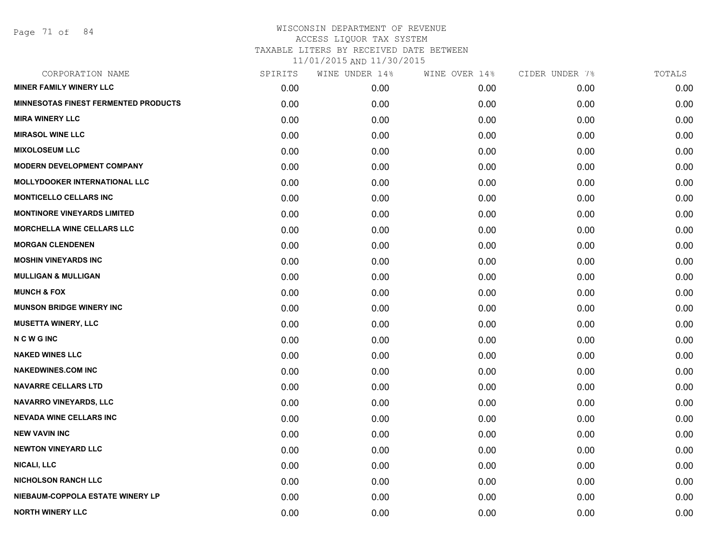Page 71 of 84

| CORPORATION NAME                            | SPIRITS | WINE UNDER 14% | WINE OVER 14% | CIDER UNDER 7% | TOTALS |
|---------------------------------------------|---------|----------------|---------------|----------------|--------|
| <b>MINER FAMILY WINERY LLC</b>              | 0.00    | 0.00           | 0.00          | 0.00           | 0.00   |
| <b>MINNESOTAS FINEST FERMENTED PRODUCTS</b> | 0.00    | 0.00           | 0.00          | 0.00           | 0.00   |
| <b>MIRA WINERY LLC</b>                      | 0.00    | 0.00           | 0.00          | 0.00           | 0.00   |
| <b>MIRASOL WINE LLC</b>                     | 0.00    | 0.00           | 0.00          | 0.00           | 0.00   |
| <b>MIXOLOSEUM LLC</b>                       | 0.00    | 0.00           | 0.00          | 0.00           | 0.00   |
| <b>MODERN DEVELOPMENT COMPANY</b>           | 0.00    | 0.00           | 0.00          | 0.00           | 0.00   |
| <b>MOLLYDOOKER INTERNATIONAL LLC</b>        | 0.00    | 0.00           | 0.00          | 0.00           | 0.00   |
| <b>MONTICELLO CELLARS INC</b>               | 0.00    | 0.00           | 0.00          | 0.00           | 0.00   |
| <b>MONTINORE VINEYARDS LIMITED</b>          | 0.00    | 0.00           | 0.00          | 0.00           | 0.00   |
| <b>MORCHELLA WINE CELLARS LLC</b>           | 0.00    | 0.00           | 0.00          | 0.00           | 0.00   |
| <b>MORGAN CLENDENEN</b>                     | 0.00    | 0.00           | 0.00          | 0.00           | 0.00   |
| <b>MOSHIN VINEYARDS INC</b>                 | 0.00    | 0.00           | 0.00          | 0.00           | 0.00   |
| <b>MULLIGAN &amp; MULLIGAN</b>              | 0.00    | 0.00           | 0.00          | 0.00           | 0.00   |
| <b>MUNCH &amp; FOX</b>                      | 0.00    | 0.00           | 0.00          | 0.00           | 0.00   |
| <b>MUNSON BRIDGE WINERY INC</b>             | 0.00    | 0.00           | 0.00          | 0.00           | 0.00   |
| <b>MUSETTA WINERY, LLC</b>                  | 0.00    | 0.00           | 0.00          | 0.00           | 0.00   |
| <b>NCWGINC</b>                              | 0.00    | 0.00           | 0.00          | 0.00           | 0.00   |
| <b>NAKED WINES LLC</b>                      | 0.00    | 0.00           | 0.00          | 0.00           | 0.00   |
| <b>NAKEDWINES.COM INC</b>                   | 0.00    | 0.00           | 0.00          | 0.00           | 0.00   |
| <b>NAVARRE CELLARS LTD</b>                  | 0.00    | 0.00           | 0.00          | 0.00           | 0.00   |
| <b>NAVARRO VINEYARDS, LLC</b>               | 0.00    | 0.00           | 0.00          | 0.00           | 0.00   |
| <b>NEVADA WINE CELLARS INC</b>              | 0.00    | 0.00           | 0.00          | 0.00           | 0.00   |
| <b>NEW VAVIN INC</b>                        | 0.00    | 0.00           | 0.00          | 0.00           | 0.00   |
| <b>NEWTON VINEYARD LLC</b>                  | 0.00    | 0.00           | 0.00          | 0.00           | 0.00   |
| <b>NICALI, LLC</b>                          | 0.00    | 0.00           | 0.00          | 0.00           | 0.00   |
| <b>NICHOLSON RANCH LLC</b>                  | 0.00    | 0.00           | 0.00          | 0.00           | 0.00   |
| NIEBAUM-COPPOLA ESTATE WINERY LP            | 0.00    | 0.00           | 0.00          | 0.00           | 0.00   |
| <b>NORTH WINERY LLC</b>                     | 0.00    | 0.00           | 0.00          | 0.00           | 0.00   |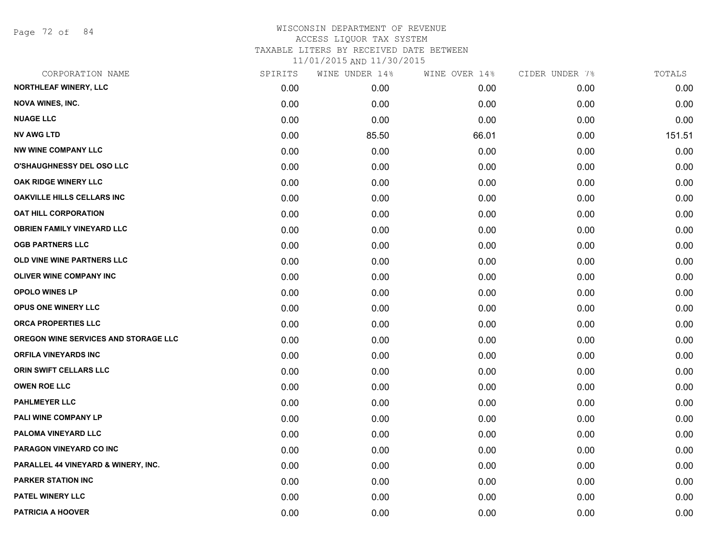Page 72 of 84

## WISCONSIN DEPARTMENT OF REVENUE ACCESS LIQUOR TAX SYSTEM TAXABLE LITERS BY RECEIVED DATE BETWEEN

| CORPORATION NAME                     | SPIRITS | WINE UNDER 14% | WINE OVER 14% | CIDER UNDER 7% | TOTALS |
|--------------------------------------|---------|----------------|---------------|----------------|--------|
| NORTHLEAF WINERY, LLC                | 0.00    | 0.00           | 0.00          | 0.00           | 0.00   |
| <b>NOVA WINES, INC.</b>              | 0.00    | 0.00           | 0.00          | 0.00           | 0.00   |
| <b>NUAGE LLC</b>                     | 0.00    | 0.00           | 0.00          | 0.00           | 0.00   |
| <b>NV AWG LTD</b>                    | 0.00    | 85.50          | 66.01         | 0.00           | 151.51 |
| <b>NW WINE COMPANY LLC</b>           | 0.00    | 0.00           | 0.00          | 0.00           | 0.00   |
| O'SHAUGHNESSY DEL OSO LLC            | 0.00    | 0.00           | 0.00          | 0.00           | 0.00   |
| OAK RIDGE WINERY LLC                 | 0.00    | 0.00           | 0.00          | 0.00           | 0.00   |
| <b>OAKVILLE HILLS CELLARS INC</b>    | 0.00    | 0.00           | 0.00          | 0.00           | 0.00   |
| <b>OAT HILL CORPORATION</b>          | 0.00    | 0.00           | 0.00          | 0.00           | 0.00   |
| <b>OBRIEN FAMILY VINEYARD LLC</b>    | 0.00    | 0.00           | 0.00          | 0.00           | 0.00   |
| <b>OGB PARTNERS LLC</b>              | 0.00    | 0.00           | 0.00          | 0.00           | 0.00   |
| OLD VINE WINE PARTNERS LLC           | 0.00    | 0.00           | 0.00          | 0.00           | 0.00   |
| <b>OLIVER WINE COMPANY INC</b>       | 0.00    | 0.00           | 0.00          | 0.00           | 0.00   |
| <b>OPOLO WINES LP</b>                | 0.00    | 0.00           | 0.00          | 0.00           | 0.00   |
| OPUS ONE WINERY LLC                  | 0.00    | 0.00           | 0.00          | 0.00           | 0.00   |
| ORCA PROPERTIES LLC                  | 0.00    | 0.00           | 0.00          | 0.00           | 0.00   |
| OREGON WINE SERVICES AND STORAGE LLC | 0.00    | 0.00           | 0.00          | 0.00           | 0.00   |
| <b>ORFILA VINEYARDS INC</b>          | 0.00    | 0.00           | 0.00          | 0.00           | 0.00   |
| ORIN SWIFT CELLARS LLC               | 0.00    | 0.00           | 0.00          | 0.00           | 0.00   |
| <b>OWEN ROE LLC</b>                  | 0.00    | 0.00           | 0.00          | 0.00           | 0.00   |
| <b>PAHLMEYER LLC</b>                 | 0.00    | 0.00           | 0.00          | 0.00           | 0.00   |
| PALI WINE COMPANY LP                 | 0.00    | 0.00           | 0.00          | 0.00           | 0.00   |
| PALOMA VINEYARD LLC                  | 0.00    | 0.00           | 0.00          | 0.00           | 0.00   |
| PARAGON VINEYARD CO INC              | 0.00    | 0.00           | 0.00          | 0.00           | 0.00   |
| PARALLEL 44 VINEYARD & WINERY, INC.  | 0.00    | 0.00           | 0.00          | 0.00           | 0.00   |
| <b>PARKER STATION INC</b>            | 0.00    | 0.00           | 0.00          | 0.00           | 0.00   |
| PATEL WINERY LLC                     | 0.00    | 0.00           | 0.00          | 0.00           | 0.00   |
| <b>PATRICIA A HOOVER</b>             | 0.00    | 0.00           | 0.00          | 0.00           | 0.00   |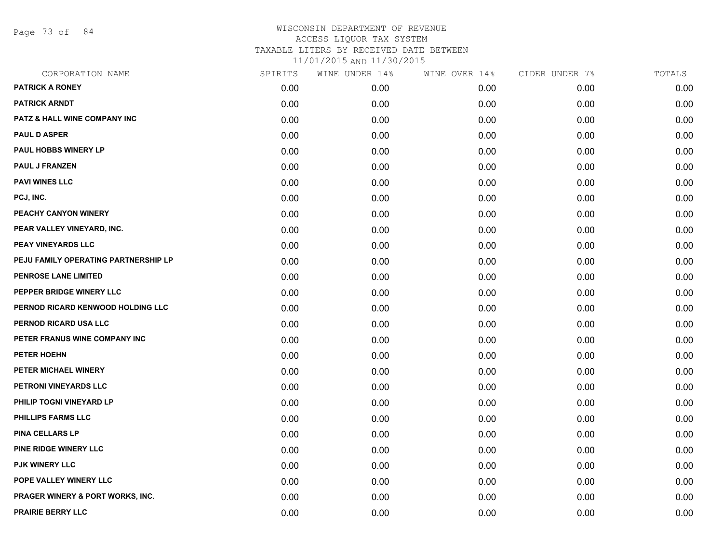Page 73 of 84

| CORPORATION NAME                     | SPIRITS | WINE UNDER 14% | WINE OVER 14% | CIDER UNDER 7% | TOTALS |
|--------------------------------------|---------|----------------|---------------|----------------|--------|
| <b>PATRICK A RONEY</b>               | 0.00    | 0.00           | 0.00          | 0.00           | 0.00   |
| <b>PATRICK ARNDT</b>                 | 0.00    | 0.00           | 0.00          | 0.00           | 0.00   |
| PATZ & HALL WINE COMPANY INC         | 0.00    | 0.00           | 0.00          | 0.00           | 0.00   |
| <b>PAUL D ASPER</b>                  | 0.00    | 0.00           | 0.00          | 0.00           | 0.00   |
| PAUL HOBBS WINERY LP                 | 0.00    | 0.00           | 0.00          | 0.00           | 0.00   |
| <b>PAUL J FRANZEN</b>                | 0.00    | 0.00           | 0.00          | 0.00           | 0.00   |
| <b>PAVI WINES LLC</b>                | 0.00    | 0.00           | 0.00          | 0.00           | 0.00   |
| PCJ, INC.                            | 0.00    | 0.00           | 0.00          | 0.00           | 0.00   |
| PEACHY CANYON WINERY                 | 0.00    | 0.00           | 0.00          | 0.00           | 0.00   |
| PEAR VALLEY VINEYARD, INC.           | 0.00    | 0.00           | 0.00          | 0.00           | 0.00   |
| <b>PEAY VINEYARDS LLC</b>            | 0.00    | 0.00           | 0.00          | 0.00           | 0.00   |
| PEJU FAMILY OPERATING PARTNERSHIP LP | 0.00    | 0.00           | 0.00          | 0.00           | 0.00   |
| <b>PENROSE LANE LIMITED</b>          | 0.00    | 0.00           | 0.00          | 0.00           | 0.00   |
| PEPPER BRIDGE WINERY LLC             | 0.00    | 0.00           | 0.00          | 0.00           | 0.00   |
| PERNOD RICARD KENWOOD HOLDING LLC    | 0.00    | 0.00           | 0.00          | 0.00           | 0.00   |
| PERNOD RICARD USA LLC                | 0.00    | 0.00           | 0.00          | 0.00           | 0.00   |
| PETER FRANUS WINE COMPANY INC        | 0.00    | 0.00           | 0.00          | 0.00           | 0.00   |
| PETER HOEHN                          | 0.00    | 0.00           | 0.00          | 0.00           | 0.00   |
| PETER MICHAEL WINERY                 | 0.00    | 0.00           | 0.00          | 0.00           | 0.00   |
| PETRONI VINEYARDS LLC                | 0.00    | 0.00           | 0.00          | 0.00           | 0.00   |
| PHILIP TOGNI VINEYARD LP             | 0.00    | 0.00           | 0.00          | 0.00           | 0.00   |
| PHILLIPS FARMS LLC                   | 0.00    | 0.00           | 0.00          | 0.00           | 0.00   |
| <b>PINA CELLARS LP</b>               | 0.00    | 0.00           | 0.00          | 0.00           | 0.00   |
| PINE RIDGE WINERY LLC                | 0.00    | 0.00           | 0.00          | 0.00           | 0.00   |
| <b>PJK WINERY LLC</b>                | 0.00    | 0.00           | 0.00          | 0.00           | 0.00   |
| POPE VALLEY WINERY LLC               | 0.00    | 0.00           | 0.00          | 0.00           | 0.00   |
| PRAGER WINERY & PORT WORKS, INC.     | 0.00    | 0.00           | 0.00          | 0.00           | 0.00   |
| <b>PRAIRIE BERRY LLC</b>             | 0.00    | 0.00           | 0.00          | 0.00           | 0.00   |
|                                      |         |                |               |                |        |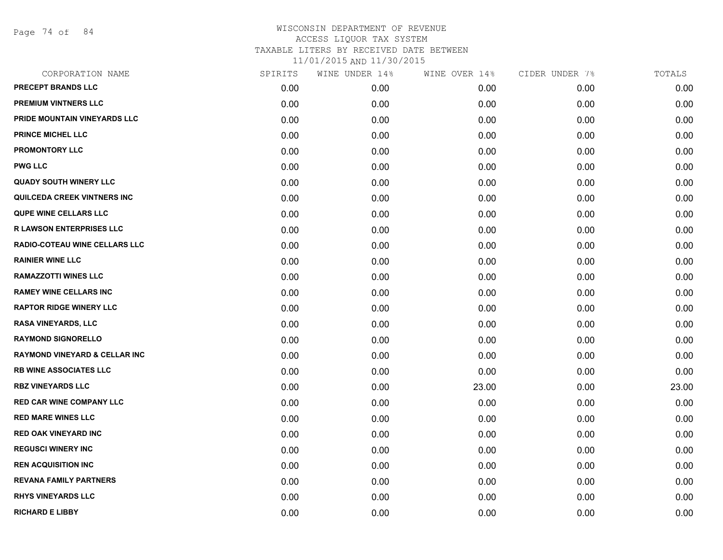Page 74 of 84

| CORPORATION NAME                         | SPIRITS | WINE UNDER 14% | WINE OVER 14% | CIDER UNDER 7% | TOTALS |
|------------------------------------------|---------|----------------|---------------|----------------|--------|
| <b>PRECEPT BRANDS LLC</b>                | 0.00    | 0.00           | 0.00          | 0.00           | 0.00   |
| PREMIUM VINTNERS LLC                     | 0.00    | 0.00           | 0.00          | 0.00           | 0.00   |
| PRIDE MOUNTAIN VINEYARDS LLC             | 0.00    | 0.00           | 0.00          | 0.00           | 0.00   |
| <b>PRINCE MICHEL LLC</b>                 | 0.00    | 0.00           | 0.00          | 0.00           | 0.00   |
| <b>PROMONTORY LLC</b>                    | 0.00    | 0.00           | 0.00          | 0.00           | 0.00   |
| <b>PWG LLC</b>                           | 0.00    | 0.00           | 0.00          | 0.00           | 0.00   |
| <b>QUADY SOUTH WINERY LLC</b>            | 0.00    | 0.00           | 0.00          | 0.00           | 0.00   |
| QUILCEDA CREEK VINTNERS INC              | 0.00    | 0.00           | 0.00          | 0.00           | 0.00   |
| QUPE WINE CELLARS LLC                    | 0.00    | 0.00           | 0.00          | 0.00           | 0.00   |
| <b>R LAWSON ENTERPRISES LLC</b>          | 0.00    | 0.00           | 0.00          | 0.00           | 0.00   |
| RADIO-COTEAU WINE CELLARS LLC            | 0.00    | 0.00           | 0.00          | 0.00           | 0.00   |
| <b>RAINIER WINE LLC</b>                  | 0.00    | 0.00           | 0.00          | 0.00           | 0.00   |
| <b>RAMAZZOTTI WINES LLC</b>              | 0.00    | 0.00           | 0.00          | 0.00           | 0.00   |
| <b>RAMEY WINE CELLARS INC</b>            | 0.00    | 0.00           | 0.00          | 0.00           | 0.00   |
| <b>RAPTOR RIDGE WINERY LLC</b>           | 0.00    | 0.00           | 0.00          | 0.00           | 0.00   |
| <b>RASA VINEYARDS, LLC</b>               | 0.00    | 0.00           | 0.00          | 0.00           | 0.00   |
| <b>RAYMOND SIGNORELLO</b>                | 0.00    | 0.00           | 0.00          | 0.00           | 0.00   |
| <b>RAYMOND VINEYARD &amp; CELLAR INC</b> | 0.00    | 0.00           | 0.00          | 0.00           | 0.00   |
| <b>RB WINE ASSOCIATES LLC</b>            | 0.00    | 0.00           | 0.00          | 0.00           | 0.00   |
| <b>RBZ VINEYARDS LLC</b>                 | 0.00    | 0.00           | 23.00         | 0.00           | 23.00  |
| <b>RED CAR WINE COMPANY LLC</b>          | 0.00    | 0.00           | 0.00          | 0.00           | 0.00   |
| <b>RED MARE WINES LLC</b>                | 0.00    | 0.00           | 0.00          | 0.00           | 0.00   |
| <b>RED OAK VINEYARD INC</b>              | 0.00    | 0.00           | 0.00          | 0.00           | 0.00   |
| <b>REGUSCI WINERY INC</b>                | 0.00    | 0.00           | 0.00          | 0.00           | 0.00   |
| <b>REN ACQUISITION INC</b>               | 0.00    | 0.00           | 0.00          | 0.00           | 0.00   |
| <b>REVANA FAMILY PARTNERS</b>            | 0.00    | 0.00           | 0.00          | 0.00           | 0.00   |
| <b>RHYS VINEYARDS LLC</b>                | 0.00    | 0.00           | 0.00          | 0.00           | 0.00   |
| <b>RICHARD E LIBBY</b>                   | 0.00    | 0.00           | 0.00          | 0.00           | 0.00   |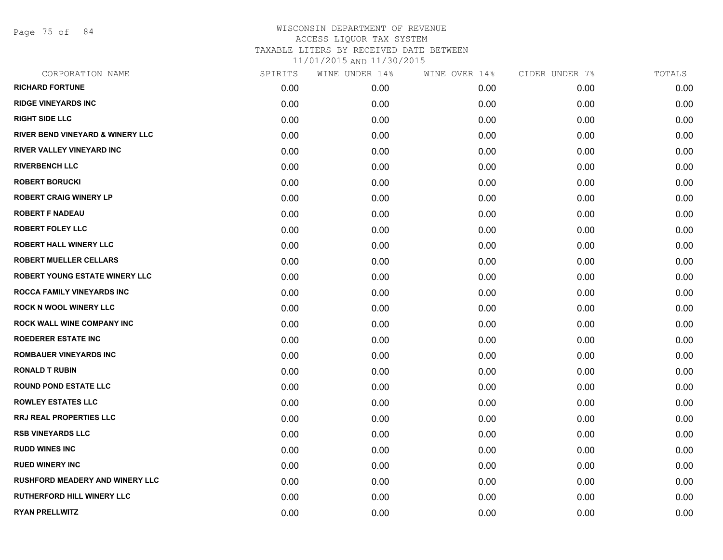Page 75 of 84

| SPIRITS | WINE UNDER 14% | WINE OVER 14% | CIDER UNDER 7% | TOTALS |
|---------|----------------|---------------|----------------|--------|
| 0.00    | 0.00           | 0.00          | 0.00           | 0.00   |
| 0.00    | 0.00           | 0.00          | 0.00           | 0.00   |
| 0.00    | 0.00           | 0.00          | 0.00           | 0.00   |
| 0.00    | 0.00           | 0.00          | 0.00           | 0.00   |
| 0.00    | 0.00           | 0.00          | 0.00           | 0.00   |
| 0.00    | 0.00           | 0.00          | 0.00           | 0.00   |
| 0.00    | 0.00           | 0.00          | 0.00           | 0.00   |
| 0.00    | 0.00           | 0.00          | 0.00           | 0.00   |
| 0.00    | 0.00           | 0.00          | 0.00           | 0.00   |
| 0.00    | 0.00           | 0.00          | 0.00           | 0.00   |
| 0.00    | 0.00           | 0.00          | 0.00           | 0.00   |
| 0.00    | 0.00           | 0.00          | 0.00           | 0.00   |
| 0.00    | 0.00           | 0.00          | 0.00           | 0.00   |
| 0.00    | 0.00           | 0.00          | 0.00           | 0.00   |
| 0.00    | 0.00           | 0.00          | 0.00           | 0.00   |
| 0.00    | 0.00           | 0.00          | 0.00           | 0.00   |
| 0.00    | 0.00           | 0.00          | 0.00           | 0.00   |
| 0.00    | 0.00           | 0.00          | 0.00           | 0.00   |
| 0.00    | 0.00           | 0.00          | 0.00           | 0.00   |
| 0.00    | 0.00           | 0.00          | 0.00           | 0.00   |
| 0.00    | 0.00           | 0.00          | 0.00           | 0.00   |
| 0.00    | 0.00           | 0.00          | 0.00           | 0.00   |
| 0.00    | 0.00           | 0.00          | 0.00           | 0.00   |
| 0.00    | 0.00           | 0.00          | 0.00           | 0.00   |
| 0.00    | 0.00           | 0.00          | 0.00           | 0.00   |
| 0.00    | 0.00           | 0.00          | 0.00           | 0.00   |
| 0.00    | 0.00           | 0.00          | 0.00           | 0.00   |
| 0.00    | 0.00           | 0.00          | 0.00           | 0.00   |
|         |                |               |                |        |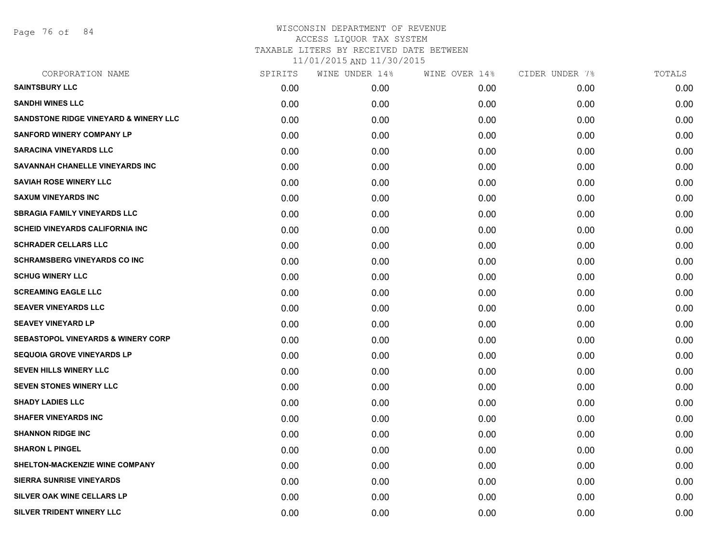Page 76 of 84

| CORPORATION NAME                              | SPIRITS | WINE UNDER 14% | WINE OVER 14% | CIDER UNDER 7% | TOTALS |
|-----------------------------------------------|---------|----------------|---------------|----------------|--------|
| <b>SAINTSBURY LLC</b>                         | 0.00    | 0.00           | 0.00          | 0.00           | 0.00   |
| <b>SANDHI WINES LLC</b>                       | 0.00    | 0.00           | 0.00          | 0.00           | 0.00   |
| SANDSTONE RIDGE VINEYARD & WINERY LLC         | 0.00    | 0.00           | 0.00          | 0.00           | 0.00   |
| <b>SANFORD WINERY COMPANY LP</b>              | 0.00    | 0.00           | 0.00          | 0.00           | 0.00   |
| <b>SARACINA VINEYARDS LLC</b>                 | 0.00    | 0.00           | 0.00          | 0.00           | 0.00   |
| SAVANNAH CHANELLE VINEYARDS INC               | 0.00    | 0.00           | 0.00          | 0.00           | 0.00   |
| <b>SAVIAH ROSE WINERY LLC</b>                 | 0.00    | 0.00           | 0.00          | 0.00           | 0.00   |
| <b>SAXUM VINEYARDS INC</b>                    | 0.00    | 0.00           | 0.00          | 0.00           | 0.00   |
| <b>SBRAGIA FAMILY VINEYARDS LLC</b>           | 0.00    | 0.00           | 0.00          | 0.00           | 0.00   |
| <b>SCHEID VINEYARDS CALIFORNIA INC</b>        | 0.00    | 0.00           | 0.00          | 0.00           | 0.00   |
| <b>SCHRADER CELLARS LLC</b>                   | 0.00    | 0.00           | 0.00          | 0.00           | 0.00   |
| <b>SCHRAMSBERG VINEYARDS CO INC</b>           | 0.00    | 0.00           | 0.00          | 0.00           | 0.00   |
| <b>SCHUG WINERY LLC</b>                       | 0.00    | 0.00           | 0.00          | 0.00           | 0.00   |
| <b>SCREAMING EAGLE LLC</b>                    | 0.00    | 0.00           | 0.00          | 0.00           | 0.00   |
| <b>SEAVER VINEYARDS LLC</b>                   | 0.00    | 0.00           | 0.00          | 0.00           | 0.00   |
| <b>SEAVEY VINEYARD LP</b>                     | 0.00    | 0.00           | 0.00          | 0.00           | 0.00   |
| <b>SEBASTOPOL VINEYARDS &amp; WINERY CORP</b> | 0.00    | 0.00           | 0.00          | 0.00           | 0.00   |
| <b>SEQUOIA GROVE VINEYARDS LP</b>             | 0.00    | 0.00           | 0.00          | 0.00           | 0.00   |
| <b>SEVEN HILLS WINERY LLC</b>                 | 0.00    | 0.00           | 0.00          | 0.00           | 0.00   |
| <b>SEVEN STONES WINERY LLC</b>                | 0.00    | 0.00           | 0.00          | 0.00           | 0.00   |
| <b>SHADY LADIES LLC</b>                       | 0.00    | 0.00           | 0.00          | 0.00           | 0.00   |
| <b>SHAFER VINEYARDS INC</b>                   | 0.00    | 0.00           | 0.00          | 0.00           | 0.00   |
| <b>SHANNON RIDGE INC</b>                      | 0.00    | 0.00           | 0.00          | 0.00           | 0.00   |
| <b>SHARON L PINGEL</b>                        | 0.00    | 0.00           | 0.00          | 0.00           | 0.00   |
| <b>SHELTON-MACKENZIE WINE COMPANY</b>         | 0.00    | 0.00           | 0.00          | 0.00           | 0.00   |
| <b>SIERRA SUNRISE VINEYARDS</b>               | 0.00    | 0.00           | 0.00          | 0.00           | 0.00   |
| <b>SILVER OAK WINE CELLARS LP</b>             | 0.00    | 0.00           | 0.00          | 0.00           | 0.00   |
| SILVER TRIDENT WINERY LLC                     | 0.00    | 0.00           | 0.00          | 0.00           | 0.00   |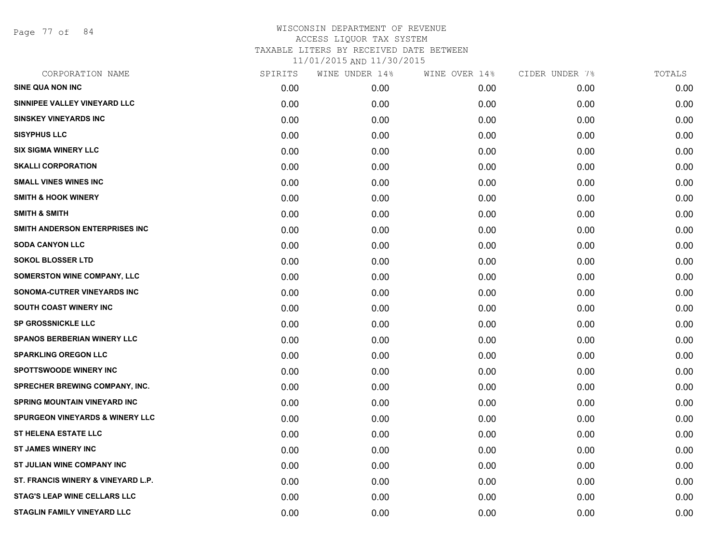Page 77 of 84

| CORPORATION NAME                           | SPIRITS | WINE UNDER 14% | WINE OVER 14% | CIDER UNDER 7% | TOTALS |
|--------------------------------------------|---------|----------------|---------------|----------------|--------|
| <b>SINE QUA NON INC</b>                    | 0.00    | 0.00           | 0.00          | 0.00           | 0.00   |
| SINNIPEE VALLEY VINEYARD LLC               | 0.00    | 0.00           | 0.00          | 0.00           | 0.00   |
| <b>SINSKEY VINEYARDS INC</b>               | 0.00    | 0.00           | 0.00          | 0.00           | 0.00   |
| <b>SISYPHUS LLC</b>                        | 0.00    | 0.00           | 0.00          | 0.00           | 0.00   |
| <b>SIX SIGMA WINERY LLC</b>                | 0.00    | 0.00           | 0.00          | 0.00           | 0.00   |
| <b>SKALLI CORPORATION</b>                  | 0.00    | 0.00           | 0.00          | 0.00           | 0.00   |
| <b>SMALL VINES WINES INC</b>               | 0.00    | 0.00           | 0.00          | 0.00           | 0.00   |
| <b>SMITH &amp; HOOK WINERY</b>             | 0.00    | 0.00           | 0.00          | 0.00           | 0.00   |
| <b>SMITH &amp; SMITH</b>                   | 0.00    | 0.00           | 0.00          | 0.00           | 0.00   |
| SMITH ANDERSON ENTERPRISES INC             | 0.00    | 0.00           | 0.00          | 0.00           | 0.00   |
| <b>SODA CANYON LLC</b>                     | 0.00    | 0.00           | 0.00          | 0.00           | 0.00   |
| <b>SOKOL BLOSSER LTD</b>                   | 0.00    | 0.00           | 0.00          | 0.00           | 0.00   |
| <b>SOMERSTON WINE COMPANY, LLC</b>         | 0.00    | 0.00           | 0.00          | 0.00           | 0.00   |
| SONOMA-CUTRER VINEYARDS INC                | 0.00    | 0.00           | 0.00          | 0.00           | 0.00   |
| SOUTH COAST WINERY INC                     | 0.00    | 0.00           | 0.00          | 0.00           | 0.00   |
| <b>SP GROSSNICKLE LLC</b>                  | 0.00    | 0.00           | 0.00          | 0.00           | 0.00   |
| <b>SPANOS BERBERIAN WINERY LLC</b>         | 0.00    | 0.00           | 0.00          | 0.00           | 0.00   |
| <b>SPARKLING OREGON LLC</b>                | 0.00    | 0.00           | 0.00          | 0.00           | 0.00   |
| <b>SPOTTSWOODE WINERY INC</b>              | 0.00    | 0.00           | 0.00          | 0.00           | 0.00   |
| <b>SPRECHER BREWING COMPANY, INC.</b>      | 0.00    | 0.00           | 0.00          | 0.00           | 0.00   |
| SPRING MOUNTAIN VINEYARD INC               | 0.00    | 0.00           | 0.00          | 0.00           | 0.00   |
| <b>SPURGEON VINEYARDS &amp; WINERY LLC</b> | 0.00    | 0.00           | 0.00          | 0.00           | 0.00   |
| <b>ST HELENA ESTATE LLC</b>                | 0.00    | 0.00           | 0.00          | 0.00           | 0.00   |
| <b>ST JAMES WINERY INC</b>                 | 0.00    | 0.00           | 0.00          | 0.00           | 0.00   |
| ST JULIAN WINE COMPANY INC                 | 0.00    | 0.00           | 0.00          | 0.00           | 0.00   |
| ST. FRANCIS WINERY & VINEYARD L.P.         | 0.00    | 0.00           | 0.00          | 0.00           | 0.00   |
| <b>STAG'S LEAP WINE CELLARS LLC</b>        | 0.00    | 0.00           | 0.00          | 0.00           | 0.00   |
| STAGLIN FAMILY VINEYARD LLC                | 0.00    | 0.00           | 0.00          | 0.00           | 0.00   |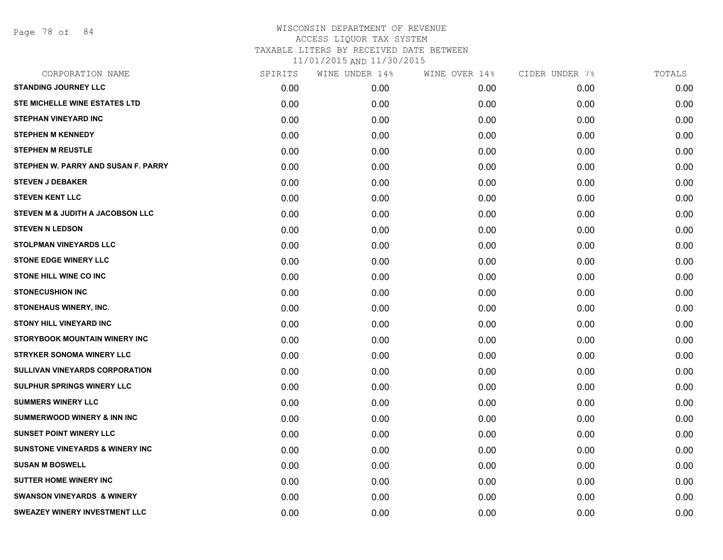Page 78 of 84

| CORPORATION NAME                           | SPIRITS | WINE UNDER 14% | WINE OVER 14% | CIDER UNDER 7% | TOTALS |
|--------------------------------------------|---------|----------------|---------------|----------------|--------|
| <b>STANDING JOURNEY LLC</b>                | 0.00    | 0.00           | 0.00          | 0.00           | 0.00   |
| STE MICHELLE WINE ESTATES LTD              | 0.00    | 0.00           | 0.00          | 0.00           | 0.00   |
| <b>STEPHAN VINEYARD INC</b>                | 0.00    | 0.00           | 0.00          | 0.00           | 0.00   |
| <b>STEPHEN M KENNEDY</b>                   | 0.00    | 0.00           | 0.00          | 0.00           | 0.00   |
| <b>STEPHEN M REUSTLE</b>                   | 0.00    | 0.00           | 0.00          | 0.00           | 0.00   |
| STEPHEN W. PARRY AND SUSAN F. PARRY        | 0.00    | 0.00           | 0.00          | 0.00           | 0.00   |
| <b>STEVEN J DEBAKER</b>                    | 0.00    | 0.00           | 0.00          | 0.00           | 0.00   |
| <b>STEVEN KENT LLC</b>                     | 0.00    | 0.00           | 0.00          | 0.00           | 0.00   |
| STEVEN M & JUDITH A JACOBSON LLC           | 0.00    | 0.00           | 0.00          | 0.00           | 0.00   |
| <b>STEVEN N LEDSON</b>                     | 0.00    | 0.00           | 0.00          | 0.00           | 0.00   |
| <b>STOLPMAN VINEYARDS LLC</b>              | 0.00    | 0.00           | 0.00          | 0.00           | 0.00   |
| <b>STONE EDGE WINERY LLC</b>               | 0.00    | 0.00           | 0.00          | 0.00           | 0.00   |
| <b>STONE HILL WINE CO INC</b>              | 0.00    | 0.00           | 0.00          | 0.00           | 0.00   |
| <b>STONECUSHION INC</b>                    | 0.00    | 0.00           | 0.00          | 0.00           | 0.00   |
| <b>STONEHAUS WINERY, INC.</b>              | 0.00    | 0.00           | 0.00          | 0.00           | 0.00   |
| <b>STONY HILL VINEYARD INC</b>             | 0.00    | 0.00           | 0.00          | 0.00           | 0.00   |
| STORYBOOK MOUNTAIN WINERY INC              | 0.00    | 0.00           | 0.00          | 0.00           | 0.00   |
| <b>STRYKER SONOMA WINERY LLC</b>           | 0.00    | 0.00           | 0.00          | 0.00           | 0.00   |
| <b>SULLIVAN VINEYARDS CORPORATION</b>      | 0.00    | 0.00           | 0.00          | 0.00           | 0.00   |
| <b>SULPHUR SPRINGS WINERY LLC</b>          | 0.00    | 0.00           | 0.00          | 0.00           | 0.00   |
| <b>SUMMERS WINERY LLC</b>                  | 0.00    | 0.00           | 0.00          | 0.00           | 0.00   |
| <b>SUMMERWOOD WINERY &amp; INN INC</b>     | 0.00    | 0.00           | 0.00          | 0.00           | 0.00   |
| <b>SUNSET POINT WINERY LLC</b>             | 0.00    | 0.00           | 0.00          | 0.00           | 0.00   |
| <b>SUNSTONE VINEYARDS &amp; WINERY INC</b> | 0.00    | 0.00           | 0.00          | 0.00           | 0.00   |
| <b>SUSAN M BOSWELL</b>                     | 0.00    | 0.00           | 0.00          | 0.00           | 0.00   |
| <b>SUTTER HOME WINERY INC</b>              | 0.00    | 0.00           | 0.00          | 0.00           | 0.00   |
| <b>SWANSON VINEYARDS &amp; WINERY</b>      | 0.00    | 0.00           | 0.00          | 0.00           | 0.00   |
| <b>SWEAZEY WINERY INVESTMENT LLC</b>       | 0.00    | 0.00           | 0.00          | 0.00           | 0.00   |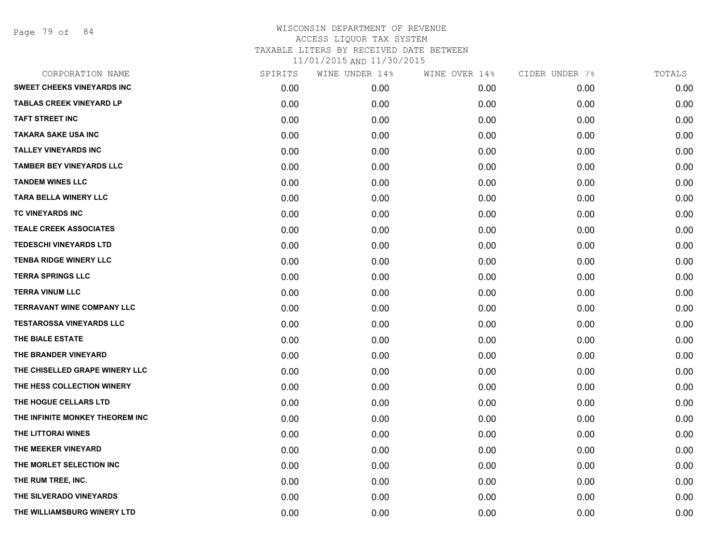Page 79 of 84

| CORPORATION NAME                  | SPIRITS | WINE UNDER 14% | WINE OVER 14% | CIDER UNDER 7% | TOTALS |
|-----------------------------------|---------|----------------|---------------|----------------|--------|
| <b>SWEET CHEEKS VINEYARDS INC</b> | 0.00    | 0.00           | 0.00          | 0.00           | 0.00   |
| <b>TABLAS CREEK VINEYARD LP</b>   | 0.00    | 0.00           | 0.00          | 0.00           | 0.00   |
| <b>TAFT STREET INC</b>            | 0.00    | 0.00           | 0.00          | 0.00           | 0.00   |
| <b>TAKARA SAKE USA INC</b>        | 0.00    | 0.00           | 0.00          | 0.00           | 0.00   |
| <b>TALLEY VINEYARDS INC</b>       | 0.00    | 0.00           | 0.00          | 0.00           | 0.00   |
| <b>TAMBER BEY VINEYARDS LLC</b>   | 0.00    | 0.00           | 0.00          | 0.00           | 0.00   |
| <b>TANDEM WINES LLC</b>           | 0.00    | 0.00           | 0.00          | 0.00           | 0.00   |
| <b>TARA BELLA WINERY LLC</b>      | 0.00    | 0.00           | 0.00          | 0.00           | 0.00   |
| TC VINEYARDS INC                  | 0.00    | 0.00           | 0.00          | 0.00           | 0.00   |
| <b>TEALE CREEK ASSOCIATES</b>     | 0.00    | 0.00           | 0.00          | 0.00           | 0.00   |
| <b>TEDESCHI VINEYARDS LTD</b>     | 0.00    | 0.00           | 0.00          | 0.00           | 0.00   |
| <b>TENBA RIDGE WINERY LLC</b>     | 0.00    | 0.00           | 0.00          | 0.00           | 0.00   |
| <b>TERRA SPRINGS LLC</b>          | 0.00    | 0.00           | 0.00          | 0.00           | 0.00   |
| <b>TERRA VINUM LLC</b>            | 0.00    | 0.00           | 0.00          | 0.00           | 0.00   |
| <b>TERRAVANT WINE COMPANY LLC</b> | 0.00    | 0.00           | 0.00          | 0.00           | 0.00   |
| <b>TESTAROSSA VINEYARDS LLC</b>   | 0.00    | 0.00           | 0.00          | 0.00           | 0.00   |
| THE BIALE ESTATE                  | 0.00    | 0.00           | 0.00          | 0.00           | 0.00   |
| THE BRANDER VINEYARD              | 0.00    | 0.00           | 0.00          | 0.00           | 0.00   |
| THE CHISELLED GRAPE WINERY LLC    | 0.00    | 0.00           | 0.00          | 0.00           | 0.00   |
| THE HESS COLLECTION WINERY        | 0.00    | 0.00           | 0.00          | 0.00           | 0.00   |
| THE HOGUE CELLARS LTD             | 0.00    | 0.00           | 0.00          | 0.00           | 0.00   |
| THE INFINITE MONKEY THEOREM INC   | 0.00    | 0.00           | 0.00          | 0.00           | 0.00   |
| THE LITTORAI WINES                | 0.00    | 0.00           | 0.00          | 0.00           | 0.00   |
| THE MEEKER VINEYARD               | 0.00    | 0.00           | 0.00          | 0.00           | 0.00   |
| THE MORLET SELECTION INC          | 0.00    | 0.00           | 0.00          | 0.00           | 0.00   |
| THE RUM TREE, INC.                | 0.00    | 0.00           | 0.00          | 0.00           | 0.00   |
| THE SILVERADO VINEYARDS           | 0.00    | 0.00           | 0.00          | 0.00           | 0.00   |
| THE WILLIAMSBURG WINERY LTD       | 0.00    | 0.00           | 0.00          | 0.00           | 0.00   |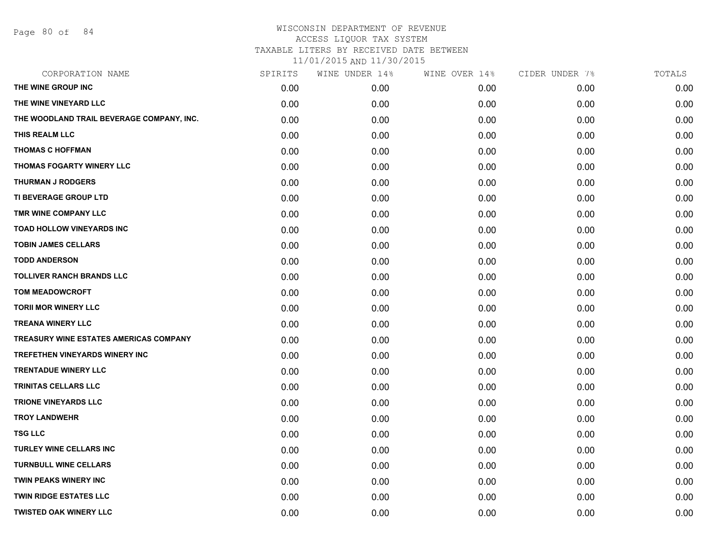Page 80 of 84

#### WISCONSIN DEPARTMENT OF REVENUE ACCESS LIQUOR TAX SYSTEM TAXABLE LITERS BY RECEIVED DATE BETWEEN

11/01/2015 AND 11/30/2015

| CORPORATION NAME                              | SPIRITS | WINE UNDER 14% | WINE OVER 14% | CIDER UNDER 7% | TOTALS |
|-----------------------------------------------|---------|----------------|---------------|----------------|--------|
| THE WINE GROUP INC                            | 0.00    | 0.00           | 0.00          | 0.00           | 0.00   |
| THE WINE VINEYARD LLC                         | 0.00    | 0.00           | 0.00          | 0.00           | 0.00   |
| THE WOODLAND TRAIL BEVERAGE COMPANY, INC.     | 0.00    | 0.00           | 0.00          | 0.00           | 0.00   |
| THIS REALM LLC                                | 0.00    | 0.00           | 0.00          | 0.00           | 0.00   |
| <b>THOMAS C HOFFMAN</b>                       | 0.00    | 0.00           | 0.00          | 0.00           | 0.00   |
| THOMAS FOGARTY WINERY LLC                     | 0.00    | 0.00           | 0.00          | 0.00           | 0.00   |
| <b>THURMAN J RODGERS</b>                      | 0.00    | 0.00           | 0.00          | 0.00           | 0.00   |
| TI BEVERAGE GROUP LTD                         | 0.00    | 0.00           | 0.00          | 0.00           | 0.00   |
| TMR WINE COMPANY LLC                          | 0.00    | 0.00           | 0.00          | 0.00           | 0.00   |
| TOAD HOLLOW VINEYARDS INC                     | 0.00    | 0.00           | 0.00          | 0.00           | 0.00   |
| <b>TOBIN JAMES CELLARS</b>                    | 0.00    | 0.00           | 0.00          | 0.00           | 0.00   |
| <b>TODD ANDERSON</b>                          | 0.00    | 0.00           | 0.00          | 0.00           | 0.00   |
| <b>TOLLIVER RANCH BRANDS LLC</b>              | 0.00    | 0.00           | 0.00          | 0.00           | 0.00   |
| <b>TOM MEADOWCROFT</b>                        | 0.00    | 0.00           | 0.00          | 0.00           | 0.00   |
| <b>TORII MOR WINERY LLC</b>                   | 0.00    | 0.00           | 0.00          | 0.00           | 0.00   |
| <b>TREANA WINERY LLC</b>                      | 0.00    | 0.00           | 0.00          | 0.00           | 0.00   |
| <b>TREASURY WINE ESTATES AMERICAS COMPANY</b> | 0.00    | 0.00           | 0.00          | 0.00           | 0.00   |
| <b>TREFETHEN VINEYARDS WINERY INC</b>         | 0.00    | 0.00           | 0.00          | 0.00           | 0.00   |
| <b>TRENTADUE WINERY LLC</b>                   | 0.00    | 0.00           | 0.00          | 0.00           | 0.00   |
| <b>TRINITAS CELLARS LLC</b>                   | 0.00    | 0.00           | 0.00          | 0.00           | 0.00   |
| <b>TRIONE VINEYARDS LLC</b>                   | 0.00    | 0.00           | 0.00          | 0.00           | 0.00   |
| <b>TROY LANDWEHR</b>                          | 0.00    | 0.00           | 0.00          | 0.00           | 0.00   |
| <b>TSG LLC</b>                                | 0.00    | 0.00           | 0.00          | 0.00           | 0.00   |
| <b>TURLEY WINE CELLARS INC</b>                | 0.00    | 0.00           | 0.00          | 0.00           | 0.00   |
| <b>TURNBULL WINE CELLARS</b>                  | 0.00    | 0.00           | 0.00          | 0.00           | 0.00   |
| <b>TWIN PEAKS WINERY INC</b>                  | 0.00    | 0.00           | 0.00          | 0.00           | 0.00   |
| <b>TWIN RIDGE ESTATES LLC</b>                 | 0.00    | 0.00           | 0.00          | 0.00           | 0.00   |
| <b>TWISTED OAK WINERY LLC</b>                 | 0.00    | 0.00           | 0.00          | 0.00           | 0.00   |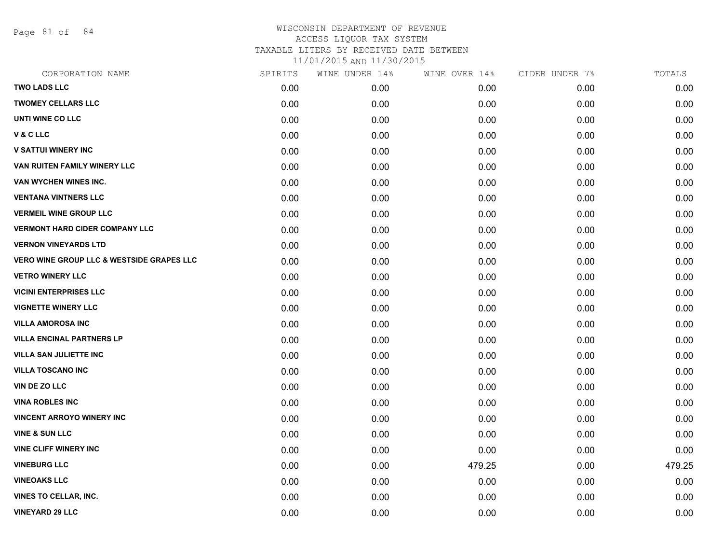Page 81 of 84

| CORPORATION NAME                                     | SPIRITS | WINE UNDER 14% | WINE OVER 14% | CIDER UNDER 7% | TOTALS |
|------------------------------------------------------|---------|----------------|---------------|----------------|--------|
| <b>TWO LADS LLC</b>                                  | 0.00    | 0.00           | 0.00          | 0.00           | 0.00   |
| <b>TWOMEY CELLARS LLC</b>                            | 0.00    | 0.00           | 0.00          | 0.00           | 0.00   |
| UNTI WINE CO LLC                                     | 0.00    | 0.00           | 0.00          | 0.00           | 0.00   |
| V & C LLC                                            | 0.00    | 0.00           | 0.00          | 0.00           | 0.00   |
| <b>V SATTUI WINERY INC</b>                           | 0.00    | 0.00           | 0.00          | 0.00           | 0.00   |
| VAN RUITEN FAMILY WINERY LLC                         | 0.00    | 0.00           | 0.00          | 0.00           | 0.00   |
| VAN WYCHEN WINES INC.                                | 0.00    | 0.00           | 0.00          | 0.00           | 0.00   |
| <b>VENTANA VINTNERS LLC</b>                          | 0.00    | 0.00           | 0.00          | 0.00           | 0.00   |
| <b>VERMEIL WINE GROUP LLC</b>                        | 0.00    | 0.00           | 0.00          | 0.00           | 0.00   |
| <b>VERMONT HARD CIDER COMPANY LLC</b>                | 0.00    | 0.00           | 0.00          | 0.00           | 0.00   |
| <b>VERNON VINEYARDS LTD</b>                          | 0.00    | 0.00           | 0.00          | 0.00           | 0.00   |
| <b>VERO WINE GROUP LLC &amp; WESTSIDE GRAPES LLC</b> | 0.00    | 0.00           | 0.00          | 0.00           | 0.00   |
| <b>VETRO WINERY LLC</b>                              | 0.00    | 0.00           | 0.00          | 0.00           | 0.00   |
| <b>VICINI ENTERPRISES LLC</b>                        | 0.00    | 0.00           | 0.00          | 0.00           | 0.00   |
| <b>VIGNETTE WINERY LLC</b>                           | 0.00    | 0.00           | 0.00          | 0.00           | 0.00   |
| <b>VILLA AMOROSA INC</b>                             | 0.00    | 0.00           | 0.00          | 0.00           | 0.00   |
| <b>VILLA ENCINAL PARTNERS LP</b>                     | 0.00    | 0.00           | 0.00          | 0.00           | 0.00   |
| <b>VILLA SAN JULIETTE INC</b>                        | 0.00    | 0.00           | 0.00          | 0.00           | 0.00   |
| <b>VILLA TOSCANO INC</b>                             | 0.00    | 0.00           | 0.00          | 0.00           | 0.00   |
| VIN DE ZO LLC                                        | 0.00    | 0.00           | 0.00          | 0.00           | 0.00   |
| <b>VINA ROBLES INC</b>                               | 0.00    | 0.00           | 0.00          | 0.00           | 0.00   |
| <b>VINCENT ARROYO WINERY INC</b>                     | 0.00    | 0.00           | 0.00          | 0.00           | 0.00   |
| <b>VINE &amp; SUN LLC</b>                            | 0.00    | 0.00           | 0.00          | 0.00           | 0.00   |
| <b>VINE CLIFF WINERY INC</b>                         | 0.00    | 0.00           | 0.00          | 0.00           | 0.00   |
| <b>VINEBURG LLC</b>                                  | 0.00    | 0.00           | 479.25        | 0.00           | 479.25 |
| <b>VINEOAKS LLC</b>                                  | 0.00    | 0.00           | 0.00          | 0.00           | 0.00   |
| <b>VINES TO CELLAR, INC.</b>                         | 0.00    | 0.00           | 0.00          | 0.00           | 0.00   |
| <b>VINEYARD 29 LLC</b>                               | 0.00    | 0.00           | 0.00          | 0.00           | 0.00   |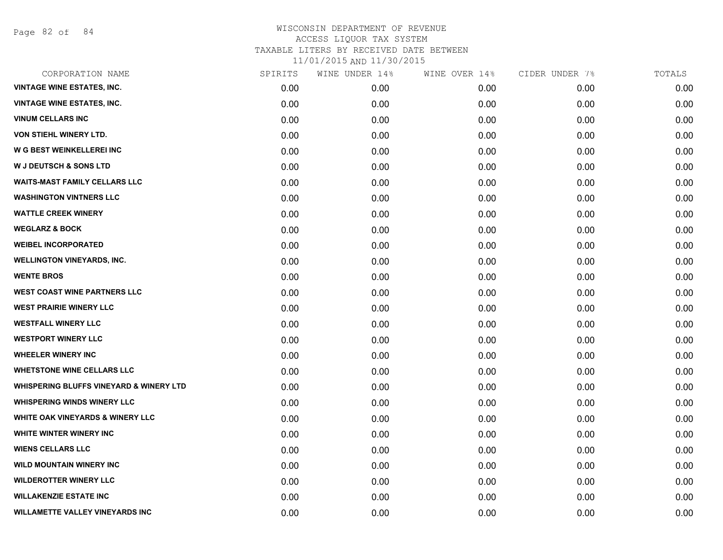Page 82 of 84

| CORPORATION NAME                                   | SPIRITS | WINE UNDER 14% | WINE OVER 14% | CIDER UNDER 7% | TOTALS |
|----------------------------------------------------|---------|----------------|---------------|----------------|--------|
| <b>VINTAGE WINE ESTATES, INC.</b>                  | 0.00    | 0.00           | 0.00          | 0.00           | 0.00   |
| <b>VINTAGE WINE ESTATES, INC.</b>                  | 0.00    | 0.00           | 0.00          | 0.00           | 0.00   |
| <b>VINUM CELLARS INC</b>                           | 0.00    | 0.00           | 0.00          | 0.00           | 0.00   |
| <b>VON STIEHL WINERY LTD.</b>                      | 0.00    | 0.00           | 0.00          | 0.00           | 0.00   |
| <b>W G BEST WEINKELLEREI INC</b>                   | 0.00    | 0.00           | 0.00          | 0.00           | 0.00   |
| <b>W J DEUTSCH &amp; SONS LTD</b>                  | 0.00    | 0.00           | 0.00          | 0.00           | 0.00   |
| <b>WAITS-MAST FAMILY CELLARS LLC</b>               | 0.00    | 0.00           | 0.00          | 0.00           | 0.00   |
| <b>WASHINGTON VINTNERS LLC</b>                     | 0.00    | 0.00           | 0.00          | 0.00           | 0.00   |
| <b>WATTLE CREEK WINERY</b>                         | 0.00    | 0.00           | 0.00          | 0.00           | 0.00   |
| <b>WEGLARZ &amp; BOCK</b>                          | 0.00    | 0.00           | 0.00          | 0.00           | 0.00   |
| <b>WEIBEL INCORPORATED</b>                         | 0.00    | 0.00           | 0.00          | 0.00           | 0.00   |
| <b>WELLINGTON VINEYARDS, INC.</b>                  | 0.00    | 0.00           | 0.00          | 0.00           | 0.00   |
| <b>WENTE BROS</b>                                  | 0.00    | 0.00           | 0.00          | 0.00           | 0.00   |
| <b>WEST COAST WINE PARTNERS LLC</b>                | 0.00    | 0.00           | 0.00          | 0.00           | 0.00   |
| <b>WEST PRAIRIE WINERY LLC</b>                     | 0.00    | 0.00           | 0.00          | 0.00           | 0.00   |
| <b>WESTFALL WINERY LLC</b>                         | 0.00    | 0.00           | 0.00          | 0.00           | 0.00   |
| <b>WESTPORT WINERY LLC</b>                         | 0.00    | 0.00           | 0.00          | 0.00           | 0.00   |
| <b>WHEELER WINERY INC</b>                          | 0.00    | 0.00           | 0.00          | 0.00           | 0.00   |
| <b>WHETSTONE WINE CELLARS LLC</b>                  | 0.00    | 0.00           | 0.00          | 0.00           | 0.00   |
| <b>WHISPERING BLUFFS VINEYARD &amp; WINERY LTD</b> | 0.00    | 0.00           | 0.00          | 0.00           | 0.00   |
| <b>WHISPERING WINDS WINERY LLC</b>                 | 0.00    | 0.00           | 0.00          | 0.00           | 0.00   |
| WHITE OAK VINEYARDS & WINERY LLC                   | 0.00    | 0.00           | 0.00          | 0.00           | 0.00   |
| WHITE WINTER WINERY INC                            | 0.00    | 0.00           | 0.00          | 0.00           | 0.00   |
| <b>WIENS CELLARS LLC</b>                           | 0.00    | 0.00           | 0.00          | 0.00           | 0.00   |
| <b>WILD MOUNTAIN WINERY INC</b>                    | 0.00    | 0.00           | 0.00          | 0.00           | 0.00   |
| <b>WILDEROTTER WINERY LLC</b>                      | 0.00    | 0.00           | 0.00          | 0.00           | 0.00   |
| <b>WILLAKENZIE ESTATE INC</b>                      | 0.00    | 0.00           | 0.00          | 0.00           | 0.00   |
| <b>WILLAMETTE VALLEY VINEYARDS INC</b>             | 0.00    | 0.00           | 0.00          | 0.00           | 0.00   |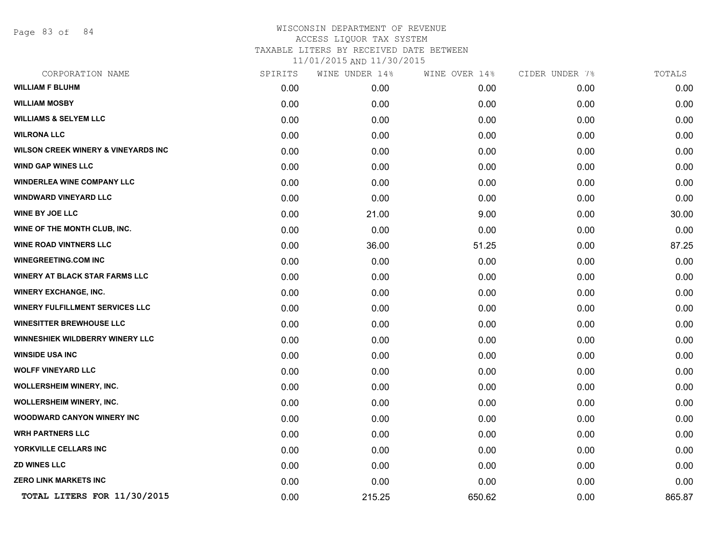Page 83 of 84

# WISCONSIN DEPARTMENT OF REVENUE ACCESS LIQUOR TAX SYSTEM TAXABLE LITERS BY RECEIVED DATE BETWEEN

11/01/2015 AND 11/30/2015

| CORPORATION NAME                       | SPIRITS | WINE UNDER 14% | WINE OVER 14% | CIDER UNDER 7% | TOTALS |
|----------------------------------------|---------|----------------|---------------|----------------|--------|
| <b>WILLIAM F BLUHM</b>                 | 0.00    | 0.00           | 0.00          | 0.00           | 0.00   |
| <b>WILLIAM MOSBY</b>                   | 0.00    | 0.00           | 0.00          | 0.00           | 0.00   |
| <b>WILLIAMS &amp; SELYEM LLC</b>       | 0.00    | 0.00           | 0.00          | 0.00           | 0.00   |
| <b>WILRONA LLC</b>                     | 0.00    | 0.00           | 0.00          | 0.00           | 0.00   |
| WILSON CREEK WINERY & VINEYARDS INC    | 0.00    | 0.00           | 0.00          | 0.00           | 0.00   |
| <b>WIND GAP WINES LLC</b>              | 0.00    | 0.00           | 0.00          | 0.00           | 0.00   |
| <b>WINDERLEA WINE COMPANY LLC</b>      | 0.00    | 0.00           | 0.00          | 0.00           | 0.00   |
| <b>WINDWARD VINEYARD LLC</b>           | 0.00    | 0.00           | 0.00          | 0.00           | 0.00   |
| <b>WINE BY JOE LLC</b>                 | 0.00    | 21.00          | 9.00          | 0.00           | 30.00  |
| WINE OF THE MONTH CLUB, INC.           | 0.00    | 0.00           | 0.00          | 0.00           | 0.00   |
| <b>WINE ROAD VINTNERS LLC</b>          | 0.00    | 36.00          | 51.25         | 0.00           | 87.25  |
| <b>WINEGREETING.COM INC</b>            | 0.00    | 0.00           | 0.00          | 0.00           | 0.00   |
| <b>WINERY AT BLACK STAR FARMS LLC</b>  | 0.00    | 0.00           | 0.00          | 0.00           | 0.00   |
| <b>WINERY EXCHANGE, INC.</b>           | 0.00    | 0.00           | 0.00          | 0.00           | 0.00   |
| <b>WINERY FULFILLMENT SERVICES LLC</b> | 0.00    | 0.00           | 0.00          | 0.00           | 0.00   |
| <b>WINESITTER BREWHOUSE LLC</b>        | 0.00    | 0.00           | 0.00          | 0.00           | 0.00   |
| <b>WINNESHIEK WILDBERRY WINERY LLC</b> | 0.00    | 0.00           | 0.00          | 0.00           | 0.00   |
| <b>WINSIDE USA INC</b>                 | 0.00    | 0.00           | 0.00          | 0.00           | 0.00   |
| <b>WOLFF VINEYARD LLC</b>              | 0.00    | 0.00           | 0.00          | 0.00           | 0.00   |
| <b>WOLLERSHEIM WINERY, INC.</b>        | 0.00    | 0.00           | 0.00          | 0.00           | 0.00   |
| <b>WOLLERSHEIM WINERY, INC.</b>        | 0.00    | 0.00           | 0.00          | 0.00           | 0.00   |
| WOODWARD CANYON WINERY INC             | 0.00    | 0.00           | 0.00          | 0.00           | 0.00   |
| <b>WRH PARTNERS LLC</b>                | 0.00    | 0.00           | 0.00          | 0.00           | 0.00   |
| YORKVILLE CELLARS INC                  | 0.00    | 0.00           | 0.00          | 0.00           | 0.00   |
| <b>ZD WINES LLC</b>                    | 0.00    | 0.00           | 0.00          | 0.00           | 0.00   |
| <b>ZERO LINK MARKETS INC</b>           | 0.00    | 0.00           | 0.00          | 0.00           | 0.00   |
| TOTAL LITERS FOR 11/30/2015            | 0.00    | 215.25         | 650.62        | 0.00           | 865.87 |